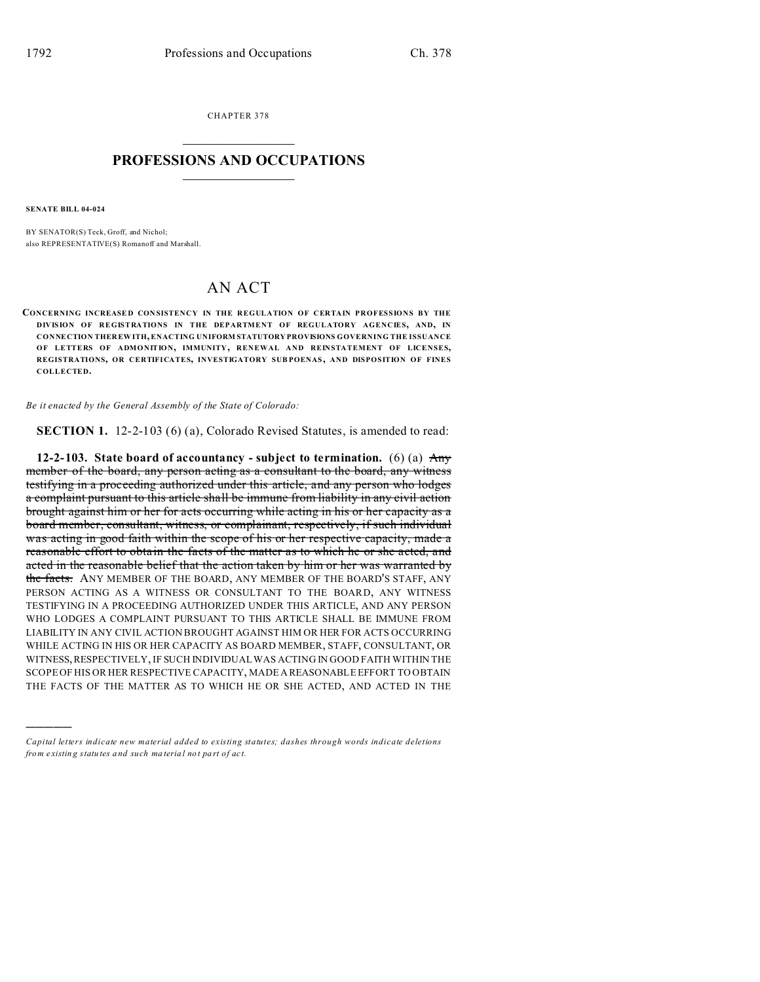CHAPTER 378  $\overline{\phantom{a}}$  , where  $\overline{\phantom{a}}$ 

## **PROFESSIONS AND OCCUPATIONS**  $\frac{1}{2}$  ,  $\frac{1}{2}$  ,  $\frac{1}{2}$  ,  $\frac{1}{2}$  ,  $\frac{1}{2}$  ,  $\frac{1}{2}$

**SENATE BILL 04-024**

)))))

BY SENATOR(S) Teck, Groff, and Nichol: also REPRESENTATIVE(S) Romanoff and Marshall.

## AN ACT

**CONCERNING INCREASE D CON SISTENCY IN THE REGULATION OF CERTAIN PROFESSIONS BY THE DIVISION OF REGISTRATIONS IN THE DEPARTMENT OF REGULATORY AGENCIES, AND, IN CONNECTION THER EWITH, ENACTING UNIFORM STATUTORY PROVISIONS GOVERNING THE ISSUANCE OF LETTERS OF ADMONITION, IMMUNITY, RENEWAL AND REINSTATEMENT OF LICENSES, REGISTRATIONS, OR CERTIFICATES, INVESTIGATORY SUB POENAS , AND DISPOSITION OF FINES COLLECTED.**

*Be it enacted by the General Assembly of the State of Colorado:*

**SECTION 1.** 12-2-103 (6) (a), Colorado Revised Statutes, is amended to read:

**12-2-103. State board of accountancy - subject to termination.** (6) (a) Any member of the board, any person acting as a consultant to the board, any witness testifying in a proceeding authorized under this article, and any person who lodges a complaint pursuant to this article shall be immune from liability in any civil action brought against him or her for acts occurring while acting in his or her capacity as a board member, consultant, witness, or complainant, respectively, if such individual was acting in good faith within the scope of his or her respective capacity, made a reasonable effort to obtain the facts of the matter as to which he or she acted, and acted in the reasonable belief that the action taken by him or her was warranted by the facts. ANY MEMBER OF THE BOARD, ANY MEMBER OF THE BOARD'S STAFF, ANY PERSON ACTING AS A WITNESS OR CONSULTANT TO THE BOARD, ANY WITNESS TESTIFYING IN A PROCEEDING AUTHORIZED UNDER THIS ARTICLE, AND ANY PERSON WHO LODGES A COMPLAINT PURSUANT TO THIS ARTICLE SHALL BE IMMUNE FROM LIABILITY IN ANY CIVIL ACTION BROUGHT AGAINST HIM OR HER FOR ACTS OCCURRING WHILE ACTING IN HIS OR HER CAPACITY AS BOARD MEMBER, STAFF, CONSULTANT, OR WITNESS,RESPECTIVELY, IF SUCH INDIVIDUAL WAS ACTING IN GOOD FAITH WITHIN THE SCOPE OF HIS OR HER RESPECTIVE CAPACITY, MADE A REASONABLE EFFORT TO OBTAIN THE FACTS OF THE MATTER AS TO WHICH HE OR SHE ACTED, AND ACTED IN THE

*Capital letters indicate new material added to existing statutes; dashes through words indicate deletions from e xistin g statu tes a nd such ma teria l no t pa rt of ac t.*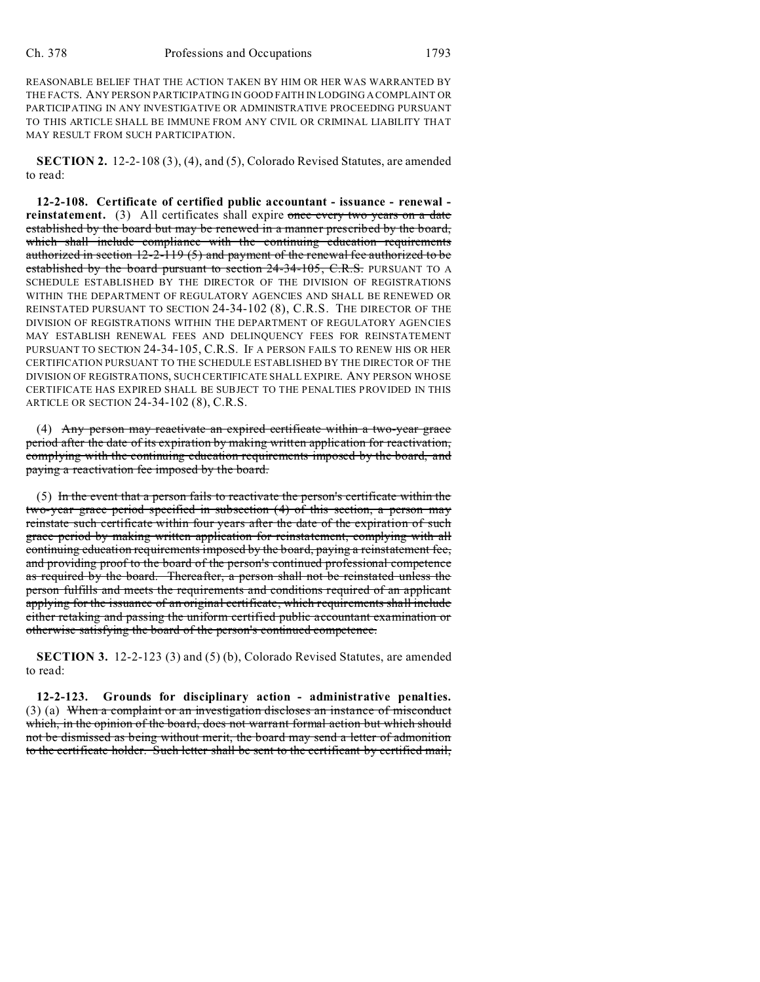REASONABLE BELIEF THAT THE ACTION TAKEN BY HIM OR HER WAS WARRANTED BY THE FACTS. ANY PERSON PARTICIPATING IN GOOD FAITH IN LODGING A COMPLAINT OR PARTICIPATING IN ANY INVESTIGATIVE OR ADMINISTRATIVE PROCEEDING PURSUANT TO THIS ARTICLE SHALL BE IMMUNE FROM ANY CIVIL OR CRIMINAL LIABILITY THAT MAY RESULT FROM SUCH PARTICIPATION.

**SECTION 2.** 12-2-108 (3), (4), and (5), Colorado Revised Statutes, are amended to read:

**12-2-108. Certificate of certified public accountant - issuance - renewal reinstatement.** (3) All certificates shall expire once every two years on a date established by the board but may be renewed in a manner prescribed by the board, which shall include compliance with the continuing education requirements authorized in section 12-2-119 (5) and payment of the renewal fee authorized to be established by the board pursuant to section 24-34-105, C.R.S. PURSUANT TO A SCHEDULE ESTABLISHED BY THE DIRECTOR OF THE DIVISION OF REGISTRATIONS WITHIN THE DEPARTMENT OF REGULATORY AGENCIES AND SHALL BE RENEWED OR REINSTATED PURSUANT TO SECTION 24-34-102 (8), C.R.S. THE DIRECTOR OF THE DIVISION OF REGISTRATIONS WITHIN THE DEPARTMENT OF REGULATORY AGENCIES MAY ESTABLISH RENEWAL FEES AND DELINQUENCY FEES FOR REINSTATEMENT PURSUANT TO SECTION 24-34-105, C.R.S. IF A PERSON FAILS TO RENEW HIS OR HER CERTIFICATION PURSUANT TO THE SCHEDULE ESTABLISHED BY THE DIRECTOR OF THE DIVISION OF REGISTRATIONS, SUCH CERTIFICATE SHALL EXPIRE. ANY PERSON WHOSE CERTIFICATE HAS EXPIRED SHALL BE SUBJECT TO THE PENALTIES PROVIDED IN THIS ARTICLE OR SECTION 24-34-102 (8), C.R.S.

(4) Any person may reactivate an expired certificate within a two-year grace period after the date of its expiration by making written application for reactivation, complying with the continuing education requirements imposed by the board, and paying a reactivation fee imposed by the board.

(5) In the event that a person fails to reactivate the person's certificate within the two-year grace period specified in subsection (4) of this section, a person may reinstate such certificate within four years after the date of the expiration of such grace period by making written application for reinstatement, complying with all continuing education requirements imposed by the board, paying a reinstatement fee, and providing proof to the board of the person's continued professional competence as required by the board. Thereafter, a person shall not be reinstated unless the person fulfills and meets the requirements and conditions required of an applicant applying for the issuance of an original certificate, which requirements shall include either retaking and passing the uniform certified public accountant examination or otherwise satisfying the board of the person's continued competence.

**SECTION 3.** 12-2-123 (3) and (5) (b), Colorado Revised Statutes, are amended to read:

**12-2-123. Grounds for disciplinary action - administrative penalties.** (3) (a) When a complaint or an investigation discloses an instance of misconduct which, in the opinion of the board, does not warrant formal action but which should not be dismissed as being without merit, the board may send a letter of admonition to the certificate holder. Such letter shall be sent to the certificant by certified mail,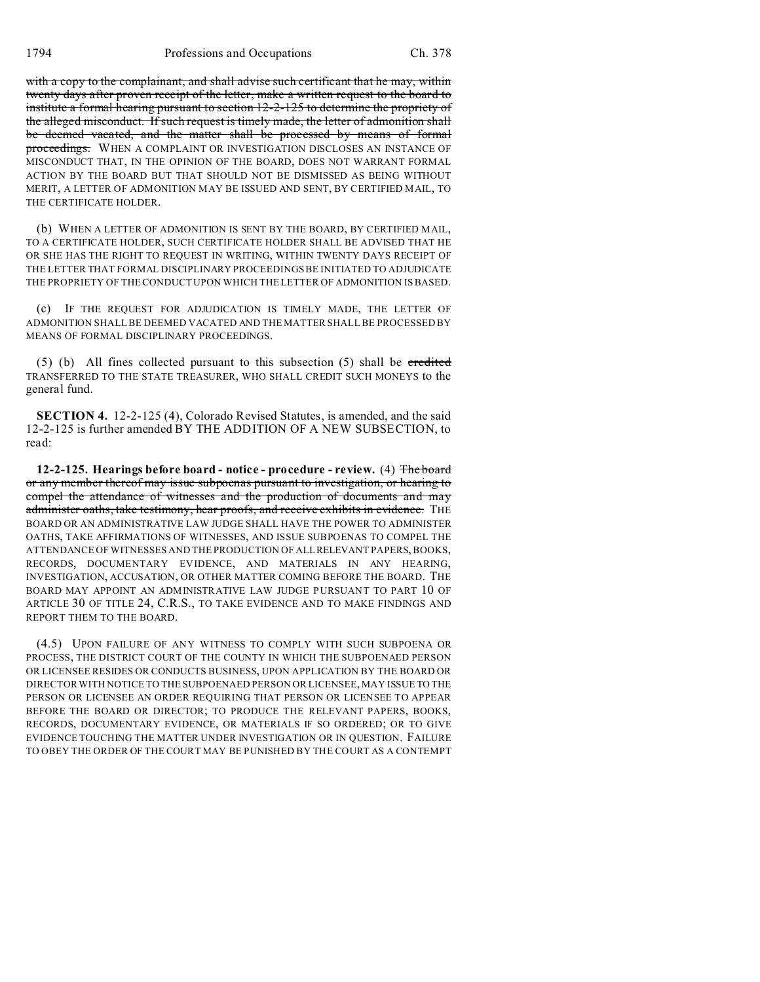with a copy to the complainant, and shall advise such certificant that he may, within twenty days after proven receipt of the letter, make a written request to the board to institute a formal hearing pursuant to section 12-2-125 to determine the propriety of the alleged misconduct. If such request is timely made, the letter of admonition shall be deemed vacated, and the matter shall be processed by means of formal proceedings. WHEN A COMPLAINT OR INVESTIGATION DISCLOSES AN INSTANCE OF MISCONDUCT THAT, IN THE OPINION OF THE BOARD, DOES NOT WARRANT FORMAL ACTION BY THE BOARD BUT THAT SHOULD NOT BE DISMISSED AS BEING WITHOUT MERIT, A LETTER OF ADMONITION MAY BE ISSUED AND SENT, BY CERTIFIED MAIL, TO THE CERTIFICATE HOLDER.

(b) WHEN A LETTER OF ADMONITION IS SENT BY THE BOARD, BY CERTIFIED MAIL, TO A CERTIFICATE HOLDER, SUCH CERTIFICATE HOLDER SHALL BE ADVISED THAT HE OR SHE HAS THE RIGHT TO REQUEST IN WRITING, WITHIN TWENTY DAYS RECEIPT OF THE LETTER THAT FORMAL DISCIPLINARY PROCEEDINGS BE INITIATED TO ADJUDICATE THE PROPRIETY OF THE CONDUCT UPON WHICH THE LETTER OF ADMONITION IS BASED.

(c) IF THE REQUEST FOR ADJUDICATION IS TIMELY MADE, THE LETTER OF ADMONITION SHALL BE DEEMED VACATED AND THE MATTER SHALL BE PROCESSED BY MEANS OF FORMAL DISCIPLINARY PROCEEDINGS.

 $(5)$  (b) All fines collected pursuant to this subsection  $(5)$  shall be credited TRANSFERRED TO THE STATE TREASURER, WHO SHALL CREDIT SUCH MONEYS to the general fund.

**SECTION 4.** 12-2-125 (4), Colorado Revised Statutes, is amended, and the said 12-2-125 is further amended BY THE ADDITION OF A NEW SUBSECTION, to read:

**12-2-125. Hearings before board - notice - procedure - review.** (4) The board or any member thereof may issue subpoenas pursuant to investigation, or hearing to compel the attendance of witnesses and the production of documents and may administer oaths, take testimony, hear proofs, and receive exhibits in evidence. THE BOARD OR AN ADMINISTRATIVE LAW JUDGE SHALL HAVE THE POWER TO ADMINISTER OATHS, TAKE AFFIRMATIONS OF WITNESSES, AND ISSUE SUBPOENAS TO COMPEL THE ATTENDANCE OF WITNESSES AND THE PRODUCTION OF ALL RELEVANT PAPERS, BOOKS, RECORDS, DOCUMENTARY EVIDENCE, AND MATERIALS IN ANY HEARING, INVESTIGATION, ACCUSATION, OR OTHER MATTER COMING BEFORE THE BOARD. THE BOARD MAY APPOINT AN ADMINISTRATIVE LAW JUDGE PURSUANT TO PART 10 OF ARTICLE 30 OF TITLE 24, C.R.S., TO TAKE EVIDENCE AND TO MAKE FINDINGS AND REPORT THEM TO THE BOARD.

(4.5) UPON FAILURE OF ANY WITNESS TO COMPLY WITH SUCH SUBPOENA OR PROCESS, THE DISTRICT COURT OF THE COUNTY IN WHICH THE SUBPOENAED PERSON OR LICENSEE RESIDES OR CONDUCTS BUSINESS, UPON APPLICATION BY THE BOARD OR DIRECTOR WITH NOTICE TO THE SUBPOENAED PERSON OR LICENSEE, MAY ISSUE TO THE PERSON OR LICENSEE AN ORDER REQUIRING THAT PERSON OR LICENSEE TO APPEAR BEFORE THE BOARD OR DIRECTOR; TO PRODUCE THE RELEVANT PAPERS, BOOKS, RECORDS, DOCUMENTARY EVIDENCE, OR MATERIALS IF SO ORDERED; OR TO GIVE EVIDENCE TOUCHING THE MATTER UNDER INVESTIGATION OR IN QUESTION. FAILURE TO OBEY THE ORDER OF THE COURT MAY BE PUNISHED BY THE COURT AS A CONTEMPT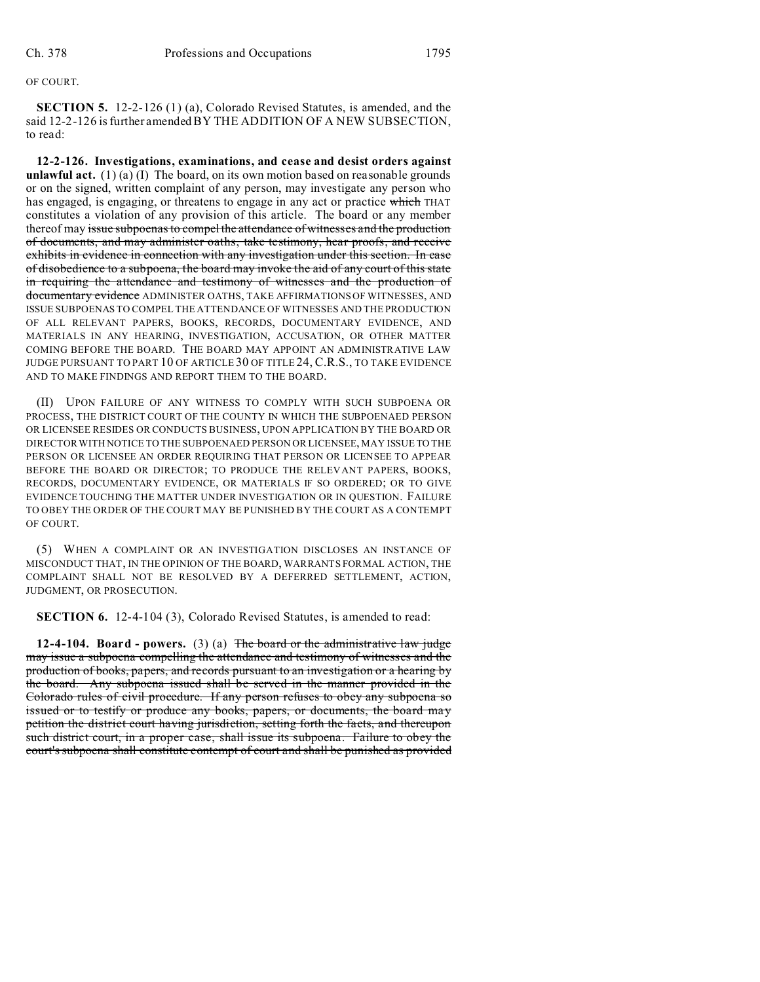## OF COURT.

**SECTION 5.** 12-2-126 (1) (a), Colorado Revised Statutes, is amended, and the said 12-2-126 is further amended BY THE ADDITION OF A NEW SUBSECTION, to read:

**12-2-126. Investigations, examinations, and cease and desist orders against unlawful act.** (1) (a) (I) The board, on its own motion based on reasonable grounds or on the signed, written complaint of any person, may investigate any person who has engaged, is engaging, or threatens to engage in any act or practice which THAT constitutes a violation of any provision of this article. The board or any member thereof may issue subpoenas to compel the attendance of witnesses and the production of documents, and may administer oaths, take testimony, hear proofs, and receive exhibits in evidence in connection with any investigation under this section. In case of disobedience to a subpoena, the board may invoke the aid of any court of this state in requiring the attendance and testimony of witnesses and the production of documentary evidence ADMINISTER OATHS, TAKE AFFIRMATIONS OF WITNESSES, AND ISSUE SUBPOENAS TO COMPEL THE ATTENDANCE OF WITNESSES AND THE PRODUCTION OF ALL RELEVANT PAPERS, BOOKS, RECORDS, DOCUMENTARY EVIDENCE, AND MATERIALS IN ANY HEARING, INVESTIGATION, ACCUSATION, OR OTHER MATTER COMING BEFORE THE BOARD. THE BOARD MAY APPOINT AN ADMINISTRATIVE LAW JUDGE PURSUANT TO PART 10 OF ARTICLE 30 OF TITLE 24, C.R.S., TO TAKE EVIDENCE AND TO MAKE FINDINGS AND REPORT THEM TO THE BOARD.

(II) UPON FAILURE OF ANY WITNESS TO COMPLY WITH SUCH SUBPOENA OR PROCESS, THE DISTRICT COURT OF THE COUNTY IN WHICH THE SUBPOENAED PERSON OR LICENSEE RESIDES OR CONDUCTS BUSINESS, UPON APPLICATION BY THE BOARD OR DIRECTOR WITH NOTICE TO THE SUBPOENAED PERSON OR LICENSEE, MAY ISSUE TO THE PERSON OR LICENSEE AN ORDER REQUIRING THAT PERSON OR LICENSEE TO APPEAR BEFORE THE BOARD OR DIRECTOR; TO PRODUCE THE RELEVANT PAPERS, BOOKS, RECORDS, DOCUMENTARY EVIDENCE, OR MATERIALS IF SO ORDERED; OR TO GIVE EVIDENCE TOUCHING THE MATTER UNDER INVESTIGATION OR IN QUESTION. FAILURE TO OBEY THE ORDER OF THE COURT MAY BE PUNISHED BY THE COURT AS A CONTEMPT OF COURT.

(5) WHEN A COMPLAINT OR AN INVESTIGATION DISCLOSES AN INSTANCE OF MISCONDUCT THAT, IN THE OPINION OF THE BOARD, WARRANTS FORMAL ACTION, THE COMPLAINT SHALL NOT BE RESOLVED BY A DEFERRED SETTLEMENT, ACTION, JUDGMENT, OR PROSECUTION.

**SECTION 6.** 12-4-104 (3), Colorado Revised Statutes, is amended to read:

**12-4-104. Board - powers.** (3) (a) The board or the administrative law judge may issue a subpoena compelling the attendance and testimony of witnesses and the production of books, papers, and records pursuant to an investigation or a hearing by the board. Any subpoena issued shall be served in the manner provided in the Colorado rules of civil procedure. If any person refuses to obey any subpoena so issued or to testify or produce any books, papers, or documents, the board may petition the district court having jurisdiction, setting forth the facts, and thereupon such district court, in a proper case, shall issue its subpoena. Failure to obey the court's subpoena shall constitute contempt of court and shall be punished as provided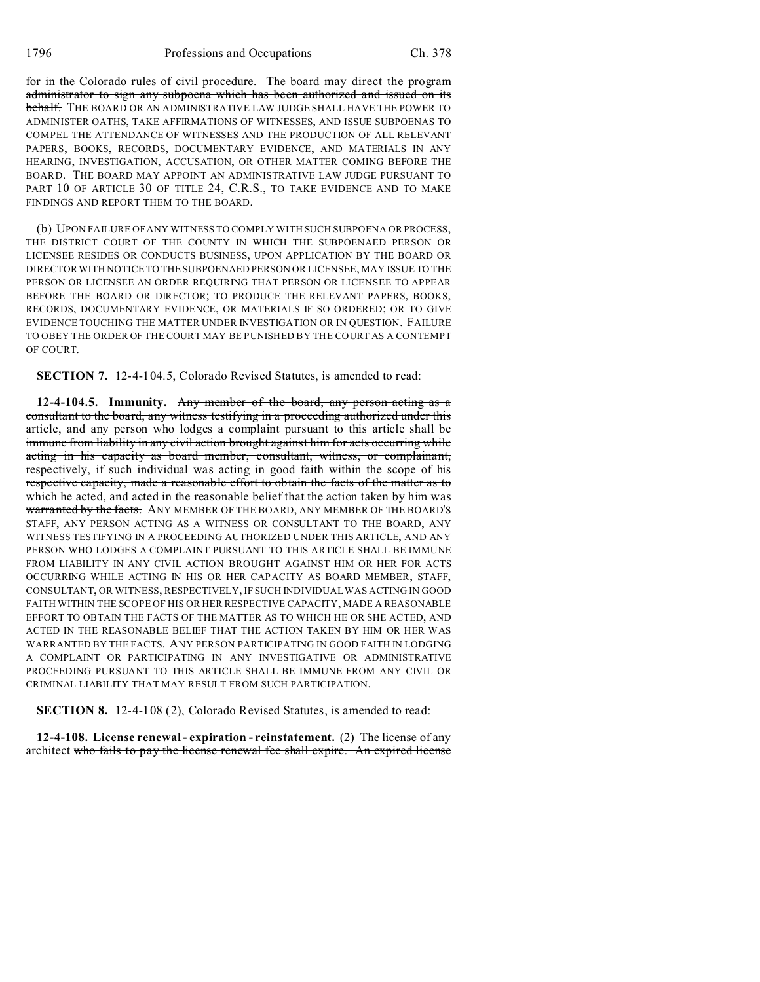for in the Colorado rules of civil procedure. The board may direct the program administrator to sign any subpoena which has been authorized and issued on its behalf. THE BOARD OR AN ADMINISTRATIVE LAW JUDGE SHALL HAVE THE POWER TO ADMINISTER OATHS, TAKE AFFIRMATIONS OF WITNESSES, AND ISSUE SUBPOENAS TO COMPEL THE ATTENDANCE OF WITNESSES AND THE PRODUCTION OF ALL RELEVANT PAPERS, BOOKS, RECORDS, DOCUMENTARY EVIDENCE, AND MATERIALS IN ANY HEARING, INVESTIGATION, ACCUSATION, OR OTHER MATTER COMING BEFORE THE BOARD. THE BOARD MAY APPOINT AN ADMINISTRATIVE LAW JUDGE PURSUANT TO PART 10 OF ARTICLE 30 OF TITLE 24, C.R.S., TO TAKE EVIDENCE AND TO MAKE FINDINGS AND REPORT THEM TO THE BOARD.

(b) UPON FAILURE OF ANY WITNESS TO COMPLY WITH SUCH SUBPOENA OR PROCESS, THE DISTRICT COURT OF THE COUNTY IN WHICH THE SUBPOENAED PERSON OR LICENSEE RESIDES OR CONDUCTS BUSINESS, UPON APPLICATION BY THE BOARD OR DIRECTOR WITH NOTICE TO THE SUBPOENAED PERSON OR LICENSEE, MAY ISSUE TO THE PERSON OR LICENSEE AN ORDER REQUIRING THAT PERSON OR LICENSEE TO APPEAR BEFORE THE BOARD OR DIRECTOR; TO PRODUCE THE RELEVANT PAPERS, BOOKS, RECORDS, DOCUMENTARY EVIDENCE, OR MATERIALS IF SO ORDERED; OR TO GIVE EVIDENCE TOUCHING THE MATTER UNDER INVESTIGATION OR IN QUESTION. FAILURE TO OBEY THE ORDER OF THE COURT MAY BE PUNISHED BY THE COURT AS A CONTEMPT OF COURT.

**SECTION 7.** 12-4-104.5, Colorado Revised Statutes, is amended to read:

**12-4-104.5. Immunity.** Any member of the board, any person acting as a consultant to the board, any witness testifying in a proceeding authorized under this article, and any person who lodges a complaint pursuant to this article shall be immune from liability in any civil action brought against him for acts occurring while acting in his capacity as board member, consultant, witness, or complainant, respectively, if such individual was acting in good faith within the scope of his respective capacity, made a reasonable effort to obtain the facts of the matter as to which he acted, and acted in the reasonable belief that the action taken by him was warranted by the facts. ANY MEMBER OF THE BOARD, ANY MEMBER OF THE BOARD'S STAFF, ANY PERSON ACTING AS A WITNESS OR CONSULTANT TO THE BOARD, ANY WITNESS TESTIFYING IN A PROCEEDING AUTHORIZED UNDER THIS ARTICLE, AND ANY PERSON WHO LODGES A COMPLAINT PURSUANT TO THIS ARTICLE SHALL BE IMMUNE FROM LIABILITY IN ANY CIVIL ACTION BROUGHT AGAINST HIM OR HER FOR ACTS OCCURRING WHILE ACTING IN HIS OR HER CAPACITY AS BOARD MEMBER, STAFF, CONSULTANT, OR WITNESS, RESPECTIVELY, IF SUCH INDIVIDUAL WAS ACTING IN GOOD FAITH WITHIN THE SCOPE OF HIS OR HER RESPECTIVE CAPACITY, MADE A REASONABLE EFFORT TO OBTAIN THE FACTS OF THE MATTER AS TO WHICH HE OR SHE ACTED, AND ACTED IN THE REASONABLE BELIEF THAT THE ACTION TAKEN BY HIM OR HER WAS WARRANTED BY THE FACTS. ANY PERSON PARTICIPATING IN GOOD FAITH IN LODGING A COMPLAINT OR PARTICIPATING IN ANY INVESTIGATIVE OR ADMINISTRATIVE PROCEEDING PURSUANT TO THIS ARTICLE SHALL BE IMMUNE FROM ANY CIVIL OR CRIMINAL LIABILITY THAT MAY RESULT FROM SUCH PARTICIPATION.

**SECTION 8.** 12-4-108 (2), Colorado Revised Statutes, is amended to read:

**12-4-108. License renewal - expiration - reinstatement.** (2) The license of any architect who fails to pay the license renewal fee shall expire. An expired license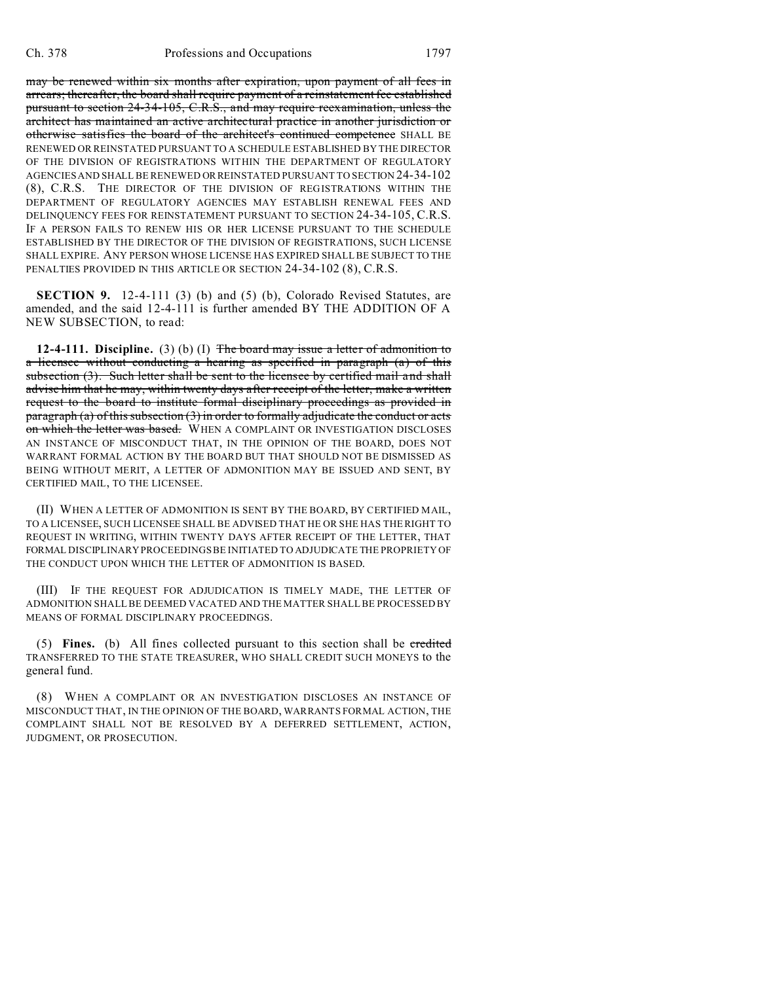may be renewed within six months after expiration, upon payment of all fees in arrears; thereafter, the board shall require payment of a reinstatement fee established pursuant to section 24-34-105, C.R.S., and may require reexamination, unless the architect has maintained an active architectural practice in another jurisdiction or otherwise satisfies the board of the architect's continued competence SHALL BE RENEWED OR REINSTATED PURSUANT TO A SCHEDULE ESTABLISHED BY THE DIRECTOR OF THE DIVISION OF REGISTRATIONS WITHIN THE DEPARTMENT OF REGULATORY AGENCIES AND SHALL BE RENEWED ORREINSTATED PURSUANT TO SECTION 24-34-102 (8), C.R.S. THE DIRECTOR OF THE DIVISION OF REGISTRATIONS WITHIN THE DEPARTMENT OF REGULATORY AGENCIES MAY ESTABLISH RENEWAL FEES AND DELINQUENCY FEES FOR REINSTATEMENT PURSUANT TO SECTION 24-34-105, C.R.S. IF A PERSON FAILS TO RENEW HIS OR HER LICENSE PURSUANT TO THE SCHEDULE ESTABLISHED BY THE DIRECTOR OF THE DIVISION OF REGISTRATIONS, SUCH LICENSE SHALL EXPIRE. ANY PERSON WHOSE LICENSE HAS EXPIRED SHALL BE SUBJECT TO THE PENALTIES PROVIDED IN THIS ARTICLE OR SECTION 24-34-102 (8), C.R.S.

**SECTION 9.** 12-4-111 (3) (b) and (5) (b), Colorado Revised Statutes, are amended, and the said 12-4-111 is further amended BY THE ADDITION OF A NEW SUBSECTION, to read:

**12-4-111. Discipline.** (3) (b) (I) The board may issue a letter of admonition to a licensee without conducting a hearing as specified in paragraph (a) of this subsection (3). Such letter shall be sent to the licensee by certified mail and shall advise him that he may, within twenty days after receipt of the letter, make a written request to the board to institute formal disciplinary proceedings as provided in paragraph (a) of this subsection (3) in order to formally adjudicate the conduct or acts on which the letter was based. WHEN A COMPLAINT OR INVESTIGATION DISCLOSES AN INSTANCE OF MISCONDUCT THAT, IN THE OPINION OF THE BOARD, DOES NOT WARRANT FORMAL ACTION BY THE BOARD BUT THAT SHOULD NOT BE DISMISSED AS BEING WITHOUT MERIT, A LETTER OF ADMONITION MAY BE ISSUED AND SENT, BY CERTIFIED MAIL, TO THE LICENSEE.

(II) WHEN A LETTER OF ADMONITION IS SENT BY THE BOARD, BY CERTIFIED MAIL, TO A LICENSEE, SUCH LICENSEE SHALL BE ADVISED THAT HE OR SHE HAS THE RIGHT TO REQUEST IN WRITING, WITHIN TWENTY DAYS AFTER RECEIPT OF THE LETTER, THAT FORMAL DISCIPLINARY PROCEEDINGS BE INITIATED TO ADJUDICATE THE PROPRIETY OF THE CONDUCT UPON WHICH THE LETTER OF ADMONITION IS BASED.

(III) IF THE REQUEST FOR ADJUDICATION IS TIMELY MADE, THE LETTER OF ADMONITION SHALL BE DEEMED VACATED AND THE MATTER SHALL BE PROCESSED BY MEANS OF FORMAL DISCIPLINARY PROCEEDINGS.

(5) **Fines.** (b) All fines collected pursuant to this section shall be credited TRANSFERRED TO THE STATE TREASURER, WHO SHALL CREDIT SUCH MONEYS to the general fund.

(8) WHEN A COMPLAINT OR AN INVESTIGATION DISCLOSES AN INSTANCE OF MISCONDUCT THAT, IN THE OPINION OF THE BOARD, WARRANTS FORMAL ACTION, THE COMPLAINT SHALL NOT BE RESOLVED BY A DEFERRED SETTLEMENT, ACTION, JUDGMENT, OR PROSECUTION.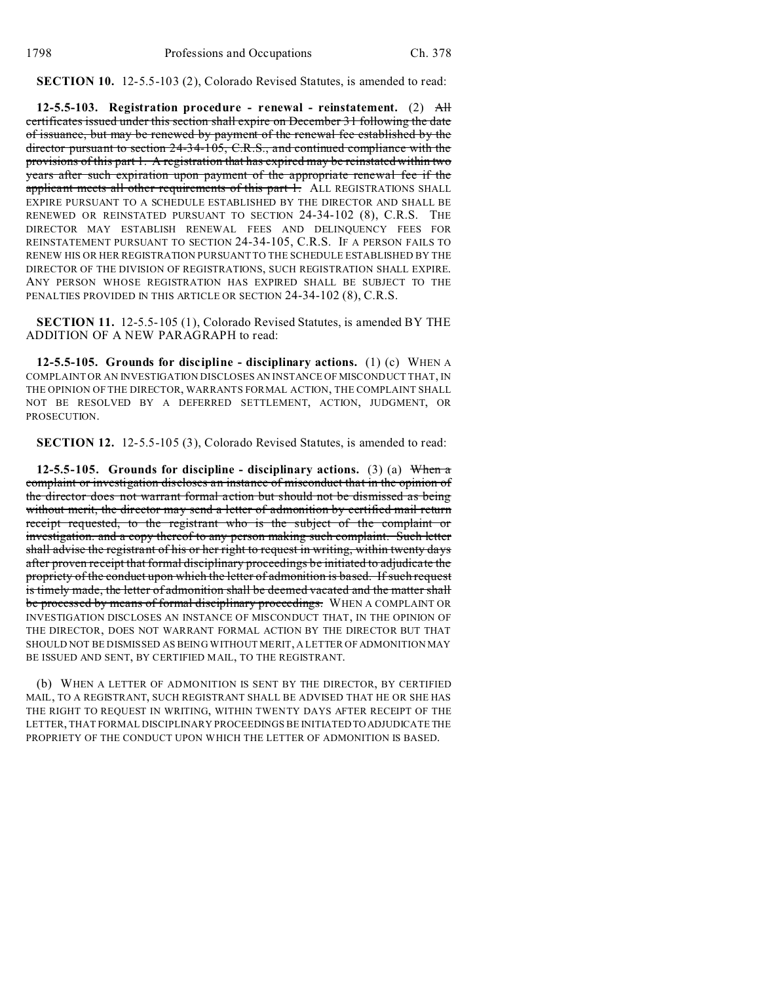**SECTION 10.** 12-5.5-103 (2), Colorado Revised Statutes, is amended to read:

**12-5.5-103. Registration procedure - renewal - reinstatement.** (2) All certificates issued under this section shall expire on December 31 following the date of issuance, but may be renewed by payment of the renewal fee established by the director pursuant to section 24-34-105, C.R.S., and continued compliance with the provisions of this part 1. A registration that has expired may be reinstated within two years after such expiration upon payment of the appropriate renewal fee if the applicant meets all other requirements of this part 1. ALL REGISTRATIONS SHALL EXPIRE PURSUANT TO A SCHEDULE ESTABLISHED BY THE DIRECTOR AND SHALL BE RENEWED OR REINSTATED PURSUANT TO SECTION 24-34-102 (8), C.R.S. THE DIRECTOR MAY ESTABLISH RENEWAL FEES AND DELINQUENCY FEES FOR REINSTATEMENT PURSUANT TO SECTION 24-34-105, C.R.S. IF A PERSON FAILS TO RENEW HIS OR HER REGISTRATION PURSUANT TO THE SCHEDULE ESTABLISHED BY THE DIRECTOR OF THE DIVISION OF REGISTRATIONS, SUCH REGISTRATION SHALL EXPIRE. ANY PERSON WHOSE REGISTRATION HAS EXPIRED SHALL BE SUBJECT TO THE PENALTIES PROVIDED IN THIS ARTICLE OR SECTION 24-34-102 (8), C.R.S.

**SECTION 11.** 12-5.5-105 (1), Colorado Revised Statutes, is amended BY THE ADDITION OF A NEW PARAGRAPH to read:

**12-5.5-105. Grounds for discipline - disciplinary actions.** (1) (c) WHEN A COMPLAINT OR AN INVESTIGATION DISCLOSES AN INSTANCE OF MISCONDUCT THAT, IN THE OPINION OF THE DIRECTOR, WARRANTS FORMAL ACTION, THE COMPLAINT SHALL NOT BE RESOLVED BY A DEFERRED SETTLEMENT, ACTION, JUDGMENT, OR PROSECUTION.

**SECTION 12.** 12-5.5-105 (3), Colorado Revised Statutes, is amended to read:

**12-5.5-105. Grounds for discipline - disciplinary actions.** (3) (a) When a complaint or investigation discloses an instance of misconduct that in the opinion of the director does not warrant formal action but should not be dismissed as being without merit, the director may send a letter of admonition by certified mail return receipt requested, to the registrant who is the subject of the complaint or investigation. and a copy thereof to any person making such complaint. Such letter shall advise the registrant of his or her right to request in writing, within twenty days after proven receipt that formal disciplinary proceedings be initiated to adjudicate the propriety of the conduct upon which the letter of admonition is based. If such request is timely made, the letter of admonition shall be deemed vacated and the matter shall be processed by means of formal disciplinary proceedings. WHEN A COMPLAINT OR INVESTIGATION DISCLOSES AN INSTANCE OF MISCONDUCT THAT, IN THE OPINION OF THE DIRECTOR, DOES NOT WARRANT FORMAL ACTION BY THE DIRECTOR BUT THAT SHOULD NOT BE DISMISSED AS BEING WITHOUT MERIT, A LETTER OF ADMONITION MAY BE ISSUED AND SENT, BY CERTIFIED MAIL, TO THE REGISTRANT.

(b) WHEN A LETTER OF ADMONITION IS SENT BY THE DIRECTOR, BY CERTIFIED MAIL, TO A REGISTRANT, SUCH REGISTRANT SHALL BE ADVISED THAT HE OR SHE HAS THE RIGHT TO REQUEST IN WRITING, WITHIN TWENTY DAYS AFTER RECEIPT OF THE LETTER, THAT FORMAL DISCIPLINARY PROCEEDINGS BE INITIATED TO ADJUDICATE THE PROPRIETY OF THE CONDUCT UPON WHICH THE LETTER OF ADMONITION IS BASED.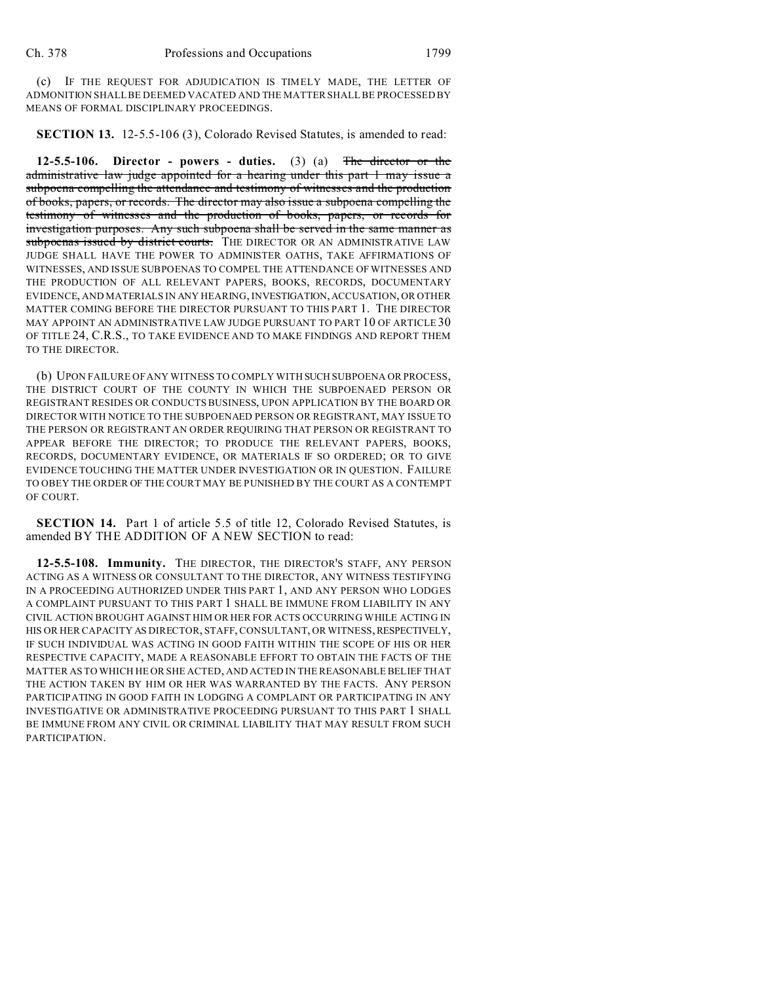(c) IF THE REQUEST FOR ADJUDICATION IS TIMELY MADE, THE LETTER OF ADMONITION SHALL BE DEEMED VACATED AND THE MATTER SHALL BE PROCESSED BY MEANS OF FORMAL DISCIPLINARY PROCEEDINGS.

**SECTION 13.** 12-5.5-106 (3), Colorado Revised Statutes, is amended to read:

**12-5.5-106. Director - powers - duties.** (3) (a) The director or the administrative law judge appointed for a hearing under this part 1 may issue a subpoena compelling the attendance and testimony of witnesses and the production of books, papers, or records. The director may also issue a subpoena compelling the testimony of witnesses and the production of books, papers, or records for investigation purposes. Any such subpoena shall be served in the same manner as subpoenas issued by district courts. THE DIRECTOR OR AN ADMINISTRATIVE LAW JUDGE SHALL HAVE THE POWER TO ADMINISTER OATHS, TAKE AFFIRMATIONS OF WITNESSES, AND ISSUE SUBPOENAS TO COMPEL THE ATTENDANCE OF WITNESSES AND THE PRODUCTION OF ALL RELEVANT PAPERS, BOOKS, RECORDS, DOCUMENTARY EVIDENCE, AND MATERIALS IN ANY HEARING, INVESTIGATION,ACCUSATION, OR OTHER MATTER COMING BEFORE THE DIRECTOR PURSUANT TO THIS PART 1. THE DIRECTOR MAY APPOINT AN ADMINISTRATIVE LAW JUDGE PURSUANT TO PART 10 OF ARTICLE 30 OF TITLE 24, C.R.S., TO TAKE EVIDENCE AND TO MAKE FINDINGS AND REPORT THEM TO THE DIRECTOR.

(b) UPON FAILURE OF ANY WITNESS TO COMPLY WITH SUCH SUBPOENA OR PROCESS, THE DISTRICT COURT OF THE COUNTY IN WHICH THE SUBPOENAED PERSON OR REGISTRANT RESIDES OR CONDUCTS BUSINESS, UPON APPLICATION BY THE BOARD OR DIRECTOR WITH NOTICE TO THE SUBPOENAED PERSON OR REGISTRANT, MAY ISSUE TO THE PERSON OR REGISTRANT AN ORDER REQUIRING THAT PERSON OR REGISTRANT TO APPEAR BEFORE THE DIRECTOR; TO PRODUCE THE RELEVANT PAPERS, BOOKS, RECORDS, DOCUMENTARY EVIDENCE, OR MATERIALS IF SO ORDERED; OR TO GIVE EVIDENCE TOUCHING THE MATTER UNDER INVESTIGATION OR IN QUESTION. FAILURE TO OBEY THE ORDER OF THE COURT MAY BE PUNISHED BY THE COURT AS A CONTEMPT OF COURT.

**SECTION 14.** Part 1 of article 5.5 of title 12, Colorado Revised Statutes, is amended BY THE ADDITION OF A NEW SECTION to read:

**12-5.5-108. Immunity.** THE DIRECTOR, THE DIRECTOR'S STAFF, ANY PERSON ACTING AS A WITNESS OR CONSULTANT TO THE DIRECTOR, ANY WITNESS TESTIFYING IN A PROCEEDING AUTHORIZED UNDER THIS PART 1, AND ANY PERSON WHO LODGES A COMPLAINT PURSUANT TO THIS PART 1 SHALL BE IMMUNE FROM LIABILITY IN ANY CIVIL ACTION BROUGHT AGAINST HIM OR HER FOR ACTS OCCURRING WHILE ACTING IN HIS OR HER CAPACITY AS DIRECTOR, STAFF, CONSULTANT, OR WITNESS, RESPECTIVELY, IF SUCH INDIVIDUAL WAS ACTING IN GOOD FAITH WITHIN THE SCOPE OF HIS OR HER RESPECTIVE CAPACITY, MADE A REASONABLE EFFORT TO OBTAIN THE FACTS OF THE MATTER AS TO WHICH HE OR SHE ACTED, AND ACTED IN THE REASONABLE BELIEF THAT THE ACTION TAKEN BY HIM OR HER WAS WARRANTED BY THE FACTS. ANY PERSON PARTICIPATING IN GOOD FAITH IN LODGING A COMPLAINT OR PARTICIPATING IN ANY INVESTIGATIVE OR ADMINISTRATIVE PROCEEDING PURSUANT TO THIS PART 1 SHALL BE IMMUNE FROM ANY CIVIL OR CRIMINAL LIABILITY THAT MAY RESULT FROM SUCH PARTICIPATION.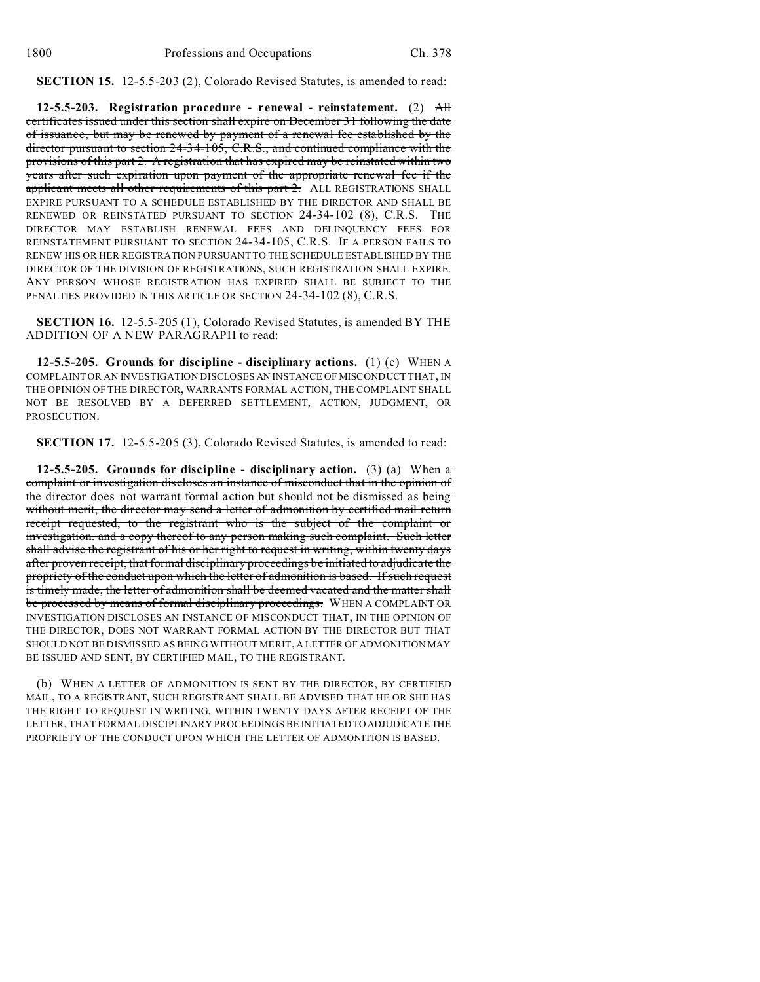**SECTION 15.** 12-5.5-203 (2), Colorado Revised Statutes, is amended to read:

**12-5.5-203. Registration procedure - renewal - reinstatement.** (2) All certificates issued under this section shall expire on December 31 following the date of issuance, but may be renewed by payment of a renewal fee established by the director pursuant to section 24-34-105, C.R.S., and continued compliance with the provisions of this part 2. A registration that has expired may be reinstated within two years after such expiration upon payment of the appropriate renewal fee if the applicant meets all other requirements of this part 2. ALL REGISTRATIONS SHALL EXPIRE PURSUANT TO A SCHEDULE ESTABLISHED BY THE DIRECTOR AND SHALL BE RENEWED OR REINSTATED PURSUANT TO SECTION 24-34-102 (8), C.R.S. THE DIRECTOR MAY ESTABLISH RENEWAL FEES AND DELINQUENCY FEES FOR REINSTATEMENT PURSUANT TO SECTION 24-34-105, C.R.S. IF A PERSON FAILS TO RENEW HIS OR HER REGISTRATION PURSUANT TO THE SCHEDULE ESTABLISHED BY THE DIRECTOR OF THE DIVISION OF REGISTRATIONS, SUCH REGISTRATION SHALL EXPIRE. ANY PERSON WHOSE REGISTRATION HAS EXPIRED SHALL BE SUBJECT TO THE PENALTIES PROVIDED IN THIS ARTICLE OR SECTION 24-34-102 (8), C.R.S.

**SECTION 16.** 12-5.5-205 (1), Colorado Revised Statutes, is amended BY THE ADDITION OF A NEW PARAGRAPH to read:

**12-5.5-205. Grounds for discipline - disciplinary actions.** (1) (c) WHEN A COMPLAINT OR AN INVESTIGATION DISCLOSES AN INSTANCE OF MISCONDUCT THAT, IN THE OPINION OF THE DIRECTOR, WARRANTS FORMAL ACTION, THE COMPLAINT SHALL NOT BE RESOLVED BY A DEFERRED SETTLEMENT, ACTION, JUDGMENT, OR PROSECUTION.

**SECTION 17.** 12-5.5-205 (3), Colorado Revised Statutes, is amended to read:

**12-5.5-205. Grounds for discipline - disciplinary action.** (3) (a) When a complaint or investigation discloses an instance of misconduct that in the opinion of the director does not warrant formal action but should not be dismissed as being without merit, the director may send a letter of admonition by certified mail return receipt requested, to the registrant who is the subject of the complaint or investigation. and a copy thereof to any person making such complaint. Such letter shall advise the registrant of his or her right to request in writing, within twenty days after proven receipt, that formal disciplinary proceedings be initiated to adjudicate the propriety of the conduct upon which the letter of admonition is based. If such request is timely made, the letter of admonition shall be deemed vacated and the matter shall be processed by means of formal disciplinary proceedings. WHEN A COMPLAINT OR INVESTIGATION DISCLOSES AN INSTANCE OF MISCONDUCT THAT, IN THE OPINION OF THE DIRECTOR, DOES NOT WARRANT FORMAL ACTION BY THE DIRECTOR BUT THAT SHOULD NOT BE DISMISSED AS BEING WITHOUT MERIT, A LETTER OF ADMONITION MAY BE ISSUED AND SENT, BY CERTIFIED MAIL, TO THE REGISTRANT.

(b) WHEN A LETTER OF ADMONITION IS SENT BY THE DIRECTOR, BY CERTIFIED MAIL, TO A REGISTRANT, SUCH REGISTRANT SHALL BE ADVISED THAT HE OR SHE HAS THE RIGHT TO REQUEST IN WRITING, WITHIN TWENTY DAYS AFTER RECEIPT OF THE LETTER, THAT FORMAL DISCIPLINARY PROCEEDINGS BE INITIATED TO ADJUDICATE THE PROPRIETY OF THE CONDUCT UPON WHICH THE LETTER OF ADMONITION IS BASED.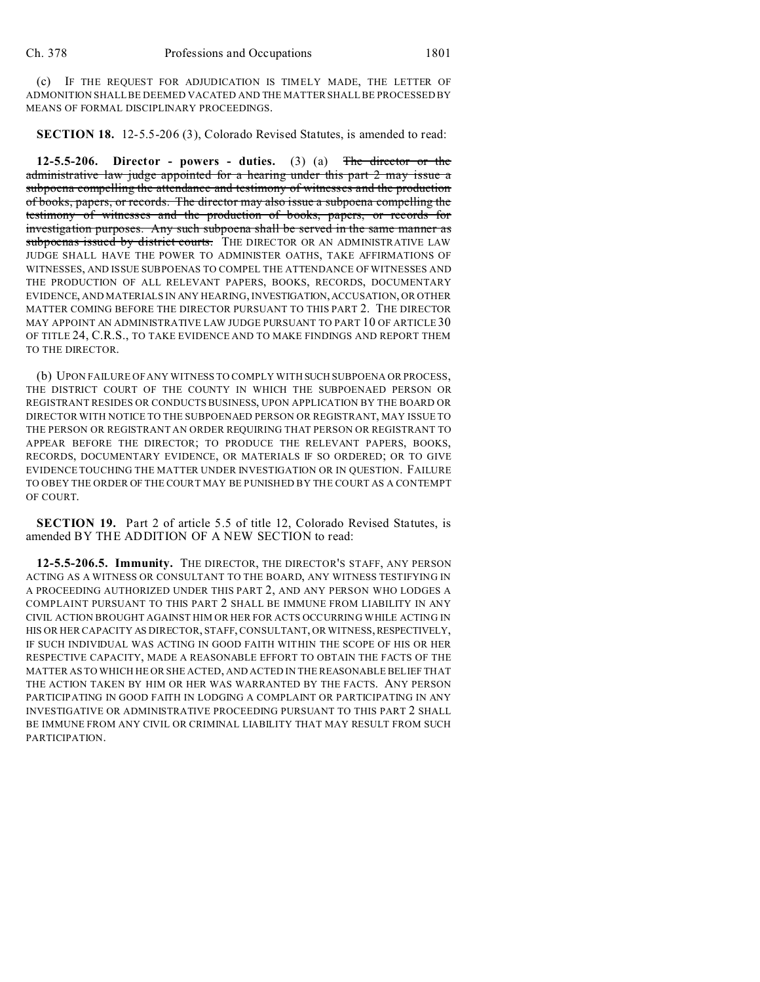(c) IF THE REQUEST FOR ADJUDICATION IS TIMELY MADE, THE LETTER OF ADMONITION SHALL BE DEEMED VACATED AND THE MATTER SHALL BE PROCESSED BY MEANS OF FORMAL DISCIPLINARY PROCEEDINGS.

**SECTION 18.** 12-5.5-206 (3), Colorado Revised Statutes, is amended to read:

**12-5.5-206. Director - powers - duties.** (3) (a) The director or the administrative law judge appointed for a hearing under this part 2 may issue a subpoena compelling the attendance and testimony of witnesses and the production of books, papers, or records. The director may also issue a subpoena compelling the testimony of witnesses and the production of books, papers, or records for investigation purposes. Any such subpoena shall be served in the same manner as subpoenas issued by district courts. THE DIRECTOR OR AN ADMINISTRATIVE LAW JUDGE SHALL HAVE THE POWER TO ADMINISTER OATHS, TAKE AFFIRMATIONS OF WITNESSES, AND ISSUE SUBPOENAS TO COMPEL THE ATTENDANCE OF WITNESSES AND THE PRODUCTION OF ALL RELEVANT PAPERS, BOOKS, RECORDS, DOCUMENTARY EVIDENCE, AND MATERIALS IN ANY HEARING, INVESTIGATION,ACCUSATION, OR OTHER MATTER COMING BEFORE THE DIRECTOR PURSUANT TO THIS PART 2. THE DIRECTOR MAY APPOINT AN ADMINISTRATIVE LAW JUDGE PURSUANT TO PART 10 OF ARTICLE 30 OF TITLE 24, C.R.S., TO TAKE EVIDENCE AND TO MAKE FINDINGS AND REPORT THEM TO THE DIRECTOR.

(b) UPON FAILURE OF ANY WITNESS TO COMPLY WITH SUCH SUBPOENA OR PROCESS, THE DISTRICT COURT OF THE COUNTY IN WHICH THE SUBPOENAED PERSON OR REGISTRANT RESIDES OR CONDUCTS BUSINESS, UPON APPLICATION BY THE BOARD OR DIRECTOR WITH NOTICE TO THE SUBPOENAED PERSON OR REGISTRANT, MAY ISSUE TO THE PERSON OR REGISTRANT AN ORDER REQUIRING THAT PERSON OR REGISTRANT TO APPEAR BEFORE THE DIRECTOR; TO PRODUCE THE RELEVANT PAPERS, BOOKS, RECORDS, DOCUMENTARY EVIDENCE, OR MATERIALS IF SO ORDERED; OR TO GIVE EVIDENCE TOUCHING THE MATTER UNDER INVESTIGATION OR IN QUESTION. FAILURE TO OBEY THE ORDER OF THE COURT MAY BE PUNISHED BY THE COURT AS A CONTEMPT OF COURT.

**SECTION 19.** Part 2 of article 5.5 of title 12, Colorado Revised Statutes, is amended BY THE ADDITION OF A NEW SECTION to read:

**12-5.5-206.5. Immunity.** THE DIRECTOR, THE DIRECTOR'S STAFF, ANY PERSON ACTING AS A WITNESS OR CONSULTANT TO THE BOARD, ANY WITNESS TESTIFYING IN A PROCEEDING AUTHORIZED UNDER THIS PART 2, AND ANY PERSON WHO LODGES A COMPLAINT PURSUANT TO THIS PART 2 SHALL BE IMMUNE FROM LIABILITY IN ANY CIVIL ACTION BROUGHT AGAINST HIM OR HER FOR ACTS OCCURRING WHILE ACTING IN HIS OR HER CAPACITY AS DIRECTOR, STAFF, CONSULTANT, OR WITNESS, RESPECTIVELY, IF SUCH INDIVIDUAL WAS ACTING IN GOOD FAITH WITHIN THE SCOPE OF HIS OR HER RESPECTIVE CAPACITY, MADE A REASONABLE EFFORT TO OBTAIN THE FACTS OF THE MATTER AS TO WHICH HE OR SHE ACTED, AND ACTED IN THE REASONABLE BELIEF THAT THE ACTION TAKEN BY HIM OR HER WAS WARRANTED BY THE FACTS. ANY PERSON PARTICIPATING IN GOOD FAITH IN LODGING A COMPLAINT OR PARTICIPATING IN ANY INVESTIGATIVE OR ADMINISTRATIVE PROCEEDING PURSUANT TO THIS PART 2 SHALL BE IMMUNE FROM ANY CIVIL OR CRIMINAL LIABILITY THAT MAY RESULT FROM SUCH PARTICIPATION.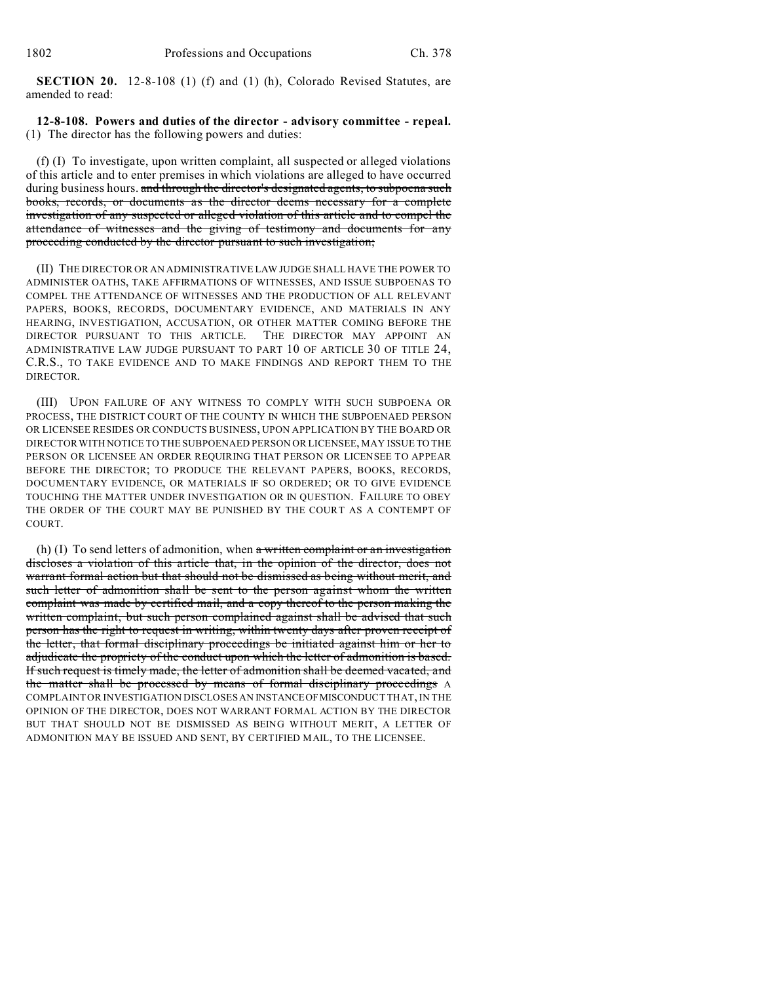**SECTION 20.** 12-8-108 (1) (f) and (1) (h), Colorado Revised Statutes, are amended to read:

## **12-8-108. Powers and duties of the director - advisory committee - repeal.** (1) The director has the following powers and duties:

(f) (I) To investigate, upon written complaint, all suspected or alleged violations of this article and to enter premises in which violations are alleged to have occurred during business hours. and through the director's designated agents, to subpoena such books, records, or documents as the director deems necessary for a complete investigation of any suspected or alleged violation of this article and to compel the attendance of witnesses and the giving of testimony and documents for any proceeding conducted by the director pursuant to such investigation;

(II) THE DIRECTOR OR AN ADMINISTRATIVE LAW JUDGE SHALL HAVE THE POWER TO ADMINISTER OATHS, TAKE AFFIRMATIONS OF WITNESSES, AND ISSUE SUBPOENAS TO COMPEL THE ATTENDANCE OF WITNESSES AND THE PRODUCTION OF ALL RELEVANT PAPERS, BOOKS, RECORDS, DOCUMENTARY EVIDENCE, AND MATERIALS IN ANY HEARING, INVESTIGATION, ACCUSATION, OR OTHER MATTER COMING BEFORE THE DIRECTOR PURSUANT TO THIS ARTICLE. THE DIRECTOR MAY APPOINT AN ADMINISTRATIVE LAW JUDGE PURSUANT TO PART 10 OF ARTICLE 30 OF TITLE 24, C.R.S., TO TAKE EVIDENCE AND TO MAKE FINDINGS AND REPORT THEM TO THE DIRECTOR.

(III) UPON FAILURE OF ANY WITNESS TO COMPLY WITH SUCH SUBPOENA OR PROCESS, THE DISTRICT COURT OF THE COUNTY IN WHICH THE SUBPOENAED PERSON OR LICENSEE RESIDES OR CONDUCTS BUSINESS, UPON APPLICATION BY THE BOARD OR DIRECTOR WITH NOTICE TO THE SUBPOENAED PERSON OR LICENSEE, MAY ISSUE TO THE PERSON OR LICENSEE AN ORDER REQUIRING THAT PERSON OR LICENSEE TO APPEAR BEFORE THE DIRECTOR; TO PRODUCE THE RELEVANT PAPERS, BOOKS, RECORDS, DOCUMENTARY EVIDENCE, OR MATERIALS IF SO ORDERED; OR TO GIVE EVIDENCE TOUCHING THE MATTER UNDER INVESTIGATION OR IN QUESTION. FAILURE TO OBEY THE ORDER OF THE COURT MAY BE PUNISHED BY THE COURT AS A CONTEMPT OF COURT.

(h) (I) To send letters of admonition, when  $a$  written complaint or an investigation discloses a violation of this article that, in the opinion of the director, does not warrant formal action but that should not be dismissed as being without merit, and such letter of admonition shall be sent to the person against whom the written complaint was made by certified mail, and a copy thereof to the person making the written complaint, but such person complained against shall be advised that such person has the right to request in writing, within twenty days after proven receipt of the letter, that formal disciplinary proceedings be initiated against him or her to adjudicate the propriety of the conduct upon which the letter of admonition is based. If such request is timely made, the letter of admonition shall be deemed vacated, and the matter shall be processed by means of formal disciplinary proceedings A COMPLAINT OR INVESTIGATION DISCLOSES AN INSTANCEOFMISCONDUCT THAT, IN THE OPINION OF THE DIRECTOR, DOES NOT WARRANT FORMAL ACTION BY THE DIRECTOR BUT THAT SHOULD NOT BE DISMISSED AS BEING WITHOUT MERIT, A LETTER OF ADMONITION MAY BE ISSUED AND SENT, BY CERTIFIED MAIL, TO THE LICENSEE.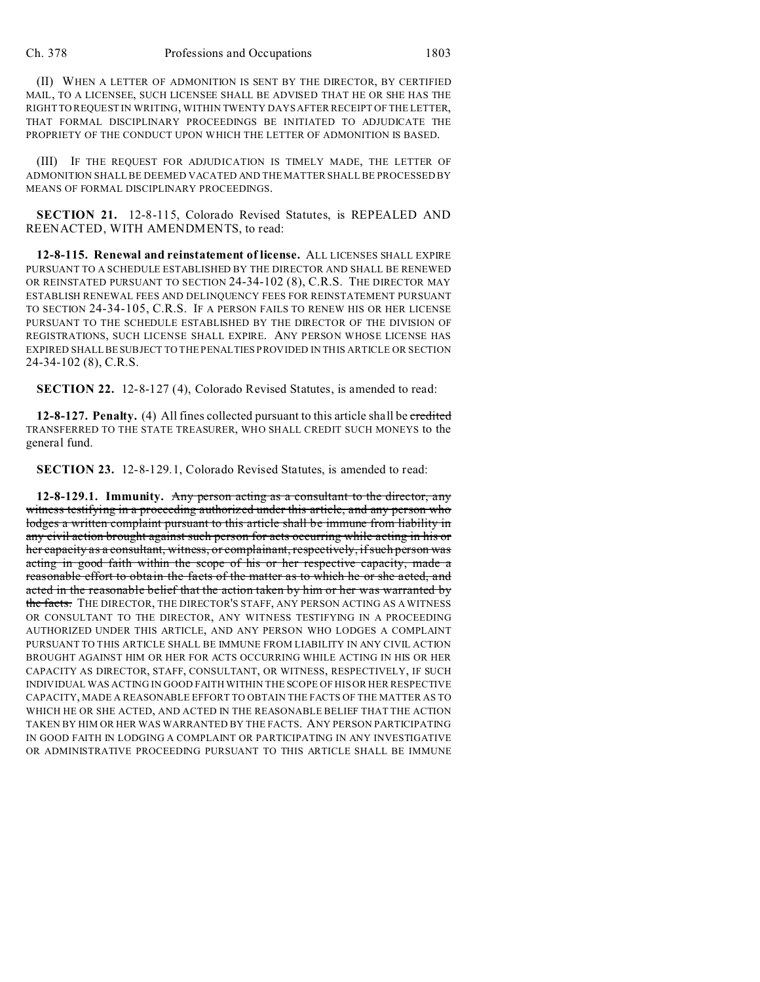(II) WHEN A LETTER OF ADMONITION IS SENT BY THE DIRECTOR, BY CERTIFIED MAIL, TO A LICENSEE, SUCH LICENSEE SHALL BE ADVISED THAT HE OR SHE HAS THE RIGHT TO REQUEST IN WRITING, WITHIN TWENTY DAYS AFTER RECEIPT OF THE LETTER, THAT FORMAL DISCIPLINARY PROCEEDINGS BE INITIATED TO ADJUDICATE THE PROPRIETY OF THE CONDUCT UPON WHICH THE LETTER OF ADMONITION IS BASED.

(III) IF THE REQUEST FOR ADJUDICATION IS TIMELY MADE, THE LETTER OF ADMONITION SHALL BE DEEMED VACATED AND THE MATTER SHALL BE PROCESSED BY MEANS OF FORMAL DISCIPLINARY PROCEEDINGS.

**SECTION 21.** 12-8-115, Colorado Revised Statutes, is REPEALED AND REENACTED, WITH AMENDMENTS, to read:

**12-8-115. Renewal and reinstatement of license.** ALL LICENSES SHALL EXPIRE PURSUANT TO A SCHEDULE ESTABLISHED BY THE DIRECTOR AND SHALL BE RENEWED OR REINSTATED PURSUANT TO SECTION 24-34-102 (8), C.R.S. THE DIRECTOR MAY ESTABLISH RENEWAL FEES AND DELINQUENCY FEES FOR REINSTATEMENT PURSUANT TO SECTION 24-34-105, C.R.S. IF A PERSON FAILS TO RENEW HIS OR HER LICENSE PURSUANT TO THE SCHEDULE ESTABLISHED BY THE DIRECTOR OF THE DIVISION OF REGISTRATIONS, SUCH LICENSE SHALL EXPIRE. ANY PERSON WHOSE LICENSE HAS EXPIRED SHALL BE SUBJECT TO THE PENALTIES PROVIDED IN THIS ARTICLE OR SECTION 24-34-102 (8), C.R.S.

**SECTION 22.** 12-8-127 (4), Colorado Revised Statutes, is amended to read:

**12-8-127. Penalty.** (4) All fines collected pursuant to this article shall be credited TRANSFERRED TO THE STATE TREASURER, WHO SHALL CREDIT SUCH MONEYS to the general fund.

**SECTION 23.** 12-8-129.1, Colorado Revised Statutes, is amended to read:

**12-8-129.1. Immunity.** Any person acting as a consultant to the director, any witness testifying in a proceeding authorized under this article, and any person who lodges a written complaint pursuant to this article shall be immune from liability in any civil action brought against such person for acts occurring while acting in his or her capacity as a consultant, witness, or complainant, respectively, if such person was acting in good faith within the scope of his or her respective capacity, made a reasonable effort to obtain the facts of the matter as to which he or she acted, and acted in the reasonable belief that the action taken by him or her was warranted by the facts. THE DIRECTOR, THE DIRECTOR'S STAFF, ANY PERSON ACTING AS A WITNESS OR CONSULTANT TO THE DIRECTOR, ANY WITNESS TESTIFYING IN A PROCEEDING AUTHORIZED UNDER THIS ARTICLE, AND ANY PERSON WHO LODGES A COMPLAINT PURSUANT TO THIS ARTICLE SHALL BE IMMUNE FROM LIABILITY IN ANY CIVIL ACTION BROUGHT AGAINST HIM OR HER FOR ACTS OCCURRING WHILE ACTING IN HIS OR HER CAPACITY AS DIRECTOR, STAFF, CONSULTANT, OR WITNESS, RESPECTIVELY, IF SUCH INDIVIDUAL WAS ACTING IN GOOD FAITH WITHIN THE SCOPE OF HIS OR HER RESPECTIVE CAPACITY, MADE A REASONABLE EFFORT TO OBTAIN THE FACTS OF THE MATTER AS TO WHICH HE OR SHE ACTED, AND ACTED IN THE REASONABLE BELIEF THAT THE ACTION TAKEN BY HIM OR HER WAS WARRANTED BY THE FACTS. ANY PERSON PARTICIPATING IN GOOD FAITH IN LODGING A COMPLAINT OR PARTICIPATING IN ANY INVESTIGATIVE OR ADMINISTRATIVE PROCEEDING PURSUANT TO THIS ARTICLE SHALL BE IMMUNE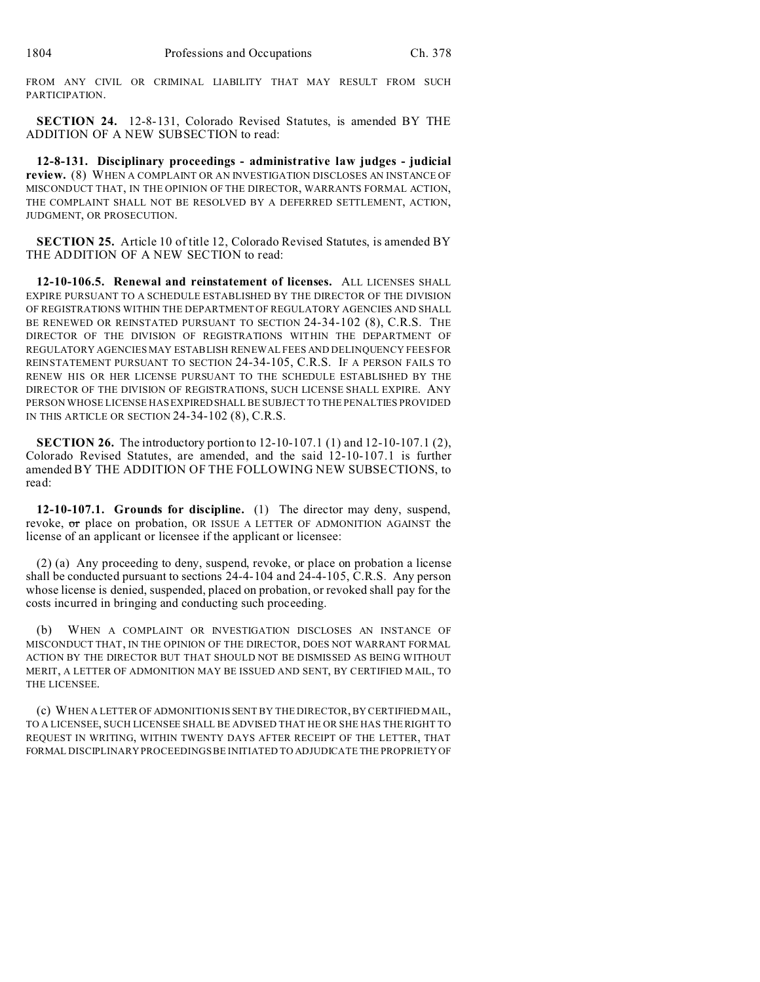FROM ANY CIVIL OR CRIMINAL LIABILITY THAT MAY RESULT FROM SUCH PARTICIPATION.

**SECTION 24.** 12-8-131, Colorado Revised Statutes, is amended BY THE ADDITION OF A NEW SUBSECTION to read:

**12-8-131. Disciplinary proceedings - administrative law judges - judicial review.** (8) WHEN A COMPLAINT OR AN INVESTIGATION DISCLOSES AN INSTANCE OF MISCONDUCT THAT, IN THE OPINION OF THE DIRECTOR, WARRANTS FORMAL ACTION, THE COMPLAINT SHALL NOT BE RESOLVED BY A DEFERRED SETTLEMENT, ACTION, JUDGMENT, OR PROSECUTION.

**SECTION 25.** Article 10 of title 12, Colorado Revised Statutes, is amended BY THE ADDITION OF A NEW SECTION to read:

**12-10-106.5. Renewal and reinstatement of licenses.** ALL LICENSES SHALL EXPIRE PURSUANT TO A SCHEDULE ESTABLISHED BY THE DIRECTOR OF THE DIVISION OF REGISTRATIONS WITHIN THE DEPARTMENT OF REGULATORY AGENCIES AND SHALL BE RENEWED OR REINSTATED PURSUANT TO SECTION 24-34-102 (8), C.R.S. THE DIRECTOR OF THE DIVISION OF REGISTRATIONS WITHIN THE DEPARTMENT OF REGULATORY AGENCIES MAY ESTABLISH RENEWAL FEES AND DELINQUENCY FEES FOR REINSTATEMENT PURSUANT TO SECTION 24-34-105, C.R.S. IF A PERSON FAILS TO RENEW HIS OR HER LICENSE PURSUANT TO THE SCHEDULE ESTABLISHED BY THE DIRECTOR OF THE DIVISION OF REGISTRATIONS, SUCH LICENSE SHALL EXPIRE. ANY PERSON WHOSE LICENSE HAS EXPIREDSHALL BE SUBJECT TO THE PENALTIES PROVIDED IN THIS ARTICLE OR SECTION 24-34-102 (8), C.R.S.

**SECTION 26.** The introductory portion to 12-10-107.1 (1) and 12-10-107.1 (2), Colorado Revised Statutes, are amended, and the said 12-10-107.1 is further amended BY THE ADDITION OF THE FOLLOWING NEW SUBSECTIONS, to read:

**12-10-107.1. Grounds for discipline.** (1) The director may deny, suspend, revoke, or place on probation, OR ISSUE A LETTER OF ADMONITION AGAINST the license of an applicant or licensee if the applicant or licensee:

(2) (a) Any proceeding to deny, suspend, revoke, or place on probation a license shall be conducted pursuant to sections 24-4-104 and 24-4-105, C.R.S. Any person whose license is denied, suspended, placed on probation, or revoked shall pay for the costs incurred in bringing and conducting such proceeding.

(b) WHEN A COMPLAINT OR INVESTIGATION DISCLOSES AN INSTANCE OF MISCONDUCT THAT, IN THE OPINION OF THE DIRECTOR, DOES NOT WARRANT FORMAL ACTION BY THE DIRECTOR BUT THAT SHOULD NOT BE DISMISSED AS BEING WITHOUT MERIT, A LETTER OF ADMONITION MAY BE ISSUED AND SENT, BY CERTIFIED MAIL, TO THE LICENSEE.

(c) WHEN A LETTER OF ADMONITION IS SENT BY THE DIRECTOR, BY CERTIFIED MAIL, TO A LICENSEE, SUCH LICENSEE SHALL BE ADVISED THAT HE OR SHE HAS THE RIGHT TO REQUEST IN WRITING, WITHIN TWENTY DAYS AFTER RECEIPT OF THE LETTER, THAT FORMAL DISCIPLINARY PROCEEDINGS BE INITIATED TO ADJUDICATE THE PROPRIETY OF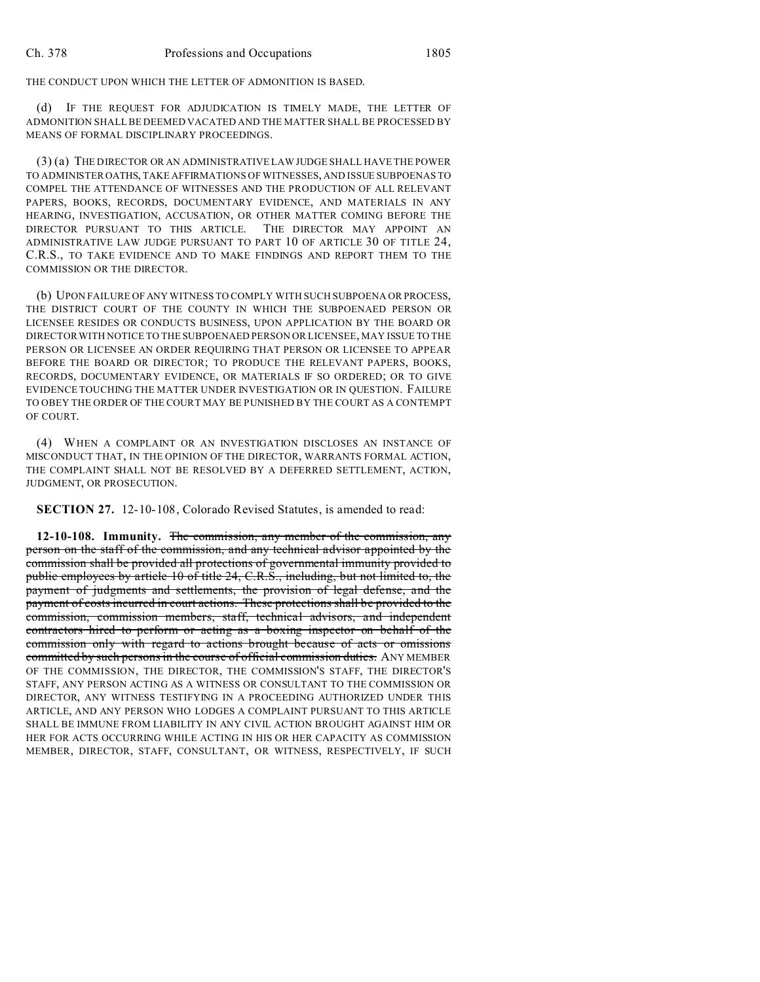THE CONDUCT UPON WHICH THE LETTER OF ADMONITION IS BASED.

(d) IF THE REQUEST FOR ADJUDICATION IS TIMELY MADE, THE LETTER OF ADMONITION SHALL BE DEEMED VACATED AND THE MATTER SHALL BE PROCESSED BY MEANS OF FORMAL DISCIPLINARY PROCEEDINGS.

(3) (a) THE DIRECTOR OR AN ADMINISTRATIVE LAW JUDGE SHALL HAVE THE POWER TO ADMINISTER OATHS, TAKE AFFIRMATIONS OF WITNESSES, AND ISSUE SUBPOENAS TO COMPEL THE ATTENDANCE OF WITNESSES AND THE PRODUCTION OF ALL RELEVANT PAPERS, BOOKS, RECORDS, DOCUMENTARY EVIDENCE, AND MATERIALS IN ANY HEARING, INVESTIGATION, ACCUSATION, OR OTHER MATTER COMING BEFORE THE DIRECTOR PURSUANT TO THIS ARTICLE. THE DIRECTOR MAY APPOINT AN ADMINISTRATIVE LAW JUDGE PURSUANT TO PART 10 OF ARTICLE 30 OF TITLE 24, C.R.S., TO TAKE EVIDENCE AND TO MAKE FINDINGS AND REPORT THEM TO THE COMMISSION OR THE DIRECTOR.

(b) UPON FAILURE OF ANY WITNESS TO COMPLY WITH SUCH SUBPOENA OR PROCESS, THE DISTRICT COURT OF THE COUNTY IN WHICH THE SUBPOENAED PERSON OR LICENSEE RESIDES OR CONDUCTS BUSINESS, UPON APPLICATION BY THE BOARD OR DIRECTOR WITH NOTICE TO THE SUBPOENAED PERSON OR LICENSEE, MAY ISSUE TO THE PERSON OR LICENSEE AN ORDER REQUIRING THAT PERSON OR LICENSEE TO APPEAR BEFORE THE BOARD OR DIRECTOR; TO PRODUCE THE RELEVANT PAPERS, BOOKS, RECORDS, DOCUMENTARY EVIDENCE, OR MATERIALS IF SO ORDERED; OR TO GIVE EVIDENCE TOUCHING THE MATTER UNDER INVESTIGATION OR IN QUESTION. FAILURE TO OBEY THE ORDER OF THE COURT MAY BE PUNISHED BY THE COURT AS A CONTEMPT OF COURT.

(4) WHEN A COMPLAINT OR AN INVESTIGATION DISCLOSES AN INSTANCE OF MISCONDUCT THAT, IN THE OPINION OF THE DIRECTOR, WARRANTS FORMAL ACTION, THE COMPLAINT SHALL NOT BE RESOLVED BY A DEFERRED SETTLEMENT, ACTION, JUDGMENT, OR PROSECUTION.

**SECTION 27.** 12-10-108, Colorado Revised Statutes, is amended to read:

**12-10-108. Immunity.** The commission, any member of the commission, any person on the staff of the commission, and any technical advisor appointed by the commission shall be provided all protections of governmental immunity provided to public employees by article 10 of title 24, C.R.S., including, but not limited to, the payment of judgments and settlements, the provision of legal defense, and the payment of costs incurred in court actions. These protections shall be provided to the commission, commission members, staff, technical advisors, and independent contractors hired to perform or acting as a boxing inspector on behalf of the commission only with regard to actions brought because of acts or omissions committed by such persons in the course of official commission duties. ANY MEMBER OF THE COMMISSION, THE DIRECTOR, THE COMMISSION'S STAFF, THE DIRECTOR'S STAFF, ANY PERSON ACTING AS A WITNESS OR CONSULTANT TO THE COMMISSION OR DIRECTOR, ANY WITNESS TESTIFYING IN A PROCEEDING AUTHORIZED UNDER THIS ARTICLE, AND ANY PERSON WHO LODGES A COMPLAINT PURSUANT TO THIS ARTICLE SHALL BE IMMUNE FROM LIABILITY IN ANY CIVIL ACTION BROUGHT AGAINST HIM OR HER FOR ACTS OCCURRING WHILE ACTING IN HIS OR HER CAPACITY AS COMMISSION MEMBER, DIRECTOR, STAFF, CONSULTANT, OR WITNESS, RESPECTIVELY, IF SUCH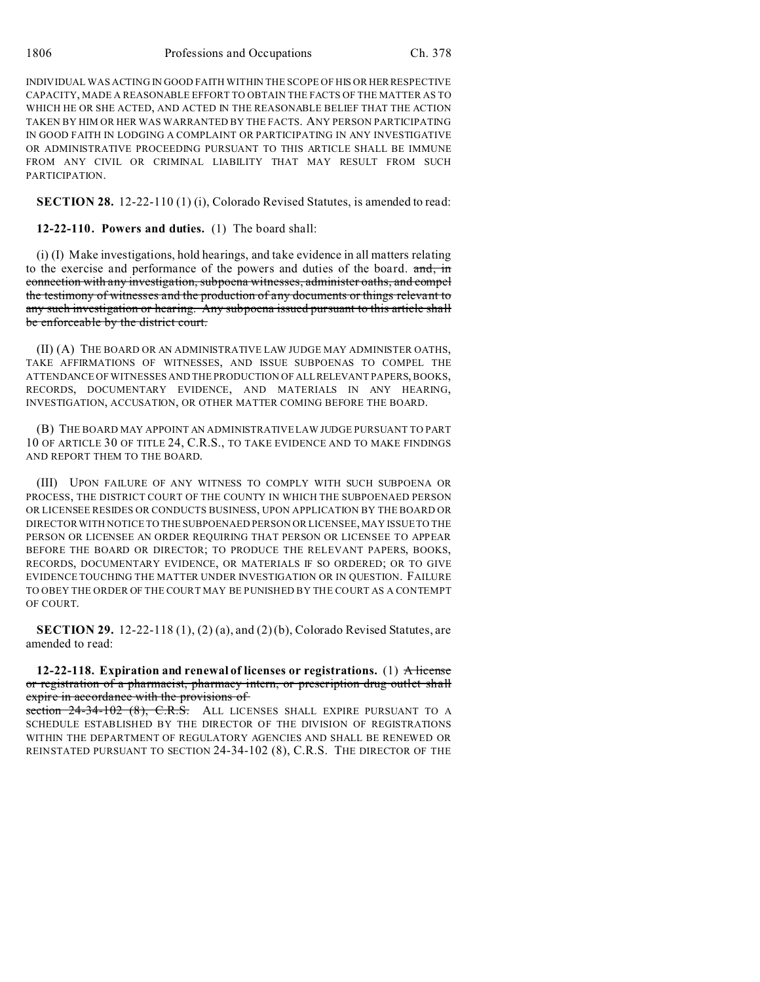INDIVIDUAL WAS ACTING IN GOOD FAITH WITHIN THE SCOPE OF HIS OR HERRESPECTIVE CAPACITY, MADE A REASONABLE EFFORT TO OBTAIN THE FACTS OF THE MATTER AS TO WHICH HE OR SHE ACTED, AND ACTED IN THE REASONABLE BELIEF THAT THE ACTION TAKEN BY HIM OR HER WAS WARRANTED BY THE FACTS. ANY PERSON PARTICIPATING IN GOOD FAITH IN LODGING A COMPLAINT OR PARTICIPATING IN ANY INVESTIGATIVE OR ADMINISTRATIVE PROCEEDING PURSUANT TO THIS ARTICLE SHALL BE IMMUNE FROM ANY CIVIL OR CRIMINAL LIABILITY THAT MAY RESULT FROM SUCH **PARTICIPATION** 

**SECTION 28.** 12-22-110 (1) (i), Colorado Revised Statutes, is amended to read:

**12-22-110. Powers and duties.** (1) The board shall:

(i) (I) Make investigations, hold hearings, and take evidence in all matters relating to the exercise and performance of the powers and duties of the board. and, in connection with any investigation, subpoena witnesses, administer oaths, and compel the testimony of witnesses and the production of any documents or things relevant to any such investigation or hearing. Any subpoena issued pursuant to this article shall be enforceable by the district court.

(II) (A) THE BOARD OR AN ADMINISTRATIVE LAW JUDGE MAY ADMINISTER OATHS, TAKE AFFIRMATIONS OF WITNESSES, AND ISSUE SUBPOENAS TO COMPEL THE ATTENDANCE OF WITNESSES AND THE PRODUCTION OF ALL RELEVANT PAPERS, BOOKS, RECORDS, DOCUMENTARY EVIDENCE, AND MATERIALS IN ANY HEARING, INVESTIGATION, ACCUSATION, OR OTHER MATTER COMING BEFORE THE BOARD.

(B) THE BOARD MAY APPOINT AN ADMINISTRATIVE LAW JUDGE PURSUANT TO PART 10 OF ARTICLE 30 OF TITLE 24, C.R.S., TO TAKE EVIDENCE AND TO MAKE FINDINGS AND REPORT THEM TO THE BOARD.

(III) UPON FAILURE OF ANY WITNESS TO COMPLY WITH SUCH SUBPOENA OR PROCESS, THE DISTRICT COURT OF THE COUNTY IN WHICH THE SUBPOENAED PERSON OR LICENSEE RESIDES OR CONDUCTS BUSINESS, UPON APPLICATION BY THE BOARD OR DIRECTOR WITH NOTICE TO THE SUBPOENAED PERSON OR LICENSEE, MAY ISSUE TO THE PERSON OR LICENSEE AN ORDER REQUIRING THAT PERSON OR LICENSEE TO APPEAR BEFORE THE BOARD OR DIRECTOR; TO PRODUCE THE RELEVANT PAPERS, BOOKS, RECORDS, DOCUMENTARY EVIDENCE, OR MATERIALS IF SO ORDERED; OR TO GIVE EVIDENCE TOUCHING THE MATTER UNDER INVESTIGATION OR IN QUESTION. FAILURE TO OBEY THE ORDER OF THE COURT MAY BE PUNISHED BY THE COURT AS A CONTEMPT OF COURT.

**SECTION 29.** 12-22-118 (1), (2) (a), and (2) (b), Colorado Revised Statutes, are amended to read:

**12-22-118. Expiration and renewal of licenses or registrations.** (1) A license or registration of a pharmacist, pharmacy intern, or prescription drug outlet shall expire in accordance with the provisions of

section 24-34-102 (8), C.R.S. ALL LICENSES SHALL EXPIRE PURSUANT TO A SCHEDULE ESTABLISHED BY THE DIRECTOR OF THE DIVISION OF REGISTRATIONS WITHIN THE DEPARTMENT OF REGULATORY AGENCIES AND SHALL BE RENEWED OR REINSTATED PURSUANT TO SECTION 24-34-102 (8), C.R.S. THE DIRECTOR OF THE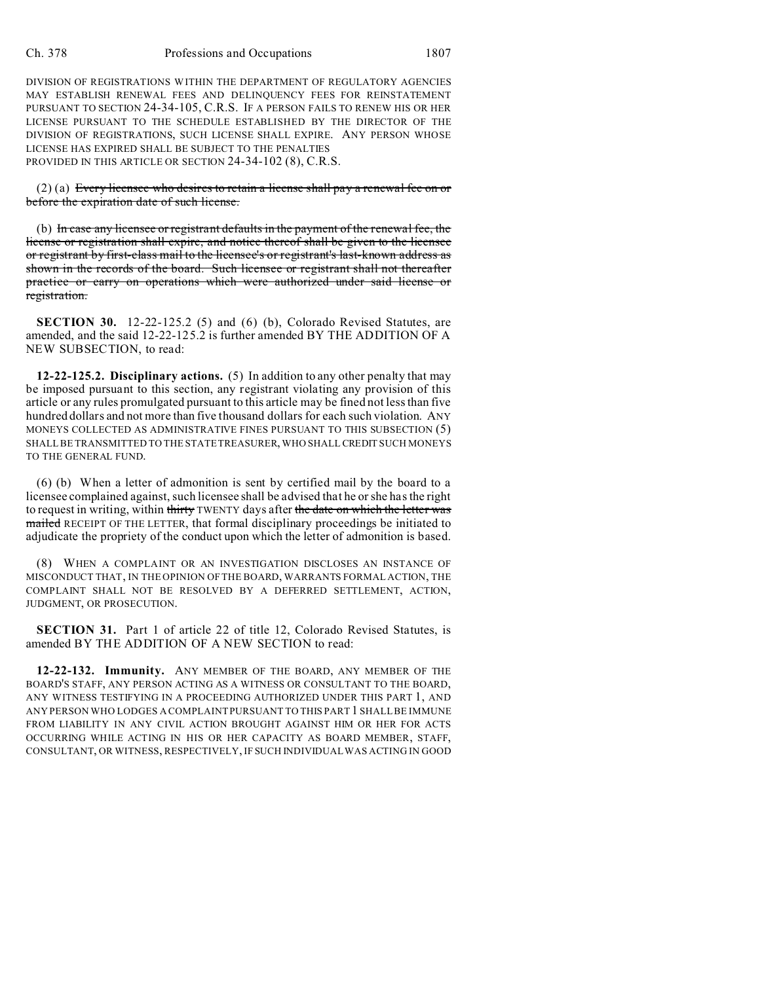DIVISION OF REGISTRATIONS WITHIN THE DEPARTMENT OF REGULATORY AGENCIES MAY ESTABLISH RENEWAL FEES AND DELINQUENCY FEES FOR REINSTATEMENT PURSUANT TO SECTION 24-34-105, C.R.S. IF A PERSON FAILS TO RENEW HIS OR HER LICENSE PURSUANT TO THE SCHEDULE ESTABLISHED BY THE DIRECTOR OF THE DIVISION OF REGISTRATIONS, SUCH LICENSE SHALL EXPIRE. ANY PERSON WHOSE LICENSE HAS EXPIRED SHALL BE SUBJECT TO THE PENALTIES PROVIDED IN THIS ARTICLE OR SECTION 24-34-102 (8), C.R.S.

 $(2)$  (a) Every licensee who desires to retain a license shall pay a renewal fee on or before the expiration date of such license.

(b) In case any licensee or registrant defaults in the payment of the renewal fee, the license or registration shall expire, and notice thereof shall be given to the licensee or registrant by first-class mail to the licensee's or registrant's last-known address as shown in the records of the board. Such licensee or registrant shall not thereafter practice or carry on operations which were authorized under said license or registration.

**SECTION 30.** 12-22-125.2 (5) and (6) (b), Colorado Revised Statutes, are amended, and the said 12-22-125.2 is further amended BY THE ADDITION OF A NEW SUBSECTION, to read:

**12-22-125.2. Disciplinary actions.** (5) In addition to any other penalty that may be imposed pursuant to this section, any registrant violating any provision of this article or any rules promulgated pursuant to this article may be fined not less than five hundred dollars and not more than five thousand dollars for each such violation. ANY MONEYS COLLECTED AS ADMINISTRATIVE FINES PURSUANT TO THIS SUBSECTION (5) SHALL BE TRANSMITTED TO THE STATE TREASURER, WHO SHALL CREDIT SUCH MONEYS TO THE GENERAL FUND.

(6) (b) When a letter of admonition is sent by certified mail by the board to a licensee complained against, such licensee shall be advised that he or she has the right to request in writing, within thirty TWENTY days after the date on which the letter was mailed RECEIPT OF THE LETTER, that formal disciplinary proceedings be initiated to adjudicate the propriety of the conduct upon which the letter of admonition is based.

(8) WHEN A COMPLAINT OR AN INVESTIGATION DISCLOSES AN INSTANCE OF MISCONDUCT THAT, IN THE OPINION OF THE BOARD, WARRANTS FORMAL ACTION, THE COMPLAINT SHALL NOT BE RESOLVED BY A DEFERRED SETTLEMENT, ACTION, JUDGMENT, OR PROSECUTION.

**SECTION 31.** Part 1 of article 22 of title 12, Colorado Revised Statutes, is amended BY THE ADDITION OF A NEW SECTION to read:

**12-22-132. Immunity.** ANY MEMBER OF THE BOARD, ANY MEMBER OF THE BOARD'S STAFF, ANY PERSON ACTING AS A WITNESS OR CONSULTANT TO THE BOARD, ANY WITNESS TESTIFYING IN A PROCEEDING AUTHORIZED UNDER THIS PART 1, AND ANY PERSON WHO LODGES A COMPLAINT PURSUANT TO THIS PART 1 SHALL BE IMMUNE FROM LIABILITY IN ANY CIVIL ACTION BROUGHT AGAINST HIM OR HER FOR ACTS OCCURRING WHILE ACTING IN HIS OR HER CAPACITY AS BOARD MEMBER, STAFF, CONSULTANT, OR WITNESS, RESPECTIVELY, IF SUCH INDIVIDUAL WAS ACTING IN GOOD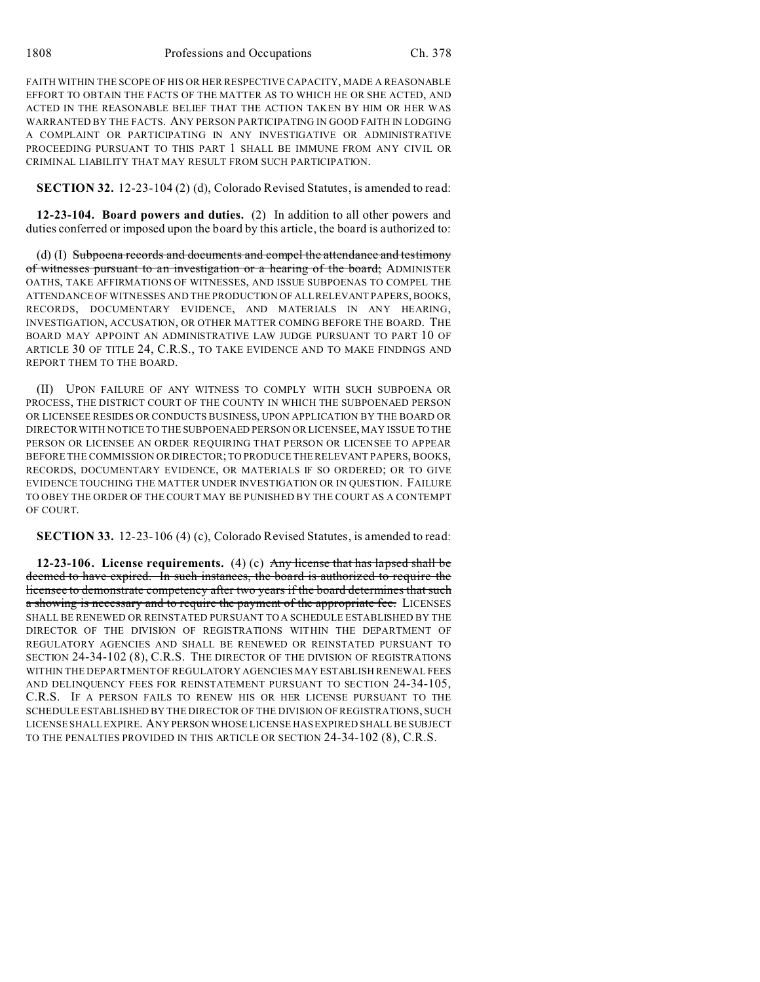FAITH WITHIN THE SCOPE OF HIS OR HER RESPECTIVE CAPACITY, MADE A REASONABLE EFFORT TO OBTAIN THE FACTS OF THE MATTER AS TO WHICH HE OR SHE ACTED, AND ACTED IN THE REASONABLE BELIEF THAT THE ACTION TAKEN BY HIM OR HER WAS WARRANTED BY THE FACTS. ANY PERSON PARTICIPATING IN GOOD FAITH IN LODGING A COMPLAINT OR PARTICIPATING IN ANY INVESTIGATIVE OR ADMINISTRATIVE PROCEEDING PURSUANT TO THIS PART 1 SHALL BE IMMUNE FROM ANY CIVIL OR CRIMINAL LIABILITY THAT MAY RESULT FROM SUCH PARTICIPATION.

**SECTION 32.** 12-23-104 (2) (d), Colorado Revised Statutes, is amended to read:

**12-23-104. Board powers and duties.** (2) In addition to all other powers and duties conferred or imposed upon the board by this article, the board is authorized to:

(d) (I) Subpoena records and documents and compel the attendance and testimony of witnesses pursuant to an investigation or a hearing of the board; ADMINISTER OATHS, TAKE AFFIRMATIONS OF WITNESSES, AND ISSUE SUBPOENAS TO COMPEL THE ATTENDANCE OF WITNESSES AND THE PRODUCTION OF ALL RELEVANT PAPERS, BOOKS, RECORDS, DOCUMENTARY EVIDENCE, AND MATERIALS IN ANY HEARING, INVESTIGATION, ACCUSATION, OR OTHER MATTER COMING BEFORE THE BOARD. THE BOARD MAY APPOINT AN ADMINISTRATIVE LAW JUDGE PURSUANT TO PART 10 OF ARTICLE 30 OF TITLE 24, C.R.S., TO TAKE EVIDENCE AND TO MAKE FINDINGS AND REPORT THEM TO THE BOARD.

(II) UPON FAILURE OF ANY WITNESS TO COMPLY WITH SUCH SUBPOENA OR PROCESS, THE DISTRICT COURT OF THE COUNTY IN WHICH THE SUBPOENAED PERSON OR LICENSEE RESIDES OR CONDUCTS BUSINESS, UPON APPLICATION BY THE BOARD OR DIRECTOR WITH NOTICE TO THE SUBPOENAED PERSON OR LICENSEE, MAY ISSUE TO THE PERSON OR LICENSEE AN ORDER REQUIRING THAT PERSON OR LICENSEE TO APPEAR BEFORE THE COMMISSION OR DIRECTOR; TO PRODUCE THE RELEVANT PAPERS, BOOKS, RECORDS, DOCUMENTARY EVIDENCE, OR MATERIALS IF SO ORDERED; OR TO GIVE EVIDENCE TOUCHING THE MATTER UNDER INVESTIGATION OR IN QUESTION. FAILURE TO OBEY THE ORDER OF THE COURT MAY BE PUNISHED BY THE COURT AS A CONTEMPT OF COURT.

**SECTION 33.** 12-23-106 (4) (c), Colorado Revised Statutes, is amended to read:

**12-23-106. License requirements.** (4) (c) Any license that has lapsed shall be deemed to have expired. In such instances, the board is authorized to require the licensee to demonstrate competency after two years if the board determines that such a showing is necessary and to require the payment of the appropriate fee. LICENSES SHALL BE RENEWED OR REINSTATED PURSUANT TO A SCHEDULE ESTABLISHED BY THE DIRECTOR OF THE DIVISION OF REGISTRATIONS WITHIN THE DEPARTMENT OF REGULATORY AGENCIES AND SHALL BE RENEWED OR REINSTATED PURSUANT TO SECTION 24-34-102 (8), C.R.S. THE DIRECTOR OF THE DIVISION OF REGISTRATIONS WITHIN THE DEPARTMENT OF REGULATORY AGENCIES MAY ESTABLISH RENEWAL FEES AND DELINQUENCY FEES FOR REINSTATEMENT PURSUANT TO SECTION 24-34-105, C.R.S. IF A PERSON FAILS TO RENEW HIS OR HER LICENSE PURSUANT TO THE SCHEDULE ESTABLISHED BY THE DIRECTOR OF THE DIVISION OF REGISTRATIONS, SUCH LICENSE SHALL EXPIRE. ANY PERSON WHOSE LICENSE HAS EXPIRED SHALL BE SUBJECT TO THE PENALTIES PROVIDED IN THIS ARTICLE OR SECTION 24-34-102 (8), C.R.S.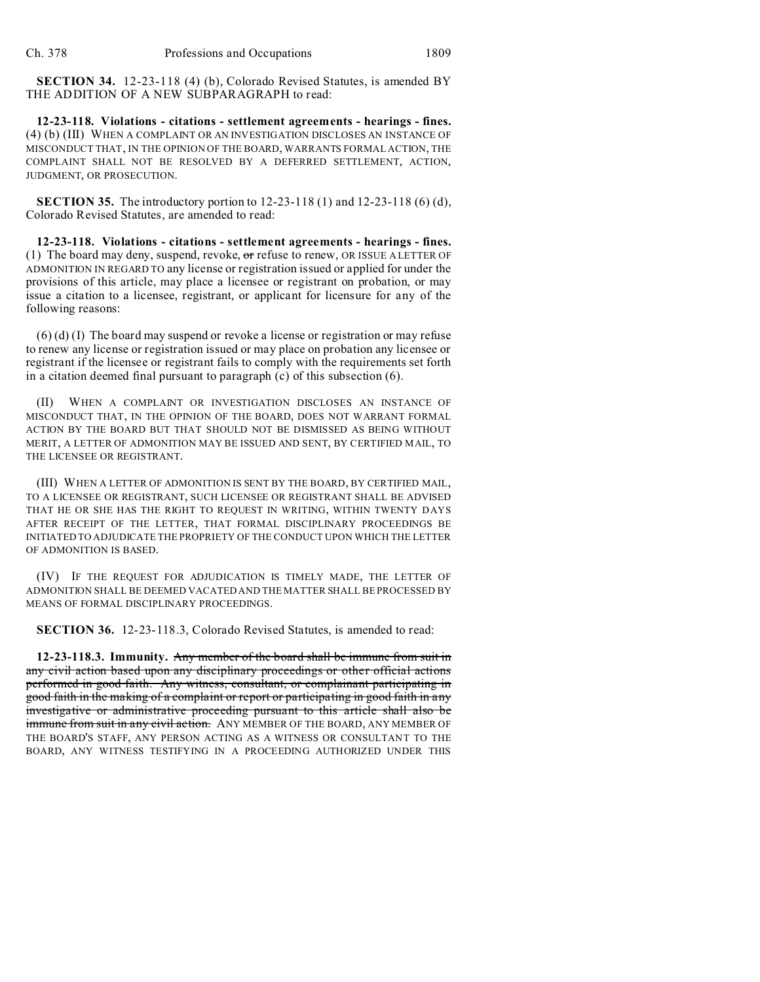**SECTION 34.** 12-23-118 (4) (b), Colorado Revised Statutes, is amended BY THE ADDITION OF A NEW SUBPARAGRAPH to read:

**12-23-118. Violations - citations - settlement agreements - hearings - fines.** (4) (b) (III) WHEN A COMPLAINT OR AN INVESTIGATION DISCLOSES AN INSTANCE OF MISCONDUCT THAT, IN THE OPINION OF THE BOARD, WARRANTS FORMAL ACTION, THE COMPLAINT SHALL NOT BE RESOLVED BY A DEFERRED SETTLEMENT, ACTION, JUDGMENT, OR PROSECUTION.

**SECTION 35.** The introductory portion to 12-23-118 (1) and 12-23-118 (6) (d), Colorado Revised Statutes, are amended to read:

**12-23-118. Violations - citations - settlement agreements - hearings - fines.** (1) The board may deny, suspend, revoke,  $\sigma$ r refuse to renew, OR ISSUE A LETTER OF ADMONITION IN REGARD TO any license or registration issued or applied for under the provisions of this article, may place a licensee or registrant on probation, or may issue a citation to a licensee, registrant, or applicant for licensure for any of the following reasons:

(6) (d) (I) The board may suspend or revoke a license or registration or may refuse to renew any license or registration issued or may place on probation any licensee or registrant if the licensee or registrant fails to comply with the requirements set forth in a citation deemed final pursuant to paragraph (c) of this subsection (6).

(II) WHEN A COMPLAINT OR INVESTIGATION DISCLOSES AN INSTANCE OF MISCONDUCT THAT, IN THE OPINION OF THE BOARD, DOES NOT WARRANT FORMAL ACTION BY THE BOARD BUT THAT SHOULD NOT BE DISMISSED AS BEING WITHOUT MERIT, A LETTER OF ADMONITION MAY BE ISSUED AND SENT, BY CERTIFIED MAIL, TO THE LICENSEE OR REGISTRANT.

(III) WHEN A LETTER OF ADMONITION IS SENT BY THE BOARD, BY CERTIFIED MAIL, TO A LICENSEE OR REGISTRANT, SUCH LICENSEE OR REGISTRANT SHALL BE ADVISED THAT HE OR SHE HAS THE RIGHT TO REQUEST IN WRITING, WITHIN TWENTY DAYS AFTER RECEIPT OF THE LETTER, THAT FORMAL DISCIPLINARY PROCEEDINGS BE INITIATED TO ADJUDICATE THE PROPRIETY OF THE CONDUCT UPON WHICH THE LETTER OF ADMONITION IS BASED.

(IV) IF THE REQUEST FOR ADJUDICATION IS TIMELY MADE, THE LETTER OF ADMONITION SHALL BE DEEMED VACATED AND THE MATTER SHALL BE PROCESSED BY MEANS OF FORMAL DISCIPLINARY PROCEEDINGS.

**SECTION 36.** 12-23-118.3, Colorado Revised Statutes, is amended to read:

**12-23-118.3. Immunity.** Any member of the board shall be immune from suit in any civil action based upon any disciplinary proceedings or other official actions performed in good faith. Any witness, consultant, or complainant participating in good faith in the making of a complaint or report or participating in good faith in any investigative or administrative proceeding pursuant to this article shall also be immune from suit in any civil action. ANY MEMBER OF THE BOARD, ANY MEMBER OF THE BOARD'S STAFF, ANY PERSON ACTING AS A WITNESS OR CONSULTANT TO THE BOARD, ANY WITNESS TESTIFYING IN A PROCEEDING AUTHORIZED UNDER THIS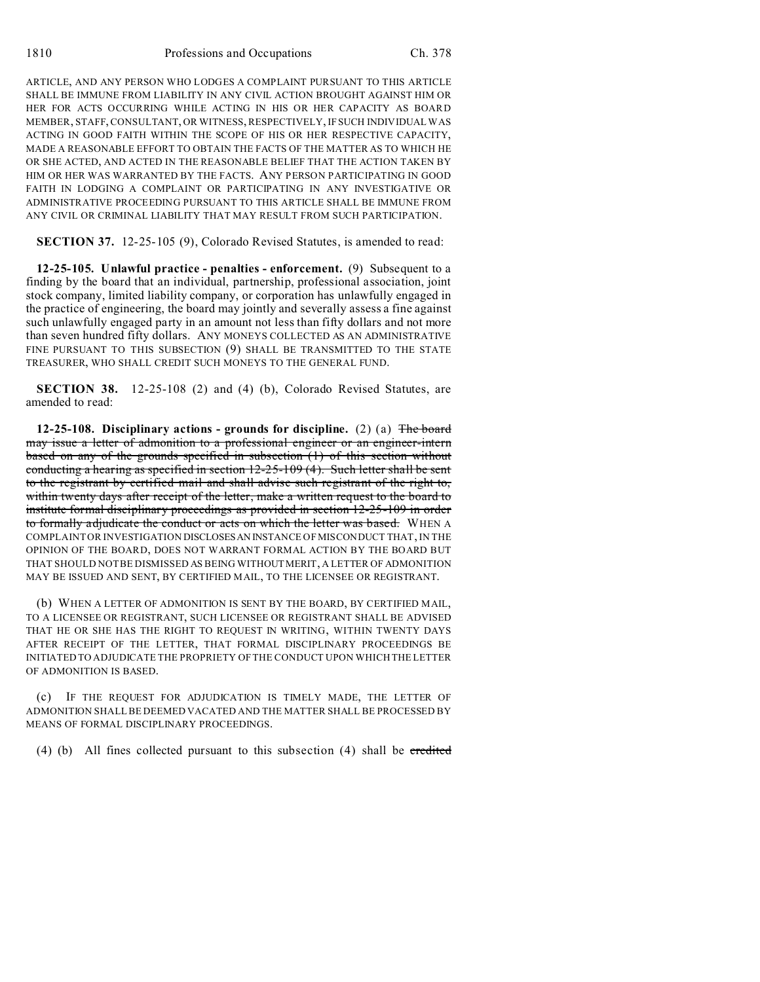ARTICLE, AND ANY PERSON WHO LODGES A COMPLAINT PURSUANT TO THIS ARTICLE SHALL BE IMMUNE FROM LIABILITY IN ANY CIVIL ACTION BROUGHT AGAINST HIM OR HER FOR ACTS OCCURRING WHILE ACTING IN HIS OR HER CAPACITY AS BOARD MEMBER, STAFF, CONSULTANT, OR WITNESS, RESPECTIVELY, IF SUCH INDIVIDUAL WAS ACTING IN GOOD FAITH WITHIN THE SCOPE OF HIS OR HER RESPECTIVE CAPACITY, MADE A REASONABLE EFFORT TO OBTAIN THE FACTS OF THE MATTER AS TO WHICH HE OR SHE ACTED, AND ACTED IN THE REASONABLE BELIEF THAT THE ACTION TAKEN BY HIM OR HER WAS WARRANTED BY THE FACTS. ANY PERSON PARTICIPATING IN GOOD FAITH IN LODGING A COMPLAINT OR PARTICIPATING IN ANY INVESTIGATIVE OR ADMINISTRATIVE PROCEEDING PURSUANT TO THIS ARTICLE SHALL BE IMMUNE FROM ANY CIVIL OR CRIMINAL LIABILITY THAT MAY RESULT FROM SUCH PARTICIPATION.

**SECTION 37.** 12-25-105 (9), Colorado Revised Statutes, is amended to read:

**12-25-105. Unlawful practice - penalties - enforcement.** (9) Subsequent to a finding by the board that an individual, partnership, professional association, joint stock company, limited liability company, or corporation has unlawfully engaged in the practice of engineering, the board may jointly and severally assess a fine against such unlawfully engaged party in an amount not less than fifty dollars and not more than seven hundred fifty dollars. ANY MONEYS COLLECTED AS AN ADMINISTRATIVE FINE PURSUANT TO THIS SUBSECTION (9) SHALL BE TRANSMITTED TO THE STATE TREASURER, WHO SHALL CREDIT SUCH MONEYS TO THE GENERAL FUND.

**SECTION 38.** 12-25-108 (2) and (4) (b), Colorado Revised Statutes, are amended to read:

**12-25-108. Disciplinary actions - grounds for discipline.** (2) (a) The board may issue a letter of admonition to a professional engineer or an engineer-intern based on any of the grounds specified in subsection  $(1)$  of this section without conducting a hearing as specified in section 12-25-109 (4). Such letter shall be sent to the registrant by certified mail and shall advise such registrant of the right to, within twenty days after receipt of the letter, make a written request to the board to institute formal disciplinary proceedings as provided in section 12-25-109 in order to formally adjudicate the conduct or acts on which the letter was based. WHEN A COMPLAINT OR INVESTIGATION DISCLOSESAN INSTANCE OF MISCONDUCT THAT, IN THE OPINION OF THE BOARD, DOES NOT WARRANT FORMAL ACTION BY THE BOARD BUT THAT SHOULD NOT BE DISMISSED AS BEING WITHOUT MERIT, A LETTER OF ADMONITION MAY BE ISSUED AND SENT, BY CERTIFIED MAIL, TO THE LICENSEE OR REGISTRANT.

(b) WHEN A LETTER OF ADMONITION IS SENT BY THE BOARD, BY CERTIFIED MAIL, TO A LICENSEE OR REGISTRANT, SUCH LICENSEE OR REGISTRANT SHALL BE ADVISED THAT HE OR SHE HAS THE RIGHT TO REQUEST IN WRITING, WITHIN TWENTY DAYS AFTER RECEIPT OF THE LETTER, THAT FORMAL DISCIPLINARY PROCEEDINGS BE INITIATED TO ADJUDICATE THE PROPRIETY OF THE CONDUCT UPON WHICH THE LETTER OF ADMONITION IS BASED.

(c) IF THE REQUEST FOR ADJUDICATION IS TIMELY MADE, THE LETTER OF ADMONITION SHALL BE DEEMED VACATED AND THE MATTER SHALL BE PROCESSED BY MEANS OF FORMAL DISCIPLINARY PROCEEDINGS.

(4) (b) All fines collected pursuant to this subsection (4) shall be credited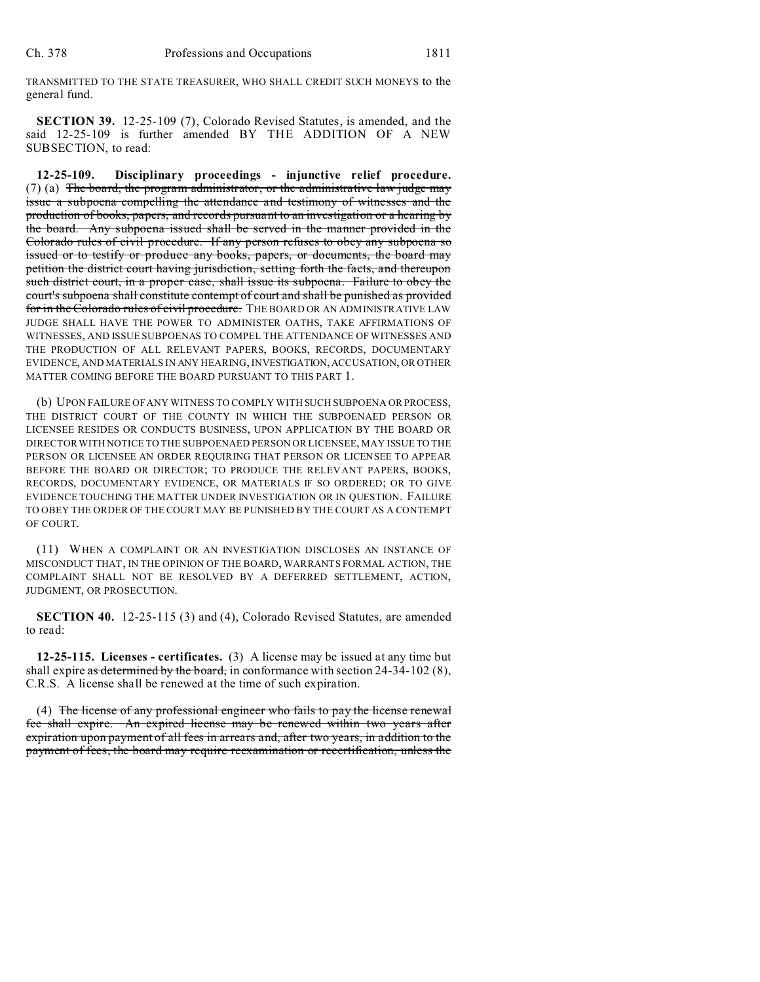TRANSMITTED TO THE STATE TREASURER, WHO SHALL CREDIT SUCH MONEYS to the general fund.

**SECTION 39.** 12-25-109 (7), Colorado Revised Statutes, is amended, and the said 12-25-109 is further amended BY THE ADDITION OF A NEW SUBSECTION, to read:

**12-25-109. Disciplinary proceedings - injunctive relief procedure.**  $(7)$  (a) The board, the program administrator, or the administrative law judge may issue a subpoena compelling the attendance and testimony of witnesses and the production of books, papers, and records pursuant to an investigation or a hearing by the board. Any subpoena issued shall be served in the manner provided in the Colorado rules of civil procedure. If any person refuses to obey any subpoena so issued or to testify or produce any books, papers, or documents, the board may petition the district court having jurisdiction, setting forth the facts, and thereupon such district court, in a proper case, shall issue its subpoena. Failure to obey the court's subpoena shall constitute contempt of court and shall be punished as provided for in the Colorado rules of civil procedure. THE BOARD OR AN ADMINISTRATIVE LAW JUDGE SHALL HAVE THE POWER TO ADMINISTER OATHS, TAKE AFFIRMATIONS OF WITNESSES, AND ISSUE SUBPOENAS TO COMPEL THE ATTENDANCE OF WITNESSES AND THE PRODUCTION OF ALL RELEVANT PAPERS, BOOKS, RECORDS, DOCUMENTARY EVIDENCE, AND MATERIALS IN ANY HEARING, INVESTIGATION, ACCUSATION, OR OTHER MATTER COMING BEFORE THE BOARD PURSUANT TO THIS PART 1.

(b) UPON FAILURE OF ANY WITNESS TO COMPLY WITH SUCH SUBPOENA OR PROCESS, THE DISTRICT COURT OF THE COUNTY IN WHICH THE SUBPOENAED PERSON OR LICENSEE RESIDES OR CONDUCTS BUSINESS, UPON APPLICATION BY THE BOARD OR DIRECTOR WITH NOTICE TO THE SUBPOENAED PERSON OR LICENSEE, MAY ISSUE TO THE PERSON OR LICENSEE AN ORDER REQUIRING THAT PERSON OR LICENSEE TO APPEAR BEFORE THE BOARD OR DIRECTOR; TO PRODUCE THE RELEVANT PAPERS, BOOKS, RECORDS, DOCUMENTARY EVIDENCE, OR MATERIALS IF SO ORDERED; OR TO GIVE EVIDENCE TOUCHING THE MATTER UNDER INVESTIGATION OR IN QUESTION. FAILURE TO OBEY THE ORDER OF THE COURT MAY BE PUNISHED BY THE COURT AS A CONTEMPT OF COURT.

(11) WHEN A COMPLAINT OR AN INVESTIGATION DISCLOSES AN INSTANCE OF MISCONDUCT THAT, IN THE OPINION OF THE BOARD, WARRANTS FORMAL ACTION, THE COMPLAINT SHALL NOT BE RESOLVED BY A DEFERRED SETTLEMENT, ACTION, JUDGMENT, OR PROSECUTION.

**SECTION 40.** 12-25-115 (3) and (4), Colorado Revised Statutes, are amended to read:

**12-25-115. Licenses - certificates.** (3) A license may be issued at any time but shall expire as determined by the board, in conformance with section  $24-34-102$  (8), C.R.S. A license shall be renewed at the time of such expiration.

(4) The license of any professional engineer who fails to pay the license renewal fee shall expire. An expired license may be renewed within two years after expiration upon payment of all fees in arrears and, after two years, in addition to the payment of fees, the board may require reexamination or recertification, unless the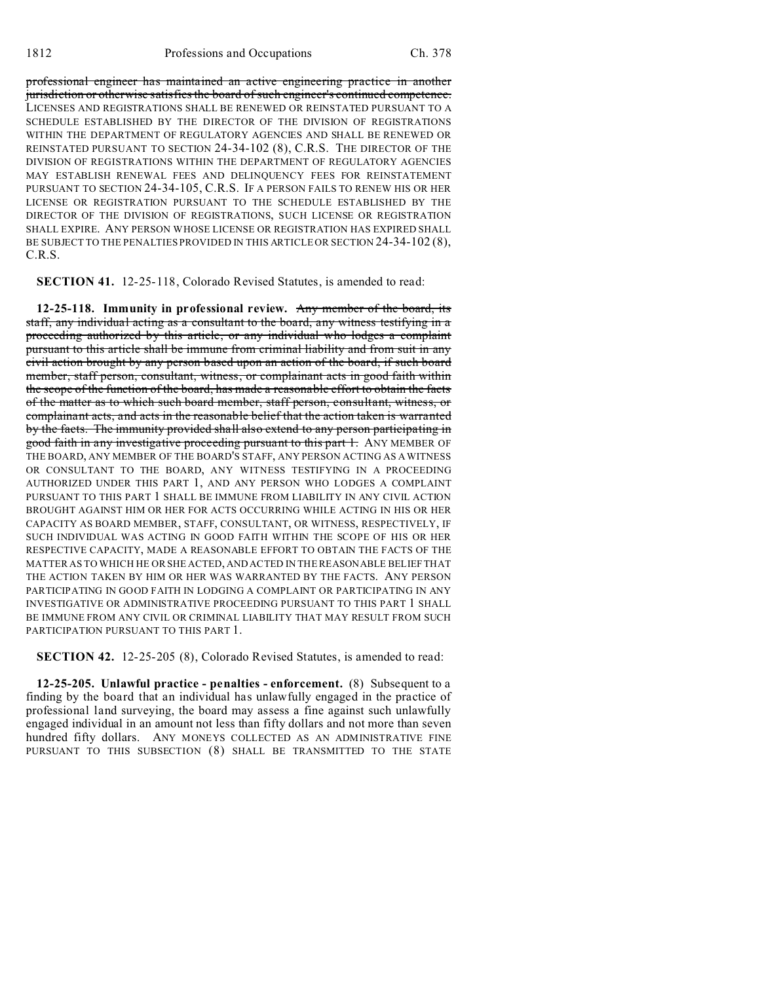professional engineer has maintained an active engineering practice in another jurisdiction or otherwise satisfies the board of such engineer's continued competence. LICENSES AND REGISTRATIONS SHALL BE RENEWED OR REINSTATED PURSUANT TO A SCHEDULE ESTABLISHED BY THE DIRECTOR OF THE DIVISION OF REGISTRATIONS WITHIN THE DEPARTMENT OF REGULATORY AGENCIES AND SHALL BE RENEWED OR REINSTATED PURSUANT TO SECTION 24-34-102 (8), C.R.S. THE DIRECTOR OF THE DIVISION OF REGISTRATIONS WITHIN THE DEPARTMENT OF REGULATORY AGENCIES MAY ESTABLISH RENEWAL FEES AND DELINQUENCY FEES FOR REINSTATEMENT PURSUANT TO SECTION 24-34-105, C.R.S. IF A PERSON FAILS TO RENEW HIS OR HER LICENSE OR REGISTRATION PURSUANT TO THE SCHEDULE ESTABLISHED BY THE DIRECTOR OF THE DIVISION OF REGISTRATIONS, SUCH LICENSE OR REGISTRATION SHALL EXPIRE. ANY PERSON WHOSE LICENSE OR REGISTRATION HAS EXPIRED SHALL BE SUBJECT TO THE PENALTIES PROVIDED IN THIS ARTICLE OR SECTION 24-34-102 (8), C.R.S.

**SECTION 41.** 12-25-118, Colorado Revised Statutes, is amended to read:

**12-25-118. Immunity in professional review.** Any member of the board, its staff, any individual acting as a consultant to the board, any witness testifying in a proceeding authorized by this article, or any individual who lodges a complaint pursuant to this article shall be immune from criminal liability and from suit in any civil action brought by any person based upon an action of the board, if such board member, staff person, consultant, witness, or complainant acts in good faith within the scope of the function of the board, has made a reasonable effort to obtain the facts of the matter as to which such board member, staff person, consultant, witness, or complainant acts, and acts in the reasonable belief that the action taken is warranted by the facts. The immunity provided shall also extend to any person participating in good faith in any investigative proceeding pursuant to this part 1. ANY MEMBER OF THE BOARD, ANY MEMBER OF THE BOARD'S STAFF, ANY PERSON ACTING AS A WITNESS OR CONSULTANT TO THE BOARD, ANY WITNESS TESTIFYING IN A PROCEEDING AUTHORIZED UNDER THIS PART 1, AND ANY PERSON WHO LODGES A COMPLAINT PURSUANT TO THIS PART 1 SHALL BE IMMUNE FROM LIABILITY IN ANY CIVIL ACTION BROUGHT AGAINST HIM OR HER FOR ACTS OCCURRING WHILE ACTING IN HIS OR HER CAPACITY AS BOARD MEMBER, STAFF, CONSULTANT, OR WITNESS, RESPECTIVELY, IF SUCH INDIVIDUAL WAS ACTING IN GOOD FAITH WITHIN THE SCOPE OF HIS OR HER RESPECTIVE CAPACITY, MADE A REASONABLE EFFORT TO OBTAIN THE FACTS OF THE MATTER AS TO WHICH HE OR SHE ACTED, AND ACTED IN THE REASONABLE BELIEF THAT THE ACTION TAKEN BY HIM OR HER WAS WARRANTED BY THE FACTS. ANY PERSON PARTICIPATING IN GOOD FAITH IN LODGING A COMPLAINT OR PARTICIPATING IN ANY INVESTIGATIVE OR ADMINISTRATIVE PROCEEDING PURSUANT TO THIS PART 1 SHALL BE IMMUNE FROM ANY CIVIL OR CRIMINAL LIABILITY THAT MAY RESULT FROM SUCH PARTICIPATION PURSUANT TO THIS PART 1.

**SECTION 42.** 12-25-205 (8), Colorado Revised Statutes, is amended to read:

**12-25-205. Unlawful practice - penalties - enforcement.** (8) Subsequent to a finding by the board that an individual has unlawfully engaged in the practice of professional land surveying, the board may assess a fine against such unlawfully engaged individual in an amount not less than fifty dollars and not more than seven hundred fifty dollars. ANY MONEYS COLLECTED AS AN ADMINISTRATIVE FINE PURSUANT TO THIS SUBSECTION (8) SHALL BE TRANSMITTED TO THE STATE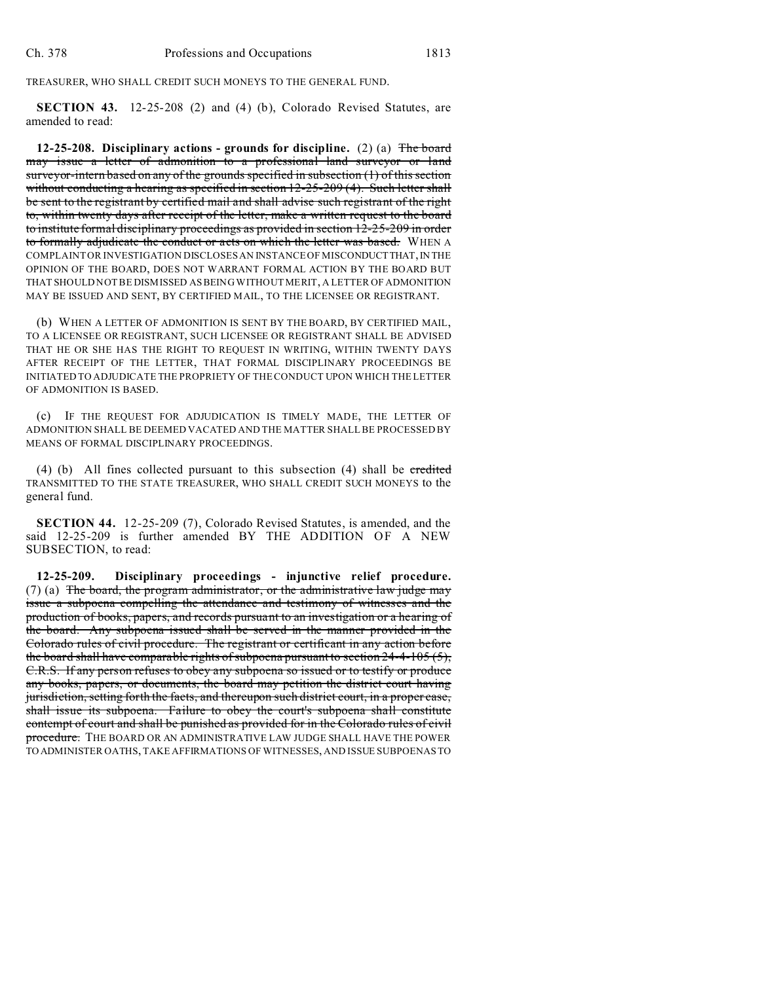TREASURER, WHO SHALL CREDIT SUCH MONEYS TO THE GENERAL FUND.

**SECTION 43.** 12-25-208 (2) and (4) (b), Colorado Revised Statutes, are amended to read:

**12-25-208. Disciplinary actions - grounds for discipline.** (2) (a) The board may issue a letter of admonition to a professional land surveyor or land surveyor-intern based on any of the grounds specified in subsection (1) of this section without conducting a hearing as specified in section 12-25-209 (4). Such letter shall be sent to the registrant by certified mail and shall advise such registrant of the right to, within twenty days after receipt of the letter, make a written request to the board to institute formal disciplinary proceedings as provided in section 12-25-209 in order to formally adjudicate the conduct or acts on which the letter was based. WHEN A COMPLAINT OR INVESTIGATION DISCLOSES AN INSTANCE OF MISCONDUCT THAT, IN THE OPINION OF THE BOARD, DOES NOT WARRANT FORMAL ACTION BY THE BOARD BUT THAT SHOULD NOT BE DISMISSED AS BEING WITHOUT MERIT, A LETTER OF ADMONITION MAY BE ISSUED AND SENT, BY CERTIFIED MAIL, TO THE LICENSEE OR REGISTRANT.

(b) WHEN A LETTER OF ADMONITION IS SENT BY THE BOARD, BY CERTIFIED MAIL, TO A LICENSEE OR REGISTRANT, SUCH LICENSEE OR REGISTRANT SHALL BE ADVISED THAT HE OR SHE HAS THE RIGHT TO REQUEST IN WRITING, WITHIN TWENTY DAYS AFTER RECEIPT OF THE LETTER, THAT FORMAL DISCIPLINARY PROCEEDINGS BE INITIATED TO ADJUDICATE THE PROPRIETY OF THE CONDUCT UPON WHICH THE LETTER OF ADMONITION IS BASED.

(c) IF THE REQUEST FOR ADJUDICATION IS TIMELY MADE, THE LETTER OF ADMONITION SHALL BE DEEMED VACATED AND THE MATTER SHALL BE PROCESSED BY MEANS OF FORMAL DISCIPLINARY PROCEEDINGS.

(4) (b) All fines collected pursuant to this subsection (4) shall be credited TRANSMITTED TO THE STATE TREASURER, WHO SHALL CREDIT SUCH MONEYS to the general fund.

**SECTION 44.** 12-25-209 (7), Colorado Revised Statutes, is amended, and the said 12-25-209 is further amended BY THE ADDITION OF A NEW SUBSECTION, to read:

**12-25-209. Disciplinary proceedings - injunctive relief procedure.** (7) (a) The board, the program administrator, or the administrative law judge may issue a subpoena compelling the attendance and testimony of witnesses and the production of books, papers, and records pursuant to an investigation or a hearing of the board. Any subpoena issued shall be served in the manner provided in the Colorado rules of civil procedure. The registrant or certificant in any action before the board shall have comparable rights of subpoena pursuant to section 24-4-105 (5), C.R.S. If any person refuses to obey any subpoena so issued or to testify or produce any books, papers, or documents, the board may petition the district court having jurisdiction, setting forth the facts, and thereupon such district court, in a proper case, shall issue its subpoena. Failure to obey the court's subpoena shall constitute contempt of court and shall be punished as provided for in the Colorado rules of civil procedure. THE BOARD OR AN ADMINISTRATIVE LAW JUDGE SHALL HAVE THE POWER TO ADMINISTER OATHS, TAKE AFFIRMATIONS OF WITNESSES, AND ISSUE SUBPOENAS TO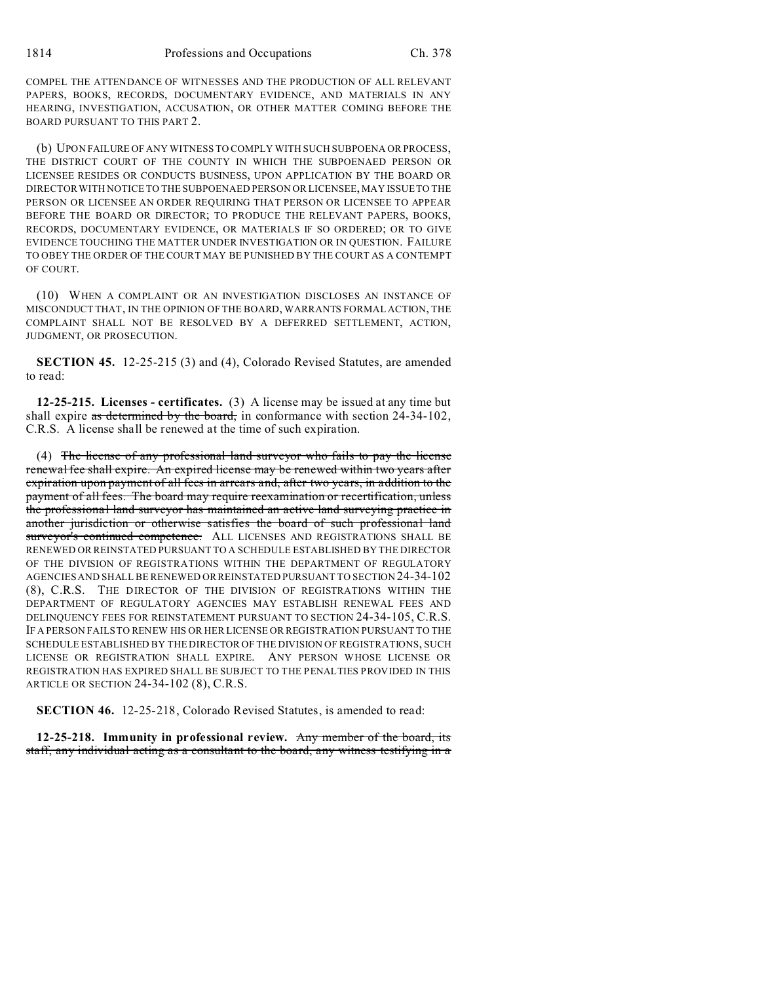COMPEL THE ATTENDANCE OF WITNESSES AND THE PRODUCTION OF ALL RELEVANT PAPERS, BOOKS, RECORDS, DOCUMENTARY EVIDENCE, AND MATERIALS IN ANY HEARING, INVESTIGATION, ACCUSATION, OR OTHER MATTER COMING BEFORE THE BOARD PURSUANT TO THIS PART 2.

(b) UPON FAILURE OF ANY WITNESS TO COMPLY WITH SUCH SUBPOENA OR PROCESS, THE DISTRICT COURT OF THE COUNTY IN WHICH THE SUBPOENAED PERSON OR LICENSEE RESIDES OR CONDUCTS BUSINESS, UPON APPLICATION BY THE BOARD OR DIRECTOR WITH NOTICE TO THE SUBPOENAED PERSON OR LICENSEE, MAY ISSUE TO THE PERSON OR LICENSEE AN ORDER REQUIRING THAT PERSON OR LICENSEE TO APPEAR BEFORE THE BOARD OR DIRECTOR; TO PRODUCE THE RELEVANT PAPERS, BOOKS, RECORDS, DOCUMENTARY EVIDENCE, OR MATERIALS IF SO ORDERED; OR TO GIVE EVIDENCE TOUCHING THE MATTER UNDER INVESTIGATION OR IN QUESTION. FAILURE TO OBEY THE ORDER OF THE COURT MAY BE PUNISHED BY THE COURT AS A CONTEMPT OF COURT.

(10) WHEN A COMPLAINT OR AN INVESTIGATION DISCLOSES AN INSTANCE OF MISCONDUCT THAT, IN THE OPINION OF THE BOARD, WARRANTS FORMAL ACTION, THE COMPLAINT SHALL NOT BE RESOLVED BY A DEFERRED SETTLEMENT, ACTION, JUDGMENT, OR PROSECUTION.

**SECTION 45.** 12-25-215 (3) and (4), Colorado Revised Statutes, are amended to read:

**12-25-215. Licenses - certificates.** (3) A license may be issued at any time but shall expire as determined by the board, in conformance with section 24-34-102, C.R.S. A license shall be renewed at the time of such expiration.

(4) The license of any professional land surveyor who fails to pay the license renewal fee shall expire. An expired license may be renewed within two years after expiration upon payment of all fees in arrears and, after two years, in addition to the payment of all fees. The board may require reexamination or recertification, unless the professional land surveyor has maintained an active land surveying practice in another jurisdiction or otherwise satisfies the board of such professional land surveyor's continued competence. ALL LICENSES AND REGISTRATIONS SHALL BE RENEWED OR REINSTATED PURSUANT TO A SCHEDULE ESTABLISHED BY THE DIRECTOR OF THE DIVISION OF REGISTRATIONS WITHIN THE DEPARTMENT OF REGULATORY AGENCIES AND SHALL BE RENEWED OR REINSTATED PURSUANT TO SECTION 24-34-102 (8), C.R.S. THE DIRECTOR OF THE DIVISION OF REGISTRATIONS WITHIN THE DEPARTMENT OF REGULATORY AGENCIES MAY ESTABLISH RENEWAL FEES AND DELINQUENCY FEES FOR REINSTATEMENT PURSUANT TO SECTION 24-34-105, C.R.S. IF A PERSON FAILS TO RENEW HIS OR HER LICENSE OR REGISTRATION PURSUANT TO THE SCHEDULE ESTABLISHED BY THE DIRECTOR OF THE DIVISION OF REGISTRATIONS, SUCH LICENSE OR REGISTRATION SHALL EXPIRE. ANY PERSON WHOSE LICENSE OR REGISTRATION HAS EXPIRED SHALL BE SUBJECT TO THE PENALTIES PROVIDED IN THIS ARTICLE OR SECTION 24-34-102 (8), C.R.S.

**SECTION 46.** 12-25-218, Colorado Revised Statutes, is amended to read:

**12-25-218. Immunity in professional review.** Any member of the board, its staff, any individual acting as a consultant to the board, any witness testifying in a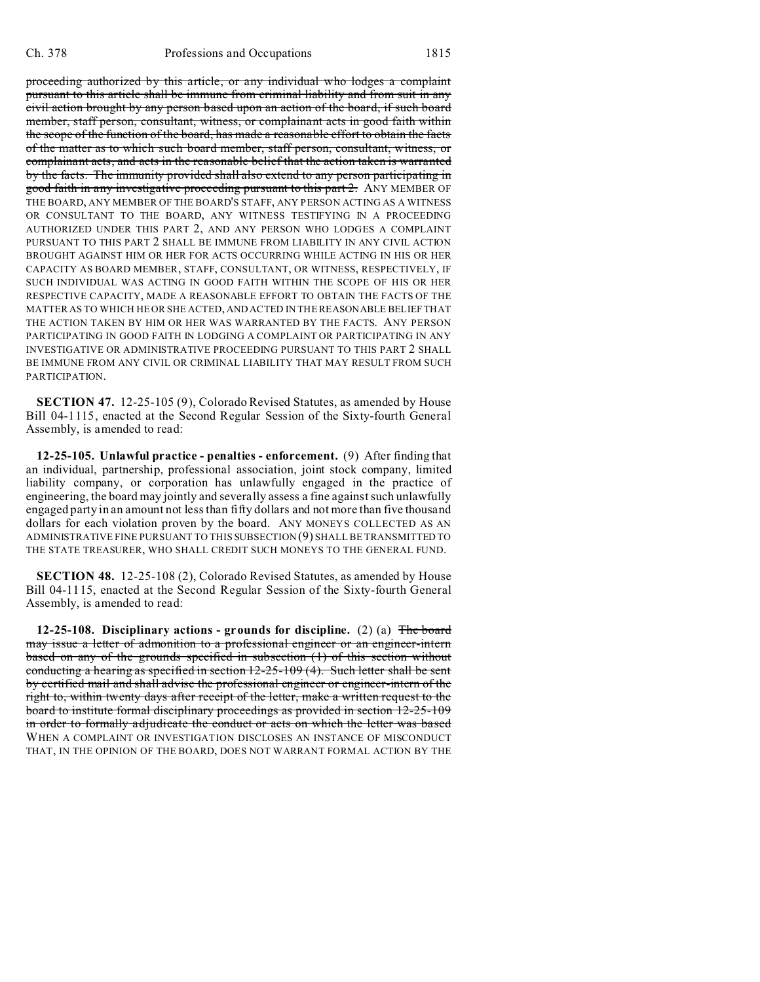proceeding authorized by this article, or any individual who lodges a complaint pursuant to this article shall be immune from criminal liability and from suit in any civil action brought by any person based upon an action of the board, if such board member, staff person, consultant, witness, or complainant acts in good faith within the scope of the function of the board, has made a reasonable effort to obtain the facts of the matter as to which such board member, staff person, consultant, witness, or complainant acts, and acts in the reasonable belief that the action taken is warranted by the facts. The immunity provided shall also extend to any person participating in good faith in any investigative proceeding pursuant to this part 2. ANY MEMBER OF THE BOARD, ANY MEMBER OF THE BOARD'S STAFF, ANY PERSON ACTING AS A WITNESS OR CONSULTANT TO THE BOARD, ANY WITNESS TESTIFYING IN A PROCEEDING AUTHORIZED UNDER THIS PART 2, AND ANY PERSON WHO LODGES A COMPLAINT PURSUANT TO THIS PART 2 SHALL BE IMMUNE FROM LIABILITY IN ANY CIVIL ACTION BROUGHT AGAINST HIM OR HER FOR ACTS OCCURRING WHILE ACTING IN HIS OR HER CAPACITY AS BOARD MEMBER, STAFF, CONSULTANT, OR WITNESS, RESPECTIVELY, IF SUCH INDIVIDUAL WAS ACTING IN GOOD FAITH WITHIN THE SCOPE OF HIS OR HER RESPECTIVE CAPACITY, MADE A REASONABLE EFFORT TO OBTAIN THE FACTS OF THE MATTER AS TO WHICH HE OR SHE ACTED, AND ACTED IN THE REASONABLE BELIEF THAT THE ACTION TAKEN BY HIM OR HER WAS WARRANTED BY THE FACTS. ANY PERSON PARTICIPATING IN GOOD FAITH IN LODGING A COMPLAINT OR PARTICIPATING IN ANY INVESTIGATIVE OR ADMINISTRATIVE PROCEEDING PURSUANT TO THIS PART 2 SHALL BE IMMUNE FROM ANY CIVIL OR CRIMINAL LIABILITY THAT MAY RESULT FROM SUCH PARTICIPATION.

**SECTION 47.** 12-25-105 (9), Colorado Revised Statutes, as amended by House Bill 04-1115, enacted at the Second Regular Session of the Sixty-fourth General Assembly, is amended to read:

**12-25-105. Unlawful practice - penalties - enforcement.** (9) After finding that an individual, partnership, professional association, joint stock company, limited liability company, or corporation has unlawfully engaged in the practice of engineering, the board may jointly and severally assess a fine against such unlawfully engaged party in an amount not less than fifty dollars and not more than five thousand dollars for each violation proven by the board. ANY MONEYS COLLECTED AS AN ADMINISTRATIVE FINE PURSUANT TO THIS SUBSECTION (9) SHALL BE TRANSMITTED TO THE STATE TREASURER, WHO SHALL CREDIT SUCH MONEYS TO THE GENERAL FUND.

**SECTION 48.** 12-25-108 (2), Colorado Revised Statutes, as amended by House Bill 04-1115, enacted at the Second Regular Session of the Sixty-fourth General Assembly, is amended to read:

**12-25-108. Disciplinary actions - grounds for discipline.** (2) (a) The board may issue a letter of admonition to a professional engineer or an engineer-intern based on any of the grounds specified in subsection (1) of this section without conducting a hearing as specified in section  $12-25-109$  (4). Such letter shall be sent by certified mail and shall advise the professional engineer or engineer-intern of the right to, within twenty days after receipt of the letter, make a written request to the board to institute formal disciplinary proceedings as provided in section 12-25-109 in order to formally adjudicate the conduct or acts on which the letter was based WHEN A COMPLAINT OR INVESTIGATION DISCLOSES AN INSTANCE OF MISCONDUCT THAT, IN THE OPINION OF THE BOARD, DOES NOT WARRANT FORMAL ACTION BY THE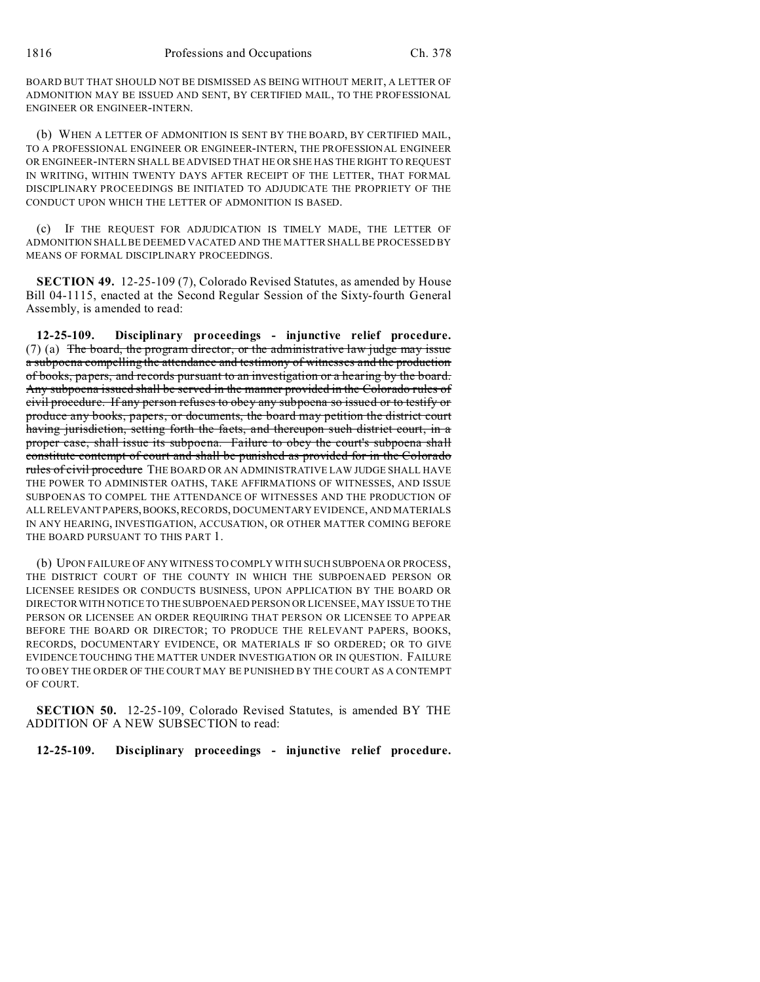BOARD BUT THAT SHOULD NOT BE DISMISSED AS BEING WITHOUT MERIT, A LETTER OF ADMONITION MAY BE ISSUED AND SENT, BY CERTIFIED MAIL, TO THE PROFESSIONAL ENGINEER OR ENGINEER-INTERN.

(b) WHEN A LETTER OF ADMONITION IS SENT BY THE BOARD, BY CERTIFIED MAIL, TO A PROFESSIONAL ENGINEER OR ENGINEER-INTERN, THE PROFESSIONAL ENGINEER OR ENGINEER-INTERN SHALL BE ADVISED THAT HE OR SHE HAS THE RIGHT TO REQUEST IN WRITING, WITHIN TWENTY DAYS AFTER RECEIPT OF THE LETTER, THAT FORMAL DISCIPLINARY PROCEEDINGS BE INITIATED TO ADJUDICATE THE PROPRIETY OF THE CONDUCT UPON WHICH THE LETTER OF ADMONITION IS BASED.

(c) IF THE REQUEST FOR ADJUDICATION IS TIMELY MADE, THE LETTER OF ADMONITION SHALL BE DEEMED VACATED AND THE MATTER SHALL BE PROCESSED BY MEANS OF FORMAL DISCIPLINARY PROCEEDINGS.

**SECTION 49.** 12-25-109 (7), Colorado Revised Statutes, as amended by House Bill 04-1115, enacted at the Second Regular Session of the Sixty-fourth General Assembly, is amended to read:

**12-25-109. Disciplinary proceedings - injunctive relief procedure.** (7) (a) The board, the program director, or the administrative law judge may issue a subpoena compelling the attendance and testimony of witnesses and the production of books, papers, and records pursuant to an investigation or a hearing by the board. Any subpoena issued shall be served in the manner provided in the Colorado rules of civil procedure. If any person refuses to obey any subpoena so issued or to testify or produce any books, papers, or documents, the board may petition the district court having jurisdiction, setting forth the facts, and thereupon such district court, in a proper case, shall issue its subpoena. Failure to obey the court's subpoena shall constitute contempt of court and shall be punished as provided for in the Colorado rules of civil procedure THE BOARD OR AN ADMINISTRATIVE LAW JUDGE SHALL HAVE THE POWER TO ADMINISTER OATHS, TAKE AFFIRMATIONS OF WITNESSES, AND ISSUE SUBPOENAS TO COMPEL THE ATTENDANCE OF WITNESSES AND THE PRODUCTION OF ALL RELEVANT PAPERS,BOOKS,RECORDS, DOCUMENTARY EVIDENCE, AND MATERIALS IN ANY HEARING, INVESTIGATION, ACCUSATION, OR OTHER MATTER COMING BEFORE THE BOARD PURSUANT TO THIS PART 1.

(b) UPON FAILURE OF ANY WITNESS TO COMPLY WITH SUCH SUBPOENA OR PROCESS, THE DISTRICT COURT OF THE COUNTY IN WHICH THE SUBPOENAED PERSON OR LICENSEE RESIDES OR CONDUCTS BUSINESS, UPON APPLICATION BY THE BOARD OR DIRECTOR WITH NOTICE TO THE SUBPOENAED PERSON OR LICENSEE, MAY ISSUE TO THE PERSON OR LICENSEE AN ORDER REQUIRING THAT PERSON OR LICENSEE TO APPEAR BEFORE THE BOARD OR DIRECTOR; TO PRODUCE THE RELEVANT PAPERS, BOOKS, RECORDS, DOCUMENTARY EVIDENCE, OR MATERIALS IF SO ORDERED; OR TO GIVE EVIDENCE TOUCHING THE MATTER UNDER INVESTIGATION OR IN QUESTION. FAILURE TO OBEY THE ORDER OF THE COURT MAY BE PUNISHED BY THE COURT AS A CONTEMPT OF COURT.

**SECTION 50.** 12-25-109, Colorado Revised Statutes, is amended BY THE ADDITION OF A NEW SUBSECTION to read:

**12-25-109. Disciplinary proceedings - injunctive relief procedure.**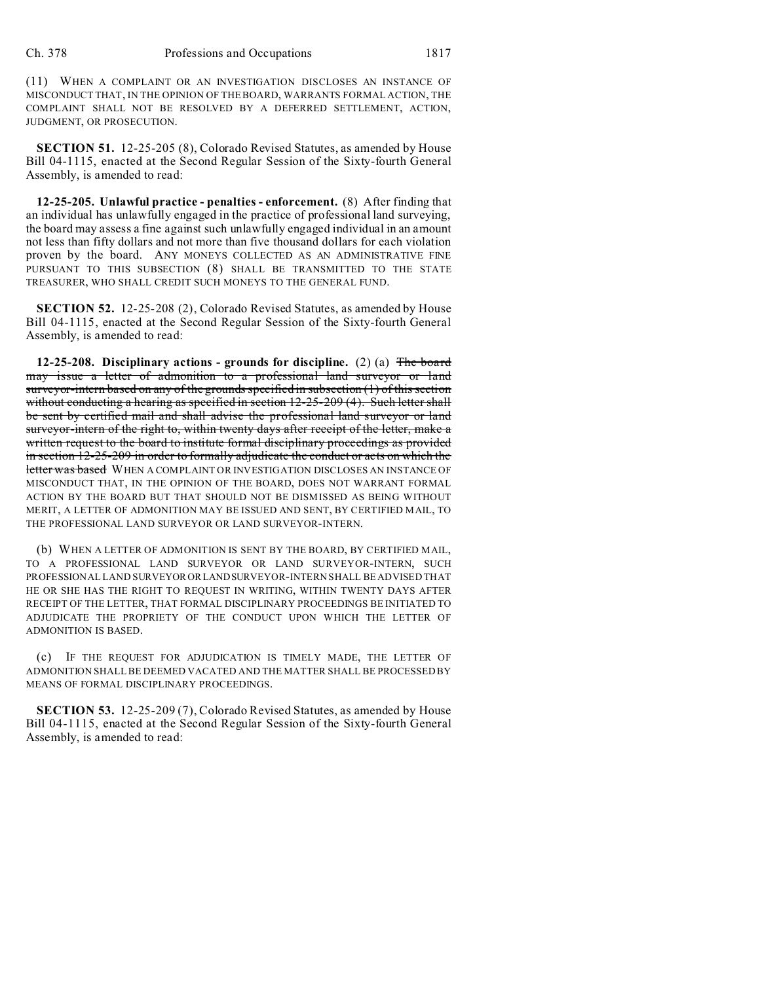(11) WHEN A COMPLAINT OR AN INVESTIGATION DISCLOSES AN INSTANCE OF MISCONDUCT THAT, IN THE OPINION OF THE BOARD, WARRANTS FORMAL ACTION, THE COMPLAINT SHALL NOT BE RESOLVED BY A DEFERRED SETTLEMENT, ACTION, JUDGMENT, OR PROSECUTION.

**SECTION 51.** 12-25-205 (8), Colorado Revised Statutes, as amended by House Bill 04-1115, enacted at the Second Regular Session of the Sixty-fourth General Assembly, is amended to read:

**12-25-205. Unlawful practice - penalties - enforcement.** (8) After finding that an individual has unlawfully engaged in the practice of professional land surveying, the board may assess a fine against such unlawfully engaged individual in an amount not less than fifty dollars and not more than five thousand dollars for each violation proven by the board. ANY MONEYS COLLECTED AS AN ADMINISTRATIVE FINE PURSUANT TO THIS SUBSECTION (8) SHALL BE TRANSMITTED TO THE STATE TREASURER, WHO SHALL CREDIT SUCH MONEYS TO THE GENERAL FUND.

**SECTION 52.** 12-25-208 (2), Colorado Revised Statutes, as amended by House Bill 04-1115, enacted at the Second Regular Session of the Sixty-fourth General Assembly, is amended to read:

**12-25-208. Disciplinary actions - grounds for discipline.** (2) (a) The board may issue a letter of admonition to a professional land surveyor or land surveyor-intern based on any of the grounds specified in subsection (1) of this section without conducting a hearing as specified in section 12-25-209 (4). Such letter shall be sent by certified mail and shall advise the professional land surveyor or land surveyor-intern of the right to, within twenty days after receipt of the letter, make a written request to the board to institute formal disciplinary proceedings as provided in section 12-25-209 in order to formally adjudicate the conduct or acts on which the letter was based WHEN A COMPLAINT OR INVESTIGATION DISCLOSES AN INSTANCE OF MISCONDUCT THAT, IN THE OPINION OF THE BOARD, DOES NOT WARRANT FORMAL ACTION BY THE BOARD BUT THAT SHOULD NOT BE DISMISSED AS BEING WITHOUT MERIT, A LETTER OF ADMONITION MAY BE ISSUED AND SENT, BY CERTIFIED MAIL, TO THE PROFESSIONAL LAND SURVEYOR OR LAND SURVEYOR-INTERN.

(b) WHEN A LETTER OF ADMONITION IS SENT BY THE BOARD, BY CERTIFIED MAIL, TO A PROFESSIONAL LAND SURVEYOR OR LAND SURVEYOR-INTERN, SUCH PROFESSIONAL LAND SURVEYORORLANDSURVEYOR-INTERN SHALL BE ADVISED THAT HE OR SHE HAS THE RIGHT TO REQUEST IN WRITING, WITHIN TWENTY DAYS AFTER RECEIPT OF THE LETTER, THAT FORMAL DISCIPLINARY PROCEEDINGS BE INITIATED TO ADJUDICATE THE PROPRIETY OF THE CONDUCT UPON WHICH THE LETTER OF ADMONITION IS BASED.

(c) IF THE REQUEST FOR ADJUDICATION IS TIMELY MADE, THE LETTER OF ADMONITION SHALL BE DEEMED VACATED AND THE MATTER SHALL BE PROCESSED BY MEANS OF FORMAL DISCIPLINARY PROCEEDINGS.

**SECTION 53.** 12-25-209 (7), Colorado Revised Statutes, as amended by House Bill 04-1115, enacted at the Second Regular Session of the Sixty-fourth General Assembly, is amended to read: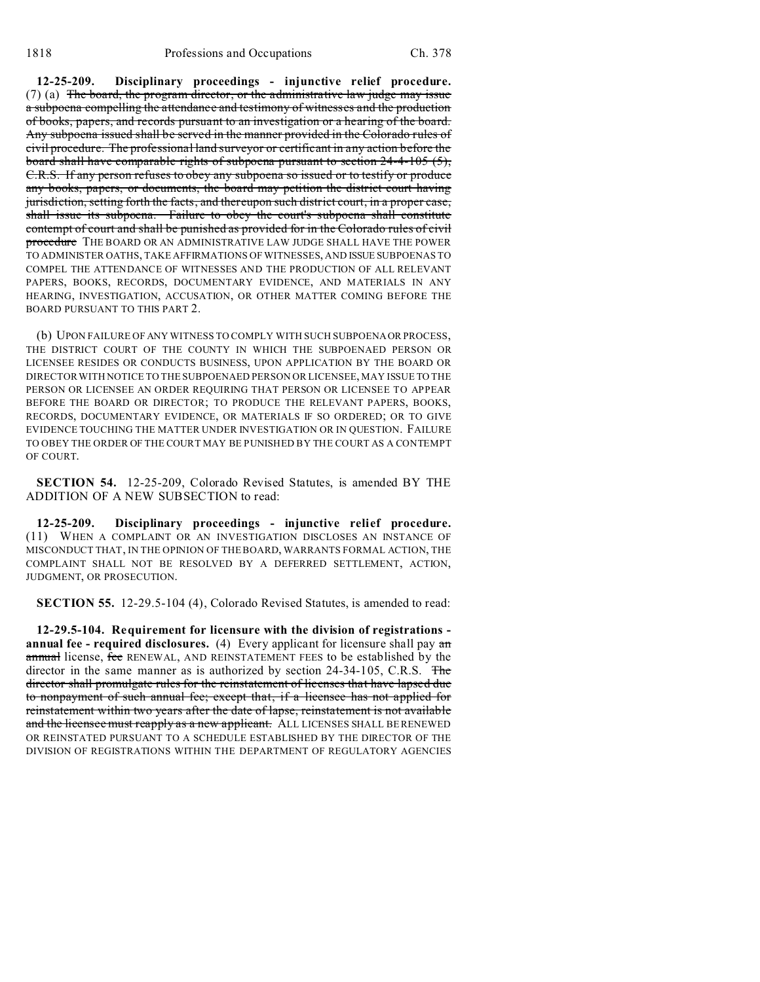**12-25-209. Disciplinary proceedings - injunctive relief procedure.** (7) (a) The board, the program director, or the administrative law judge may issue a subpoena compelling the attendance and testimony of witnesses and the production of books, papers, and records pursuant to an investigation or a hearing of the board. Any subpoena issued shall be served in the manner provided in the Colorado rules of civil procedure. The professional land surveyor or certificant in any action before the board shall have comparable rights of subpoena pursuant to section 24-4-105 (5), C.R.S. If any person refuses to obey any subpoena so issued or to testify or produce any books, papers, or documents, the board may petition the district court having jurisdiction, setting forth the facts, and thereupon such district court, in a proper case, shall issue its subpoena. Failure to obey the court's subpoena shall constitute contempt of court and shall be punished as provided for in the Colorado rules of civil procedure THE BOARD OR AN ADMINISTRATIVE LAW JUDGE SHALL HAVE THE POWER TO ADMINISTER OATHS, TAKE AFFIRMATIONS OF WITNESSES, AND ISSUE SUBPOENAS TO COMPEL THE ATTENDANCE OF WITNESSES AND THE PRODUCTION OF ALL RELEVANT PAPERS, BOOKS, RECORDS, DOCUMENTARY EVIDENCE, AND MATERIALS IN ANY HEARING, INVESTIGATION, ACCUSATION, OR OTHER MATTER COMING BEFORE THE BOARD PURSUANT TO THIS PART 2.

(b) UPON FAILURE OF ANY WITNESS TO COMPLY WITH SUCH SUBPOENAOR PROCESS, THE DISTRICT COURT OF THE COUNTY IN WHICH THE SUBPOENAED PERSON OR LICENSEE RESIDES OR CONDUCTS BUSINESS, UPON APPLICATION BY THE BOARD OR DIRECTOR WITH NOTICE TO THE SUBPOENAED PERSON OR LICENSEE, MAY ISSUE TO THE PERSON OR LICENSEE AN ORDER REQUIRING THAT PERSON OR LICENSEE TO APPEAR BEFORE THE BOARD OR DIRECTOR; TO PRODUCE THE RELEVANT PAPERS, BOOKS, RECORDS, DOCUMENTARY EVIDENCE, OR MATERIALS IF SO ORDERED; OR TO GIVE EVIDENCE TOUCHING THE MATTER UNDER INVESTIGATION OR IN QUESTION. FAILURE TO OBEY THE ORDER OF THE COURT MAY BE PUNISHED BY THE COURT AS A CONTEMPT OF COURT.

**SECTION 54.** 12-25-209, Colorado Revised Statutes, is amended BY THE ADDITION OF A NEW SUBSECTION to read:

**12-25-209. Disciplinary proceedings - injunctive relief procedure.** (11) WHEN A COMPLAINT OR AN INVESTIGATION DISCLOSES AN INSTANCE OF MISCONDUCT THAT, IN THE OPINION OF THE BOARD, WARRANTS FORMAL ACTION, THE COMPLAINT SHALL NOT BE RESOLVED BY A DEFERRED SETTLEMENT, ACTION, JUDGMENT, OR PROSECUTION.

**SECTION 55.** 12-29.5-104 (4), Colorado Revised Statutes, is amended to read:

**12-29.5-104. Requirement for licensure with the division of registrations annual fee - required disclosures.** (4) Every applicant for licensure shall pay an annual license, fee RENEWAL, AND REINSTATEMENT FEES to be established by the director in the same manner as is authorized by section 24-34-105, C.R.S. The director shall promulgate rules for the reinstatement of licenses that have lapsed due to nonpayment of such annual fee; except that, if a licensee has not applied for reinstatement within two years after the date of lapse, reinstatement is not available and the licensee must reapply as a new applicant. ALL LICENSES SHALL BE RENEWED OR REINSTATED PURSUANT TO A SCHEDULE ESTABLISHED BY THE DIRECTOR OF THE DIVISION OF REGISTRATIONS WITHIN THE DEPARTMENT OF REGULATORY AGENCIES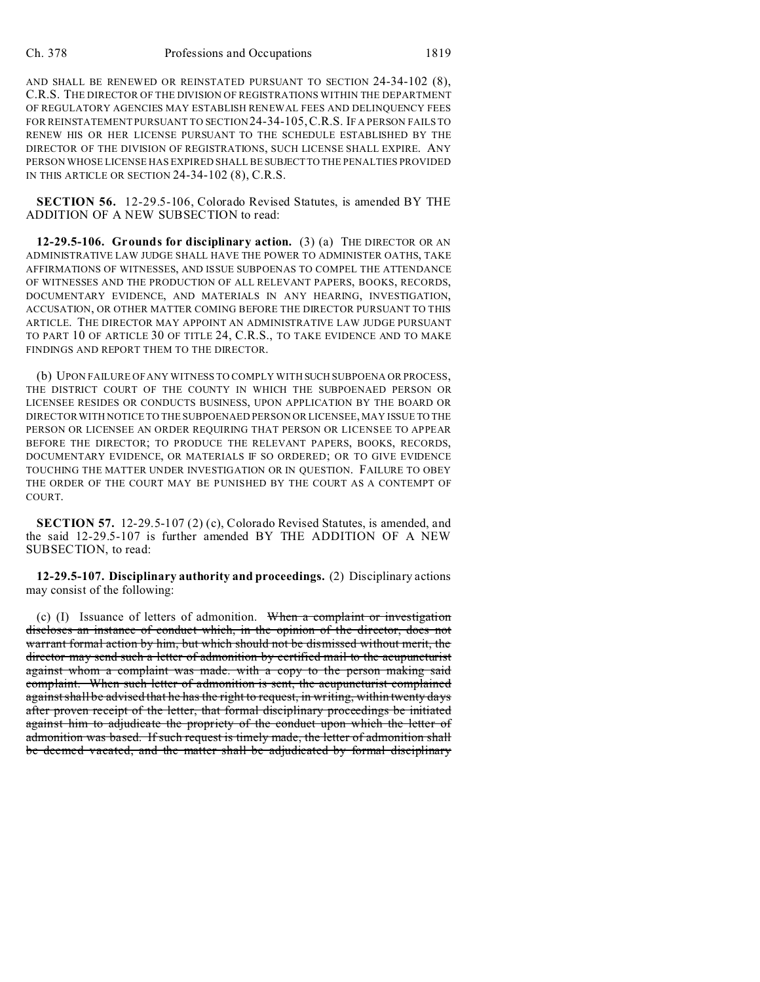AND SHALL BE RENEWED OR REINSTATED PURSUANT TO SECTION 24-34-102 (8), C.R.S. THE DIRECTOR OF THE DIVISION OF REGISTRATIONS WITHIN THE DEPARTMENT OF REGULATORY AGENCIES MAY ESTABLISH RENEWAL FEES AND DELINQUENCY FEES FOR REINSTATEMENT PURSUANT TO SECTION24-34-105,C.R.S. IF A PERSON FAILS TO RENEW HIS OR HER LICENSE PURSUANT TO THE SCHEDULE ESTABLISHED BY THE DIRECTOR OF THE DIVISION OF REGISTRATIONS, SUCH LICENSE SHALL EXPIRE. ANY PERSON WHOSE LICENSE HAS EXPIRED SHALL BE SUBJECTTO THE PENALTIES PROVIDED IN THIS ARTICLE OR SECTION 24-34-102 (8), C.R.S.

**SECTION 56.** 12-29.5-106, Colorado Revised Statutes, is amended BY THE ADDITION OF A NEW SUBSECTION to read:

**12-29.5-106. Grounds for disciplinary action.** (3) (a) THE DIRECTOR OR AN ADMINISTRATIVE LAW JUDGE SHALL HAVE THE POWER TO ADMINISTER OATHS, TAKE AFFIRMATIONS OF WITNESSES, AND ISSUE SUBPOENAS TO COMPEL THE ATTENDANCE OF WITNESSES AND THE PRODUCTION OF ALL RELEVANT PAPERS, BOOKS, RECORDS, DOCUMENTARY EVIDENCE, AND MATERIALS IN ANY HEARING, INVESTIGATION, ACCUSATION, OR OTHER MATTER COMING BEFORE THE DIRECTOR PURSUANT TO THIS ARTICLE. THE DIRECTOR MAY APPOINT AN ADMINISTRATIVE LAW JUDGE PURSUANT TO PART 10 OF ARTICLE 30 OF TITLE 24, C.R.S., TO TAKE EVIDENCE AND TO MAKE FINDINGS AND REPORT THEM TO THE DIRECTOR.

(b) UPON FAILURE OF ANY WITNESS TO COMPLY WITH SUCH SUBPOENA OR PROCESS, THE DISTRICT COURT OF THE COUNTY IN WHICH THE SUBPOENAED PERSON OR LICENSEE RESIDES OR CONDUCTS BUSINESS, UPON APPLICATION BY THE BOARD OR DIRECTOR WITH NOTICE TO THE SUBPOENAED PERSON OR LICENSEE, MAY ISSUE TO THE PERSON OR LICENSEE AN ORDER REQUIRING THAT PERSON OR LICENSEE TO APPEAR BEFORE THE DIRECTOR; TO PRODUCE THE RELEVANT PAPERS, BOOKS, RECORDS, DOCUMENTARY EVIDENCE, OR MATERIALS IF SO ORDERED; OR TO GIVE EVIDENCE TOUCHING THE MATTER UNDER INVESTIGATION OR IN QUESTION. FAILURE TO OBEY THE ORDER OF THE COURT MAY BE PUNISHED BY THE COURT AS A CONTEMPT OF COURT.

**SECTION 57.** 12-29.5-107 (2) (c), Colorado Revised Statutes, is amended, and the said 12-29.5-107 is further amended BY THE ADDITION OF A NEW SUBSECTION, to read:

**12-29.5-107. Disciplinary authority and proceedings.** (2) Disciplinary actions may consist of the following:

(c) (I) Issuance of letters of admonition. When a complaint or investigation discloses an instance of conduct which, in the opinion of the director, does not warrant formal action by him, but which should not be dismissed without merit, the director may send such a letter of admonition by certified mail to the acupuncturist against whom a complaint was made. with a copy to the person making said complaint. When such letter of admonition is sent, the acupuncturist complained against shall be advised that he has the right to request, in writing, within twenty days after proven receipt of the letter, that formal disciplinary proceedings be initiated against him to adjudicate the propriety of the conduct upon which the letter of admonition was based. If such request is timely made, the letter of admonition shall be deemed vacated, and the matter shall be adjudicated by formal disciplinary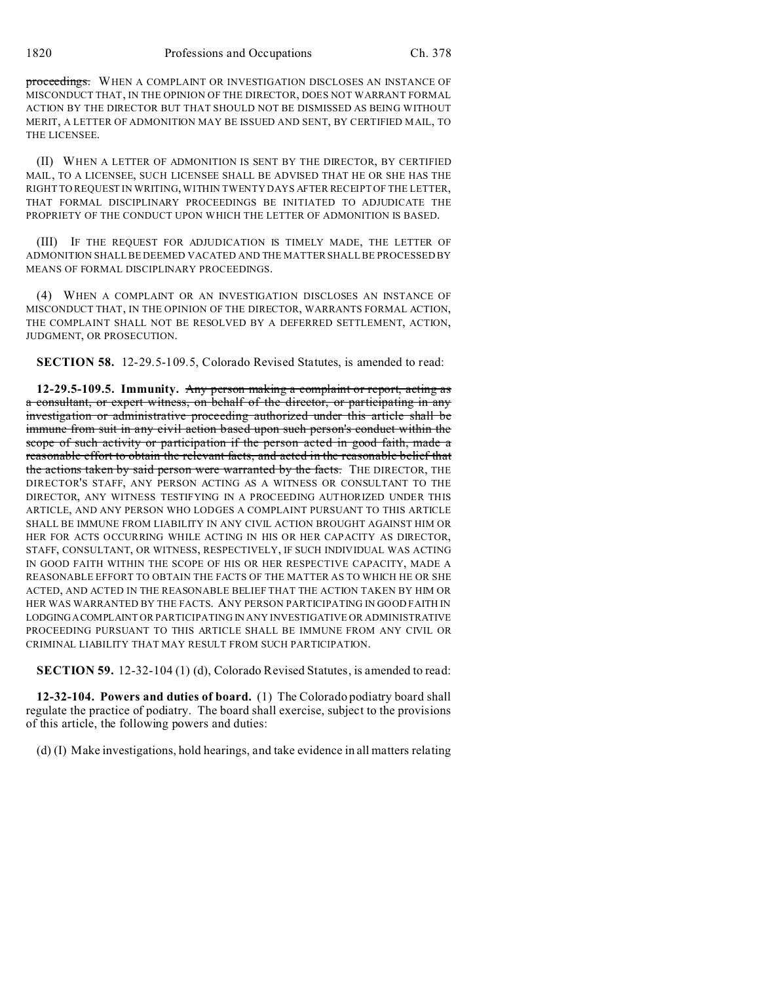1820 Professions and Occupations Ch. 378

proceedings. WHEN A COMPLAINT OR INVESTIGATION DISCLOSES AN INSTANCE OF MISCONDUCT THAT, IN THE OPINION OF THE DIRECTOR, DOES NOT WARRANT FORMAL ACTION BY THE DIRECTOR BUT THAT SHOULD NOT BE DISMISSED AS BEING WITHOUT MERIT, A LETTER OF ADMONITION MAY BE ISSUED AND SENT, BY CERTIFIED MAIL, TO THE LICENSEE.

(II) WHEN A LETTER OF ADMONITION IS SENT BY THE DIRECTOR, BY CERTIFIED MAIL, TO A LICENSEE, SUCH LICENSEE SHALL BE ADVISED THAT HE OR SHE HAS THE RIGHT TO REQUEST IN WRITING, WITHIN TWENTY DAYS AFTER RECEIPT OF THE LETTER, THAT FORMAL DISCIPLINARY PROCEEDINGS BE INITIATED TO ADJUDICATE THE PROPRIETY OF THE CONDUCT UPON WHICH THE LETTER OF ADMONITION IS BASED.

(III) IF THE REQUEST FOR ADJUDICATION IS TIMELY MADE, THE LETTER OF ADMONITION SHALL BE DEEMED VACATED AND THE MATTER SHALL BE PROCESSED BY MEANS OF FORMAL DISCIPLINARY PROCEEDINGS.

(4) WHEN A COMPLAINT OR AN INVESTIGATION DISCLOSES AN INSTANCE OF MISCONDUCT THAT, IN THE OPINION OF THE DIRECTOR, WARRANTS FORMAL ACTION, THE COMPLAINT SHALL NOT BE RESOLVED BY A DEFERRED SETTLEMENT, ACTION, JUDGMENT, OR PROSECUTION.

**SECTION 58.** 12-29.5-109.5, Colorado Revised Statutes, is amended to read:

**12-29.5-109.5. Immunity.** Any person making a complaint or report, acting as a consultant, or expert witness, on behalf of the director, or participating in any investigation or administrative proceeding authorized under this article shall be immune from suit in any civil action based upon such person's conduct within the scope of such activity or participation if the person acted in good faith, made a reasonable effort to obtain the relevant facts, and acted in the reasonable belief that the actions taken by said person were warranted by the facts. THE DIRECTOR, THE DIRECTOR'S STAFF, ANY PERSON ACTING AS A WITNESS OR CONSULTANT TO THE DIRECTOR, ANY WITNESS TESTIFYING IN A PROCEEDING AUTHORIZED UNDER THIS ARTICLE, AND ANY PERSON WHO LODGES A COMPLAINT PURSUANT TO THIS ARTICLE SHALL BE IMMUNE FROM LIABILITY IN ANY CIVIL ACTION BROUGHT AGAINST HIM OR HER FOR ACTS OCCURRING WHILE ACTING IN HIS OR HER CAPACITY AS DIRECTOR, STAFF, CONSULTANT, OR WITNESS, RESPECTIVELY, IF SUCH INDIVIDUAL WAS ACTING IN GOOD FAITH WITHIN THE SCOPE OF HIS OR HER RESPECTIVE CAPACITY, MADE A REASONABLE EFFORT TO OBTAIN THE FACTS OF THE MATTER AS TO WHICH HE OR SHE ACTED, AND ACTED IN THE REASONABLE BELIEF THAT THE ACTION TAKEN BY HIM OR HER WAS WARRANTED BY THE FACTS. ANY PERSON PARTICIPATING IN GOOD FAITH IN LODGINGACOMPLAINT OR PARTICIPATING IN ANY INVESTIGATIVE OR ADMINISTRATIVE PROCEEDING PURSUANT TO THIS ARTICLE SHALL BE IMMUNE FROM ANY CIVIL OR CRIMINAL LIABILITY THAT MAY RESULT FROM SUCH PARTICIPATION.

**SECTION 59.** 12-32-104 (1) (d), Colorado Revised Statutes, is amended to read:

**12-32-104. Powers and duties of board.** (1) The Colorado podiatry board shall regulate the practice of podiatry. The board shall exercise, subject to the provisions of this article, the following powers and duties:

(d) (I) Make investigations, hold hearings, and take evidence in all matters relating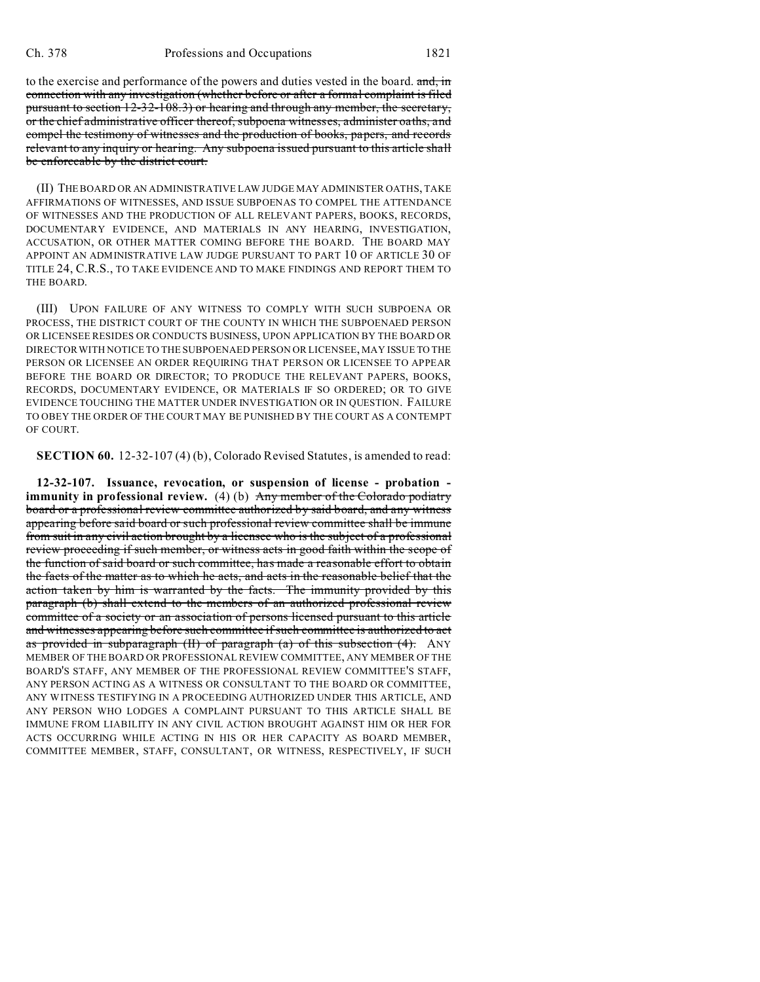to the exercise and performance of the powers and duties vested in the board. and, in connection with any investigation (whether before or after a formal complaint is filed pursuant to section 12-32-108.3) or hearing and through any member, the secretary, or the chief administrative officer thereof, subpoena witnesses, administer oaths, and compel the testimony of witnesses and the production of books, papers, and records relevant to any inquiry or hearing. Any subpoena issued pursuant to this article shall be enforceable by the district court.

(II) THE BOARD OR AN ADMINISTRATIVE LAW JUDGE MAY ADMINISTER OATHS, TAKE AFFIRMATIONS OF WITNESSES, AND ISSUE SUBPOENAS TO COMPEL THE ATTENDANCE OF WITNESSES AND THE PRODUCTION OF ALL RELEVANT PAPERS, BOOKS, RECORDS, DOCUMENTARY EVIDENCE, AND MATERIALS IN ANY HEARING, INVESTIGATION, ACCUSATION, OR OTHER MATTER COMING BEFORE THE BOARD. THE BOARD MAY APPOINT AN ADMINISTRATIVE LAW JUDGE PURSUANT TO PART 10 OF ARTICLE 30 OF TITLE 24, C.R.S., TO TAKE EVIDENCE AND TO MAKE FINDINGS AND REPORT THEM TO THE BOARD.

(III) UPON FAILURE OF ANY WITNESS TO COMPLY WITH SUCH SUBPOENA OR PROCESS, THE DISTRICT COURT OF THE COUNTY IN WHICH THE SUBPOENAED PERSON OR LICENSEE RESIDES OR CONDUCTS BUSINESS, UPON APPLICATION BY THE BOARD OR DIRECTOR WITH NOTICE TO THE SUBPOENAED PERSON OR LICENSEE, MAY ISSUE TO THE PERSON OR LICENSEE AN ORDER REQUIRING THAT PERSON OR LICENSEE TO APPEAR BEFORE THE BOARD OR DIRECTOR; TO PRODUCE THE RELEVANT PAPERS, BOOKS, RECORDS, DOCUMENTARY EVIDENCE, OR MATERIALS IF SO ORDERED; OR TO GIVE EVIDENCE TOUCHING THE MATTER UNDER INVESTIGATION OR IN QUESTION. FAILURE TO OBEY THE ORDER OF THE COURT MAY BE PUNISHED BY THE COURT AS A CONTEMPT OF COURT.

**SECTION 60.** 12-32-107 (4) (b), Colorado Revised Statutes, is amended to read:

**12-32-107. Issuance, revocation, or suspension of license - probation immunity in professional review.** (4) (b) Any member of the Colorado podiatry board or a professional review committee authorized by said board, and any witness appearing before said board or such professional review committee shall be immune from suit in any civil action brought by a licensee who is the subject of a professional review proceeding if such member, or witness acts in good faith within the scope of the function of said board or such committee, has made a reasonable effort to obtain the facts of the matter as to which he acts, and acts in the reasonable belief that the action taken by him is warranted by the facts. The immunity provided by this paragraph (b) shall extend to the members of an authorized professional review committee of a society or an association of persons licensed pursuant to this article and witnesses appearing before such committee if such committee is authorized to act as provided in subparagraph  $(H)$  of paragraph  $(a)$  of this subsection  $(4)$ . ANY MEMBER OF THE BOARD OR PROFESSIONAL REVIEW COMMITTEE, ANY MEMBER OF THE BOARD'S STAFF, ANY MEMBER OF THE PROFESSIONAL REVIEW COMMITTEE'S STAFF, ANY PERSON ACTING AS A WITNESS OR CONSULTANT TO THE BOARD OR COMMITTEE, ANY WITNESS TESTIFYING IN A PROCEEDING AUTHORIZED UNDER THIS ARTICLE, AND ANY PERSON WHO LODGES A COMPLAINT PURSUANT TO THIS ARTICLE SHALL BE IMMUNE FROM LIABILITY IN ANY CIVIL ACTION BROUGHT AGAINST HIM OR HER FOR ACTS OCCURRING WHILE ACTING IN HIS OR HER CAPACITY AS BOARD MEMBER, COMMITTEE MEMBER, STAFF, CONSULTANT, OR WITNESS, RESPECTIVELY, IF SUCH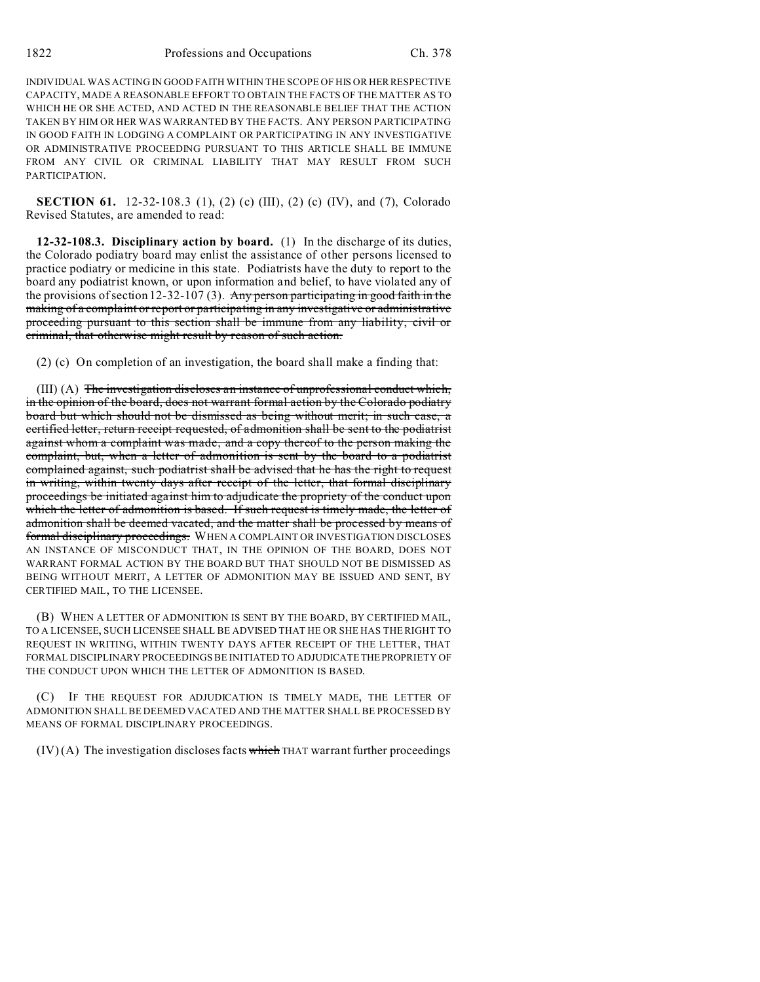INDIVIDUAL WAS ACTING IN GOOD FAITH WITHIN THE SCOPE OF HIS OR HERRESPECTIVE CAPACITY, MADE A REASONABLE EFFORT TO OBTAIN THE FACTS OF THE MATTER AS TO WHICH HE OR SHE ACTED, AND ACTED IN THE REASONABLE BELIEF THAT THE ACTION TAKEN BY HIM OR HER WAS WARRANTED BY THE FACTS. ANY PERSON PARTICIPATING IN GOOD FAITH IN LODGING A COMPLAINT OR PARTICIPATING IN ANY INVESTIGATIVE OR ADMINISTRATIVE PROCEEDING PURSUANT TO THIS ARTICLE SHALL BE IMMUNE FROM ANY CIVIL OR CRIMINAL LIABILITY THAT MAY RESULT FROM SUCH **PARTICIPATION** 

**SECTION 61.** 12-32-108.3 (1), (2) (c) (III), (2) (c) (IV), and (7), Colorado Revised Statutes, are amended to read:

**12-32-108.3. Disciplinary action by board.** (1) In the discharge of its duties, the Colorado podiatry board may enlist the assistance of other persons licensed to practice podiatry or medicine in this state. Podiatrists have the duty to report to the board any podiatrist known, or upon information and belief, to have violated any of the provisions of section 12-32-107 (3). Any person participating in good faith in the making of a complaint or report or participating in any investigative or administrative proceeding pursuant to this section shall be immune from any liability, civil or criminal, that otherwise might result by reason of such action.

(2) (c) On completion of an investigation, the board shall make a finding that:

(III) (A) The investigation discloses an instance of unprofessional conduct which, in the opinion of the board, does not warrant formal action by the Colorado podiatry board but which should not be dismissed as being without merit; in such case, a certified letter, return receipt requested, of admonition shall be sent to the podiatrist against whom a complaint was made, and a copy thereof to the person making the complaint, but, when a letter of admonition is sent by the board to a podiatrist complained against, such podiatrist shall be advised that he has the right to request in writing, within twenty days after receipt of the letter, that formal disciplinary proceedings be initiated against him to adjudicate the propriety of the conduct upon which the letter of admonition is based. If such request is timely made, the letter of admonition shall be deemed vacated, and the matter shall be processed by means of formal disciplinary proceedings. WHEN A COMPLAINT OR INVESTIGATION DISCLOSES AN INSTANCE OF MISCONDUCT THAT, IN THE OPINION OF THE BOARD, DOES NOT WARRANT FORMAL ACTION BY THE BOARD BUT THAT SHOULD NOT BE DISMISSED AS BEING WITHOUT MERIT, A LETTER OF ADMONITION MAY BE ISSUED AND SENT, BY CERTIFIED MAIL, TO THE LICENSEE.

(B) WHEN A LETTER OF ADMONITION IS SENT BY THE BOARD, BY CERTIFIED MAIL, TO A LICENSEE, SUCH LICENSEE SHALL BE ADVISED THAT HE OR SHE HAS THE RIGHT TO REQUEST IN WRITING, WITHIN TWENTY DAYS AFTER RECEIPT OF THE LETTER, THAT FORMAL DISCIPLINARY PROCEEDINGS BE INITIATED TO ADJUDICATE THEPROPRIETY OF THE CONDUCT UPON WHICH THE LETTER OF ADMONITION IS BASED.

(C) IF THE REQUEST FOR ADJUDICATION IS TIMELY MADE, THE LETTER OF ADMONITION SHALL BE DEEMED VACATED AND THE MATTER SHALL BE PROCESSED BY MEANS OF FORMAL DISCIPLINARY PROCEEDINGS.

 $(IV)$  (A) The investigation discloses facts which THAT warrant further proceedings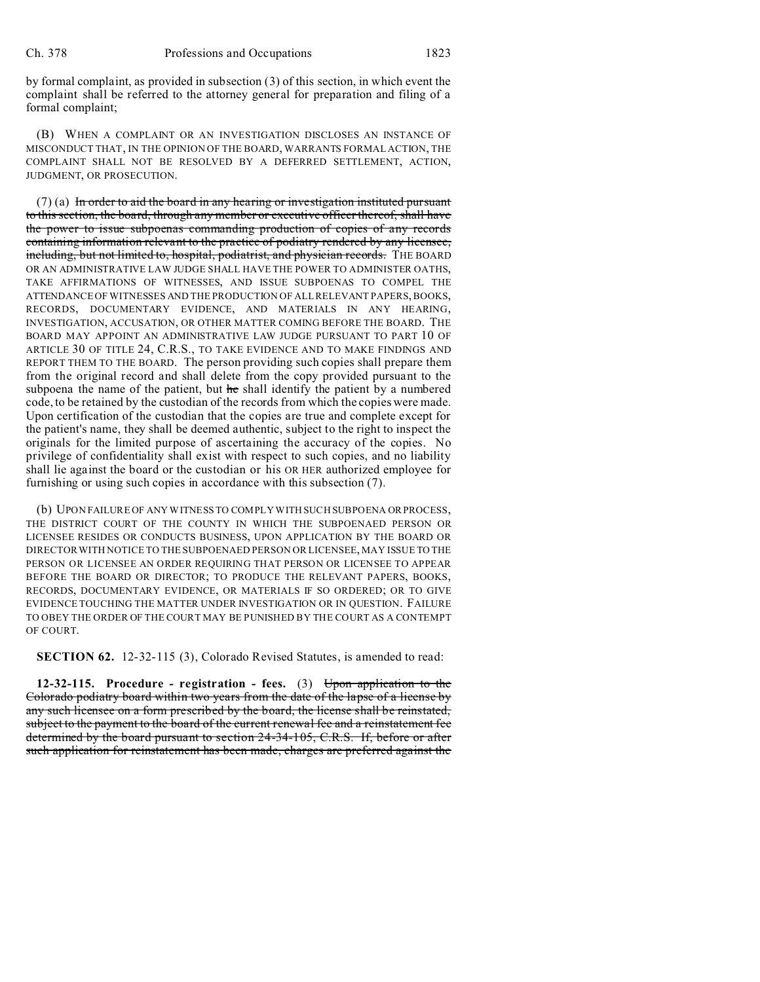by formal complaint, as provided in subsection (3) of this section, in which event the complaint shall be referred to the attorney general for preparation and filing of a formal complaint;

(B) WHEN A COMPLAINT OR AN INVESTIGATION DISCLOSES AN INSTANCE OF MISCONDUCT THAT, IN THE OPINION OF THE BOARD, WARRANTS FORMAL ACTION, THE COMPLAINT SHALL NOT BE RESOLVED BY A DEFERRED SETTLEMENT, ACTION, JUDGMENT, OR PROSECUTION.

 $(7)$  (a) In order to aid the board in any hearing or investigation instituted pursuant to this section, the board, through any member or executive officer thereof, shall have the power to issue subpoenas commanding production of copies of any records containing information relevant to the practice of podiatry rendered by any licensee, including, but not limited to, hospital, podiatrist, and physician records. THE BOARD OR AN ADMINISTRATIVE LAW JUDGE SHALL HAVE THE POWER TO ADMINISTER OATHS, TAKE AFFIRMATIONS OF WITNESSES, AND ISSUE SUBPOENAS TO COMPEL THE ATTENDANCE OF WITNESSES AND THE PRODUCTION OF ALL RELEVANT PAPERS, BOOKS, RECORDS, DOCUMENTARY EVIDENCE, AND MATERIALS IN ANY HEARING, INVESTIGATION, ACCUSATION, OR OTHER MATTER COMING BEFORE THE BOARD. THE BOARD MAY APPOINT AN ADMINISTRATIVE LAW JUDGE PURSUANT TO PART 10 OF ARTICLE 30 OF TITLE 24, C.R.S., TO TAKE EVIDENCE AND TO MAKE FINDINGS AND REPORT THEM TO THE BOARD. The person providing such copies shall prepare them from the original record and shall delete from the copy provided pursuant to the subpoena the name of the patient, but he shall identify the patient by a numbered code, to be retained by the custodian of the records from which the copies were made. Upon certification of the custodian that the copies are true and complete except for the patient's name, they shall be deemed authentic, subject to the right to inspect the originals for the limited purpose of ascertaining the accuracy of the copies. No privilege of confidentiality shall exist with respect to such copies, and no liability shall lie against the board or the custodian or his OR HER authorized employee for furnishing or using such copies in accordance with this subsection (7).

(b) UPON FAILURE OF ANY WITNESS TO COMPLY WITH SUCH SUBPOENA OR PROCESS, THE DISTRICT COURT OF THE COUNTY IN WHICH THE SUBPOENAED PERSON OR LICENSEE RESIDES OR CONDUCTS BUSINESS, UPON APPLICATION BY THE BOARD OR DIRECTOR WITH NOTICE TO THE SUBPOENAED PERSON OR LICENSEE, MAY ISSUE TO THE PERSON OR LICENSEE AN ORDER REQUIRING THAT PERSON OR LICENSEE TO APPEAR BEFORE THE BOARD OR DIRECTOR; TO PRODUCE THE RELEVANT PAPERS, BOOKS, RECORDS, DOCUMENTARY EVIDENCE, OR MATERIALS IF SO ORDERED; OR TO GIVE EVIDENCE TOUCHING THE MATTER UNDER INVESTIGATION OR IN QUESTION. FAILURE TO OBEY THE ORDER OF THE COURT MAY BE PUNISHED BY THE COURT AS A CONTEMPT OF COURT.

**SECTION 62.** 12-32-115 (3), Colorado Revised Statutes, is amended to read:

**12-32-115. Procedure - registration - fees.** (3) Upon application to the Colorado podiatry board within two years from the date of the lapse of a license by any such licensee on a form prescribed by the board, the license shall be reinstated, subject to the payment to the board of the current renewal fee and a reinstatement fee determined by the board pursuant to section 24-34-105, C.R.S. If, before or after such application for reinstatement has been made, charges are preferred against the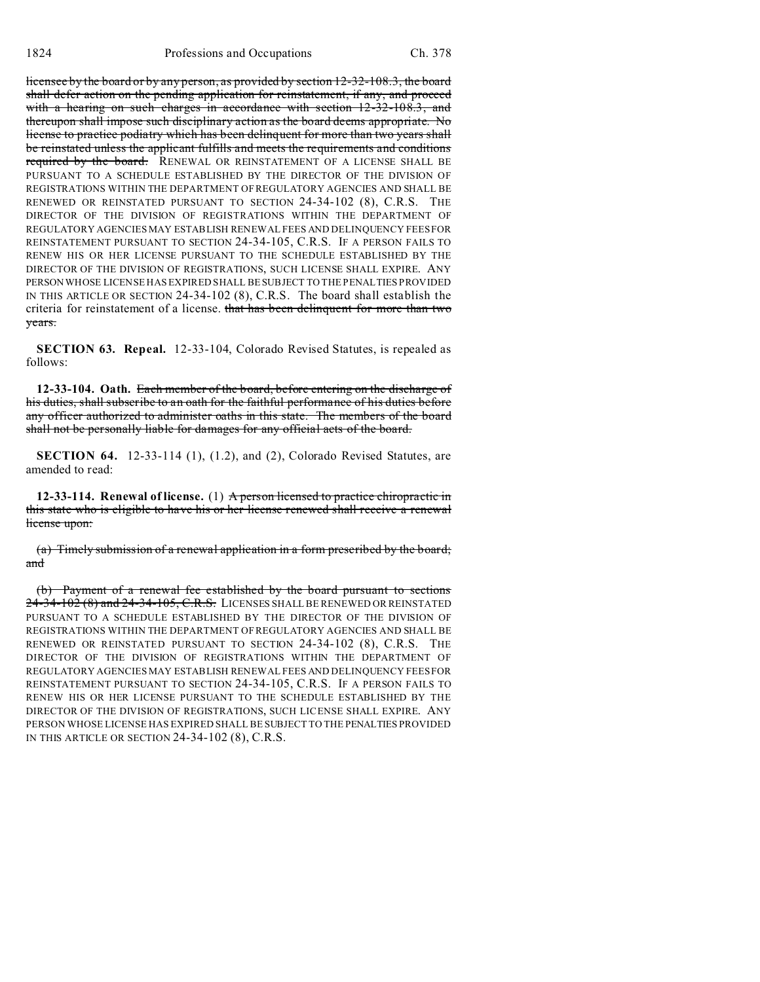licensee by the board or by any person, as provided by section 12-32-108.3, the board shall defer action on the pending application for reinstatement, if any, and proceed with a hearing on such charges in accordance with section 12-32-108.3, and thereupon shall impose such disciplinary action as the board deems appropriate. No license to practice podiatry which has been delinquent for more than two years shall be reinstated unless the applicant fulfills and meets the requirements and conditions required by the board. RENEWAL OR REINSTATEMENT OF A LICENSE SHALL BE PURSUANT TO A SCHEDULE ESTABLISHED BY THE DIRECTOR OF THE DIVISION OF REGISTRATIONS WITHIN THE DEPARTMENT OF REGULATORY AGENCIES AND SHALL BE RENEWED OR REINSTATED PURSUANT TO SECTION 24-34-102 (8), C.R.S. THE DIRECTOR OF THE DIVISION OF REGISTRATIONS WITHIN THE DEPARTMENT OF REGULATORY AGENCIES MAY ESTABLISH RENEWAL FEES AND DELINQUENCY FEES FOR REINSTATEMENT PURSUANT TO SECTION 24-34-105, C.R.S. IF A PERSON FAILS TO RENEW HIS OR HER LICENSE PURSUANT TO THE SCHEDULE ESTABLISHED BY THE DIRECTOR OF THE DIVISION OF REGISTRATIONS, SUCH LICENSE SHALL EXPIRE. ANY PERSON WHOSE LICENSE HAS EXPIRED SHALL BE SUBJECT TO THE PENALTIES PROVIDED IN THIS ARTICLE OR SECTION 24-34-102 (8), C.R.S. The board shall establish the criteria for reinstatement of a license. that has been delinquent for more than two years.

**SECTION 63. Repeal.** 12-33-104, Colorado Revised Statutes, is repealed as follows:

**12-33-104. Oath.** Each member of the board, before entering on the discharge of his duties, shall subscribe to an oath for the faithful performance of his duties before any officer authorized to administer oaths in this state. The members of the board shall not be personally liable for damages for any official acts of the board.

**SECTION 64.** 12-33-114 (1), (1.2), and (2), Colorado Revised Statutes, are amended to read:

**12-33-114. Renewal of license.** (1) A person licensed to practice chiropractic in this state who is eligible to have his or her license renewed shall receive a renewal license upon:

(a) Timely submission of a renewal application in a form prescribed by the board; and

(b) Payment of a renewal fee established by the board pursuant to sections 24-34-102 (8) and 24-34-105, C.R.S. LICENSES SHALL BE RENEWED OR REINSTATED PURSUANT TO A SCHEDULE ESTABLISHED BY THE DIRECTOR OF THE DIVISION OF REGISTRATIONS WITHIN THE DEPARTMENT OF REGULATORY AGENCIES AND SHALL BE RENEWED OR REINSTATED PURSUANT TO SECTION 24-34-102 (8), C.R.S. THE DIRECTOR OF THE DIVISION OF REGISTRATIONS WITHIN THE DEPARTMENT OF REGULATORY AGENCIES MAY ESTABLISH RENEWAL FEES AND DELINQUENCY FEES FOR REINSTATEMENT PURSUANT TO SECTION 24-34-105, C.R.S. IF A PERSON FAILS TO RENEW HIS OR HER LICENSE PURSUANT TO THE SCHEDULE ESTABLISHED BY THE DIRECTOR OF THE DIVISION OF REGISTRATIONS, SUCH LICENSE SHALL EXPIRE. ANY PERSON WHOSE LICENSE HAS EXPIRED SHALL BE SUBJECT TO THE PENALTIES PROVIDED IN THIS ARTICLE OR SECTION 24-34-102 (8), C.R.S.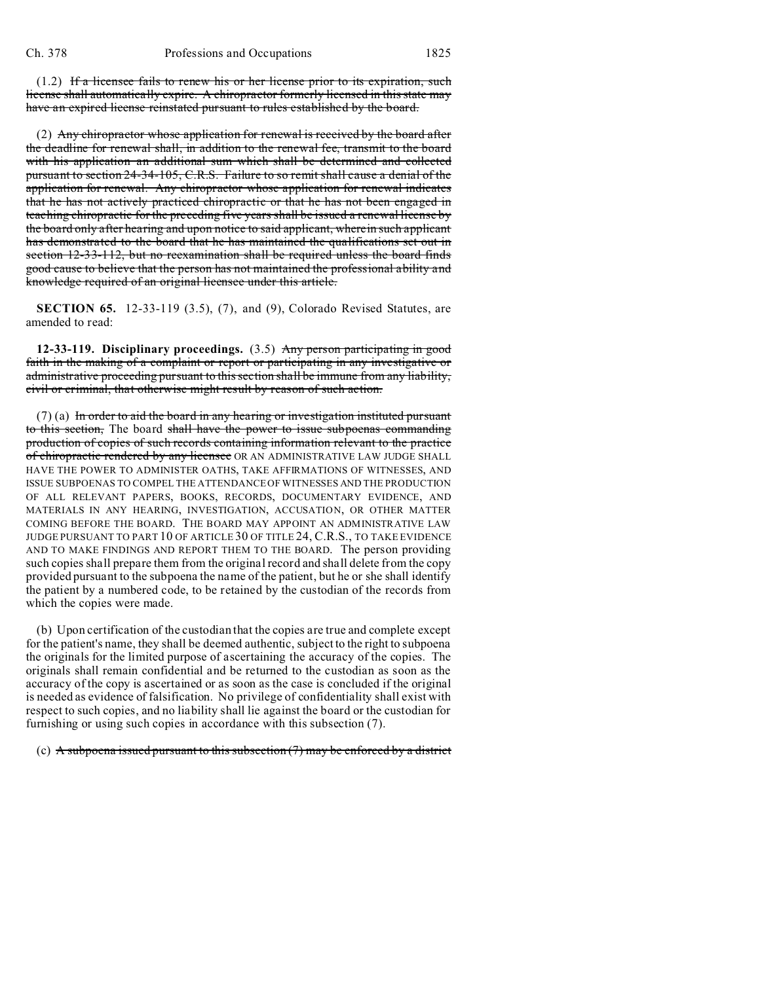(1.2) If a licensee fails to renew his or her license prior to its expiration, such license shall automatically expire. A chiropractor formerly licensed in this state may have an expired license reinstated pursuant to rules established by the board.

(2) Any chiropractor whose application for renewal is received by the board after the deadline for renewal shall, in addition to the renewal fee, transmit to the board with his application an additional sum which shall be determined and collected pursuant to section 24-34-105, C.R.S. Failure to so remit shall cause a denial of the application for renewal. Any chiropractor whose application for renewal indicates that he has not actively practiced chiropractic or that he has not been engaged in teaching chiropractic for the preceding five years shall be issued a renewal license by the board only after hearing and upon notice to said applicant, wherein such applicant has demonstrated to the board that he has maintained the qualifications set out in section 12-33-112, but no reexamination shall be required unless the board finds good cause to believe that the person has not maintained the professional ability and knowledge required of an original licensee under this article.

**SECTION 65.** 12-33-119 (3.5), (7), and (9), Colorado Revised Statutes, are amended to read:

**12-33-119. Disciplinary proceedings.** (3.5) Any person participating in good faith in the making of a complaint or report or participating in any investigative or administrative proceeding pursuant to this section shall be immune from any liability, civil or criminal, that otherwise might result by reason of such action.

 $(7)$  (a) In order to aid the board in any hearing or investigation instituted pursuant to this section, The board shall have the power to issue subpoenas commanding production of copies of such records containing information relevant to the practice of chiropractic rendered by any licensee OR AN ADMINISTRATIVE LAW JUDGE SHALL HAVE THE POWER TO ADMINISTER OATHS, TAKE AFFIRMATIONS OF WITNESSES, AND ISSUE SUBPOENAS TO COMPEL THE ATTENDANCE OF WITNESSES AND THE PRODUCTION OF ALL RELEVANT PAPERS, BOOKS, RECORDS, DOCUMENTARY EVIDENCE, AND MATERIALS IN ANY HEARING, INVESTIGATION, ACCUSATION, OR OTHER MATTER COMING BEFORE THE BOARD. THE BOARD MAY APPOINT AN ADMINISTRATIVE LAW JUDGE PURSUANT TO PART 10 OF ARTICLE 30 OF TITLE 24, C.R.S., TO TAKE EVIDENCE AND TO MAKE FINDINGS AND REPORT THEM TO THE BOARD. The person providing such copies shall prepare them from the original record and shall delete from the copy provided pursuant to the subpoena the name of the patient, but he or she shall identify the patient by a numbered code, to be retained by the custodian of the records from which the copies were made.

(b) Upon certification of the custodian that the copies are true and complete except for the patient's name, they shall be deemed authentic, subject to the right to subpoena the originals for the limited purpose of ascertaining the accuracy of the copies. The originals shall remain confidential and be returned to the custodian as soon as the accuracy of the copy is ascertained or as soon as the case is concluded if the original is needed as evidence of falsification. No privilege of confidentiality shall exist with respect to such copies, and no liability shall lie against the board or the custodian for furnishing or using such copies in accordance with this subsection (7).

(c) A subpoena issued pursuant to this subsection  $(7)$  may be enforced by a district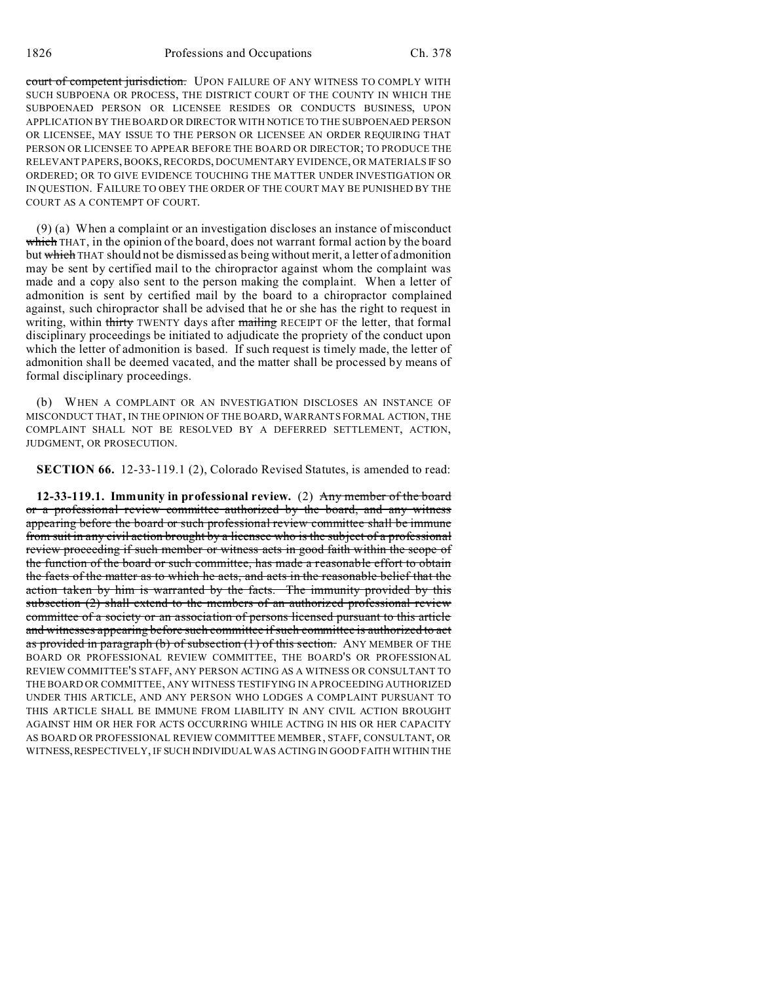court of competent jurisdiction. UPON FAILURE OF ANY WITNESS TO COMPLY WITH SUCH SUBPOENA OR PROCESS, THE DISTRICT COURT OF THE COUNTY IN WHICH THE SUBPOENAED PERSON OR LICENSEE RESIDES OR CONDUCTS BUSINESS, UPON APPLICATION BY THE BOARD OR DIRECTOR WITH NOTICE TO THE SUBPOENAED PERSON OR LICENSEE, MAY ISSUE TO THE PERSON OR LICENSEE AN ORDER REQUIRING THAT PERSON OR LICENSEE TO APPEAR BEFORE THE BOARD OR DIRECTOR; TO PRODUCE THE RELEVANT PAPERS, BOOKS, RECORDS, DOCUMENTARY EVIDENCE, OR MATERIALS IF SO ORDERED; OR TO GIVE EVIDENCE TOUCHING THE MATTER UNDER INVESTIGATION OR IN QUESTION. FAILURE TO OBEY THE ORDER OF THE COURT MAY BE PUNISHED BY THE COURT AS A CONTEMPT OF COURT.

(9) (a) When a complaint or an investigation discloses an instance of misconduct which THAT, in the opinion of the board, does not warrant formal action by the board but which THAT should not be dismissed as being without merit, a letter of admonition may be sent by certified mail to the chiropractor against whom the complaint was made and a copy also sent to the person making the complaint. When a letter of admonition is sent by certified mail by the board to a chiropractor complained against, such chiropractor shall be advised that he or she has the right to request in writing, within thirty TWENTY days after mailing RECEIPT OF the letter, that formal disciplinary proceedings be initiated to adjudicate the propriety of the conduct upon which the letter of admonition is based. If such request is timely made, the letter of admonition shall be deemed vacated, and the matter shall be processed by means of formal disciplinary proceedings.

(b) WHEN A COMPLAINT OR AN INVESTIGATION DISCLOSES AN INSTANCE OF MISCONDUCT THAT, IN THE OPINION OF THE BOARD, WARRANTS FORMAL ACTION, THE COMPLAINT SHALL NOT BE RESOLVED BY A DEFERRED SETTLEMENT, ACTION, JUDGMENT, OR PROSECUTION.

**SECTION 66.** 12-33-119.1 (2), Colorado Revised Statutes, is amended to read:

**12-33-119.1. Immunity in professional review.** (2) Any member of the board or a professional review committee authorized by the board, and any witness appearing before the board or such professional review committee shall be immune from suit in any civil action brought by a licensee who is the subject of a professional review proceeding if such member or witness acts in good faith within the scope of the function of the board or such committee, has made a reasonable effort to obtain the facts of the matter as to which he acts, and acts in the reasonable belief that the action taken by him is warranted by the facts. The immunity provided by this subsection (2) shall extend to the members of an authorized professional review committee of a society or an association of persons licensed pursuant to this article and witnesses appearing before such committee if such committee is authorized to act as provided in paragraph (b) of subsection (1) of this section. ANY MEMBER OF THE BOARD OR PROFESSIONAL REVIEW COMMITTEE, THE BOARD'S OR PROFESSIONAL REVIEW COMMITTEE'S STAFF, ANY PERSON ACTING AS A WITNESS OR CONSULTANT TO THE BOARD OR COMMITTEE, ANY WITNESS TESTIFYING IN A PROCEEDING AUTHORIZED UNDER THIS ARTICLE, AND ANY PERSON WHO LODGES A COMPLAINT PURSUANT TO THIS ARTICLE SHALL BE IMMUNE FROM LIABILITY IN ANY CIVIL ACTION BROUGHT AGAINST HIM OR HER FOR ACTS OCCURRING WHILE ACTING IN HIS OR HER CAPACITY AS BOARD OR PROFESSIONAL REVIEW COMMITTEE MEMBER, STAFF, CONSULTANT, OR WITNESS,RESPECTIVELY, IF SUCH INDIVIDUAL WAS ACTING IN GOOD FAITH WITHIN THE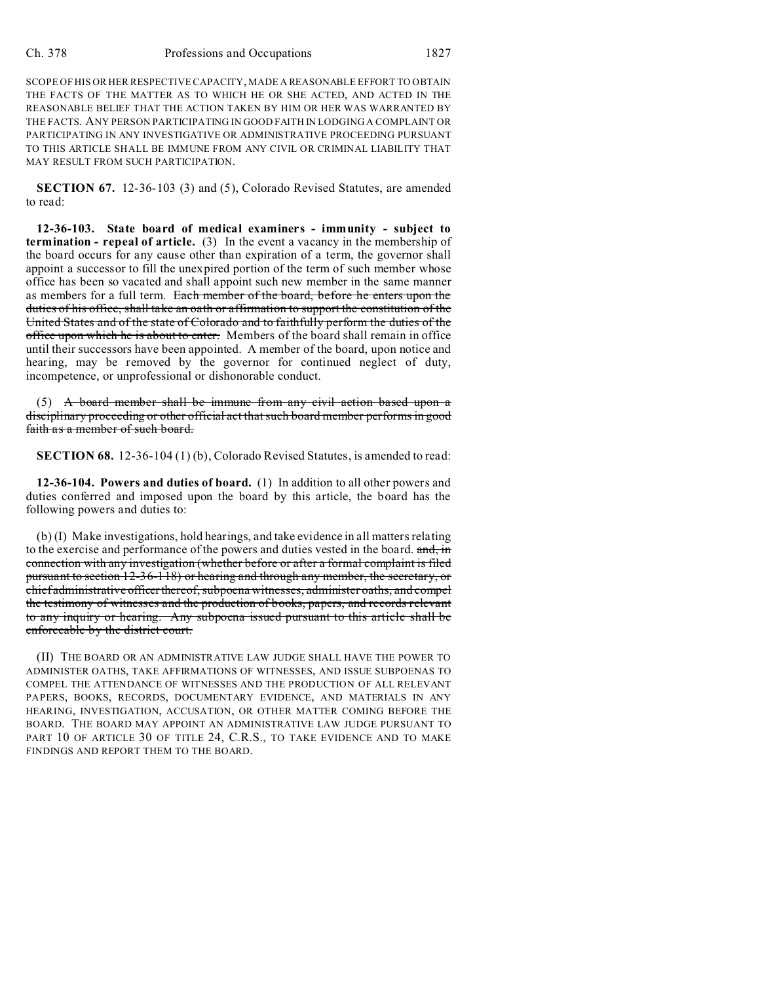SCOPE OF HIS OR HER RESPECTIVE CAPACITY, MADE A REASONABLE EFFORT TO OBTAIN THE FACTS OF THE MATTER AS TO WHICH HE OR SHE ACTED, AND ACTED IN THE REASONABLE BELIEF THAT THE ACTION TAKEN BY HIM OR HER WAS WARRANTED BY THE FACTS. ANY PERSON PARTICIPATING IN GOOD FAITH IN LODGING A COMPLAINT OR PARTICIPATING IN ANY INVESTIGATIVE OR ADMINISTRATIVE PROCEEDING PURSUANT TO THIS ARTICLE SHALL BE IMMUNE FROM ANY CIVIL OR CRIMINAL LIABILITY THAT MAY RESULT FROM SUCH PARTICIPATION.

**SECTION 67.** 12-36-103 (3) and (5), Colorado Revised Statutes, are amended to read:

**12-36-103. State board of medical examiners - immunity - subject to termination - repeal of article.** (3) In the event a vacancy in the membership of the board occurs for any cause other than expiration of a term, the governor shall appoint a successor to fill the unexpired portion of the term of such member whose office has been so vacated and shall appoint such new member in the same manner as members for a full term. Each member of the board, before he enters upon the duties of his office, shall take an oath or affirmation to support the constitution of the United States and of the state of Colorado and to faithfully perform the duties of the office upon which he is about to enter. Members of the board shall remain in office until their successors have been appointed. A member of the board, upon notice and hearing, may be removed by the governor for continued neglect of duty, incompetence, or unprofessional or dishonorable conduct.

(5) A board member shall be immune from any civil action based upon a disciplinary proceeding or other official act that such board member performs in good faith as a member of such board.

**SECTION 68.** 12-36-104 (1) (b), Colorado Revised Statutes, is amended to read:

**12-36-104. Powers and duties of board.** (1) In addition to all other powers and duties conferred and imposed upon the board by this article, the board has the following powers and duties to:

(b) (I) Make investigations, hold hearings, and take evidence in all matters relating to the exercise and performance of the powers and duties vested in the board. and, in connection with any investigation (whether before or after a formal complaint is filed pursuant to section 12-36-118) or hearing and through any member, the secretary, or chief administrative officer thereof, subpoena witnesses, administer oaths, and compel the testimony of witnesses and the production of books, papers, and records relevant to any inquiry or hearing. Any subpoena issued pursuant to this article shall be enforceable by the district court.

(II) THE BOARD OR AN ADMINISTRATIVE LAW JUDGE SHALL HAVE THE POWER TO ADMINISTER OATHS, TAKE AFFIRMATIONS OF WITNESSES, AND ISSUE SUBPOENAS TO COMPEL THE ATTENDANCE OF WITNESSES AND THE PRODUCTION OF ALL RELEVANT PAPERS, BOOKS, RECORDS, DOCUMENTARY EVIDENCE, AND MATERIALS IN ANY HEARING, INVESTIGATION, ACCUSATION, OR OTHER MATTER COMING BEFORE THE BOARD. THE BOARD MAY APPOINT AN ADMINISTRATIVE LAW JUDGE PURSUANT TO PART 10 OF ARTICLE 30 OF TITLE 24, C.R.S., TO TAKE EVIDENCE AND TO MAKE FINDINGS AND REPORT THEM TO THE BOARD.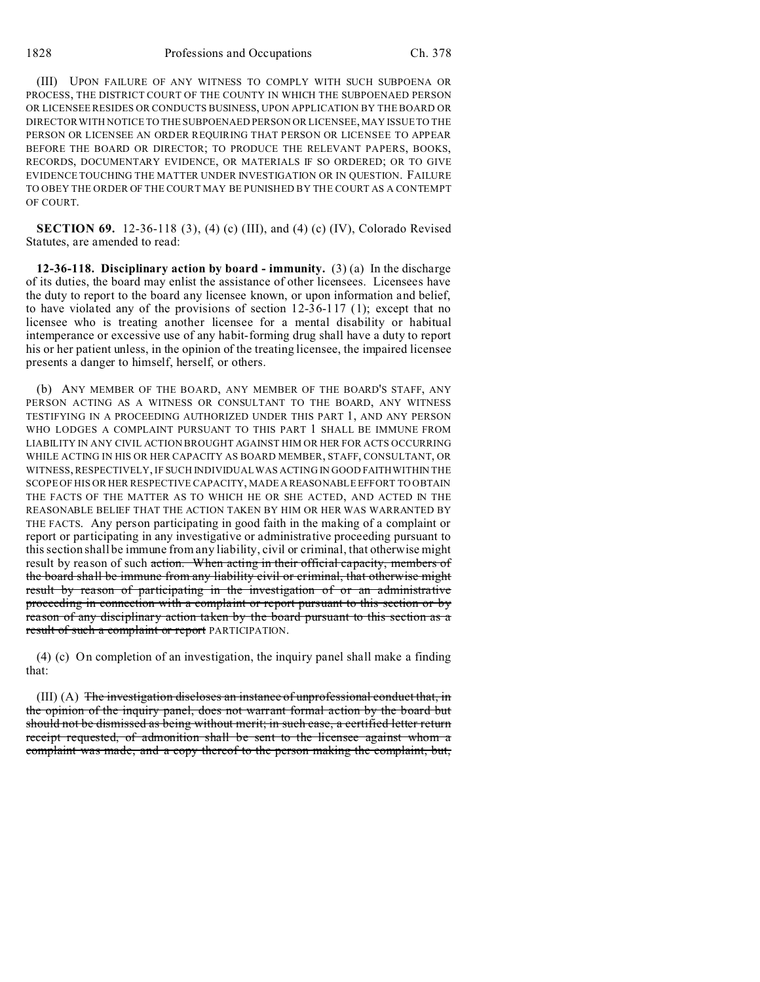(III) UPON FAILURE OF ANY WITNESS TO COMPLY WITH SUCH SUBPOENA OR PROCESS, THE DISTRICT COURT OF THE COUNTY IN WHICH THE SUBPOENAED PERSON OR LICENSEE RESIDES OR CONDUCTS BUSINESS, UPON APPLICATION BY THE BOARD OR DIRECTOR WITH NOTICE TO THE SUBPOENAED PERSON OR LICENSEE, MAY ISSUE TO THE PERSON OR LICENSEE AN ORDER REQUIRING THAT PERSON OR LICENSEE TO APPEAR BEFORE THE BOARD OR DIRECTOR; TO PRODUCE THE RELEVANT PAPERS, BOOKS, RECORDS, DOCUMENTARY EVIDENCE, OR MATERIALS IF SO ORDERED; OR TO GIVE EVIDENCE TOUCHING THE MATTER UNDER INVESTIGATION OR IN QUESTION. FAILURE TO OBEY THE ORDER OF THE COURT MAY BE PUNISHED BY THE COURT AS A CONTEMPT OF COURT.

**SECTION 69.** 12-36-118 (3), (4) (c) (III), and (4) (c) (IV), Colorado Revised Statutes, are amended to read:

**12-36-118. Disciplinary action by board - immunity.** (3) (a) In the discharge of its duties, the board may enlist the assistance of other licensees. Licensees have the duty to report to the board any licensee known, or upon information and belief, to have violated any of the provisions of section 12-36-117 (1); except that no licensee who is treating another licensee for a mental disability or habitual intemperance or excessive use of any habit-forming drug shall have a duty to report his or her patient unless, in the opinion of the treating licensee, the impaired licensee presents a danger to himself, herself, or others.

(b) ANY MEMBER OF THE BOARD, ANY MEMBER OF THE BOARD'S STAFF, ANY PERSON ACTING AS A WITNESS OR CONSULTANT TO THE BOARD, ANY WITNESS TESTIFYING IN A PROCEEDING AUTHORIZED UNDER THIS PART 1, AND ANY PERSON WHO LODGES A COMPLAINT PURSUANT TO THIS PART 1 SHALL BE IMMUNE FROM LIABILITY IN ANY CIVIL ACTION BROUGHT AGAINST HIM OR HER FOR ACTS OCCURRING WHILE ACTING IN HIS OR HER CAPACITY AS BOARD MEMBER, STAFF, CONSULTANT, OR WITNESS, RESPECTIVELY, IF SUCH INDIVIDUAL WAS ACTING IN GOOD FAITHWITHIN THE SCOPE OF HIS OR HER RESPECTIVE CAPACITY, MADE A REASONABLE EFFORT TO OBTAIN THE FACTS OF THE MATTER AS TO WHICH HE OR SHE ACTED, AND ACTED IN THE REASONABLE BELIEF THAT THE ACTION TAKEN BY HIM OR HER WAS WARRANTED BY THE FACTS. Any person participating in good faith in the making of a complaint or report or participating in any investigative or administrative proceeding pursuant to this section shall be immune from any liability, civil or criminal, that otherwise might result by reason of such action. When acting in their official capacity, members of the board shall be immune from any liability civil or criminal, that otherwise might result by reason of participating in the investigation of or an administrative proceeding in connection with a complaint or report pursuant to this section or by reason of any disciplinary action taken by the board pursuant to this section as a result of such a complaint or report PARTICIPATION.

(4) (c) On completion of an investigation, the inquiry panel shall make a finding that:

(III) (A) The investigation discloses an instance of unprofessional conduct that, in the opinion of the inquiry panel, does not warrant formal action by the board but should not be dismissed as being without merit; in such case, a certified letter return receipt requested, of admonition shall be sent to the licensee against whom a complaint was made, and a copy thereof to the person making the complaint, but,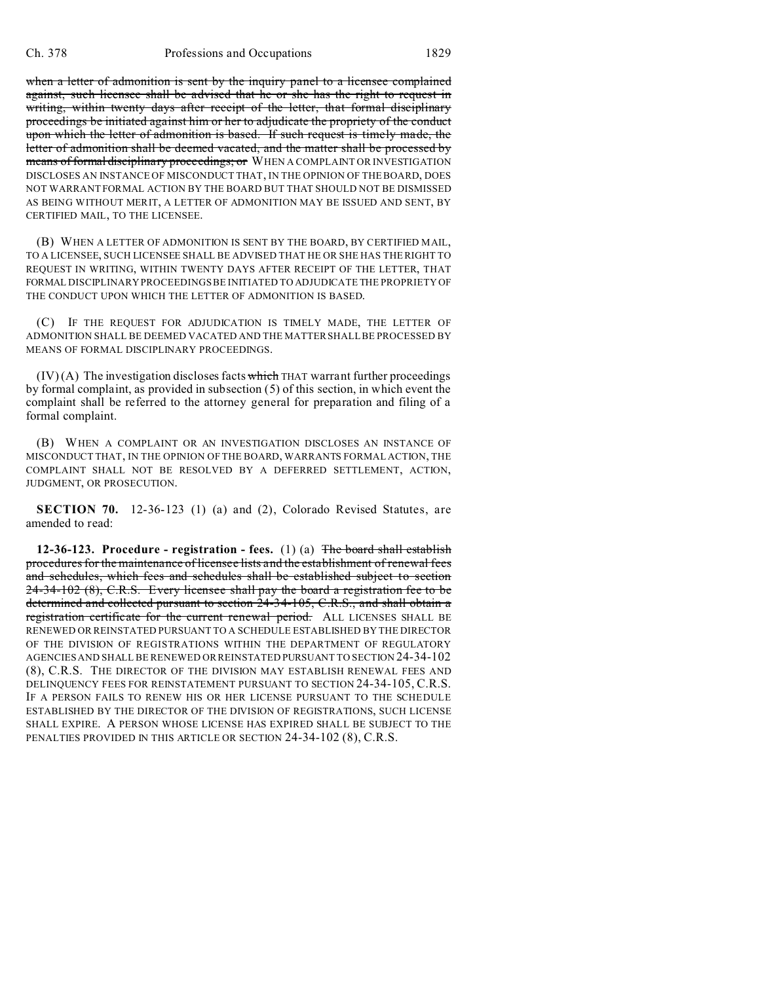when a letter of admonition is sent by the inquiry panel to a licensee complained against, such licensee shall be advised that he or she has the right to request in writing, within twenty days after receipt of the letter, that formal disciplinary proceedings be initiated against him or her to adjudicate the propriety of the conduct upon which the letter of admonition is based. If such request is timely made, the letter of admonition shall be deemed vacated, and the matter shall be processed by means of formal disciplinary proceedings; or WHEN A COMPLAINT OR INVESTIGATION DISCLOSES AN INSTANCE OF MISCONDUCT THAT, IN THE OPINION OF THE BOARD, DOES NOT WARRANT FORMAL ACTION BY THE BOARD BUT THAT SHOULD NOT BE DISMISSED AS BEING WITHOUT MERIT, A LETTER OF ADMONITION MAY BE ISSUED AND SENT, BY CERTIFIED MAIL, TO THE LICENSEE.

(B) WHEN A LETTER OF ADMONITION IS SENT BY THE BOARD, BY CERTIFIED MAIL, TO A LICENSEE, SUCH LICENSEE SHALL BE ADVISED THAT HE OR SHE HAS THE RIGHT TO REQUEST IN WRITING, WITHIN TWENTY DAYS AFTER RECEIPT OF THE LETTER, THAT FORMAL DISCIPLINARY PROCEEDINGS BE INITIATED TO ADJUDICATE THE PROPRIETY OF THE CONDUCT UPON WHICH THE LETTER OF ADMONITION IS BASED.

(C) IF THE REQUEST FOR ADJUDICATION IS TIMELY MADE, THE LETTER OF ADMONITION SHALL BE DEEMED VACATED AND THE MATTER SHALL BE PROCESSED BY MEANS OF FORMAL DISCIPLINARY PROCEEDINGS.

 $(IV)$  (A) The investigation discloses facts which THAT warrant further proceedings by formal complaint, as provided in subsection (5) of this section, in which event the complaint shall be referred to the attorney general for preparation and filing of a formal complaint.

(B) WHEN A COMPLAINT OR AN INVESTIGATION DISCLOSES AN INSTANCE OF MISCONDUCT THAT, IN THE OPINION OF THE BOARD, WARRANTS FORMAL ACTION, THE COMPLAINT SHALL NOT BE RESOLVED BY A DEFERRED SETTLEMENT, ACTION, JUDGMENT, OR PROSECUTION.

**SECTION 70.** 12-36-123 (1) (a) and (2), Colorado Revised Statutes, are amended to read:

**12-36-123. Procedure - registration - fees.** (1) (a) The board shall establish procedures for the maintenance of licensee lists and the establishment of renewal fees and schedules, which fees and schedules shall be established subject to section 24-34-102 (8), C.R.S. Every licensee shall pay the board a registration fee to be determined and collected pursuant to section 24-34-105, C.R.S., and shall obtain a registration certificate for the current renewal period. ALL LICENSES SHALL BE RENEWED OR REINSTATED PURSUANT TO A SCHEDULE ESTABLISHED BY THE DIRECTOR OF THE DIVISION OF REGISTRATIONS WITHIN THE DEPARTMENT OF REGULATORY AGENCIES AND SHALL BE RENEWED OR REINSTATED PURSUANT TO SECTION 24-34-102 (8), C.R.S. THE DIRECTOR OF THE DIVISION MAY ESTABLISH RENEWAL FEES AND DELINQUENCY FEES FOR REINSTATEMENT PURSUANT TO SECTION 24-34-105, C.R.S. IF A PERSON FAILS TO RENEW HIS OR HER LICENSE PURSUANT TO THE SCHEDULE ESTABLISHED BY THE DIRECTOR OF THE DIVISION OF REGISTRATIONS, SUCH LICENSE SHALL EXPIRE. A PERSON WHOSE LICENSE HAS EXPIRED SHALL BE SUBJECT TO THE PENALTIES PROVIDED IN THIS ARTICLE OR SECTION 24-34-102 (8), C.R.S.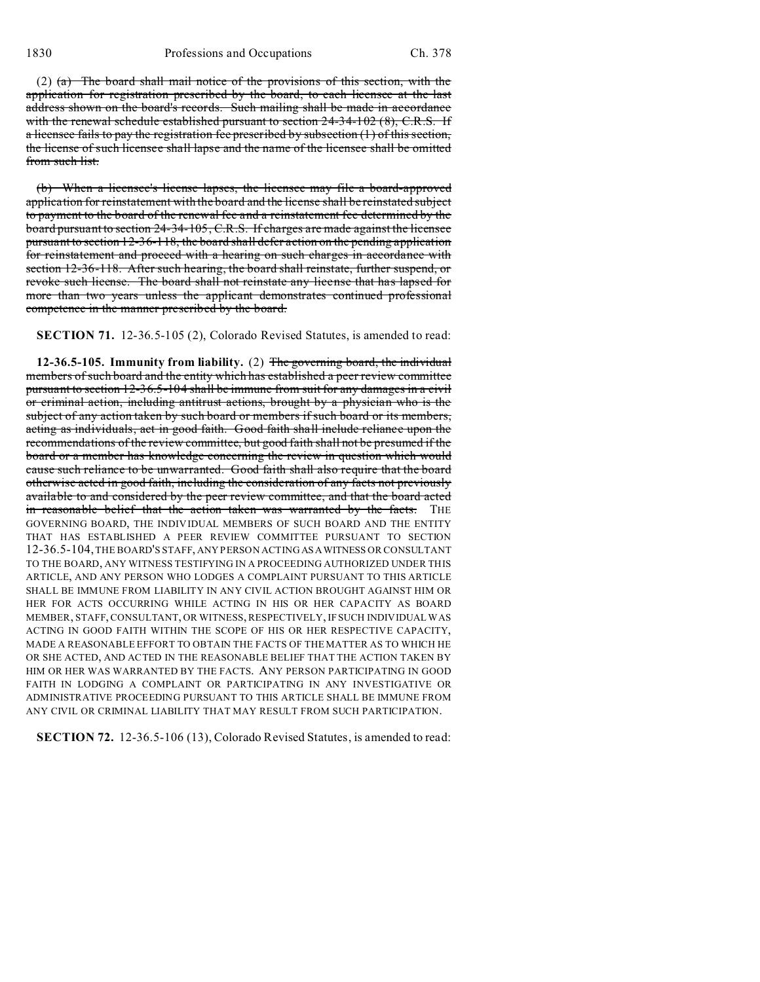(2)  $(a)$  The board shall mail notice of the provisions of this section, with the application for registration prescribed by the board, to each licensee at the last address shown on the board's records. Such mailing shall be made in accordance with the renewal schedule established pursuant to section 24-34-102 (8), C.R.S. If a licensee fails to pay the registration fee prescribed by subsection (1) of this section, the license of such licensee shall lapse and the name of the licensee shall be omitted from such list.

(b) When a licensee's license lapses, the licensee may file a board-approved application for reinstatement with the board and the license shall be reinstated subject to payment to the board of the renewal fee and a reinstatement fee determined by the board pursuant to section 24-34-105, C.R.S. If charges are made against the licensee pursuant to section 12-36-118, the board shall defer action on the pending application for reinstatement and proceed with a hearing on such charges in accordance with section 12-36-118. After such hearing, the board shall reinstate, further suspend, or revoke such license. The board shall not reinstate any license that has lapsed for more than two years unless the applicant demonstrates continued professional competence in the manner prescribed by the board.

**SECTION 71.** 12-36.5-105 (2), Colorado Revised Statutes, is amended to read:

**12-36.5-105. Immunity from liability.** (2) The governing board, the individual members of such board and the entity which has established a peer review committee pursuant to section 12-36.5-104 shall be immune from suit for any damages in a civil or criminal action, including antitrust actions, brought by a physician who is the subject of any action taken by such board or members if such board or its members, acting as individuals, act in good faith. Good faith shall include reliance upon the recommendations of the review committee, but good faith shall not be presumed if the board or a member has knowledge concerning the review in question which would cause such reliance to be unwarranted. Good faith shall also require that the board otherwise acted in good faith, including the consideration of any facts not previously available to and considered by the peer review committee, and that the board acted in reasonable belief that the action taken was warranted by the facts. THE GOVERNING BOARD, THE INDIVIDUAL MEMBERS OF SUCH BOARD AND THE ENTITY THAT HAS ESTABLISHED A PEER REVIEW COMMITTEE PURSUANT TO SECTION 12-36.5-104, THE BOARD'S STAFF, ANY PERSON ACTING ASAWITNESS OR CONSULTANT TO THE BOARD, ANY WITNESS TESTIFYING IN A PROCEEDING AUTHORIZED UNDER THIS ARTICLE, AND ANY PERSON WHO LODGES A COMPLAINT PURSUANT TO THIS ARTICLE SHALL BE IMMUNE FROM LIABILITY IN ANY CIVIL ACTION BROUGHT AGAINST HIM OR HER FOR ACTS OCCURRING WHILE ACTING IN HIS OR HER CAPACITY AS BOARD MEMBER, STAFF, CONSULTANT, OR WITNESS, RESPECTIVELY, IF SUCH INDIVIDUAL WAS ACTING IN GOOD FAITH WITHIN THE SCOPE OF HIS OR HER RESPECTIVE CAPACITY, MADE A REASONABLE EFFORT TO OBTAIN THE FACTS OF THE MATTER AS TO WHICH HE OR SHE ACTED, AND ACTED IN THE REASONABLE BELIEF THAT THE ACTION TAKEN BY HIM OR HER WAS WARRANTED BY THE FACTS. ANY PERSON PARTICIPATING IN GOOD FAITH IN LODGING A COMPLAINT OR PARTICIPATING IN ANY INVESTIGATIVE OR ADMINISTRATIVE PROCEEDING PURSUANT TO THIS ARTICLE SHALL BE IMMUNE FROM ANY CIVIL OR CRIMINAL LIABILITY THAT MAY RESULT FROM SUCH PARTICIPATION.

**SECTION 72.** 12-36.5-106 (13), Colorado Revised Statutes, is amended to read: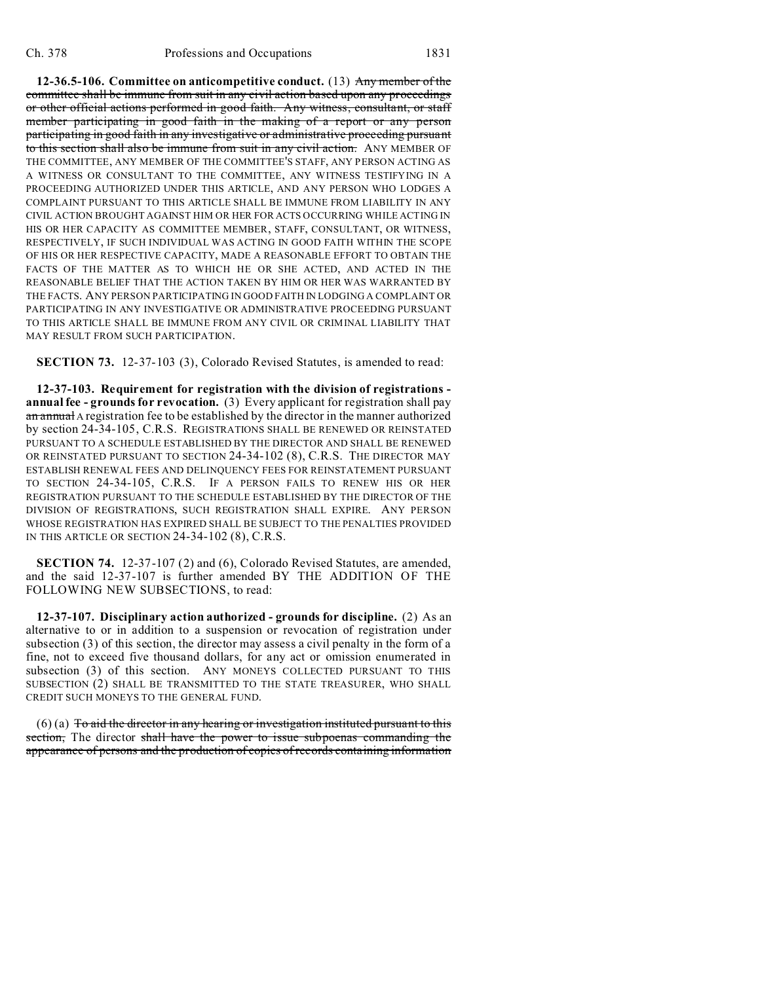**12-36.5-106. Committee on anticompetitive conduct.** (13) Any member of the committee shall be immune from suit in any civil action based upon any proceedings or other official actions performed in good faith. Any witness, consultant, or staff member participating in good faith in the making of a report or any person participating in good faith in any investigative or administrative proceeding pursuant to this section shall also be immune from suit in any civil action. ANY MEMBER OF THE COMMITTEE, ANY MEMBER OF THE COMMITTEE'S STAFF, ANY PERSON ACTING AS A WITNESS OR CONSULTANT TO THE COMMITTEE, ANY WITNESS TESTIFYING IN A PROCEEDING AUTHORIZED UNDER THIS ARTICLE, AND ANY PERSON WHO LODGES A COMPLAINT PURSUANT TO THIS ARTICLE SHALL BE IMMUNE FROM LIABILITY IN ANY CIVIL ACTION BROUGHT AGAINST HIM OR HER FOR ACTS OCCURRING WHILE ACTING IN HIS OR HER CAPACITY AS COMMITTEE MEMBER, STAFF, CONSULTANT, OR WITNESS, RESPECTIVELY, IF SUCH INDIVIDUAL WAS ACTING IN GOOD FAITH WITHIN THE SCOPE OF HIS OR HER RESPECTIVE CAPACITY, MADE A REASONABLE EFFORT TO OBTAIN THE FACTS OF THE MATTER AS TO WHICH HE OR SHE ACTED, AND ACTED IN THE REASONABLE BELIEF THAT THE ACTION TAKEN BY HIM OR HER WAS WARRANTED BY THE FACTS. ANY PERSON PARTICIPATING IN GOOD FAITH IN LODGING A COMPLAINT OR PARTICIPATING IN ANY INVESTIGATIVE OR ADMINISTRATIVE PROCEEDING PURSUANT TO THIS ARTICLE SHALL BE IMMUNE FROM ANY CIVIL OR CRIMINAL LIABILITY THAT MAY RESULT FROM SUCH PARTICIPATION.

**SECTION 73.** 12-37-103 (3), Colorado Revised Statutes, is amended to read:

**12-37-103. Requirement for registration with the division of registrations annual fee - grounds for revocation.** (3) Every applicant for registration shall pay an annual A registration fee to be established by the director in the manner authorized by section 24-34-105, C.R.S. REGISTRATIONS SHALL BE RENEWED OR REINSTATED PURSUANT TO A SCHEDULE ESTABLISHED BY THE DIRECTOR AND SHALL BE RENEWED OR REINSTATED PURSUANT TO SECTION 24-34-102 (8), C.R.S. THE DIRECTOR MAY ESTABLISH RENEWAL FEES AND DELINQUENCY FEES FOR REINSTATEMENT PURSUANT TO SECTION 24-34-105, C.R.S. IF A PERSON FAILS TO RENEW HIS OR HER REGISTRATION PURSUANT TO THE SCHEDULE ESTABLISHED BY THE DIRECTOR OF THE DIVISION OF REGISTRATIONS, SUCH REGISTRATION SHALL EXPIRE. ANY PERSON WHOSE REGISTRATION HAS EXPIRED SHALL BE SUBJECT TO THE PENALTIES PROVIDED IN THIS ARTICLE OR SECTION 24-34-102 (8), C.R.S.

**SECTION 74.** 12-37-107 (2) and (6), Colorado Revised Statutes, are amended, and the said 12-37-107 is further amended BY THE ADDITION OF THE FOLLOWING NEW SUBSECTIONS, to read:

**12-37-107. Disciplinary action authorized - grounds for discipline.** (2) As an alternative to or in addition to a suspension or revocation of registration under subsection (3) of this section, the director may assess a civil penalty in the form of a fine, not to exceed five thousand dollars, for any act or omission enumerated in subsection (3) of this section. ANY MONEYS COLLECTED PURSUANT TO THIS SUBSECTION (2) SHALL BE TRANSMITTED TO THE STATE TREASURER, WHO SHALL CREDIT SUCH MONEYS TO THE GENERAL FUND.

 $(6)$  (a) To aid the director in any hearing or investigation instituted pursuant to this section, The director shall have the power to issue subpoenas commanding the appearance of persons and the production of copies of records containing information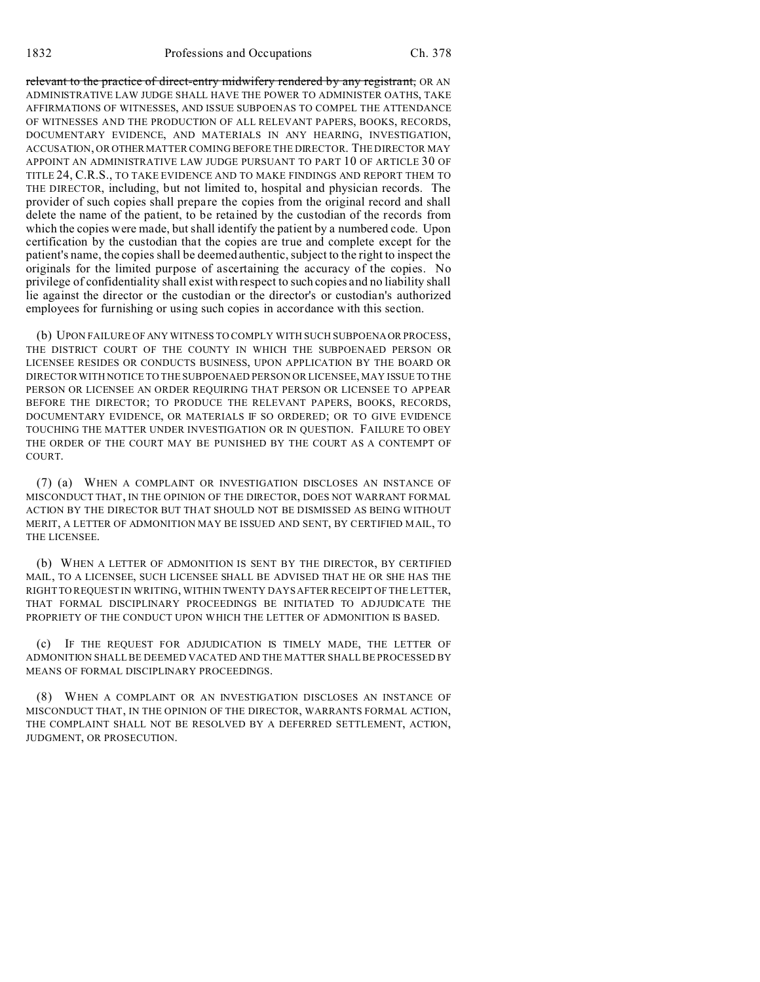relevant to the practice of direct-entry midwifery rendered by any registrant, OR AN ADMINISTRATIVE LAW JUDGE SHALL HAVE THE POWER TO ADMINISTER OATHS, TAKE AFFIRMATIONS OF WITNESSES, AND ISSUE SUBPOENAS TO COMPEL THE ATTENDANCE OF WITNESSES AND THE PRODUCTION OF ALL RELEVANT PAPERS, BOOKS, RECORDS, DOCUMENTARY EVIDENCE, AND MATERIALS IN ANY HEARING, INVESTIGATION, ACCUSATION, OR OTHER MATTER COMING BEFORE THE DIRECTOR. THE DIRECTOR MAY APPOINT AN ADMINISTRATIVE LAW JUDGE PURSUANT TO PART 10 OF ARTICLE 30 OF TITLE 24, C.R.S., TO TAKE EVIDENCE AND TO MAKE FINDINGS AND REPORT THEM TO THE DIRECTOR, including, but not limited to, hospital and physician records. The provider of such copies shall prepare the copies from the original record and shall delete the name of the patient, to be retained by the custodian of the records from which the copies were made, but shall identify the patient by a numbered code. Upon certification by the custodian that the copies are true and complete except for the patient's name, the copies shall be deemed authentic, subject to the right to inspect the originals for the limited purpose of ascertaining the accuracy of the copies. No privilege of confidentiality shall exist with respect to such copies and no liability shall lie against the director or the custodian or the director's or custodian's authorized employees for furnishing or using such copies in accordance with this section.

(b) UPON FAILURE OF ANY WITNESS TO COMPLY WITH SUCH SUBPOENAOR PROCESS, THE DISTRICT COURT OF THE COUNTY IN WHICH THE SUBPOENAED PERSON OR LICENSEE RESIDES OR CONDUCTS BUSINESS, UPON APPLICATION BY THE BOARD OR DIRECTOR WITH NOTICE TO THE SUBPOENAED PERSON OR LICENSEE, MAY ISSUE TO THE PERSON OR LICENSEE AN ORDER REQUIRING THAT PERSON OR LICENSEE TO APPEAR BEFORE THE DIRECTOR; TO PRODUCE THE RELEVANT PAPERS, BOOKS, RECORDS, DOCUMENTARY EVIDENCE, OR MATERIALS IF SO ORDERED; OR TO GIVE EVIDENCE TOUCHING THE MATTER UNDER INVESTIGATION OR IN QUESTION. FAILURE TO OBEY THE ORDER OF THE COURT MAY BE PUNISHED BY THE COURT AS A CONTEMPT OF COURT.

(7) (a) WHEN A COMPLAINT OR INVESTIGATION DISCLOSES AN INSTANCE OF MISCONDUCT THAT, IN THE OPINION OF THE DIRECTOR, DOES NOT WARRANT FORMAL ACTION BY THE DIRECTOR BUT THAT SHOULD NOT BE DISMISSED AS BEING WITHOUT MERIT, A LETTER OF ADMONITION MAY BE ISSUED AND SENT, BY CERTIFIED MAIL, TO THE LICENSEE.

(b) WHEN A LETTER OF ADMONITION IS SENT BY THE DIRECTOR, BY CERTIFIED MAIL, TO A LICENSEE, SUCH LICENSEE SHALL BE ADVISED THAT HE OR SHE HAS THE RIGHT TO REQUEST IN WRITING, WITHIN TWENTY DAYS AFTER RECEIPT OF THE LETTER, THAT FORMAL DISCIPLINARY PROCEEDINGS BE INITIATED TO ADJUDICATE THE PROPRIETY OF THE CONDUCT UPON WHICH THE LETTER OF ADMONITION IS BASED.

(c) IF THE REQUEST FOR ADJUDICATION IS TIMELY MADE, THE LETTER OF ADMONITION SHALL BE DEEMED VACATED AND THE MATTER SHALL BE PROCESSED BY MEANS OF FORMAL DISCIPLINARY PROCEEDINGS.

(8) WHEN A COMPLAINT OR AN INVESTIGATION DISCLOSES AN INSTANCE OF MISCONDUCT THAT, IN THE OPINION OF THE DIRECTOR, WARRANTS FORMAL ACTION, THE COMPLAINT SHALL NOT BE RESOLVED BY A DEFERRED SETTLEMENT, ACTION, JUDGMENT, OR PROSECUTION.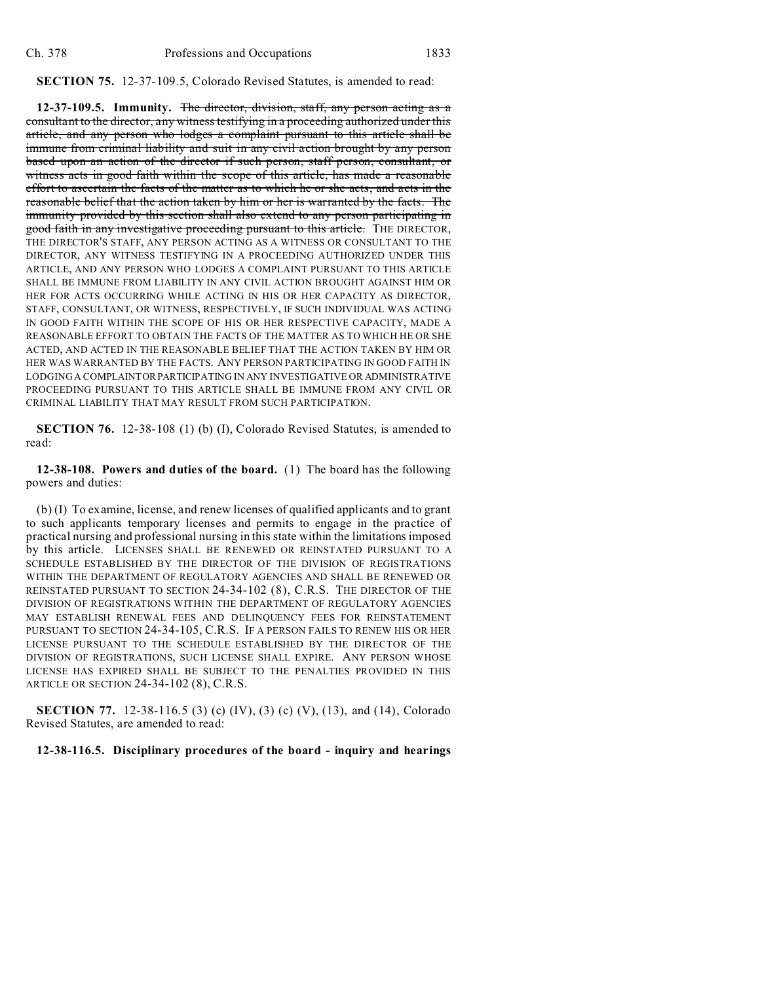## **SECTION 75.** 12-37-109.5, Colorado Revised Statutes, is amended to read:

**12-37-109.5. Immunity.** The director, division, staff, any person acting as a consultant to the director, any witness testifying in a proceeding authorized under this article, and any person who lodges a complaint pursuant to this article shall be immune from criminal liability and suit in any civil action brought by any person based upon an action of the director if such person, staff person, consultant, or witness acts in good faith within the scope of this article, has made a reasonable effort to ascertain the facts of the matter as to which he or she acts, and acts in the reasonable belief that the action taken by him or her is warranted by the facts. The immunity provided by this section shall also extend to any person participating in good faith in any investigative proceeding pursuant to this article. THE DIRECTOR, THE DIRECTOR'S STAFF, ANY PERSON ACTING AS A WITNESS OR CONSULTANT TO THE DIRECTOR, ANY WITNESS TESTIFYING IN A PROCEEDING AUTHORIZED UNDER THIS ARTICLE, AND ANY PERSON WHO LODGES A COMPLAINT PURSUANT TO THIS ARTICLE SHALL BE IMMUNE FROM LIABILITY IN ANY CIVIL ACTION BROUGHT AGAINST HIM OR HER FOR ACTS OCCURRING WHILE ACTING IN HIS OR HER CAPACITY AS DIRECTOR, STAFF, CONSULTANT, OR WITNESS, RESPECTIVELY, IF SUCH INDIVIDUAL WAS ACTING IN GOOD FAITH WITHIN THE SCOPE OF HIS OR HER RESPECTIVE CAPACITY, MADE A REASONABLE EFFORT TO OBTAIN THE FACTS OF THE MATTER AS TO WHICH HE OR SHE ACTED, AND ACTED IN THE REASONABLE BELIEF THAT THE ACTION TAKEN BY HIM OR HER WAS WARRANTED BY THE FACTS. ANY PERSON PARTICIPATING IN GOOD FAITH IN LODGING A COMPLAINTORPARTICIPATING IN ANY INVESTIGATIVE OR ADMINISTRATIVE PROCEEDING PURSUANT TO THIS ARTICLE SHALL BE IMMUNE FROM ANY CIVIL OR CRIMINAL LIABILITY THAT MAY RESULT FROM SUCH PARTICIPATION.

**SECTION 76.** 12-38-108 (1) (b) (I), Colorado Revised Statutes, is amended to read:

**12-38-108. Powers and duties of the board.** (1) The board has the following powers and duties:

(b) (I) To examine, license, and renew licenses of qualified applicants and to grant to such applicants temporary licenses and permits to engage in the practice of practical nursing and professional nursing in this state within the limitations imposed by this article. LICENSES SHALL BE RENEWED OR REINSTATED PURSUANT TO A SCHEDULE ESTABLISHED BY THE DIRECTOR OF THE DIVISION OF REGISTRATIONS WITHIN THE DEPARTMENT OF REGULATORY AGENCIES AND SHALL BE RENEWED OR REINSTATED PURSUANT TO SECTION 24-34-102 (8), C.R.S. THE DIRECTOR OF THE DIVISION OF REGISTRATIONS WITHIN THE DEPARTMENT OF REGULATORY AGENCIES MAY ESTABLISH RENEWAL FEES AND DELINQUENCY FEES FOR REINSTATEMENT PURSUANT TO SECTION 24-34-105, C.R.S. IF A PERSON FAILS TO RENEW HIS OR HER LICENSE PURSUANT TO THE SCHEDULE ESTABLISHED BY THE DIRECTOR OF THE DIVISION OF REGISTRATIONS, SUCH LICENSE SHALL EXPIRE. ANY PERSON WHOSE LICENSE HAS EXPIRED SHALL BE SUBJECT TO THE PENALTIES PROVIDED IN THIS ARTICLE OR SECTION 24-34-102 (8), C.R.S.

**SECTION 77.** 12-38-116.5 (3) (c) (IV), (3) (c) (V), (13), and (14), Colorado Revised Statutes, are amended to read:

## **12-38-116.5. Disciplinary procedures of the board - inquiry and hearings**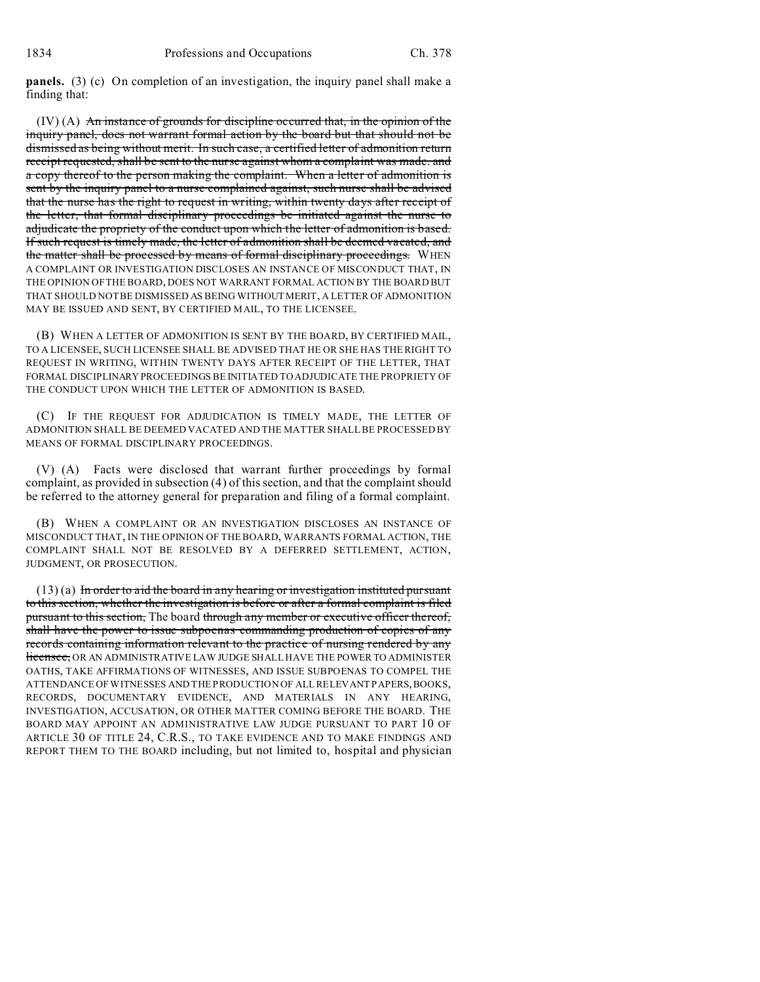**panels.** (3) (c) On completion of an investigation, the inquiry panel shall make a finding that:

(IV) (A) An instance of grounds for discipline occurred that, in the opinion of the inquiry panel, does not warrant formal action by the board but that should not be dismissed as being without merit. In such case, a certified letter of admonition return receipt requested, shall be sent to the nurse against whom a complaint was made. and a copy thereof to the person making the complaint. When a letter of admonition is sent by the inquiry panel to a nurse complained against, such nurse shall be advised that the nurse has the right to request in writing, within twenty days after receipt of the letter, that formal disciplinary proceedings be initiated against the nurse to adjudicate the propriety of the conduct upon which the letter of admonition is based. If such request is timely made, the letter of admonition shall be deemed vacated, and the matter shall be processed by means of formal disciplinary proceedings. WHEN A COMPLAINT OR INVESTIGATION DISCLOSES AN INSTANCE OF MISCONDUCT THAT, IN THE OPINION OF THE BOARD, DOES NOT WARRANT FORMAL ACTION BY THE BOARD BUT THAT SHOULD NOT BE DISMISSED AS BEING WITHOUT MERIT, A LETTER OF ADMONITION MAY BE ISSUED AND SENT, BY CERTIFIED MAIL, TO THE LICENSEE.

(B) WHEN A LETTER OF ADMONITION IS SENT BY THE BOARD, BY CERTIFIED MAIL, TO A LICENSEE, SUCH LICENSEE SHALL BE ADVISED THAT HE OR SHE HAS THE RIGHT TO REQUEST IN WRITING, WITHIN TWENTY DAYS AFTER RECEIPT OF THE LETTER, THAT FORMAL DISCIPLINARY PROCEEDINGS BE INITIATED TO ADJUDICATE THE PROPRIETY OF THE CONDUCT UPON WHICH THE LETTER OF ADMONITION IS BASED.

(C) IF THE REQUEST FOR ADJUDICATION IS TIMELY MADE, THE LETTER OF ADMONITION SHALL BE DEEMED VACATED AND THE MATTER SHALL BE PROCESSED BY MEANS OF FORMAL DISCIPLINARY PROCEEDINGS.

(V) (A) Facts were disclosed that warrant further proceedings by formal complaint, as provided in subsection (4) of this section, and that the complaint should be referred to the attorney general for preparation and filing of a formal complaint.

(B) WHEN A COMPLAINT OR AN INVESTIGATION DISCLOSES AN INSTANCE OF MISCONDUCT THAT, IN THE OPINION OF THE BOARD, WARRANTS FORMAL ACTION, THE COMPLAINT SHALL NOT BE RESOLVED BY A DEFERRED SETTLEMENT, ACTION, JUDGMENT, OR PROSECUTION.

 $(13)(a)$  In order to aid the board in any hearing or investigation instituted pursuant to this section, whether the investigation is before or after a formal complaint is filed pursuant to this section, The board through any member or executive officer thereof, shall have the power to issue subpoenas commanding production of copies of any records containing information relevant to the practice of nursing rendered by any licensee, OR AN ADMINISTRATIVE LAW JUDGE SHALL HAVE THE POWER TO ADMINISTER OATHS, TAKE AFFIRMATIONS OF WITNESSES, AND ISSUE SUBPOENAS TO COMPEL THE ATTENDANCE OF WITNESSES AND THE PRODUCTION OF ALL RELEVANT PAPERS,BOOKS, RECORDS, DOCUMENTARY EVIDENCE, AND MATERIALS IN ANY HEARING, INVESTIGATION, ACCUSATION, OR OTHER MATTER COMING BEFORE THE BOARD. THE BOARD MAY APPOINT AN ADMINISTRATIVE LAW JUDGE PURSUANT TO PART 10 OF ARTICLE 30 OF TITLE 24, C.R.S., TO TAKE EVIDENCE AND TO MAKE FINDINGS AND REPORT THEM TO THE BOARD including, but not limited to, hospital and physician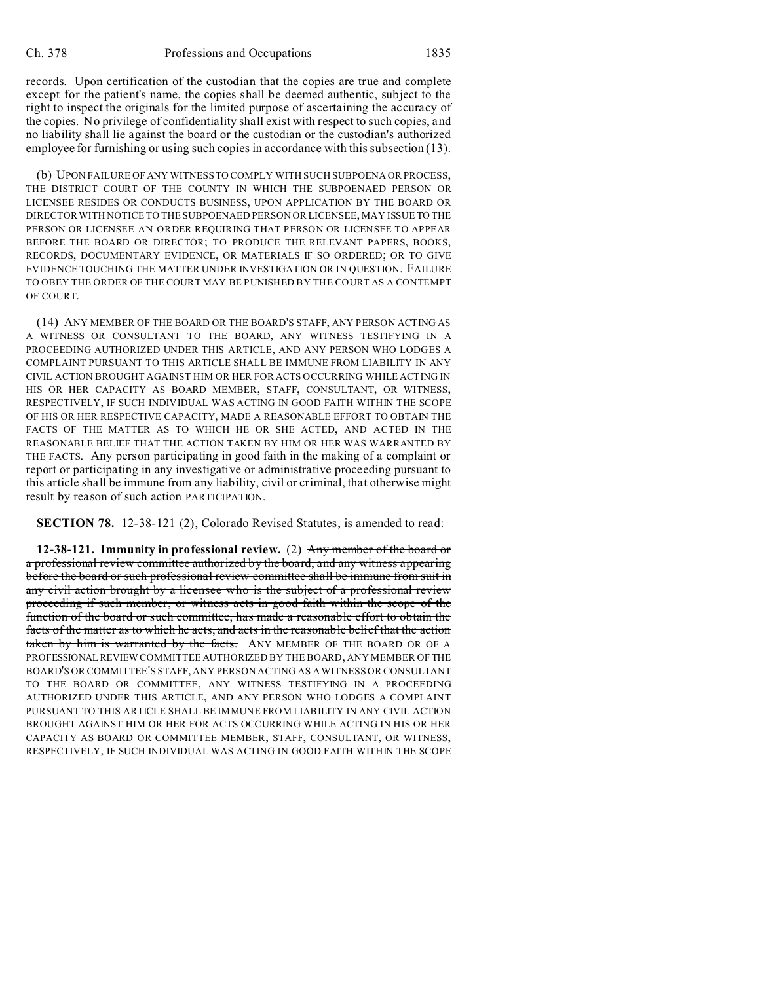records. Upon certification of the custodian that the copies are true and complete except for the patient's name, the copies shall be deemed authentic, subject to the right to inspect the originals for the limited purpose of ascertaining the accuracy of the copies. No privilege of confidentiality shall exist with respect to such copies, and no liability shall lie against the board or the custodian or the custodian's authorized employee for furnishing or using such copies in accordance with this subsection (13).

(b) UPON FAILURE OF ANY WITNESSTO COMPLY WITH SUCH SUBPOENA OR PROCESS, THE DISTRICT COURT OF THE COUNTY IN WHICH THE SUBPOENAED PERSON OR LICENSEE RESIDES OR CONDUCTS BUSINESS, UPON APPLICATION BY THE BOARD OR DIRECTOR WITH NOTICE TO THE SUBPOENAED PERSON OR LICENSEE, MAY ISSUE TO THE PERSON OR LICENSEE AN ORDER REQUIRING THAT PERSON OR LICENSEE TO APPEAR BEFORE THE BOARD OR DIRECTOR; TO PRODUCE THE RELEVANT PAPERS, BOOKS, RECORDS, DOCUMENTARY EVIDENCE, OR MATERIALS IF SO ORDERED; OR TO GIVE EVIDENCE TOUCHING THE MATTER UNDER INVESTIGATION OR IN QUESTION. FAILURE TO OBEY THE ORDER OF THE COURT MAY BE PUNISHED BY THE COURT AS A CONTEMPT OF COURT.

(14) ANY MEMBER OF THE BOARD OR THE BOARD'S STAFF, ANY PERSON ACTING AS A WITNESS OR CONSULTANT TO THE BOARD, ANY WITNESS TESTIFYING IN A PROCEEDING AUTHORIZED UNDER THIS ARTICLE, AND ANY PERSON WHO LODGES A COMPLAINT PURSUANT TO THIS ARTICLE SHALL BE IMMUNE FROM LIABILITY IN ANY CIVIL ACTION BROUGHT AGAINST HIM OR HER FOR ACTS OCCURRING WHILE ACTING IN HIS OR HER CAPACITY AS BOARD MEMBER, STAFF, CONSULTANT, OR WITNESS, RESPECTIVELY, IF SUCH INDIVIDUAL WAS ACTING IN GOOD FAITH WITHIN THE SCOPE OF HIS OR HER RESPECTIVE CAPACITY, MADE A REASONABLE EFFORT TO OBTAIN THE FACTS OF THE MATTER AS TO WHICH HE OR SHE ACTED, AND ACTED IN THE REASONABLE BELIEF THAT THE ACTION TAKEN BY HIM OR HER WAS WARRANTED BY THE FACTS. Any person participating in good faith in the making of a complaint or report or participating in any investigative or administrative proceeding pursuant to this article shall be immune from any liability, civil or criminal, that otherwise might result by reason of such action PARTICIPATION.

**SECTION 78.** 12-38-121 (2), Colorado Revised Statutes, is amended to read:

**12-38-121. Immunity in professional review.** (2) Any member of the board or a professional review committee authorized by the board, and any witness appearing before the board or such professional review committee shall be immune from suit in any civil action brought by a licensee who is the subject of a professional review proceeding if such member, or witness acts in good faith within the scope of the function of the board or such committee, has made a reasonable effort to obtain the facts of the matter as to which he acts, and acts in the reasonable belief that the action taken by him is warranted by the facts. ANY MEMBER OF THE BOARD OR OF A PROFESSIONAL REVIEW COMMITTEE AUTHORIZED BY THE BOARD, ANY MEMBER OF THE BOARD'S OR COMMITTEE'S STAFF, ANY PERSON ACTING AS A WITNESS OR CONSULTANT TO THE BOARD OR COMMITTEE, ANY WITNESS TESTIFYING IN A PROCEEDING AUTHORIZED UNDER THIS ARTICLE, AND ANY PERSON WHO LODGES A COMPLAINT PURSUANT TO THIS ARTICLE SHALL BE IMMUNE FROM LIABILITY IN ANY CIVIL ACTION BROUGHT AGAINST HIM OR HER FOR ACTS OCCURRING WHILE ACTING IN HIS OR HER CAPACITY AS BOARD OR COMMITTEE MEMBER, STAFF, CONSULTANT, OR WITNESS, RESPECTIVELY, IF SUCH INDIVIDUAL WAS ACTING IN GOOD FAITH WITHIN THE SCOPE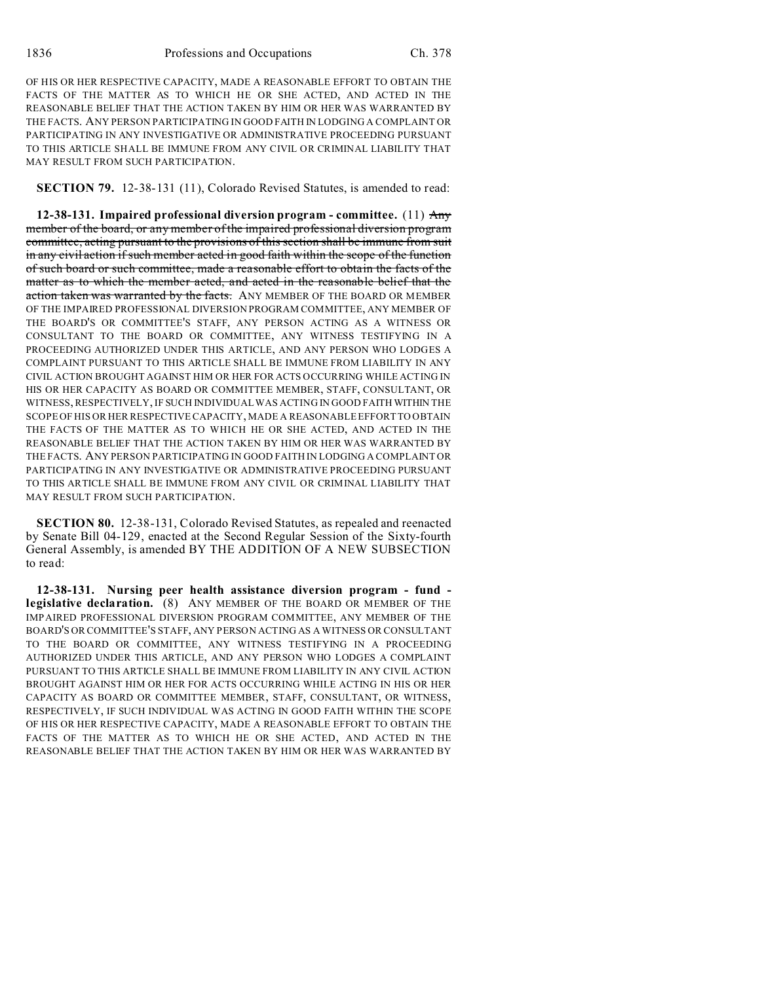OF HIS OR HER RESPECTIVE CAPACITY, MADE A REASONABLE EFFORT TO OBTAIN THE FACTS OF THE MATTER AS TO WHICH HE OR SHE ACTED, AND ACTED IN THE REASONABLE BELIEF THAT THE ACTION TAKEN BY HIM OR HER WAS WARRANTED BY THE FACTS. ANY PERSON PARTICIPATING IN GOOD FAITH IN LODGING A COMPLAINT OR PARTICIPATING IN ANY INVESTIGATIVE OR ADMINISTRATIVE PROCEEDING PURSUANT TO THIS ARTICLE SHALL BE IMMUNE FROM ANY CIVIL OR CRIMINAL LIABILITY THAT MAY RESULT FROM SUCH PARTICIPATION.

**SECTION 79.** 12-38-131 (11), Colorado Revised Statutes, is amended to read:

**12-38-131. Impaired professional diversion program - committee.** (11) Any member of the board, or any member of the impaired professional diversion program committee, acting pursuant to the provisions of this section shall be immune from suit in any civil action if such member acted in good faith within the scope of the function of such board or such committee, made a reasonable effort to obtain the facts of the matter as to which the member acted, and acted in the reasonable belief that the action taken was warranted by the facts. ANY MEMBER OF THE BOARD OR MEMBER OF THE IMPAIRED PROFESSIONAL DIVERSION PROGRAM COMMITTEE, ANY MEMBER OF THE BOARD'S OR COMMITTEE'S STAFF, ANY PERSON ACTING AS A WITNESS OR CONSULTANT TO THE BOARD OR COMMITTEE, ANY WITNESS TESTIFYING IN A PROCEEDING AUTHORIZED UNDER THIS ARTICLE, AND ANY PERSON WHO LODGES A COMPLAINT PURSUANT TO THIS ARTICLE SHALL BE IMMUNE FROM LIABILITY IN ANY CIVIL ACTION BROUGHT AGAINST HIM OR HER FOR ACTS OCCURRING WHILE ACTING IN HIS OR HER CAPACITY AS BOARD OR COMMITTEE MEMBER, STAFF, CONSULTANT, OR WITNESS, RESPECTIVELY, IF SUCH INDIVIDUAL WAS ACTING IN GOOD FAITH WITHIN THE SCOPE OF HIS OR HER RESPECTIVE CAPACITY, MADE A REASONABLE EFFORT TO OBTAIN THE FACTS OF THE MATTER AS TO WHICH HE OR SHE ACTED, AND ACTED IN THE REASONABLE BELIEF THAT THE ACTION TAKEN BY HIM OR HER WAS WARRANTED BY THE FACTS. ANY PERSON PARTICIPATING IN GOOD FAITH IN LODGING A COMPLAINT OR PARTICIPATING IN ANY INVESTIGATIVE OR ADMINISTRATIVE PROCEEDING PURSUANT TO THIS ARTICLE SHALL BE IMMUNE FROM ANY CIVIL OR CRIMINAL LIABILITY THAT MAY RESULT FROM SUCH PARTICIPATION.

**SECTION 80.** 12-38-131, Colorado Revised Statutes, as repealed and reenacted by Senate Bill 04-129, enacted at the Second Regular Session of the Sixty-fourth General Assembly, is amended BY THE ADDITION OF A NEW SUBSECTION to read:

**12-38-131. Nursing peer health assistance diversion program - fund legislative declaration.** (8) ANY MEMBER OF THE BOARD OR MEMBER OF THE IMPAIRED PROFESSIONAL DIVERSION PROGRAM COMMITTEE, ANY MEMBER OF THE BOARD'S OR COMMITTEE'S STAFF, ANY PERSON ACTING AS A WITNESS OR CONSULTANT TO THE BOARD OR COMMITTEE, ANY WITNESS TESTIFYING IN A PROCEEDING AUTHORIZED UNDER THIS ARTICLE, AND ANY PERSON WHO LODGES A COMPLAINT PURSUANT TO THIS ARTICLE SHALL BE IMMUNE FROM LIABILITY IN ANY CIVIL ACTION BROUGHT AGAINST HIM OR HER FOR ACTS OCCURRING WHILE ACTING IN HIS OR HER CAPACITY AS BOARD OR COMMITTEE MEMBER, STAFF, CONSULTANT, OR WITNESS, RESPECTIVELY, IF SUCH INDIVIDUAL WAS ACTING IN GOOD FAITH WITHIN THE SCOPE OF HIS OR HER RESPECTIVE CAPACITY, MADE A REASONABLE EFFORT TO OBTAIN THE FACTS OF THE MATTER AS TO WHICH HE OR SHE ACTED, AND ACTED IN THE REASONABLE BELIEF THAT THE ACTION TAKEN BY HIM OR HER WAS WARRANTED BY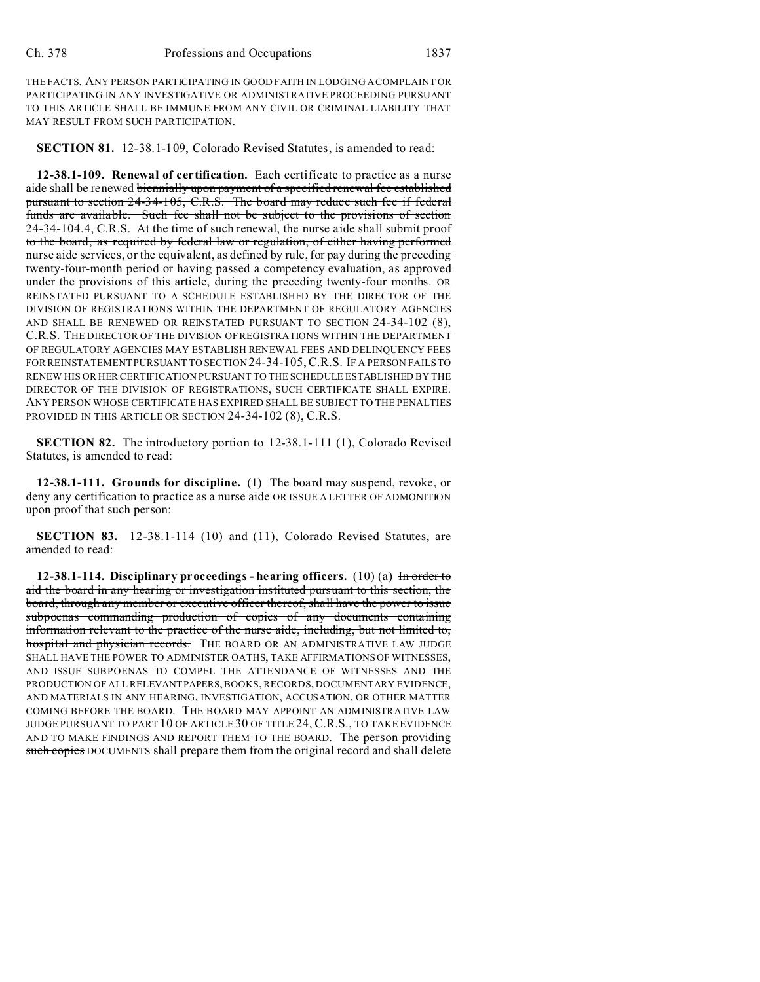THE FACTS. ANY PERSON PARTICIPATING IN GOOD FAITH IN LODGING A COMPLAINT OR PARTICIPATING IN ANY INVESTIGATIVE OR ADMINISTRATIVE PROCEEDING PURSUANT TO THIS ARTICLE SHALL BE IMMUNE FROM ANY CIVIL OR CRIMINAL LIABILITY THAT MAY RESULT FROM SUCH PARTICIPATION.

**SECTION 81.** 12-38.1-109, Colorado Revised Statutes, is amended to read:

**12-38.1-109. Renewal of certification.** Each certificate to practice as a nurse aide shall be renewed biennially upon payment of a specified renewal fee established pursuant to section 24-34-105, C.R.S. The board may reduce such fee if federal funds are available. Such fee shall not be subject to the provisions of section 24-34-104.4, C.R.S. At the time of such renewal, the nurse aide shall submit proof to the board, as required by federal law or regulation, of either having performed nurse aide services, or the equivalent, as defined by rule, for pay during the preceding twenty-four-month period or having passed a competency evaluation, as approved under the provisions of this article, during the preceding twenty-four months. OR REINSTATED PURSUANT TO A SCHEDULE ESTABLISHED BY THE DIRECTOR OF THE DIVISION OF REGISTRATIONS WITHIN THE DEPARTMENT OF REGULATORY AGENCIES AND SHALL BE RENEWED OR REINSTATED PURSUANT TO SECTION 24-34-102 (8), C.R.S. THE DIRECTOR OF THE DIVISION OF REGISTRATIONS WITHIN THE DEPARTMENT OF REGULATORY AGENCIES MAY ESTABLISH RENEWAL FEES AND DELINQUENCY FEES FOR REINSTATEMENT PURSUANT TO SECTION 24-34-105, C.R.S. IF A PERSON FAILS TO RENEW HIS OR HER CERTIFICATION PURSUANT TO THE SCHEDULE ESTABLISHED BY THE DIRECTOR OF THE DIVISION OF REGISTRATIONS, SUCH CERTIFICATE SHALL EXPIRE. ANY PERSON WHOSE CERTIFICATE HAS EXPIRED SHALL BE SUBJECT TO THE PENALTIES PROVIDED IN THIS ARTICLE OR SECTION 24-34-102 (8), C.R.S.

**SECTION 82.** The introductory portion to 12-38.1-111 (1), Colorado Revised Statutes, is amended to read:

**12-38.1-111. Grounds for discipline.** (1) The board may suspend, revoke, or deny any certification to practice as a nurse aide OR ISSUE A LETTER OF ADMONITION upon proof that such person:

**SECTION 83.** 12-38.1-114 (10) and (11), Colorado Revised Statutes, are amended to read:

**12-38.1-114. Disciplinary proceedings - hearing officers.** (10) (a) In order to aid the board in any hearing or investigation instituted pursuant to this section, the board, through any member or executive officer thereof, shall have the power to issue subpoenas commanding production of copies of any documents containing information relevant to the practice of the nurse aide, including, but not limited to, hospital and physician records. THE BOARD OR AN ADMINISTRATIVE LAW JUDGE SHALL HAVE THE POWER TO ADMINISTER OATHS, TAKE AFFIRMATIONS OF WITNESSES, AND ISSUE SUBPOENAS TO COMPEL THE ATTENDANCE OF WITNESSES AND THE PRODUCTION OF ALL RELEVANTPAPERS, BOOKS, RECORDS, DOCUMENTARY EVIDENCE, AND MATERIALS IN ANY HEARING, INVESTIGATION, ACCUSATION, OR OTHER MATTER COMING BEFORE THE BOARD. THE BOARD MAY APPOINT AN ADMINISTRATIVE LAW JUDGE PURSUANT TO PART 10 OF ARTICLE 30 OF TITLE 24, C.R.S., TO TAKE EVIDENCE AND TO MAKE FINDINGS AND REPORT THEM TO THE BOARD. The person providing such copies DOCUMENTS shall prepare them from the original record and shall delete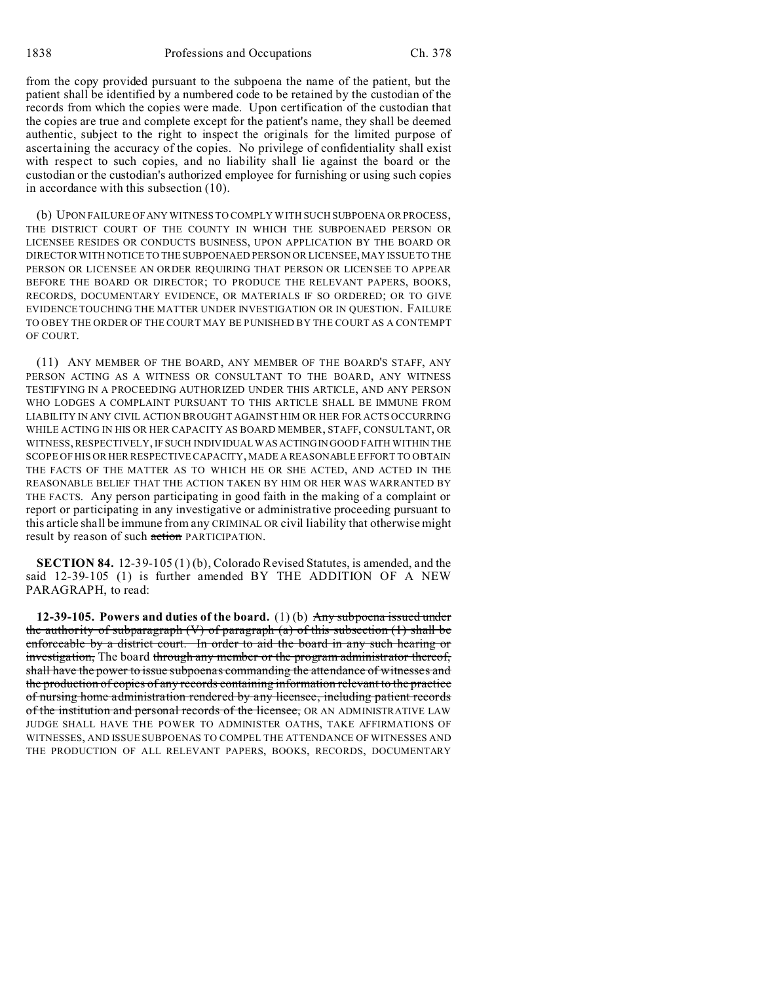1838 Professions and Occupations Ch. 378

from the copy provided pursuant to the subpoena the name of the patient, but the patient shall be identified by a numbered code to be retained by the custodian of the records from which the copies were made. Upon certification of the custodian that the copies are true and complete except for the patient's name, they shall be deemed authentic, subject to the right to inspect the originals for the limited purpose of ascertaining the accuracy of the copies. No privilege of confidentiality shall exist with respect to such copies, and no liability shall lie against the board or the custodian or the custodian's authorized employee for furnishing or using such copies in accordance with this subsection (10).

(b) UPON FAILURE OF ANY WITNESS TO COMPLY WITH SUCH SUBPOENA OR PROCESS, THE DISTRICT COURT OF THE COUNTY IN WHICH THE SUBPOENAED PERSON OR LICENSEE RESIDES OR CONDUCTS BUSINESS, UPON APPLICATION BY THE BOARD OR DIRECTOR WITH NOTICE TO THE SUBPOENAED PERSON OR LICENSEE, MAY ISSUE TO THE PERSON OR LICENSEE AN ORDER REQUIRING THAT PERSON OR LICENSEE TO APPEAR BEFORE THE BOARD OR DIRECTOR; TO PRODUCE THE RELEVANT PAPERS, BOOKS, RECORDS, DOCUMENTARY EVIDENCE, OR MATERIALS IF SO ORDERED; OR TO GIVE EVIDENCE TOUCHING THE MATTER UNDER INVESTIGATION OR IN QUESTION. FAILURE TO OBEY THE ORDER OF THE COURT MAY BE PUNISHED BY THE COURT AS A CONTEMPT OF COURT.

(11) ANY MEMBER OF THE BOARD, ANY MEMBER OF THE BOARD'S STAFF, ANY PERSON ACTING AS A WITNESS OR CONSULTANT TO THE BOARD, ANY WITNESS TESTIFYING IN A PROCEEDING AUTHORIZED UNDER THIS ARTICLE, AND ANY PERSON WHO LODGES A COMPLAINT PURSUANT TO THIS ARTICLE SHALL BE IMMUNE FROM LIABILITY IN ANY CIVIL ACTION BROUGHT AGAINST HIM OR HER FOR ACTS OCCURRING WHILE ACTING IN HIS OR HER CAPACITY AS BOARD MEMBER, STAFF, CONSULTANT, OR WITNESS, RESPECTIVELY, IF SUCH INDIVIDUAL WAS ACTINGIN GOOD FAITH WITHIN THE SCOPE OF HIS OR HER RESPECTIVE CAPACITY, MADE A REASONABLE EFFORT TO OBTAIN THE FACTS OF THE MATTER AS TO WHICH HE OR SHE ACTED, AND ACTED IN THE REASONABLE BELIEF THAT THE ACTION TAKEN BY HIM OR HER WAS WARRANTED BY THE FACTS. Any person participating in good faith in the making of a complaint or report or participating in any investigative or administrative proceeding pursuant to this article shall be immune from any CRIMINAL OR civil liability that otherwise might result by reason of such action PARTICIPATION.

**SECTION 84.** 12-39-105 (1) (b), Colorado Revised Statutes, is amended, and the said 12-39-105 (1) is further amended BY THE ADDITION OF A NEW PARAGRAPH, to read:

**12-39-105. Powers and duties of the board.** (1) (b) Any subpoena issued under the authority of subparagraph  $(V)$  of paragraph  $(a)$  of this subsection  $(1)$  shall be enforceable by a district court. In order to aid the board in any such hearing or investigation, The board through any member or the program administrator thereof, shall have the power to issue subpoenas commanding the attendance of witnesses and the production of copies of any records containing information relevant to the practice of nursing home administration rendered by any licensee, including patient records of the institution and personal records of the licensee, OR AN ADMINISTRATIVE LAW JUDGE SHALL HAVE THE POWER TO ADMINISTER OATHS, TAKE AFFIRMATIONS OF WITNESSES, AND ISSUE SUBPOENAS TO COMPEL THE ATTENDANCE OF WITNESSES AND THE PRODUCTION OF ALL RELEVANT PAPERS, BOOKS, RECORDS, DOCUMENTARY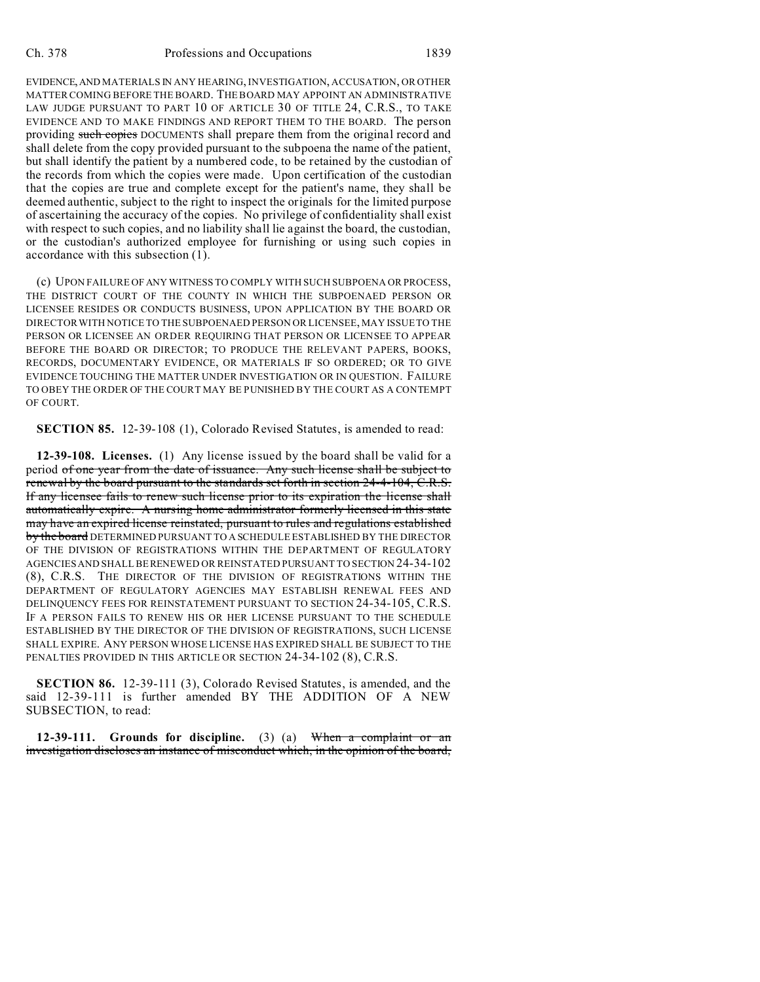EVIDENCE,AND MATERIALS IN ANY HEARING, INVESTIGATION, ACCUSATION, OR OTHER MATTER COMING BEFORE THE BOARD. THE BOARD MAY APPOINT AN ADMINISTRATIVE LAW JUDGE PURSUANT TO PART 10 OF ARTICLE 30 OF TITLE 24, C.R.S., TO TAKE EVIDENCE AND TO MAKE FINDINGS AND REPORT THEM TO THE BOARD. The person providing such copies DOCUMENTS shall prepare them from the original record and shall delete from the copy provided pursuant to the subpoena the name of the patient, but shall identify the patient by a numbered code, to be retained by the custodian of the records from which the copies were made. Upon certification of the custodian that the copies are true and complete except for the patient's name, they shall be deemed authentic, subject to the right to inspect the originals for the limited purpose of ascertaining the accuracy of the copies. No privilege of confidentiality shall exist with respect to such copies, and no liability shall lie against the board, the custodian, or the custodian's authorized employee for furnishing or using such copies in accordance with this subsection (1).

(c) UPON FAILURE OF ANY WITNESS TO COMPLY WITH SUCH SUBPOENA OR PROCESS, THE DISTRICT COURT OF THE COUNTY IN WHICH THE SUBPOENAED PERSON OR LICENSEE RESIDES OR CONDUCTS BUSINESS, UPON APPLICATION BY THE BOARD OR DIRECTOR WITH NOTICE TO THE SUBPOENAED PERSON OR LICENSEE, MAY ISSUE TO THE PERSON OR LICENSEE AN ORDER REQUIRING THAT PERSON OR LICENSEE TO APPEAR BEFORE THE BOARD OR DIRECTOR; TO PRODUCE THE RELEVANT PAPERS, BOOKS, RECORDS, DOCUMENTARY EVIDENCE, OR MATERIALS IF SO ORDERED; OR TO GIVE EVIDENCE TOUCHING THE MATTER UNDER INVESTIGATION OR IN QUESTION. FAILURE TO OBEY THE ORDER OF THE COURT MAY BE PUNISHED BY THE COURT AS A CONTEMPT OF COURT.

**SECTION 85.** 12-39-108 (1), Colorado Revised Statutes, is amended to read:

**12-39-108. Licenses.** (1) Any license issued by the board shall be valid for a period of one year from the date of issuance. Any such license shall be subject to renewal by the board pursuant to the standards set forth in section 24-4-104, C.R.S. If any licensee fails to renew such license prior to its expiration the license shall automatically expire. A nursing home administrator formerly licensed in this state may have an expired license reinstated, pursuant to rules and regulations established by the board DETERMINED PURSUANT TO A SCHEDULE ESTABLISHED BY THE DIRECTOR OF THE DIVISION OF REGISTRATIONS WITHIN THE DEPARTMENT OF REGULATORY AGENCIES AND SHALL BE RENEWED OR REINSTATED PURSUANT TO SECTION 24-34-102 (8), C.R.S. THE DIRECTOR OF THE DIVISION OF REGISTRATIONS WITHIN THE DEPARTMENT OF REGULATORY AGENCIES MAY ESTABLISH RENEWAL FEES AND DELINQUENCY FEES FOR REINSTATEMENT PURSUANT TO SECTION 24-34-105, C.R.S. IF A PERSON FAILS TO RENEW HIS OR HER LICENSE PURSUANT TO THE SCHEDULE ESTABLISHED BY THE DIRECTOR OF THE DIVISION OF REGISTRATIONS, SUCH LICENSE SHALL EXPIRE. ANY PERSON WHOSE LICENSE HAS EXPIRED SHALL BE SUBJECT TO THE PENALTIES PROVIDED IN THIS ARTICLE OR SECTION 24-34-102 (8), C.R.S.

**SECTION 86.** 12-39-111 (3), Colorado Revised Statutes, is amended, and the said 12-39-111 is further amended BY THE ADDITION OF A NEW SUBSECTION, to read:

**12-39-111. Grounds for discipline.** (3) (a) When a complaint or an investigation discloses an instance of misconduct which, in the opinion of the board,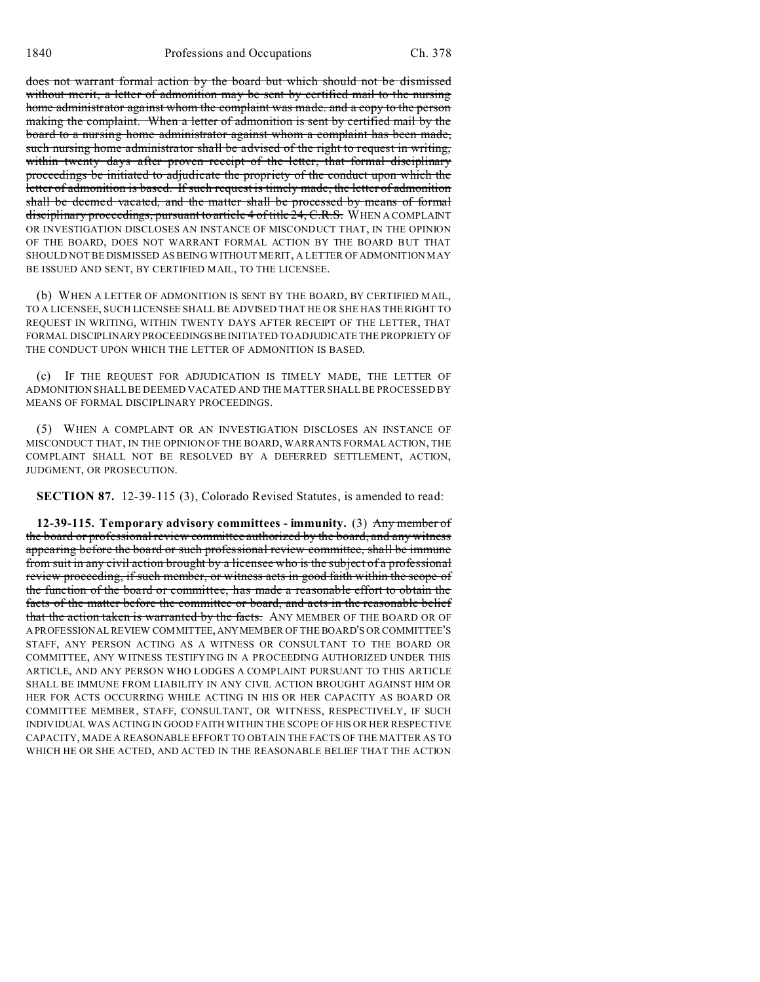does not warrant formal action by the board but which should not be dismissed without merit, a letter of admonition may be sent by certified mail to the nursing home administrator against whom the complaint was made. and a copy to the person making the complaint. When a letter of admonition is sent by certified mail by the board to a nursing home administrator against whom a complaint has been made, such nursing home administrator shall be advised of the right to request in writing, within twenty days after proven receipt of the letter, that formal disciplinary proceedings be initiated to adjudicate the propriety of the conduct upon which the letter of admonition is based. If such request is timely made, the letter of admonition shall be deemed vacated, and the matter shall be processed by means of formal disciplinary proceedings, pursuant to article 4 of title 24, C.R.S. WHEN A COMPLAINT OR INVESTIGATION DISCLOSES AN INSTANCE OF MISCONDUCT THAT, IN THE OPINION OF THE BOARD, DOES NOT WARRANT FORMAL ACTION BY THE BOARD BUT THAT SHOULD NOT BE DISMISSED AS BEING WITHOUT MERIT, A LETTER OF ADMONITION MAY BE ISSUED AND SENT, BY CERTIFIED MAIL, TO THE LICENSEE.

(b) WHEN A LETTER OF ADMONITION IS SENT BY THE BOARD, BY CERTIFIED MAIL, TO A LICENSEE, SUCH LICENSEE SHALL BE ADVISED THAT HE OR SHE HAS THE RIGHT TO REQUEST IN WRITING, WITHIN TWENTY DAYS AFTER RECEIPT OF THE LETTER, THAT FORMAL DISCIPLINARY PROCEEDINGSBEINITIATED TO ADJUDICATE THE PROPRIETY OF THE CONDUCT UPON WHICH THE LETTER OF ADMONITION IS BASED.

(c) IF THE REQUEST FOR ADJUDICATION IS TIMELY MADE, THE LETTER OF ADMONITION SHALL BE DEEMED VACATED AND THE MATTER SHALL BE PROCESSED BY MEANS OF FORMAL DISCIPLINARY PROCEEDINGS.

(5) WHEN A COMPLAINT OR AN INVESTIGATION DISCLOSES AN INSTANCE OF MISCONDUCT THAT, IN THE OPINION OF THE BOARD, WARRANTS FORMAL ACTION, THE COMPLAINT SHALL NOT BE RESOLVED BY A DEFERRED SETTLEMENT, ACTION, JUDGMENT, OR PROSECUTION.

**SECTION 87.** 12-39-115 (3), Colorado Revised Statutes, is amended to read:

**12-39-115. Temporary advisory committees - immunity.** (3) Any member of the board or professional review committee authorized by the board, and any witness appearing before the board or such professional review committee, shall be immune from suit in any civil action brought by a licensee who is the subject of a professional review proceeding, if such member, or witness acts in good faith within the scope of the function of the board or committee, has made a reasonable effort to obtain the facts of the matter before the committee or board, and acts in the reasonable belief that the action taken is warranted by the facts. ANY MEMBER OF THE BOARD OR OF A PROFESSIONAL REVIEW COMMITTEE,ANYMEMBER OF THE BOARD'S OR COMMITTEE'S STAFF, ANY PERSON ACTING AS A WITNESS OR CONSULTANT TO THE BOARD OR COMMITTEE, ANY WITNESS TESTIFYING IN A PROCEEDING AUTHORIZED UNDER THIS ARTICLE, AND ANY PERSON WHO LODGES A COMPLAINT PURSUANT TO THIS ARTICLE SHALL BE IMMUNE FROM LIABILITY IN ANY CIVIL ACTION BROUGHT AGAINST HIM OR HER FOR ACTS OCCURRING WHILE ACTING IN HIS OR HER CAPACITY AS BOARD OR COMMITTEE MEMBER, STAFF, CONSULTANT, OR WITNESS, RESPECTIVELY, IF SUCH INDIVIDUAL WAS ACTING IN GOOD FAITH WITHIN THE SCOPE OF HIS OR HER RESPECTIVE CAPACITY, MADE A REASONABLE EFFORT TO OBTAIN THE FACTS OF THE MATTER AS TO WHICH HE OR SHE ACTED, AND ACTED IN THE REASONABLE BELIEF THAT THE ACTION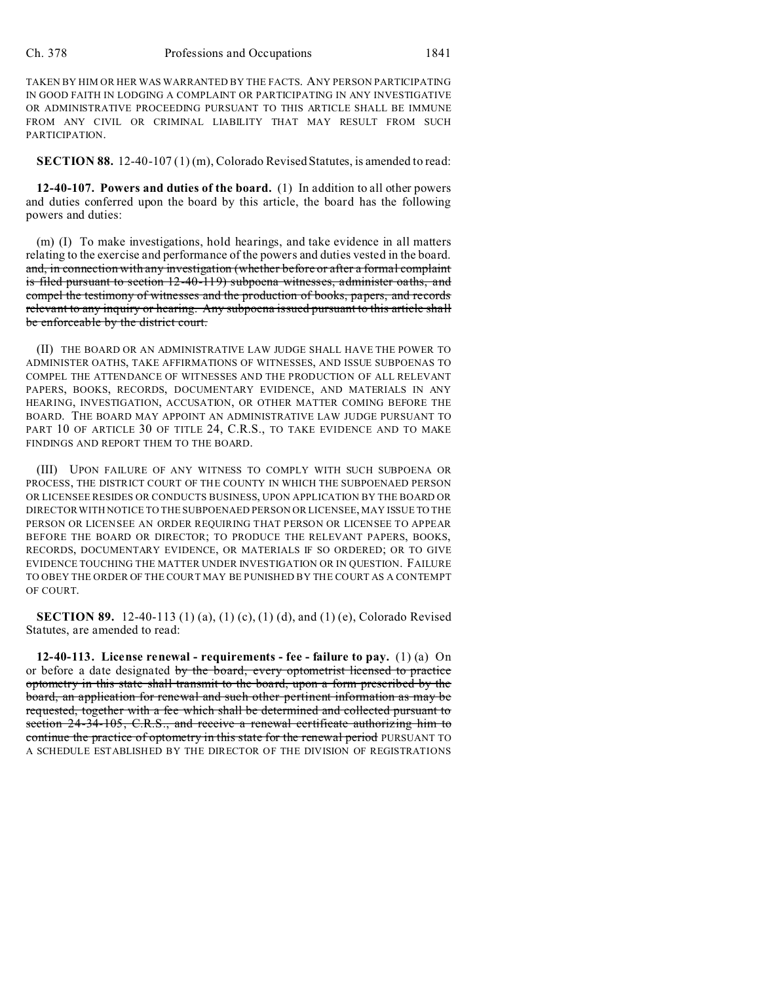TAKEN BY HIM OR HER WAS WARRANTED BY THE FACTS. ANY PERSON PARTICIPATING IN GOOD FAITH IN LODGING A COMPLAINT OR PARTICIPATING IN ANY INVESTIGATIVE OR ADMINISTRATIVE PROCEEDING PURSUANT TO THIS ARTICLE SHALL BE IMMUNE FROM ANY CIVIL OR CRIMINAL LIABILITY THAT MAY RESULT FROM SUCH PARTICIPATION.

**SECTION 88.** 12-40-107 (1) (m), Colorado Revised Statutes, is amended to read:

**12-40-107. Powers and duties of the board.** (1) In addition to all other powers and duties conferred upon the board by this article, the board has the following powers and duties:

(m) (I) To make investigations, hold hearings, and take evidence in all matters relating to the exercise and performance of the powers and duties vested in the board. and, in connection with any investigation (whether before or after a formal complaint is filed pursuant to section 12-40-119) subpoena witnesses, administer oaths, and compel the testimony of witnesses and the production of books, papers, and records relevant to any inquiry or hearing. Any subpoena issued pursuant to this article shall be enforceable by the district court.

(II) THE BOARD OR AN ADMINISTRATIVE LAW JUDGE SHALL HAVE THE POWER TO ADMINISTER OATHS, TAKE AFFIRMATIONS OF WITNESSES, AND ISSUE SUBPOENAS TO COMPEL THE ATTENDANCE OF WITNESSES AND THE PRODUCTION OF ALL RELEVANT PAPERS, BOOKS, RECORDS, DOCUMENTARY EVIDENCE, AND MATERIALS IN ANY HEARING, INVESTIGATION, ACCUSATION, OR OTHER MATTER COMING BEFORE THE BOARD. THE BOARD MAY APPOINT AN ADMINISTRATIVE LAW JUDGE PURSUANT TO PART 10 OF ARTICLE 30 OF TITLE 24, C.R.S., TO TAKE EVIDENCE AND TO MAKE FINDINGS AND REPORT THEM TO THE BOARD.

(III) UPON FAILURE OF ANY WITNESS TO COMPLY WITH SUCH SUBPOENA OR PROCESS, THE DISTRICT COURT OF THE COUNTY IN WHICH THE SUBPOENAED PERSON OR LICENSEE RESIDES OR CONDUCTS BUSINESS, UPON APPLICATION BY THE BOARD OR DIRECTOR WITH NOTICE TO THE SUBPOENAED PERSON OR LICENSEE, MAY ISSUE TO THE PERSON OR LICENSEE AN ORDER REQUIRING THAT PERSON OR LICENSEE TO APPEAR BEFORE THE BOARD OR DIRECTOR; TO PRODUCE THE RELEVANT PAPERS, BOOKS, RECORDS, DOCUMENTARY EVIDENCE, OR MATERIALS IF SO ORDERED; OR TO GIVE EVIDENCE TOUCHING THE MATTER UNDER INVESTIGATION OR IN QUESTION. FAILURE TO OBEY THE ORDER OF THE COURT MAY BE PUNISHED BY THE COURT AS A CONTEMPT OF COURT.

**SECTION 89.** 12-40-113 (1) (a), (1) (c), (1) (d), and (1) (e), Colorado Revised Statutes, are amended to read:

**12-40-113. License renewal - requirements - fee - failure to pay.** (1) (a) On or before a date designated by the board, every optometrist licensed to practice optometry in this state shall transmit to the board, upon a form prescribed by the board, an application for renewal and such other pertinent information as may be requested, together with a fee which shall be determined and collected pursuant to section 24-34-105, C.R.S., and receive a renewal certificate authorizing him to continue the practice of optometry in this state for the renewal period PURSUANT TO A SCHEDULE ESTABLISHED BY THE DIRECTOR OF THE DIVISION OF REGISTRATIONS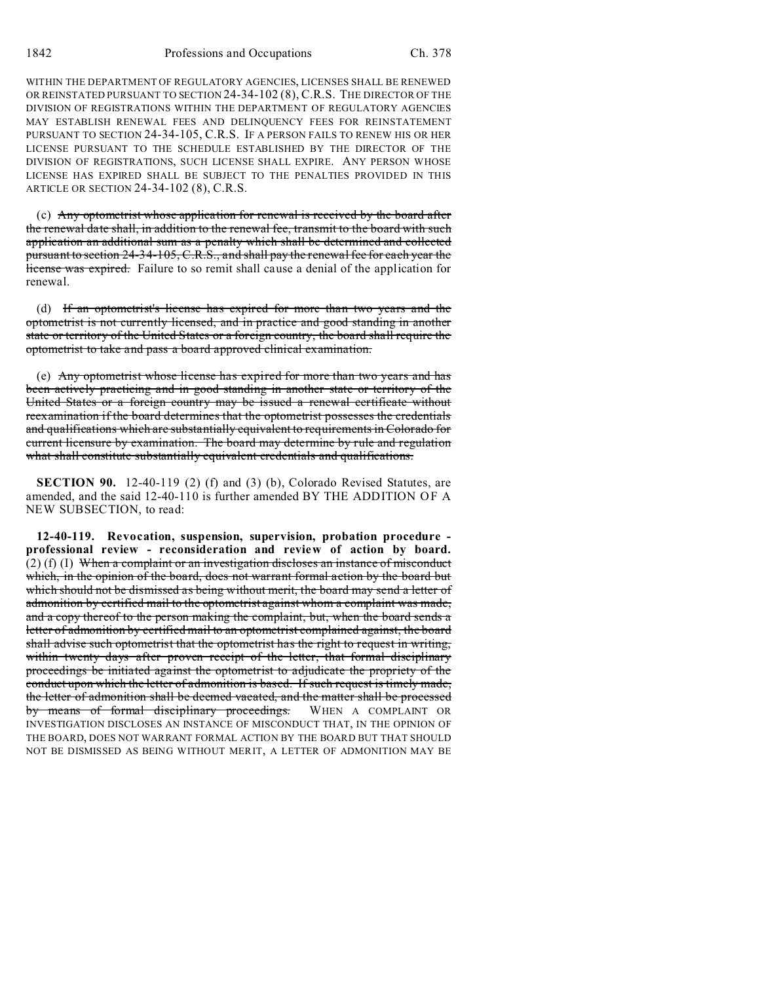WITHIN THE DEPARTMENT OF REGULATORY AGENCIES, LICENSES SHALL BE RENEWED OR REINSTATED PURSUANT TO SECTION 24-34-102 (8), C.R.S. THE DIRECTOR OF THE DIVISION OF REGISTRATIONS WITHIN THE DEPARTMENT OF REGULATORY AGENCIES MAY ESTABLISH RENEWAL FEES AND DELINQUENCY FEES FOR REINSTATEMENT PURSUANT TO SECTION 24-34-105, C.R.S. IF A PERSON FAILS TO RENEW HIS OR HER LICENSE PURSUANT TO THE SCHEDULE ESTABLISHED BY THE DIRECTOR OF THE DIVISION OF REGISTRATIONS, SUCH LICENSE SHALL EXPIRE. ANY PERSON WHOSE LICENSE HAS EXPIRED SHALL BE SUBJECT TO THE PENALTIES PROVIDED IN THIS ARTICLE OR SECTION 24-34-102 (8), C.R.S.

(c) Any optometrist whose application for renewal is received by the board after the renewal date shall, in addition to the renewal fee, transmit to the board with such application an additional sum as a penalty which shall be determined and collected pursuant to section 24-34-105, C.R.S., and shall pay the renewal fee for each year the license was expired. Failure to so remit shall cause a denial of the application for renewal.

(d) If an optometrist's license has expired for more than two years and the optometrist is not currently licensed, and in practice and good standing in another state or territory of the United States or a foreign country, the board shall require the optometrist to take and pass a board approved clinical examination.

(e) Any optometrist whose license has expired for more than two years and has been actively practicing and in good standing in another state or territory of the United States or a foreign country may be issued a renewal certificate without reexamination if the board determines that the optometrist possesses the credentials and qualifications which are substantially equivalent to requirements in Colorado for current licensure by examination. The board may determine by rule and regulation what shall constitute substantially equivalent credentials and qualifications.

**SECTION 90.** 12-40-119 (2) (f) and (3) (b), Colorado Revised Statutes, are amended, and the said 12-40-110 is further amended BY THE ADDITION OF A NEW SUBSECTION, to read:

**12-40-119. Revocation, suspension, supervision, probation procedure professional review - reconsideration and review of action by board.** (2) (f) (I) When a complaint or an investigation discloses an instance of misconduct which, in the opinion of the board, does not warrant formal action by the board but which should not be dismissed as being without merit, the board may send a letter of admonition by certified mail to the optometrist against whom a complaint was made, and a copy thereof to the person making the complaint, but, when the board sends a letter of admonition by certified mail to an optometrist complained against, the board shall advise such optometrist that the optometrist has the right to request in writing, within twenty days after proven receipt of the letter, that formal disciplinary proceedings be initiated against the optometrist to adjudicate the propriety of the conduct upon which the letter of admonition is based. If such request is timely made, the letter of admonition shall be deemed vacated, and the matter shall be processed by means of formal disciplinary proceedings. WHEN A COMPLAINT OR INVESTIGATION DISCLOSES AN INSTANCE OF MISCONDUCT THAT, IN THE OPINION OF THE BOARD, DOES NOT WARRANT FORMAL ACTION BY THE BOARD BUT THAT SHOULD NOT BE DISMISSED AS BEING WITHOUT MERIT, A LETTER OF ADMONITION MAY BE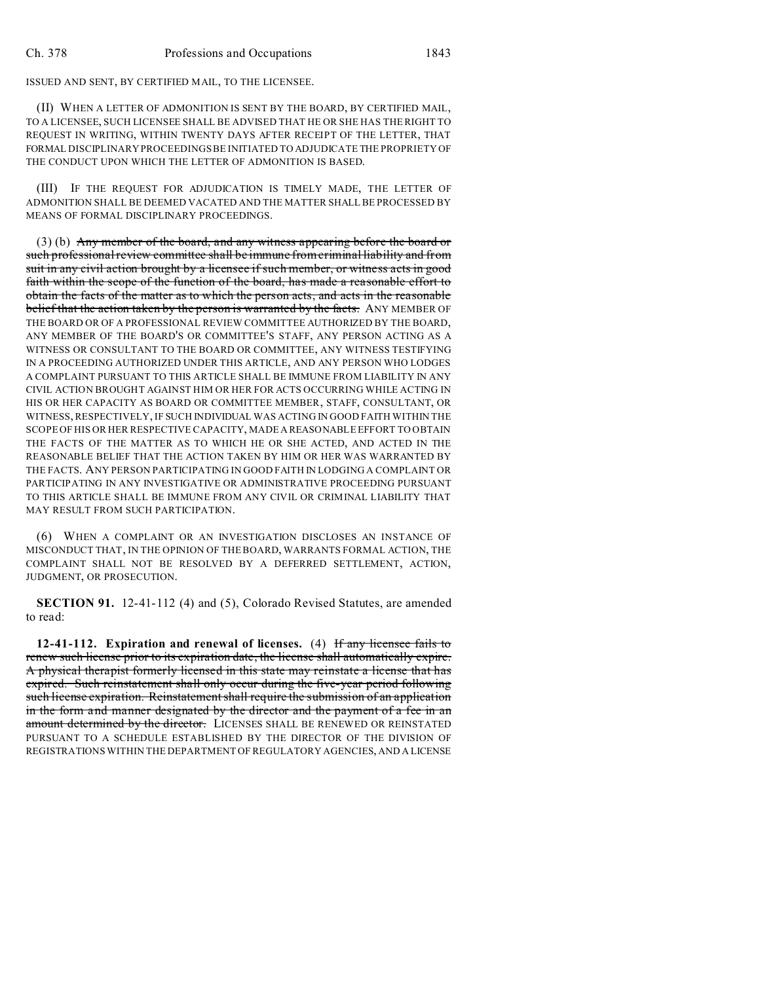ISSUED AND SENT, BY CERTIFIED MAIL, TO THE LICENSEE.

(II) WHEN A LETTER OF ADMONITION IS SENT BY THE BOARD, BY CERTIFIED MAIL, TO A LICENSEE, SUCH LICENSEE SHALL BE ADVISED THAT HE OR SHE HAS THE RIGHT TO REQUEST IN WRITING, WITHIN TWENTY DAYS AFTER RECEIPT OF THE LETTER, THAT FORMAL DISCIPLINARY PROCEEDINGS BE INITIATED TO ADJUDICATE THE PROPRIETY OF THE CONDUCT UPON WHICH THE LETTER OF ADMONITION IS BASED.

(III) IF THE REQUEST FOR ADJUDICATION IS TIMELY MADE, THE LETTER OF ADMONITION SHALL BE DEEMED VACATED AND THE MATTER SHALL BE PROCESSED BY MEANS OF FORMAL DISCIPLINARY PROCEEDINGS.

(3) (b) Any member of the board, and any witness appearing before the board or such professional review committee shall be immune from criminal liability and from suit in any civil action brought by a licensee if such member, or witness acts in good faith within the scope of the function of the board, has made a reasonable effort to obtain the facts of the matter as to which the person acts, and acts in the reasonable belief that the action taken by the person is warranted by the facts. ANY MEMBER OF THE BOARD OR OF A PROFESSIONAL REVIEW COMMITTEE AUTHORIZED BY THE BOARD, ANY MEMBER OF THE BOARD'S OR COMMITTEE'S STAFF, ANY PERSON ACTING AS A WITNESS OR CONSULTANT TO THE BOARD OR COMMITTEE, ANY WITNESS TESTIFYING IN A PROCEEDING AUTHORIZED UNDER THIS ARTICLE, AND ANY PERSON WHO LODGES A COMPLAINT PURSUANT TO THIS ARTICLE SHALL BE IMMUNE FROM LIABILITY IN ANY CIVIL ACTION BROUGHT AGAINST HIM OR HER FOR ACTS OCCURRING WHILE ACTING IN HIS OR HER CAPACITY AS BOARD OR COMMITTEE MEMBER, STAFF, CONSULTANT, OR WITNESS, RESPECTIVELY, IF SUCH INDIVIDUAL WAS ACTING IN GOOD FAITH WITHIN THE SCOPE OF HIS OR HER RESPECTIVE CAPACITY, MADE A REASONABLE EFFORT TO OBTAIN THE FACTS OF THE MATTER AS TO WHICH HE OR SHE ACTED, AND ACTED IN THE REASONABLE BELIEF THAT THE ACTION TAKEN BY HIM OR HER WAS WARRANTED BY THE FACTS. ANY PERSON PARTICIPATING IN GOOD FAITH IN LODGING A COMPLAINT OR PARTICIPATING IN ANY INVESTIGATIVE OR ADMINISTRATIVE PROCEEDING PURSUANT TO THIS ARTICLE SHALL BE IMMUNE FROM ANY CIVIL OR CRIMINAL LIABILITY THAT MAY RESULT FROM SUCH PARTICIPATION.

(6) WHEN A COMPLAINT OR AN INVESTIGATION DISCLOSES AN INSTANCE OF MISCONDUCT THAT, IN THE OPINION OF THE BOARD, WARRANTS FORMAL ACTION, THE COMPLAINT SHALL NOT BE RESOLVED BY A DEFERRED SETTLEMENT, ACTION, JUDGMENT, OR PROSECUTION.

**SECTION 91.** 12-41-112 (4) and (5), Colorado Revised Statutes, are amended to read:

**12-41-112. Expiration and renewal of licenses.** (4) If any licensee fails to renew such license prior to its expiration date, the license shall automatically expire. A physical therapist formerly licensed in this state may reinstate a license that has expired. Such reinstatement shall only occur during the five-year period following such license expiration. Reinstatement shall require the submission of an application in the form and manner designated by the director and the payment of a fee in an amount determined by the director. LICENSES SHALL BE RENEWED OR REINSTATED PURSUANT TO A SCHEDULE ESTABLISHED BY THE DIRECTOR OF THE DIVISION OF REGISTRATIONS WITHIN THE DEPARTMENT OF REGULATORY AGENCIES, AND A LICENSE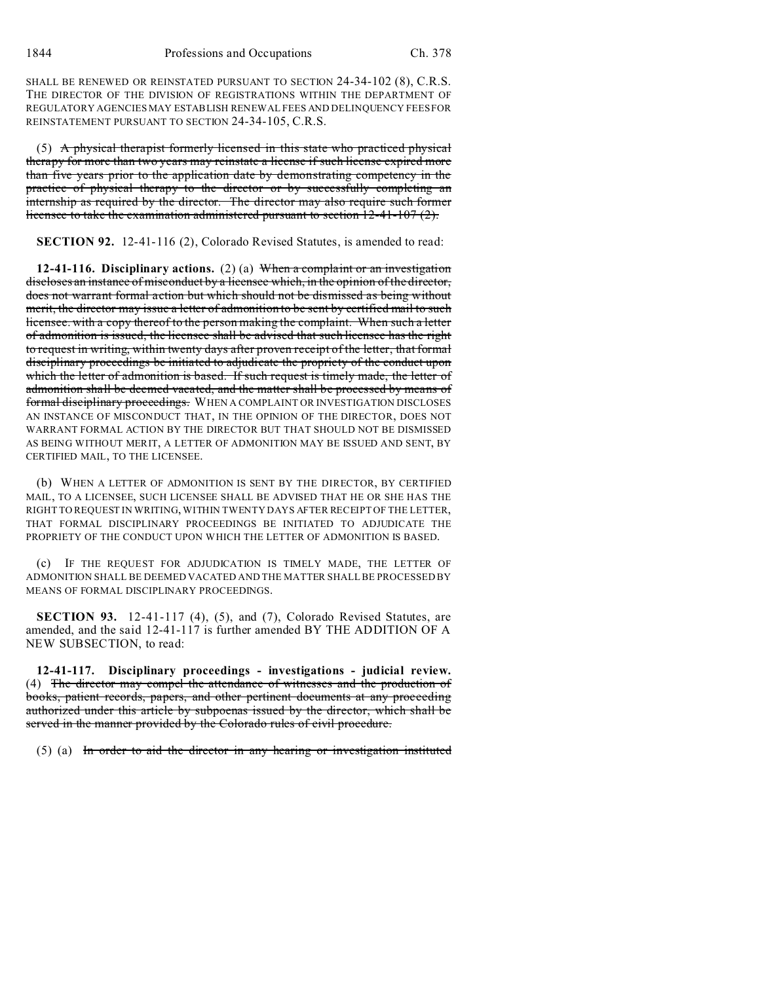SHALL BE RENEWED OR REINSTATED PURSUANT TO SECTION 24-34-102 (8), C.R.S. THE DIRECTOR OF THE DIVISION OF REGISTRATIONS WITHIN THE DEPARTMENT OF REGULATORY AGENCIES MAY ESTABLISH RENEWAL FEES AND DELINQUENCY FEES FOR REINSTATEMENT PURSUANT TO SECTION 24-34-105, C.R.S.

(5) A physical therapist formerly licensed in this state who practiced physical therapy for more than two years may reinstate a license if such license expired more than five years prior to the application date by demonstrating competency in the practice of physical therapy to the director or by successfully completing an internship as required by the director. The director may also require such former licensee to take the examination administered pursuant to section 12-41-107 (2).

**SECTION 92.** 12-41-116 (2), Colorado Revised Statutes, is amended to read:

**12-41-116. Disciplinary actions.** (2) (a) When a complaint or an investigation discloses an instance of misconduct by a licensee which, in the opinion of the director, does not warrant formal action but which should not be dismissed as being without merit, the director may issue a letter of admonition to be sent by certified mail to such licensee. with a copy thereof to the person making the complaint. When such a letter of admonition is issued, the licensee shall be advised that such licensee has the right to request in writing, within twenty days after proven receipt of the letter, that formal disciplinary proceedings be initiated to adjudicate the propriety of the conduct upon which the letter of admonition is based. If such request is timely made, the letter of admonition shall be deemed vacated, and the matter shall be processed by means of formal disciplinary proceedings. WHEN A COMPLAINT OR INVESTIGATION DISCLOSES AN INSTANCE OF MISCONDUCT THAT, IN THE OPINION OF THE DIRECTOR, DOES NOT WARRANT FORMAL ACTION BY THE DIRECTOR BUT THAT SHOULD NOT BE DISMISSED AS BEING WITHOUT MERIT, A LETTER OF ADMONITION MAY BE ISSUED AND SENT, BY CERTIFIED MAIL, TO THE LICENSEE.

(b) WHEN A LETTER OF ADMONITION IS SENT BY THE DIRECTOR, BY CERTIFIED MAIL, TO A LICENSEE, SUCH LICENSEE SHALL BE ADVISED THAT HE OR SHE HAS THE RIGHT TO REQUEST IN WRITING, WITHIN TWENTY DAYS AFTER RECEIPT OF THE LETTER, THAT FORMAL DISCIPLINARY PROCEEDINGS BE INITIATED TO ADJUDICATE THE PROPRIETY OF THE CONDUCT UPON WHICH THE LETTER OF ADMONITION IS BASED.

(c) IF THE REQUEST FOR ADJUDICATION IS TIMELY MADE, THE LETTER OF ADMONITION SHALL BE DEEMED VACATED AND THE MATTER SHALL BE PROCESSED BY MEANS OF FORMAL DISCIPLINARY PROCEEDINGS.

**SECTION 93.** 12-41-117 (4), (5), and (7), Colorado Revised Statutes, are amended, and the said 12-41-117 is further amended BY THE ADDITION OF A NEW SUBSECTION, to read:

**12-41-117. Disciplinary proceedings - investigations - judicial review.** (4) The director may compel the attendance of witnesses and the production of books, patient records, papers, and other pertinent documents at any proceeding authorized under this article by subpoenas issued by the director, which shall be served in the manner provided by the Colorado rules of civil procedure.

(5) (a) In order to aid the director in any hearing or investigation instituted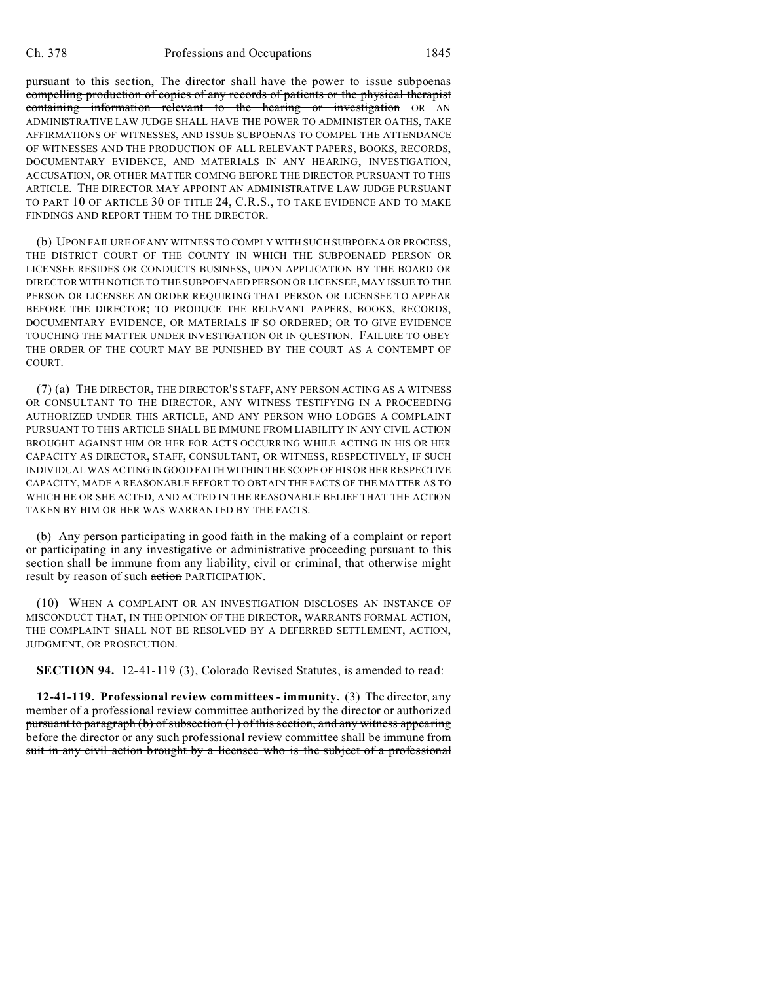pursuant to this section, The director shall have the power to issue subpoenas compelling production of copies of any records of patients or the physical therapist containing information relevant to the hearing or investigation OR AN ADMINISTRATIVE LAW JUDGE SHALL HAVE THE POWER TO ADMINISTER OATHS, TAKE AFFIRMATIONS OF WITNESSES, AND ISSUE SUBPOENAS TO COMPEL THE ATTENDANCE OF WITNESSES AND THE PRODUCTION OF ALL RELEVANT PAPERS, BOOKS, RECORDS, DOCUMENTARY EVIDENCE, AND MATERIALS IN ANY HEARING, INVESTIGATION, ACCUSATION, OR OTHER MATTER COMING BEFORE THE DIRECTOR PURSUANT TO THIS ARTICLE. THE DIRECTOR MAY APPOINT AN ADMINISTRATIVE LAW JUDGE PURSUANT TO PART 10 OF ARTICLE 30 OF TITLE 24, C.R.S., TO TAKE EVIDENCE AND TO MAKE FINDINGS AND REPORT THEM TO THE DIRECTOR.

(b) UPON FAILURE OF ANY WITNESS TO COMPLY WITH SUCH SUBPOENA OR PROCESS, THE DISTRICT COURT OF THE COUNTY IN WHICH THE SUBPOENAED PERSON OR LICENSEE RESIDES OR CONDUCTS BUSINESS, UPON APPLICATION BY THE BOARD OR DIRECTOR WITH NOTICE TO THE SUBPOENAED PERSON OR LICENSEE, MAY ISSUE TO THE PERSON OR LICENSEE AN ORDER REQUIRING THAT PERSON OR LICENSEE TO APPEAR BEFORE THE DIRECTOR; TO PRODUCE THE RELEVANT PAPERS, BOOKS, RECORDS, DOCUMENTARY EVIDENCE, OR MATERIALS IF SO ORDERED; OR TO GIVE EVIDENCE TOUCHING THE MATTER UNDER INVESTIGATION OR IN QUESTION. FAILURE TO OBEY THE ORDER OF THE COURT MAY BE PUNISHED BY THE COURT AS A CONTEMPT OF COURT.

(7) (a) THE DIRECTOR, THE DIRECTOR'S STAFF, ANY PERSON ACTING AS A WITNESS OR CONSULTANT TO THE DIRECTOR, ANY WITNESS TESTIFYING IN A PROCEEDING AUTHORIZED UNDER THIS ARTICLE, AND ANY PERSON WHO LODGES A COMPLAINT PURSUANT TO THIS ARTICLE SHALL BE IMMUNE FROM LIABILITY IN ANY CIVIL ACTION BROUGHT AGAINST HIM OR HER FOR ACTS OCCURRING WHILE ACTING IN HIS OR HER CAPACITY AS DIRECTOR, STAFF, CONSULTANT, OR WITNESS, RESPECTIVELY, IF SUCH INDIVIDUAL WAS ACTING IN GOOD FAITH WITHIN THE SCOPE OF HIS OR HER RESPECTIVE CAPACITY, MADE A REASONABLE EFFORT TO OBTAIN THE FACTS OF THE MATTER AS TO WHICH HE OR SHE ACTED, AND ACTED IN THE REASONABLE BELIEF THAT THE ACTION TAKEN BY HIM OR HER WAS WARRANTED BY THE FACTS.

(b) Any person participating in good faith in the making of a complaint or report or participating in any investigative or administrative proceeding pursuant to this section shall be immune from any liability, civil or criminal, that otherwise might result by reason of such action PARTICIPATION.

(10) WHEN A COMPLAINT OR AN INVESTIGATION DISCLOSES AN INSTANCE OF MISCONDUCT THAT, IN THE OPINION OF THE DIRECTOR, WARRANTS FORMAL ACTION, THE COMPLAINT SHALL NOT BE RESOLVED BY A DEFERRED SETTLEMENT, ACTION, JUDGMENT, OR PROSECUTION.

**SECTION 94.** 12-41-119 (3), Colorado Revised Statutes, is amended to read:

**12-41-119. Professional review committees - immunity.** (3) The director, any member of a professional review committee authorized by the director or authorized pursuant to paragraph (b) of subsection (1) of this section, and any witness appearing before the director or any such professional review committee shall be immune from suit in any civil action brought by a licensee who is the subject of a professional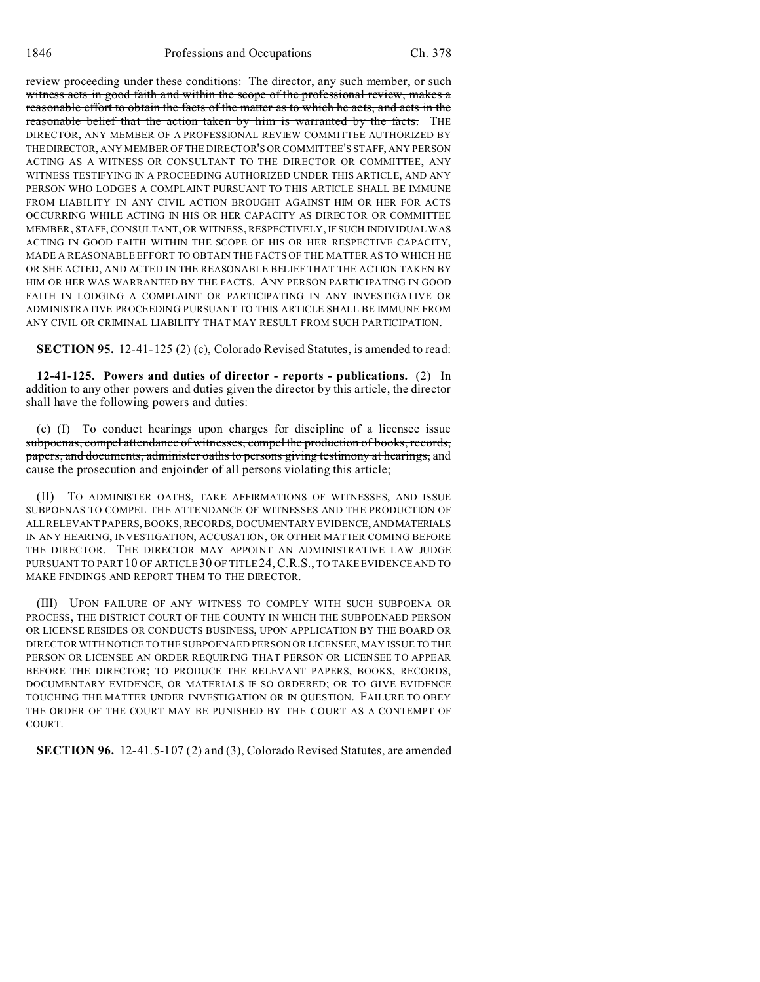review proceeding under these conditions: The director, any such member, or such witness acts in good faith and within the scope of the professional review, makes a reasonable effort to obtain the facts of the matter as to which he acts, and acts in the reasonable belief that the action taken by him is warranted by the facts. THE DIRECTOR, ANY MEMBER OF A PROFESSIONAL REVIEW COMMITTEE AUTHORIZED BY THEDIRECTOR, ANY MEMBER OF THE DIRECTOR'S OR COMMITTEE'S STAFF, ANY PERSON ACTING AS A WITNESS OR CONSULTANT TO THE DIRECTOR OR COMMITTEE, ANY WITNESS TESTIFYING IN A PROCEEDING AUTHORIZED UNDER THIS ARTICLE, AND ANY PERSON WHO LODGES A COMPLAINT PURSUANT TO THIS ARTICLE SHALL BE IMMUNE FROM LIABILITY IN ANY CIVIL ACTION BROUGHT AGAINST HIM OR HER FOR ACTS OCCURRING WHILE ACTING IN HIS OR HER CAPACITY AS DIRECTOR OR COMMITTEE MEMBER, STAFF, CONSULTANT, OR WITNESS, RESPECTIVELY, IF SUCH INDIVIDUAL WAS ACTING IN GOOD FAITH WITHIN THE SCOPE OF HIS OR HER RESPECTIVE CAPACITY, MADE A REASONABLE EFFORT TO OBTAIN THE FACTS OF THE MATTER AS TO WHICH HE OR SHE ACTED, AND ACTED IN THE REASONABLE BELIEF THAT THE ACTION TAKEN BY HIM OR HER WAS WARRANTED BY THE FACTS. ANY PERSON PARTICIPATING IN GOOD FAITH IN LODGING A COMPLAINT OR PARTICIPATING IN ANY INVESTIGATIVE OR ADMINISTRATIVE PROCEEDING PURSUANT TO THIS ARTICLE SHALL BE IMMUNE FROM ANY CIVIL OR CRIMINAL LIABILITY THAT MAY RESULT FROM SUCH PARTICIPATION.

**SECTION 95.** 12-41-125 (2) (c), Colorado Revised Statutes, is amended to read:

**12-41-125. Powers and duties of director - reports - publications.** (2) In addition to any other powers and duties given the director by this article, the director shall have the following powers and duties:

(c)  $(I)$  To conduct hearings upon charges for discipline of a licensee issue subpoenas, compel attendance of witnesses, compel the production of books, records, papers, and documents, administer oaths to persons giving testimony at hearings, and cause the prosecution and enjoinder of all persons violating this article;

(II) TO ADMINISTER OATHS, TAKE AFFIRMATIONS OF WITNESSES, AND ISSUE SUBPOENAS TO COMPEL THE ATTENDANCE OF WITNESSES AND THE PRODUCTION OF ALL RELEVANT PAPERS, BOOKS, RECORDS, DOCUMENTARY EVIDENCE, ANDMATERIALS IN ANY HEARING, INVESTIGATION, ACCUSATION, OR OTHER MATTER COMING BEFORE THE DIRECTOR. THE DIRECTOR MAY APPOINT AN ADMINISTRATIVE LAW JUDGE PURSUANT TO PART 10 OF ARTICLE 30 OF TITLE 24,C.R.S., TO TAKE EVIDENCE AND TO MAKE FINDINGS AND REPORT THEM TO THE DIRECTOR.

(III) UPON FAILURE OF ANY WITNESS TO COMPLY WITH SUCH SUBPOENA OR PROCESS, THE DISTRICT COURT OF THE COUNTY IN WHICH THE SUBPOENAED PERSON OR LICENSE RESIDES OR CONDUCTS BUSINESS, UPON APPLICATION BY THE BOARD OR DIRECTOR WITH NOTICE TO THE SUBPOENAED PERSON OR LICENSEE, MAY ISSUE TO THE PERSON OR LICENSEE AN ORDER REQUIRING THAT PERSON OR LICENSEE TO APPEAR BEFORE THE DIRECTOR; TO PRODUCE THE RELEVANT PAPERS, BOOKS, RECORDS, DOCUMENTARY EVIDENCE, OR MATERIALS IF SO ORDERED; OR TO GIVE EVIDENCE TOUCHING THE MATTER UNDER INVESTIGATION OR IN QUESTION. FAILURE TO OBEY THE ORDER OF THE COURT MAY BE PUNISHED BY THE COURT AS A CONTEMPT OF COURT.

**SECTION 96.** 12-41.5-107 (2) and (3), Colorado Revised Statutes, are amended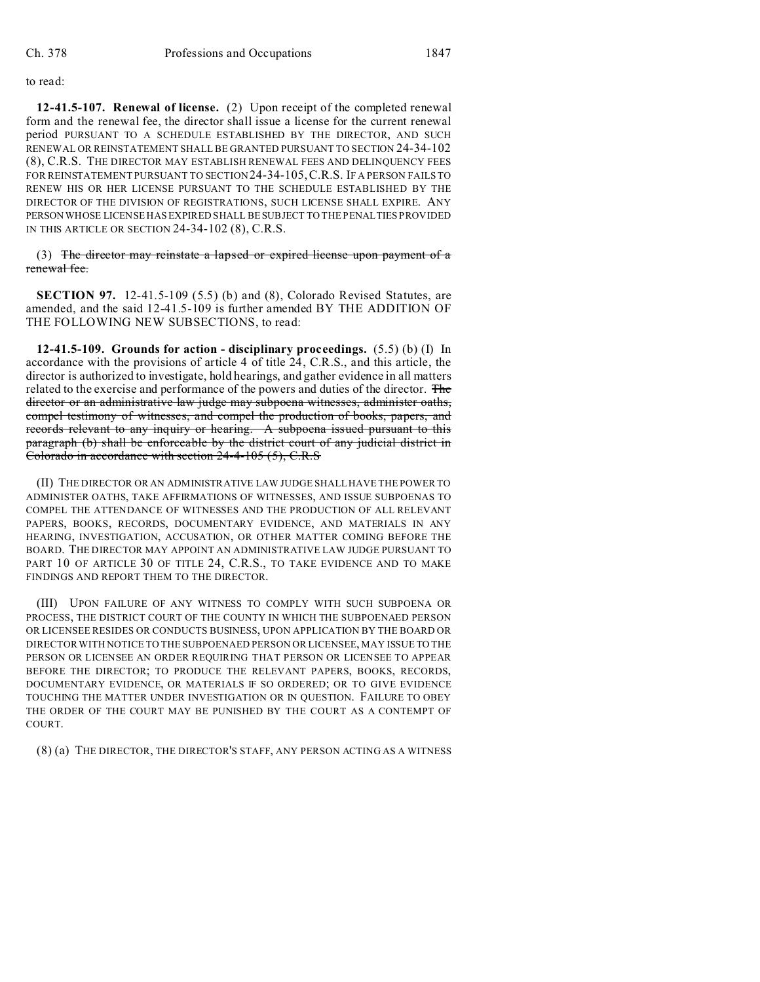## to read:

**12-41.5-107. Renewal of license.** (2) Upon receipt of the completed renewal form and the renewal fee, the director shall issue a license for the current renewal period PURSUANT TO A SCHEDULE ESTABLISHED BY THE DIRECTOR, AND SUCH RENEWAL OR REINSTATEMENT SHALL BE GRANTED PURSUANT TO SECTION 24-34-102 (8), C.R.S. THE DIRECTOR MAY ESTABLISH RENEWAL FEES AND DELINQUENCY FEES FOR REINSTATEMENT PURSUANT TO SECTION24-34-105,C.R.S. IF A PERSON FAILS TO RENEW HIS OR HER LICENSE PURSUANT TO THE SCHEDULE ESTABLISHED BY THE DIRECTOR OF THE DIVISION OF REGISTRATIONS, SUCH LICENSE SHALL EXPIRE. ANY PERSON WHOSE LICENSE HAS EXPIRED SHALL BE SUBJECT TO THE PENALTIES PROVIDED IN THIS ARTICLE OR SECTION 24-34-102 (8), C.R.S.

(3) The director may reinstate a lapsed or expired license upon payment of a renewal fee.

**SECTION 97.** 12-41.5-109 (5.5) (b) and (8), Colorado Revised Statutes, are amended, and the said 12-41.5-109 is further amended BY THE ADDITION OF THE FOLLOWING NEW SUBSECTIONS, to read:

**12-41.5-109. Grounds for action - disciplinary proceedings.** (5.5) (b) (I) In accordance with the provisions of article 4 of title 24, C.R.S., and this article, the director is authorized to investigate, hold hearings, and gather evidence in all matters related to the exercise and performance of the powers and duties of the director. The director or an administrative law judge may subpoena witnesses, administer oaths, compel testimony of witnesses, and compel the production of books, papers, and records relevant to any inquiry or hearing. A subpoena issued pursuant to this paragraph (b) shall be enforceable by the district court of any judicial district in Colorado in accordance with section 24-4-105 (5), C.R.S

(II) THE DIRECTOR OR AN ADMINISTRATIVE LAW JUDGE SHALL HAVE THE POWER TO ADMINISTER OATHS, TAKE AFFIRMATIONS OF WITNESSES, AND ISSUE SUBPOENAS TO COMPEL THE ATTENDANCE OF WITNESSES AND THE PRODUCTION OF ALL RELEVANT PAPERS, BOOKS, RECORDS, DOCUMENTARY EVIDENCE, AND MATERIALS IN ANY HEARING, INVESTIGATION, ACCUSATION, OR OTHER MATTER COMING BEFORE THE BOARD. THE DIRECTOR MAY APPOINT AN ADMINISTRATIVE LAW JUDGE PURSUANT TO PART 10 OF ARTICLE 30 OF TITLE 24, C.R.S., TO TAKE EVIDENCE AND TO MAKE FINDINGS AND REPORT THEM TO THE DIRECTOR.

(III) UPON FAILURE OF ANY WITNESS TO COMPLY WITH SUCH SUBPOENA OR PROCESS, THE DISTRICT COURT OF THE COUNTY IN WHICH THE SUBPOENAED PERSON OR LICENSEE RESIDES OR CONDUCTS BUSINESS, UPON APPLICATION BY THE BOARD OR DIRECTOR WITH NOTICE TO THE SUBPOENAED PERSON OR LICENSEE, MAY ISSUE TO THE PERSON OR LICENSEE AN ORDER REQUIRING THAT PERSON OR LICENSEE TO APPEAR BEFORE THE DIRECTOR; TO PRODUCE THE RELEVANT PAPERS, BOOKS, RECORDS, DOCUMENTARY EVIDENCE, OR MATERIALS IF SO ORDERED; OR TO GIVE EVIDENCE TOUCHING THE MATTER UNDER INVESTIGATION OR IN QUESTION. FAILURE TO OBEY THE ORDER OF THE COURT MAY BE PUNISHED BY THE COURT AS A CONTEMPT OF COURT.

(8) (a) THE DIRECTOR, THE DIRECTOR'S STAFF, ANY PERSON ACTING AS A WITNESS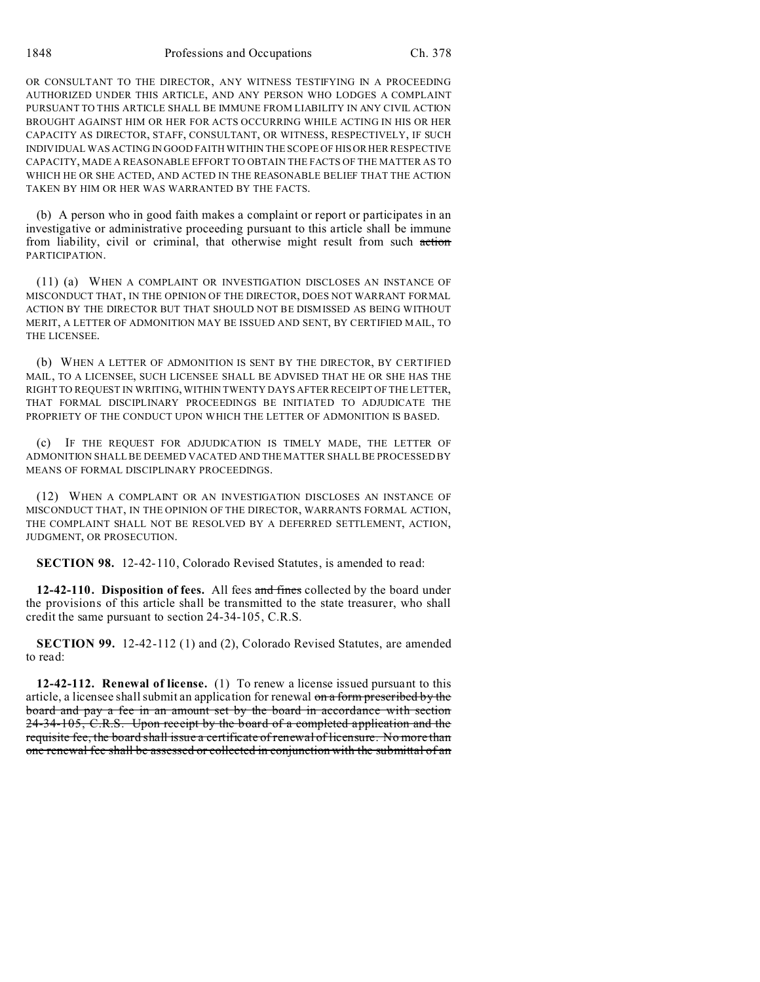OR CONSULTANT TO THE DIRECTOR, ANY WITNESS TESTIFYING IN A PROCEEDING AUTHORIZED UNDER THIS ARTICLE, AND ANY PERSON WHO LODGES A COMPLAINT PURSUANT TO THIS ARTICLE SHALL BE IMMUNE FROM LIABILITY IN ANY CIVIL ACTION BROUGHT AGAINST HIM OR HER FOR ACTS OCCURRING WHILE ACTING IN HIS OR HER CAPACITY AS DIRECTOR, STAFF, CONSULTANT, OR WITNESS, RESPECTIVELY, IF SUCH INDIVIDUAL WAS ACTING IN GOOD FAITH WITHIN THE SCOPE OF HIS OR HER RESPECTIVE CAPACITY, MADE A REASONABLE EFFORT TO OBTAIN THE FACTS OF THE MATTER AS TO WHICH HE OR SHE ACTED, AND ACTED IN THE REASONABLE BELIEF THAT THE ACTION TAKEN BY HIM OR HER WAS WARRANTED BY THE FACTS.

(b) A person who in good faith makes a complaint or report or participates in an investigative or administrative proceeding pursuant to this article shall be immune from liability, civil or criminal, that otherwise might result from such action PARTICIPATION.

(11) (a) WHEN A COMPLAINT OR INVESTIGATION DISCLOSES AN INSTANCE OF MISCONDUCT THAT, IN THE OPINION OF THE DIRECTOR, DOES NOT WARRANT FORMAL ACTION BY THE DIRECTOR BUT THAT SHOULD NOT BE DISMISSED AS BEING WITHOUT MERIT, A LETTER OF ADMONITION MAY BE ISSUED AND SENT, BY CERTIFIED MAIL, TO THE LICENSEE.

(b) WHEN A LETTER OF ADMONITION IS SENT BY THE DIRECTOR, BY CERTIFIED MAIL, TO A LICENSEE, SUCH LICENSEE SHALL BE ADVISED THAT HE OR SHE HAS THE RIGHT TO REQUEST IN WRITING, WITHIN TWENTY DAYS AFTER RECEIPT OF THE LETTER, THAT FORMAL DISCIPLINARY PROCEEDINGS BE INITIATED TO ADJUDICATE THE PROPRIETY OF THE CONDUCT UPON WHICH THE LETTER OF ADMONITION IS BASED.

(c) IF THE REQUEST FOR ADJUDICATION IS TIMELY MADE, THE LETTER OF ADMONITION SHALL BE DEEMED VACATED AND THE MATTER SHALL BE PROCESSED BY MEANS OF FORMAL DISCIPLINARY PROCEEDINGS.

(12) WHEN A COMPLAINT OR AN INVESTIGATION DISCLOSES AN INSTANCE OF MISCONDUCT THAT, IN THE OPINION OF THE DIRECTOR, WARRANTS FORMAL ACTION, THE COMPLAINT SHALL NOT BE RESOLVED BY A DEFERRED SETTLEMENT, ACTION, JUDGMENT, OR PROSECUTION.

**SECTION 98.** 12-42-110, Colorado Revised Statutes, is amended to read:

**12-42-110. Disposition of fees.** All fees and fines collected by the board under the provisions of this article shall be transmitted to the state treasurer, who shall credit the same pursuant to section 24-34-105, C.R.S.

**SECTION 99.** 12-42-112 (1) and (2), Colorado Revised Statutes, are amended to read:

**12-42-112. Renewal of license.** (1) To renew a license issued pursuant to this article, a licensee shall submit an application for renewal on a form prescribed by the board and pay a fee in an amount set by the board in accordance with section 24-34-105, C.R.S. Upon receipt by the board of a completed application and the requisite fee, the board shall issue a certificate of renewal of licensure. No more than one renewal fee shall be assessed or collected in conjunction with the submittal of an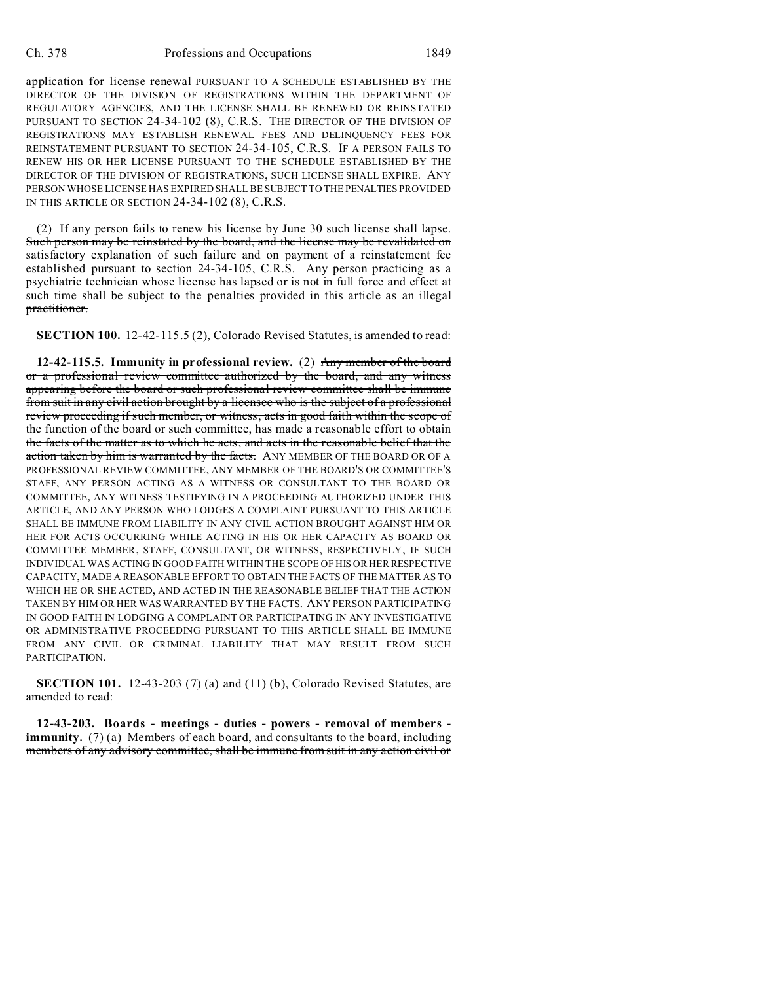application for license renewal PURSUANT TO A SCHEDULE ESTABLISHED BY THE DIRECTOR OF THE DIVISION OF REGISTRATIONS WITHIN THE DEPARTMENT OF REGULATORY AGENCIES, AND THE LICENSE SHALL BE RENEWED OR REINSTATED PURSUANT TO SECTION 24-34-102 (8), C.R.S. THE DIRECTOR OF THE DIVISION OF REGISTRATIONS MAY ESTABLISH RENEWAL FEES AND DELINQUENCY FEES FOR REINSTATEMENT PURSUANT TO SECTION 24-34-105, C.R.S. IF A PERSON FAILS TO RENEW HIS OR HER LICENSE PURSUANT TO THE SCHEDULE ESTABLISHED BY THE DIRECTOR OF THE DIVISION OF REGISTRATIONS, SUCH LICENSE SHALL EXPIRE. ANY PERSON WHOSE LICENSE HAS EXPIRED SHALL BE SUBJECT TO THE PENALTIES PROVIDED IN THIS ARTICLE OR SECTION 24-34-102 (8), C.R.S.

(2) If any person fails to renew his license by June 30 such license shall lapse. Such person may be reinstated by the board, and the license may be revalidated on satisfactory explanation of such failure and on payment of a reinstatement fee established pursuant to section 24-34-105, C.R.S. Any person practicing as a psychiatric technician whose license has lapsed or is not in full force and effect at such time shall be subject to the penalties provided in this article as an illegal practitioner.

**SECTION 100.** 12-42-115.5 (2), Colorado Revised Statutes, is amended to read:

**12-42-115.5. Immunity in professional review.** (2) Any member of the board or a professional review committee authorized by the board, and any witness appearing before the board or such professional review committee shall be immune from suit in any civil action brought by a licensee who is the subject of a professional review proceeding if such member, or witness, acts in good faith within the scope of the function of the board or such committee, has made a reasonable effort to obtain the facts of the matter as to which he acts, and acts in the reasonable belief that the action taken by him is warranted by the facts. ANY MEMBER OF THE BOARD OR OF A PROFESSIONAL REVIEW COMMITTEE, ANY MEMBER OF THE BOARD'S OR COMMITTEE'S STAFF, ANY PERSON ACTING AS A WITNESS OR CONSULTANT TO THE BOARD OR COMMITTEE, ANY WITNESS TESTIFYING IN A PROCEEDING AUTHORIZED UNDER THIS ARTICLE, AND ANY PERSON WHO LODGES A COMPLAINT PURSUANT TO THIS ARTICLE SHALL BE IMMUNE FROM LIABILITY IN ANY CIVIL ACTION BROUGHT AGAINST HIM OR HER FOR ACTS OCCURRING WHILE ACTING IN HIS OR HER CAPACITY AS BOARD OR COMMITTEE MEMBER, STAFF, CONSULTANT, OR WITNESS, RESPECTIVELY, IF SUCH INDIVIDUAL WAS ACTING IN GOOD FAITH WITHIN THE SCOPE OF HIS OR HER RESPECTIVE CAPACITY, MADE A REASONABLE EFFORT TO OBTAIN THE FACTS OF THE MATTER AS TO WHICH HE OR SHE ACTED, AND ACTED IN THE REASONABLE BELIEF THAT THE ACTION TAKEN BY HIM OR HER WAS WARRANTED BY THE FACTS. ANY PERSON PARTICIPATING IN GOOD FAITH IN LODGING A COMPLAINT OR PARTICIPATING IN ANY INVESTIGATIVE OR ADMINISTRATIVE PROCEEDING PURSUANT TO THIS ARTICLE SHALL BE IMMUNE FROM ANY CIVIL OR CRIMINAL LIABILITY THAT MAY RESULT FROM SUCH PARTICIPATION.

**SECTION 101.** 12-43-203 (7) (a) and (11) (b), Colorado Revised Statutes, are amended to read:

**12-43-203. Boards - meetings - duties - powers - removal of members immunity.** (7) (a) Members of each board, and consultants to the board, including members of any advisory committee, shall be immune from suit in any action civil or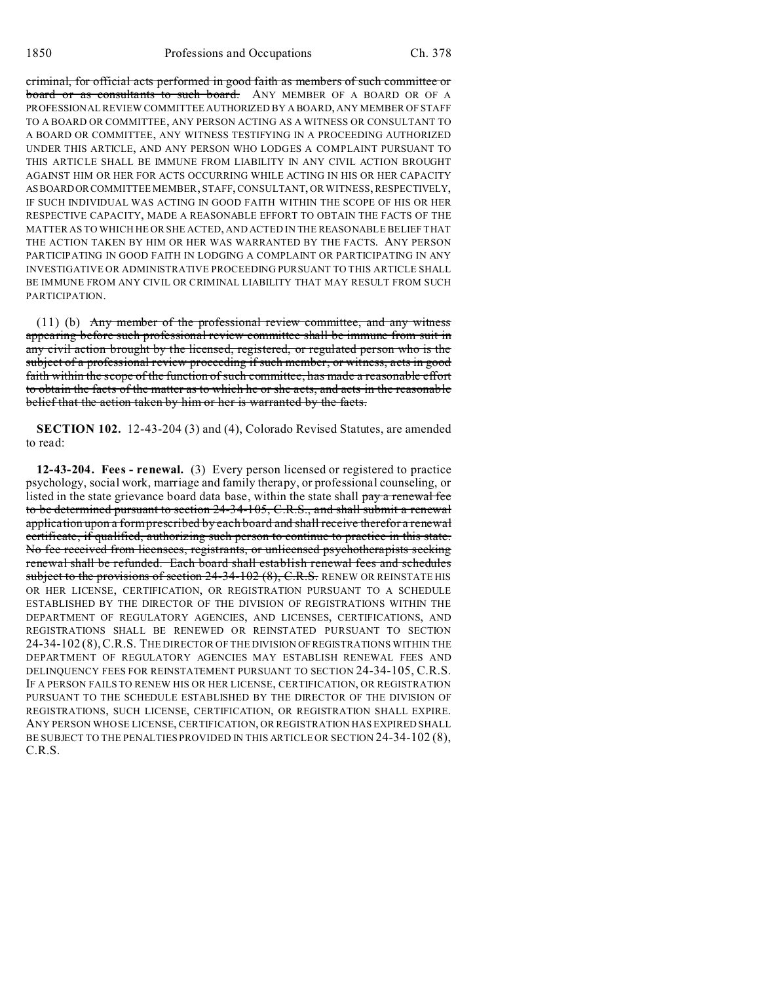criminal, for official acts performed in good faith as members of such committee or board or as consultants to such board. ANY MEMBER OF A BOARD OR OF A PROFESSIONAL REVIEW COMMITTEE AUTHORIZED BY A BOARD, ANY MEMBER OF STAFF TO A BOARD OR COMMITTEE, ANY PERSON ACTING AS A WITNESS OR CONSULTANT TO A BOARD OR COMMITTEE, ANY WITNESS TESTIFYING IN A PROCEEDING AUTHORIZED UNDER THIS ARTICLE, AND ANY PERSON WHO LODGES A COMPLAINT PURSUANT TO THIS ARTICLE SHALL BE IMMUNE FROM LIABILITY IN ANY CIVIL ACTION BROUGHT AGAINST HIM OR HER FOR ACTS OCCURRING WHILE ACTING IN HIS OR HER CAPACITY ASBOARDORCOMMITTEE MEMBER, STAFF, CONSULTANT, OR WITNESS, RESPECTIVELY, IF SUCH INDIVIDUAL WAS ACTING IN GOOD FAITH WITHIN THE SCOPE OF HIS OR HER RESPECTIVE CAPACITY, MADE A REASONABLE EFFORT TO OBTAIN THE FACTS OF THE MATTER AS TO WHICH HE OR SHE ACTED, AND ACTED IN THE REASONABLE BELIEF THAT THE ACTION TAKEN BY HIM OR HER WAS WARRANTED BY THE FACTS. ANY PERSON PARTICIPATING IN GOOD FAITH IN LODGING A COMPLAINT OR PARTICIPATING IN ANY INVESTIGATIVE OR ADMINISTRATIVE PROCEEDING PURSUANT TO THIS ARTICLE SHALL BE IMMUNE FROM ANY CIVIL OR CRIMINAL LIABILITY THAT MAY RESULT FROM SUCH PARTICIPATION.

(11) (b) Any member of the professional review committee, and any witness appearing before such professional review committee shall be immune from suit in any civil action brought by the licensed, registered, or regulated person who is the subject of a professional review proceeding if such member, or witness, acts in good faith within the scope of the function of such committee, has made a reasonable effort to obtain the facts of the matter as to which he or she acts, and acts in the reasonable belief that the action taken by him or her is warranted by the facts.

**SECTION 102.** 12-43-204 (3) and (4), Colorado Revised Statutes, are amended to read:

**12-43-204. Fees - renewal.** (3) Every person licensed or registered to practice psychology, social work, marriage and family therapy, or professional counseling, or listed in the state grievance board data base, within the state shall pay a renewal fee to be determined pursuant to section 24-34-105, C.R.S., and shall submit a renewal application upon a form prescribed by each board and shall receive therefor a renewal certificate, if qualified, authorizing such person to continue to practice in this state. No fee received from licensees, registrants, or unlicensed psychotherapists seeking renewal shall be refunded. Each board shall establish renewal fees and schedules subject to the provisions of section  $24-34-102(8)$ , C.R.S. RENEW OR REINSTATE HIS OR HER LICENSE, CERTIFICATION, OR REGISTRATION PURSUANT TO A SCHEDULE ESTABLISHED BY THE DIRECTOR OF THE DIVISION OF REGISTRATIONS WITHIN THE DEPARTMENT OF REGULATORY AGENCIES, AND LICENSES, CERTIFICATIONS, AND REGISTRATIONS SHALL BE RENEWED OR REINSTATED PURSUANT TO SECTION 24-34-102 (8),C.R.S. THE DIRECTOR OF THE DIVISION OFREGISTRATIONS WITHIN THE DEPARTMENT OF REGULATORY AGENCIES MAY ESTABLISH RENEWAL FEES AND DELINQUENCY FEES FOR REINSTATEMENT PURSUANT TO SECTION 24-34-105, C.R.S. IF A PERSON FAILS TO RENEW HIS OR HER LICENSE, CERTIFICATION, OR REGISTRATION PURSUANT TO THE SCHEDULE ESTABLISHED BY THE DIRECTOR OF THE DIVISION OF REGISTRATIONS, SUCH LICENSE, CERTIFICATION, OR REGISTRATION SHALL EXPIRE. ANY PERSON WHOSE LICENSE, CERTIFICATION, OR REGISTRATION HAS EXPIRED SHALL BE SUBJECT TO THE PENALTIES PROVIDED IN THIS ARTICLE OR SECTION 24-34-102 (8), C.R.S.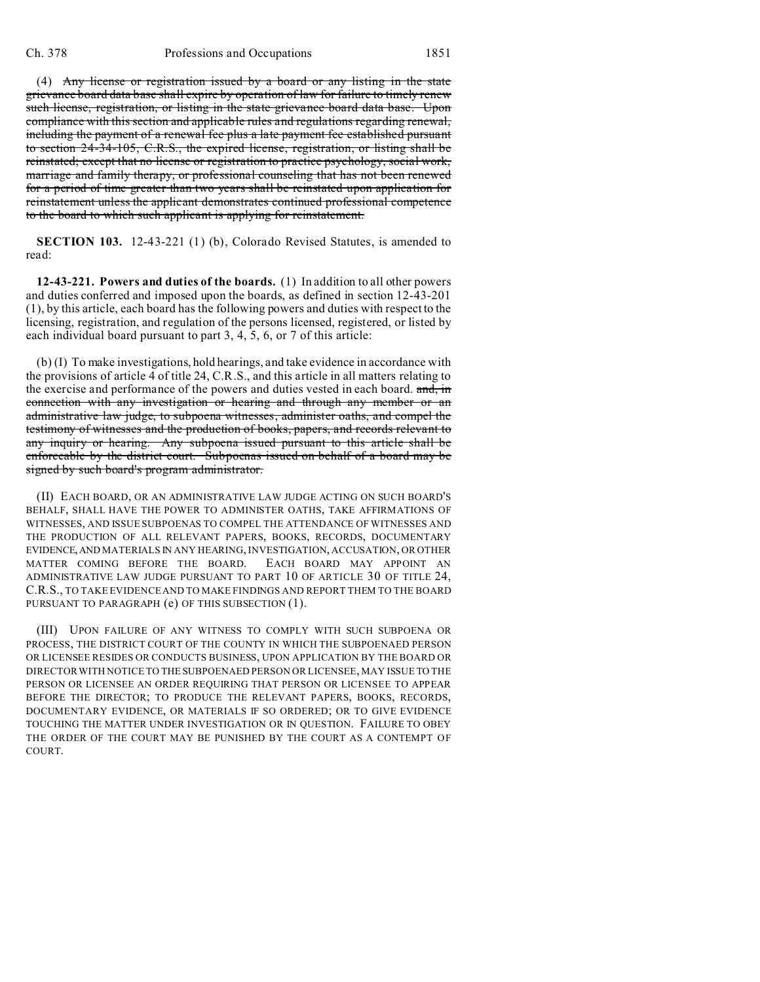(4) Any license or registration issued by a board or any listing in the state grievance board data base shall expire by operation of law for failure to timely renew such license, registration, or listing in the state grievance board data base. Upon compliance with this section and applicable rules and regulations regarding renewal, including the payment of a renewal fee plus a late payment fee established pursuant to section 24-34-105, C.R.S., the expired license, registration, or listing shall be reinstated; except that no license or registration to practice psychology, social work, marriage and family therapy, or professional counseling that has not been renewed for a period of time greater than two years shall be reinstated upon application for reinstatement unless the applicant demonstrates continued professional competence to the board to which such applicant is applying for reinstatement.

**SECTION 103.** 12-43-221 (1) (b), Colorado Revised Statutes, is amended to read:

**12-43-221. Powers and duties of the boards.** (1) In addition to all other powers and duties conferred and imposed upon the boards, as defined in section 12-43-201 (1), by this article, each board has the following powers and duties with respect to the licensing, registration, and regulation of the persons licensed, registered, or listed by each individual board pursuant to part 3, 4, 5, 6, or 7 of this article:

(b) (I) To make investigations, hold hearings, and take evidence in accordance with the provisions of article 4 of title 24, C.R.S., and this article in all matters relating to the exercise and performance of the powers and duties vested in each board. and, in connection with any investigation or hearing and through any member or an administrative law judge, to subpoena witnesses, administer oaths, and compel the testimony of witnesses and the production of books, papers, and records relevant to any inquiry or hearing. Any subpoena issued pursuant to this article shall be enforceable by the district court. Subpoenas issued on behalf of a board may be signed by such board's program administrator.

(II) EACH BOARD, OR AN ADMINISTRATIVE LAW JUDGE ACTING ON SUCH BOARD'S BEHALF, SHALL HAVE THE POWER TO ADMINISTER OATHS, TAKE AFFIRMATIONS OF WITNESSES, AND ISSUE SUBPOENAS TO COMPEL THE ATTENDANCE OF WITNESSES AND THE PRODUCTION OF ALL RELEVANT PAPERS, BOOKS, RECORDS, DOCUMENTARY EVIDENCE,AND MATERIALS IN ANY HEARING, INVESTIGATION, ACCUSATION, OR OTHER MATTER COMING BEFORE THE BOARD. EACH BOARD MAY APPOINT AN ADMINISTRATIVE LAW JUDGE PURSUANT TO PART 10 OF ARTICLE 30 OF TITLE 24, C.R.S., TO TAKE EVIDENCE AND TO MAKE FINDINGS AND REPORT THEM TO THE BOARD PURSUANT TO PARAGRAPH (e) OF THIS SUBSECTION (1).

(III) UPON FAILURE OF ANY WITNESS TO COMPLY WITH SUCH SUBPOENA OR PROCESS, THE DISTRICT COURT OF THE COUNTY IN WHICH THE SUBPOENAED PERSON OR LICENSEE RESIDES OR CONDUCTS BUSINESS, UPON APPLICATION BY THE BOARD OR DIRECTOR WITH NOTICE TO THE SUBPOENAED PERSON OR LICENSEE, MAY ISSUE TO THE PERSON OR LICENSEE AN ORDER REQUIRING THAT PERSON OR LICENSEE TO APPEAR BEFORE THE DIRECTOR; TO PRODUCE THE RELEVANT PAPERS, BOOKS, RECORDS, DOCUMENTARY EVIDENCE, OR MATERIALS IF SO ORDERED; OR TO GIVE EVIDENCE TOUCHING THE MATTER UNDER INVESTIGATION OR IN QUESTION. FAILURE TO OBEY THE ORDER OF THE COURT MAY BE PUNISHED BY THE COURT AS A CONTEMPT OF COURT.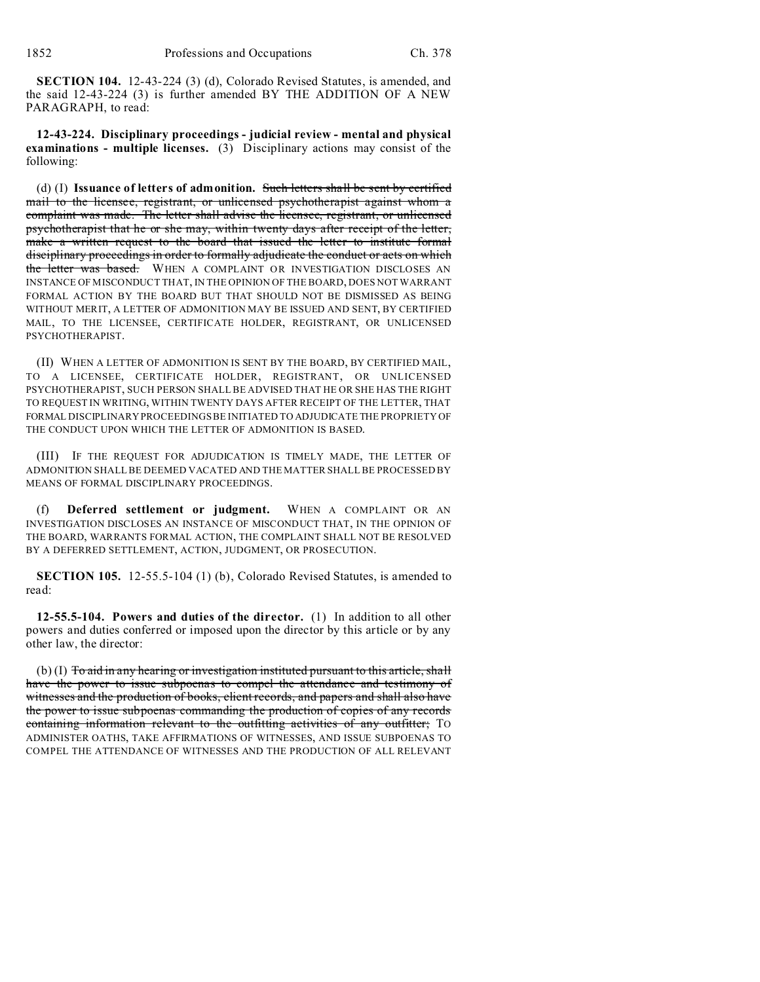**SECTION 104.** 12-43-224 (3) (d), Colorado Revised Statutes, is amended, and the said 12-43-224 (3) is further amended BY THE ADDITION OF A NEW PARAGRAPH, to read:

**12-43-224. Disciplinary proceedings - judicial review - mental and physical examinations - multiple licenses.** (3) Disciplinary actions may consist of the following:

(d) (I) **Issuance of letters of admonition.** Such letters shall be sent by certified mail to the licensee, registrant, or unlicensed psychotherapist against whom a complaint was made. The letter shall advise the licensee, registrant, or unlicensed psychotherapist that he or she may, within twenty days after receipt of the letter, make a written request to the board that issued the letter to institute formal disciplinary proceedings in order to formally adjudicate the conduct or acts on which the letter was based. WHEN A COMPLAINT OR INVESTIGATION DISCLOSES AN INSTANCE OF MISCONDUCT THAT, IN THE OPINION OF THE BOARD, DOES NOT WARRANT FORMAL ACTION BY THE BOARD BUT THAT SHOULD NOT BE DISMISSED AS BEING WITHOUT MERIT, A LETTER OF ADMONITION MAY BE ISSUED AND SENT, BY CERTIFIED MAIL, TO THE LICENSEE, CERTIFICATE HOLDER, REGISTRANT, OR UNLICENSED PSYCHOTHERAPIST.

(II) WHEN A LETTER OF ADMONITION IS SENT BY THE BOARD, BY CERTIFIED MAIL, TO A LICENSEE, CERTIFICATE HOLDER, REGISTRANT, OR UNLICENSED PSYCHOTHERAPIST, SUCH PERSON SHALL BE ADVISED THAT HE OR SHE HAS THE RIGHT TO REQUEST IN WRITING, WITHIN TWENTY DAYS AFTER RECEIPT OF THE LETTER, THAT FORMAL DISCIPLINARY PROCEEDINGS BE INITIATED TO ADJUDICATE THE PROPRIETY OF THE CONDUCT UPON WHICH THE LETTER OF ADMONITION IS BASED.

(III) IF THE REQUEST FOR ADJUDICATION IS TIMELY MADE, THE LETTER OF ADMONITION SHALL BE DEEMED VACATED AND THE MATTER SHALL BE PROCESSED BY MEANS OF FORMAL DISCIPLINARY PROCEEDINGS.

(f) **Deferred settlement or judgment.** WHEN A COMPLAINT OR AN INVESTIGATION DISCLOSES AN INSTANCE OF MISCONDUCT THAT, IN THE OPINION OF THE BOARD, WARRANTS FORMAL ACTION, THE COMPLAINT SHALL NOT BE RESOLVED BY A DEFERRED SETTLEMENT, ACTION, JUDGMENT, OR PROSECUTION.

**SECTION 105.** 12-55.5-104 (1) (b), Colorado Revised Statutes, is amended to read:

**12-55.5-104. Powers and duties of the director.** (1) In addition to all other powers and duties conferred or imposed upon the director by this article or by any other law, the director:

 $(b)$  (I) To aid in any hearing or investigation instituted pursuant to this article, shall have the power to issue subpoenas to compel the attendance and testimony of witnesses and the production of books, client records, and papers and shall also have the power to issue subpoenas commanding the production of copies of any records containing information relevant to the outfitting activities of any outfitter; TO ADMINISTER OATHS, TAKE AFFIRMATIONS OF WITNESSES, AND ISSUE SUBPOENAS TO COMPEL THE ATTENDANCE OF WITNESSES AND THE PRODUCTION OF ALL RELEVANT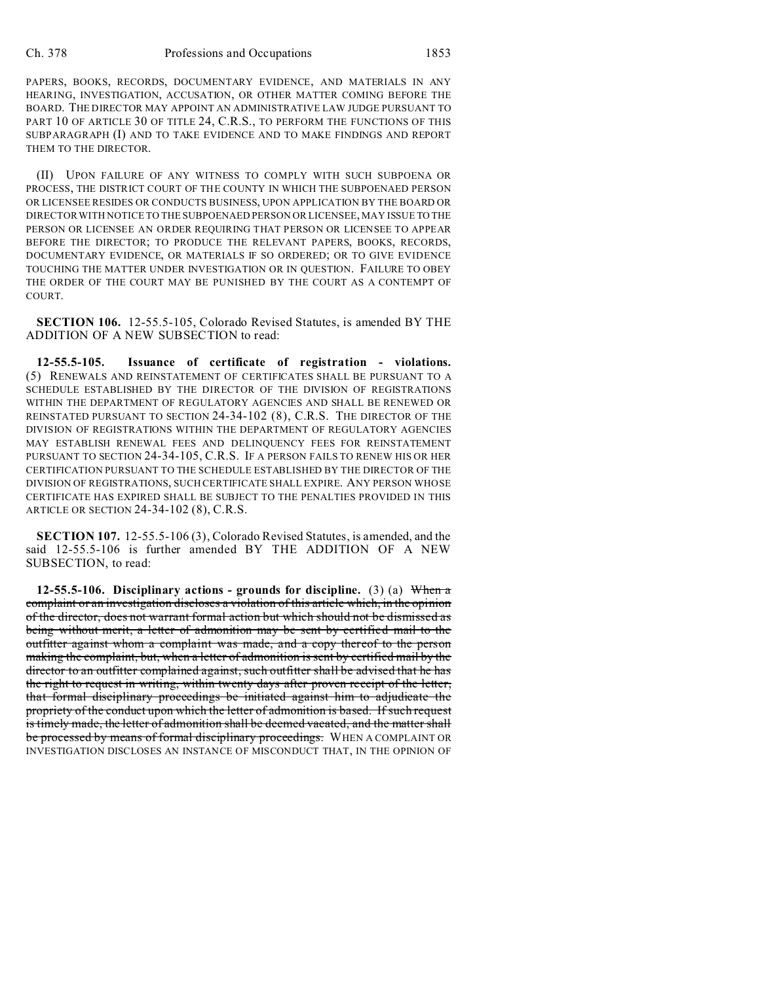PAPERS, BOOKS, RECORDS, DOCUMENTARY EVIDENCE, AND MATERIALS IN ANY HEARING, INVESTIGATION, ACCUSATION, OR OTHER MATTER COMING BEFORE THE BOARD. THE DIRECTOR MAY APPOINT AN ADMINISTRATIVE LAW JUDGE PURSUANT TO PART 10 OF ARTICLE 30 OF TITLE 24, C.R.S., TO PERFORM THE FUNCTIONS OF THIS SUBPARAGRAPH (I) AND TO TAKE EVIDENCE AND TO MAKE FINDINGS AND REPORT THEM TO THE DIRECTOR.

(II) UPON FAILURE OF ANY WITNESS TO COMPLY WITH SUCH SUBPOENA OR PROCESS, THE DISTRICT COURT OF THE COUNTY IN WHICH THE SUBPOENAED PERSON OR LICENSEE RESIDES OR CONDUCTS BUSINESS, UPON APPLICATION BY THE BOARD OR DIRECTOR WITH NOTICE TO THE SUBPOENAED PERSON OR LICENSEE, MAY ISSUE TO THE PERSON OR LICENSEE AN ORDER REQUIRING THAT PERSON OR LICENSEE TO APPEAR BEFORE THE DIRECTOR; TO PRODUCE THE RELEVANT PAPERS, BOOKS, RECORDS, DOCUMENTARY EVIDENCE, OR MATERIALS IF SO ORDERED; OR TO GIVE EVIDENCE TOUCHING THE MATTER UNDER INVESTIGATION OR IN QUESTION. FAILURE TO OBEY THE ORDER OF THE COURT MAY BE PUNISHED BY THE COURT AS A CONTEMPT OF COURT.

**SECTION 106.** 12-55.5-105, Colorado Revised Statutes, is amended BY THE ADDITION OF A NEW SUBSECTION to read:

**12-55.5-105. Issuance of certificate of registration - violations.** (5) RENEWALS AND REINSTATEMENT OF CERTIFICATES SHALL BE PURSUANT TO A SCHEDULE ESTABLISHED BY THE DIRECTOR OF THE DIVISION OF REGISTRATIONS WITHIN THE DEPARTMENT OF REGULATORY AGENCIES AND SHALL BE RENEWED OR REINSTATED PURSUANT TO SECTION 24-34-102 (8), C.R.S. THE DIRECTOR OF THE DIVISION OF REGISTRATIONS WITHIN THE DEPARTMENT OF REGULATORY AGENCIES MAY ESTABLISH RENEWAL FEES AND DELINQUENCY FEES FOR REINSTATEMENT PURSUANT TO SECTION 24-34-105, C.R.S. IF A PERSON FAILS TO RENEW HIS OR HER CERTIFICATION PURSUANT TO THE SCHEDULE ESTABLISHED BY THE DIRECTOR OF THE DIVISION OF REGISTRATIONS, SUCH CERTIFICATE SHALL EXPIRE. ANY PERSON WHOSE CERTIFICATE HAS EXPIRED SHALL BE SUBJECT TO THE PENALTIES PROVIDED IN THIS ARTICLE OR SECTION 24-34-102 (8), C.R.S.

**SECTION 107.** 12-55.5-106 (3), Colorado Revised Statutes, is amended, and the said 12-55.5-106 is further amended BY THE ADDITION OF A NEW SUBSECTION, to read:

**12-55.5-106. Disciplinary actions - grounds for discipline.** (3) (a) When a complaint or an investigation discloses a violation of this article which, in the opinion of the director, does not warrant formal action but which should not be dismissed as being without merit, a letter of admonition may be sent by certified mail to the outfitter against whom a complaint was made, and a copy thereof to the person making the complaint, but, when a letter of admonition is sent by certified mail by the director to an outfitter complained against, such outfitter shall be advised that he has the right to request in writing, within twenty days after proven receipt of the letter, that formal disciplinary proceedings be initiated against him to adjudicate the propriety of the conduct upon which the letter of admonition is based. If such request is timely made, the letter of admonition shall be deemed vacated, and the matter shall be processed by means of formal disciplinary proceedings. WHEN A COMPLAINT OR INVESTIGATION DISCLOSES AN INSTANCE OF MISCONDUCT THAT, IN THE OPINION OF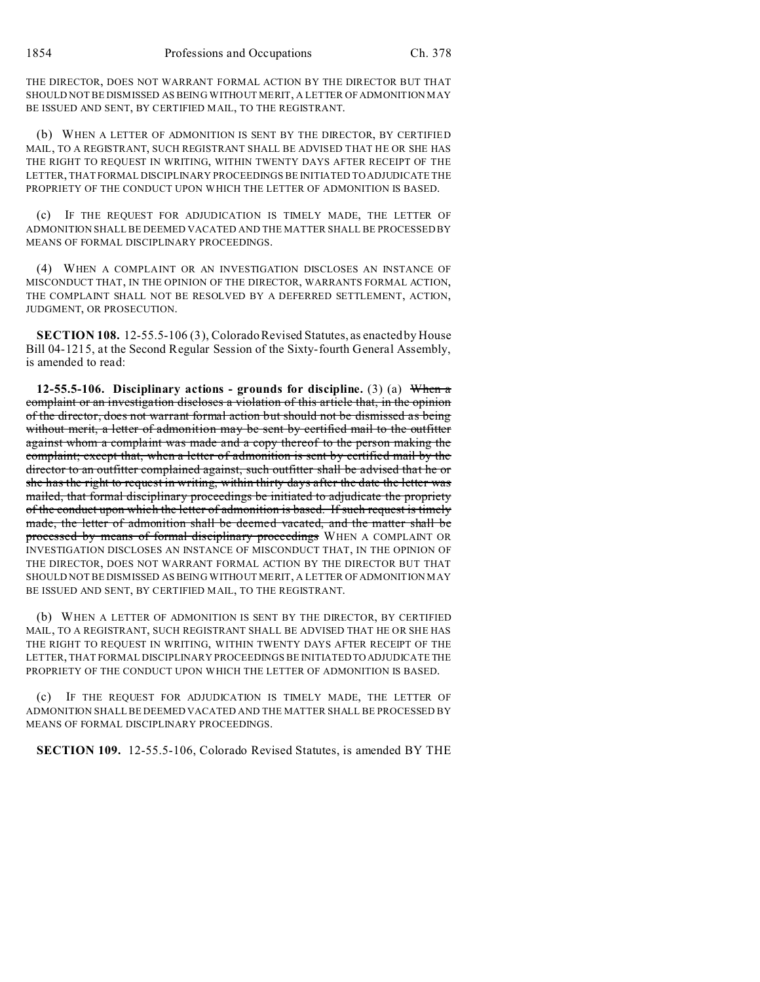THE DIRECTOR, DOES NOT WARRANT FORMAL ACTION BY THE DIRECTOR BUT THAT SHOULD NOT BE DISMISSED AS BEING WITHOUT MERIT, A LETTER OF ADMONITION MAY BE ISSUED AND SENT, BY CERTIFIED MAIL, TO THE REGISTRANT.

(b) WHEN A LETTER OF ADMONITION IS SENT BY THE DIRECTOR, BY CERTIFIED MAIL, TO A REGISTRANT, SUCH REGISTRANT SHALL BE ADVISED THAT HE OR SHE HAS THE RIGHT TO REQUEST IN WRITING, WITHIN TWENTY DAYS AFTER RECEIPT OF THE LETTER, THAT FORMAL DISCIPLINARY PROCEEDINGS BE INITIATED TO ADJUDICATE THE PROPRIETY OF THE CONDUCT UPON WHICH THE LETTER OF ADMONITION IS BASED.

(c) IF THE REQUEST FOR ADJUDICATION IS TIMELY MADE, THE LETTER OF ADMONITION SHALL BE DEEMED VACATED AND THE MATTER SHALL BE PROCESSED BY MEANS OF FORMAL DISCIPLINARY PROCEEDINGS.

(4) WHEN A COMPLAINT OR AN INVESTIGATION DISCLOSES AN INSTANCE OF MISCONDUCT THAT, IN THE OPINION OF THE DIRECTOR, WARRANTS FORMAL ACTION, THE COMPLAINT SHALL NOT BE RESOLVED BY A DEFERRED SETTLEMENT, ACTION, JUDGMENT, OR PROSECUTION.

**SECTION 108.** 12-55.5-106 (3), Colorado Revised Statutes, as enacted by House Bill 04-1215, at the Second Regular Session of the Sixty-fourth General Assembly, is amended to read:

**12-55.5-106. Disciplinary actions - grounds for discipline.** (3) (a) When a complaint or an investigation discloses a violation of this article that, in the opinion of the director, does not warrant formal action but should not be dismissed as being without merit, a letter of admonition may be sent by certified mail to the outfitter against whom a complaint was made and a copy thereof to the person making the complaint; except that, when a letter of admonition is sent by certified mail by the director to an outfitter complained against, such outfitter shall be advised that he or she has the right to request in writing, within thirty days after the date the letter was mailed, that formal disciplinary proceedings be initiated to adjudicate the propriety of the conduct upon which the letter of admonition is based. If such request is timely made, the letter of admonition shall be deemed vacated, and the matter shall be processed by means of formal disciplinary proceedings WHEN A COMPLAINT OR INVESTIGATION DISCLOSES AN INSTANCE OF MISCONDUCT THAT, IN THE OPINION OF THE DIRECTOR, DOES NOT WARRANT FORMAL ACTION BY THE DIRECTOR BUT THAT SHOULD NOT BE DISMISSED AS BEING WITHOUT MERIT, A LETTER OF ADMONITION MAY BE ISSUED AND SENT, BY CERTIFIED MAIL, TO THE REGISTRANT.

(b) WHEN A LETTER OF ADMONITION IS SENT BY THE DIRECTOR, BY CERTIFIED MAIL, TO A REGISTRANT, SUCH REGISTRANT SHALL BE ADVISED THAT HE OR SHE HAS THE RIGHT TO REQUEST IN WRITING, WITHIN TWENTY DAYS AFTER RECEIPT OF THE LETTER, THAT FORMAL DISCIPLINARY PROCEEDINGS BE INITIATED TO ADJUDICATE THE PROPRIETY OF THE CONDUCT UPON WHICH THE LETTER OF ADMONITION IS BASED.

(c) IF THE REQUEST FOR ADJUDICATION IS TIMELY MADE, THE LETTER OF ADMONITION SHALL BE DEEMED VACATED AND THE MATTER SHALL BE PROCESSED BY MEANS OF FORMAL DISCIPLINARY PROCEEDINGS.

**SECTION 109.** 12-55.5-106, Colorado Revised Statutes, is amended BY THE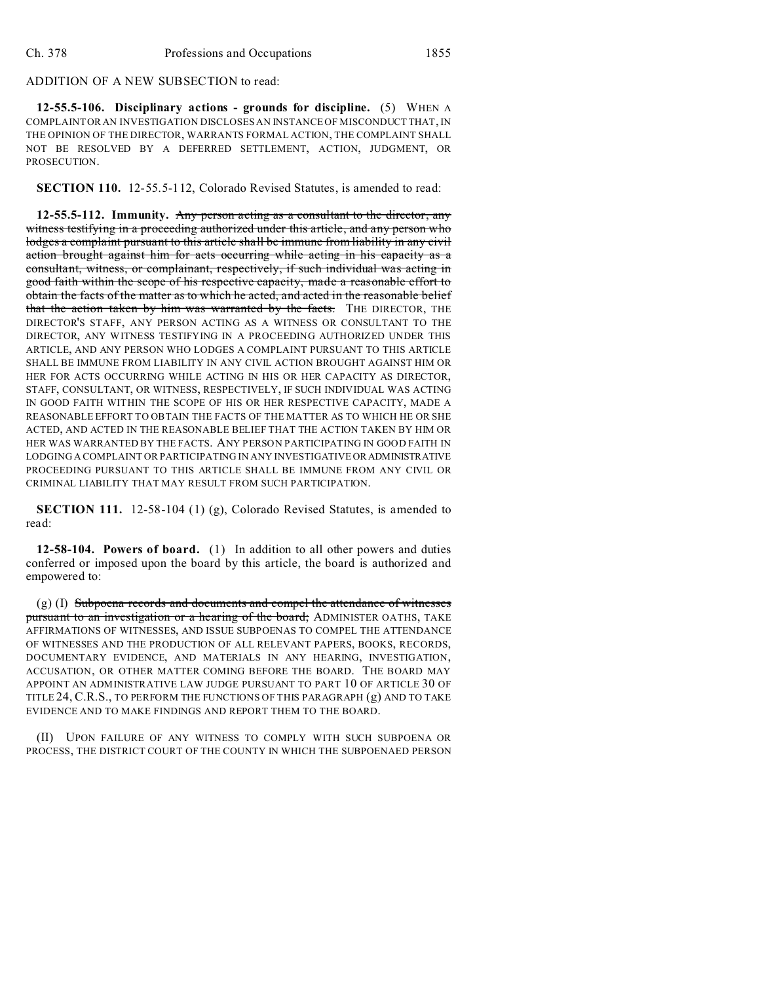## ADDITION OF A NEW SUBSECTION to read:

**12-55.5-106. Disciplinary actions - grounds for discipline.** (5) WHEN A COMPLAINT OR AN INVESTIGATION DISCLOSES AN INSTANCE OF MISCONDUCT THAT, IN THE OPINION OF THE DIRECTOR, WARRANTS FORMAL ACTION, THE COMPLAINT SHALL NOT BE RESOLVED BY A DEFERRED SETTLEMENT, ACTION, JUDGMENT, OR PROSECUTION.

**SECTION 110.** 12-55.5-112, Colorado Revised Statutes, is amended to read:

**12-55.5-112. Immunity.** Any person acting as a consultant to the director, any witness testifying in a proceeding authorized under this article, and any person who lodges a complaint pursuant to this article shall be immune from liability in any civil action brought against him for acts occurring while acting in his capacity as a consultant, witness, or complainant, respectively, if such individual was acting in good faith within the scope of his respective capacity, made a reasonable effort to obtain the facts of the matter as to which he acted, and acted in the reasonable belief that the action taken by him was warranted by the facts. THE DIRECTOR, THE DIRECTOR'S STAFF, ANY PERSON ACTING AS A WITNESS OR CONSULTANT TO THE DIRECTOR, ANY WITNESS TESTIFYING IN A PROCEEDING AUTHORIZED UNDER THIS ARTICLE, AND ANY PERSON WHO LODGES A COMPLAINT PURSUANT TO THIS ARTICLE SHALL BE IMMUNE FROM LIABILITY IN ANY CIVIL ACTION BROUGHT AGAINST HIM OR HER FOR ACTS OCCURRING WHILE ACTING IN HIS OR HER CAPACITY AS DIRECTOR, STAFF, CONSULTANT, OR WITNESS, RESPECTIVELY, IF SUCH INDIVIDUAL WAS ACTING IN GOOD FAITH WITHIN THE SCOPE OF HIS OR HER RESPECTIVE CAPACITY, MADE A REASONABLE EFFORT TO OBTAIN THE FACTS OF THE MATTER AS TO WHICH HE OR SHE ACTED, AND ACTED IN THE REASONABLE BELIEF THAT THE ACTION TAKEN BY HIM OR HER WAS WARRANTED BY THE FACTS. ANY PERSON PARTICIPATING IN GOOD FAITH IN LODGING A COMPLAINT OR PARTICIPATING IN ANY INVESTIGATIVE OR ADMINISTRATIVE PROCEEDING PURSUANT TO THIS ARTICLE SHALL BE IMMUNE FROM ANY CIVIL OR CRIMINAL LIABILITY THAT MAY RESULT FROM SUCH PARTICIPATION.

**SECTION 111.** 12-58-104 (1) (g), Colorado Revised Statutes, is amended to read:

**12-58-104. Powers of board.** (1) In addition to all other powers and duties conferred or imposed upon the board by this article, the board is authorized and empowered to:

 $(g)$  (I) Subpoena records and documents and compel the attendance of witnesses pursuant to an investigation or a hearing of the board; ADMINISTER OATHS, TAKE AFFIRMATIONS OF WITNESSES, AND ISSUE SUBPOENAS TO COMPEL THE ATTENDANCE OF WITNESSES AND THE PRODUCTION OF ALL RELEVANT PAPERS, BOOKS, RECORDS, DOCUMENTARY EVIDENCE, AND MATERIALS IN ANY HEARING, INVESTIGATION, ACCUSATION, OR OTHER MATTER COMING BEFORE THE BOARD. THE BOARD MAY APPOINT AN ADMINISTRATIVE LAW JUDGE PURSUANT TO PART 10 OF ARTICLE 30 OF TITLE 24, C.R.S., TO PERFORM THE FUNCTIONS OF THIS PARAGRAPH (g) AND TO TAKE EVIDENCE AND TO MAKE FINDINGS AND REPORT THEM TO THE BOARD.

(II) UPON FAILURE OF ANY WITNESS TO COMPLY WITH SUCH SUBPOENA OR PROCESS, THE DISTRICT COURT OF THE COUNTY IN WHICH THE SUBPOENAED PERSON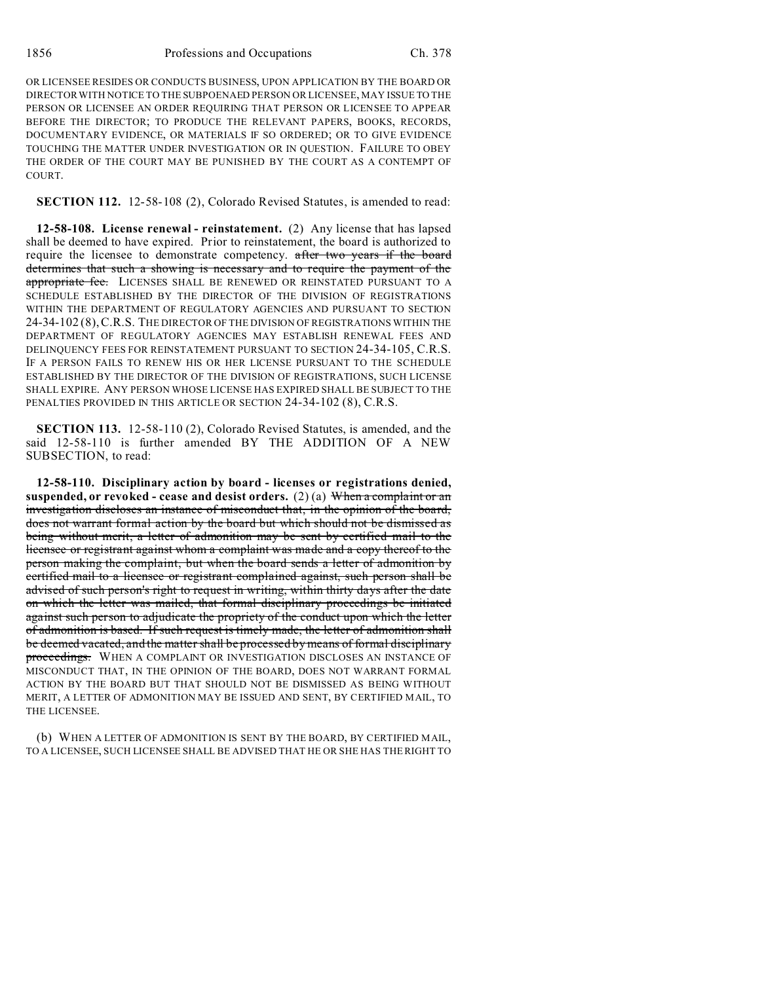OR LICENSEE RESIDES OR CONDUCTS BUSINESS, UPON APPLICATION BY THE BOARD OR DIRECTOR WITH NOTICE TO THE SUBPOENAED PERSON OR LICENSEE, MAY ISSUE TO THE PERSON OR LICENSEE AN ORDER REQUIRING THAT PERSON OR LICENSEE TO APPEAR BEFORE THE DIRECTOR; TO PRODUCE THE RELEVANT PAPERS, BOOKS, RECORDS, DOCUMENTARY EVIDENCE, OR MATERIALS IF SO ORDERED; OR TO GIVE EVIDENCE TOUCHING THE MATTER UNDER INVESTIGATION OR IN QUESTION. FAILURE TO OBEY THE ORDER OF THE COURT MAY BE PUNISHED BY THE COURT AS A CONTEMPT OF COURT.

**SECTION 112.** 12-58-108 (2), Colorado Revised Statutes, is amended to read:

**12-58-108. License renewal - reinstatement.** (2) Any license that has lapsed shall be deemed to have expired. Prior to reinstatement, the board is authorized to require the licensee to demonstrate competency. after two years if the board determines that such a showing is necessary and to require the payment of the appropriate fee. LICENSES SHALL BE RENEWED OR REINSTATED PURSUANT TO A SCHEDULE ESTABLISHED BY THE DIRECTOR OF THE DIVISION OF REGISTRATIONS WITHIN THE DEPARTMENT OF REGULATORY AGENCIES AND PURSUANT TO SECTION 24-34-102 (8),C.R.S. THE DIRECTOR OF THE DIVISION OF REGISTRATIONS WITHIN THE DEPARTMENT OF REGULATORY AGENCIES MAY ESTABLISH RENEWAL FEES AND DELINQUENCY FEES FOR REINSTATEMENT PURSUANT TO SECTION 24-34-105, C.R.S. IF A PERSON FAILS TO RENEW HIS OR HER LICENSE PURSUANT TO THE SCHEDULE ESTABLISHED BY THE DIRECTOR OF THE DIVISION OF REGISTRATIONS, SUCH LICENSE SHALL EXPIRE. ANY PERSON WHOSE LICENSE HAS EXPIRED SHALL BE SUBJECT TO THE PENALTIES PROVIDED IN THIS ARTICLE OR SECTION 24-34-102 (8), C.R.S.

**SECTION 113.** 12-58-110 (2), Colorado Revised Statutes, is amended, and the said 12-58-110 is further amended BY THE ADDITION OF A NEW SUBSECTION, to read:

**12-58-110. Disciplinary action by board - licenses or registrations denied, suspended, or revoked - cease and desist orders.** (2) (a) When a complaint or an investigation discloses an instance of misconduct that, in the opinion of the board, does not warrant formal action by the board but which should not be dismissed as being without merit, a letter of admonition may be sent by certified mail to the licensee or registrant against whom a complaint was made and a copy thereof to the person making the complaint, but when the board sends a letter of admonition by certified mail to a licensee or registrant complained against, such person shall be advised of such person's right to request in writing, within thirty days after the date on which the letter was mailed, that formal disciplinary proceedings be initiated against such person to adjudicate the propriety of the conduct upon which the letter of admonition is based. If such request is timely made, the letter of admonition shall be deemed vacated, and the matter shall be processed by means of formal disciplinary proceedings. WHEN A COMPLAINT OR INVESTIGATION DISCLOSES AN INSTANCE OF MISCONDUCT THAT, IN THE OPINION OF THE BOARD, DOES NOT WARRANT FORMAL ACTION BY THE BOARD BUT THAT SHOULD NOT BE DISMISSED AS BEING WITHOUT MERIT, A LETTER OF ADMONITION MAY BE ISSUED AND SENT, BY CERTIFIED MAIL, TO THE LICENSEE.

(b) WHEN A LETTER OF ADMONITION IS SENT BY THE BOARD, BY CERTIFIED MAIL, TO A LICENSEE, SUCH LICENSEE SHALL BE ADVISED THAT HE OR SHE HAS THE RIGHT TO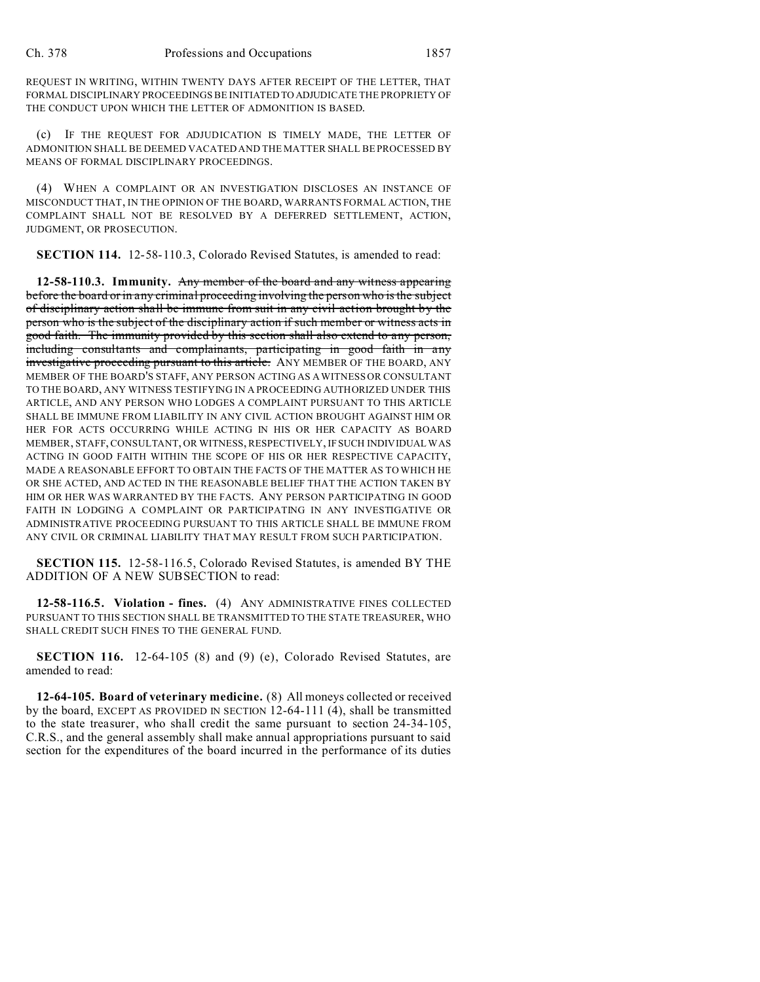REQUEST IN WRITING, WITHIN TWENTY DAYS AFTER RECEIPT OF THE LETTER, THAT FORMAL DISCIPLINARY PROCEEDINGS BE INITIATED TO ADJUDICATE THE PROPRIETY OF THE CONDUCT UPON WHICH THE LETTER OF ADMONITION IS BASED.

(c) IF THE REQUEST FOR ADJUDICATION IS TIMELY MADE, THE LETTER OF ADMONITION SHALL BE DEEMED VACATED AND THE MATTER SHALL BE PROCESSED BY MEANS OF FORMAL DISCIPLINARY PROCEEDINGS.

(4) WHEN A COMPLAINT OR AN INVESTIGATION DISCLOSES AN INSTANCE OF MISCONDUCT THAT, IN THE OPINION OF THE BOARD, WARRANTS FORMAL ACTION, THE COMPLAINT SHALL NOT BE RESOLVED BY A DEFERRED SETTLEMENT, ACTION, JUDGMENT, OR PROSECUTION.

**SECTION 114.** 12-58-110.3, Colorado Revised Statutes, is amended to read:

**12-58-110.3. Immunity.** Any member of the board and any witness appearing before the board or in any criminal proceeding involving the person who is the subject of disciplinary action shall be immune from suit in any civil action brought by the person who is the subject of the disciplinary action if such member or witness acts in good faith. The immunity provided by this section shall also extend to any person, including consultants and complainants, participating in good faith in any investigative proceeding pursuant to this article. ANY MEMBER OF THE BOARD, ANY MEMBER OF THE BOARD'S STAFF, ANY PERSON ACTING AS A WITNESS OR CONSULTANT TO THE BOARD, ANY WITNESS TESTIFYING IN A PROCEEDING AUTHORIZED UNDER THIS ARTICLE, AND ANY PERSON WHO LODGES A COMPLAINT PURSUANT TO THIS ARTICLE SHALL BE IMMUNE FROM LIABILITY IN ANY CIVIL ACTION BROUGHT AGAINST HIM OR HER FOR ACTS OCCURRING WHILE ACTING IN HIS OR HER CAPACITY AS BOARD MEMBER, STAFF, CONSULTANT, OR WITNESS, RESPECTIVELY, IF SUCH INDIVIDUAL WAS ACTING IN GOOD FAITH WITHIN THE SCOPE OF HIS OR HER RESPECTIVE CAPACITY, MADE A REASONABLE EFFORT TO OBTAIN THE FACTS OF THE MATTER AS TO WHICH HE OR SHE ACTED, AND ACTED IN THE REASONABLE BELIEF THAT THE ACTION TAKEN BY HIM OR HER WAS WARRANTED BY THE FACTS. ANY PERSON PARTICIPATING IN GOOD FAITH IN LODGING A COMPLAINT OR PARTICIPATING IN ANY INVESTIGATIVE OR ADMINISTRATIVE PROCEEDING PURSUANT TO THIS ARTICLE SHALL BE IMMUNE FROM ANY CIVIL OR CRIMINAL LIABILITY THAT MAY RESULT FROM SUCH PARTICIPATION.

**SECTION 115.** 12-58-116.5, Colorado Revised Statutes, is amended BY THE ADDITION OF A NEW SUBSECTION to read:

**12-58-116.5. Violation - fines.** (4) ANY ADMINISTRATIVE FINES COLLECTED PURSUANT TO THIS SECTION SHALL BE TRANSMITTED TO THE STATE TREASURER, WHO SHALL CREDIT SUCH FINES TO THE GENERAL FUND.

**SECTION 116.** 12-64-105 (8) and (9) (e), Colorado Revised Statutes, are amended to read:

**12-64-105. Board of veterinary medicine.** (8) All moneys collected or received by the board, EXCEPT AS PROVIDED IN SECTION 12-64-111 (4), shall be transmitted to the state treasurer, who shall credit the same pursuant to section 24-34-105, C.R.S., and the general assembly shall make annual appropriations pursuant to said section for the expenditures of the board incurred in the performance of its duties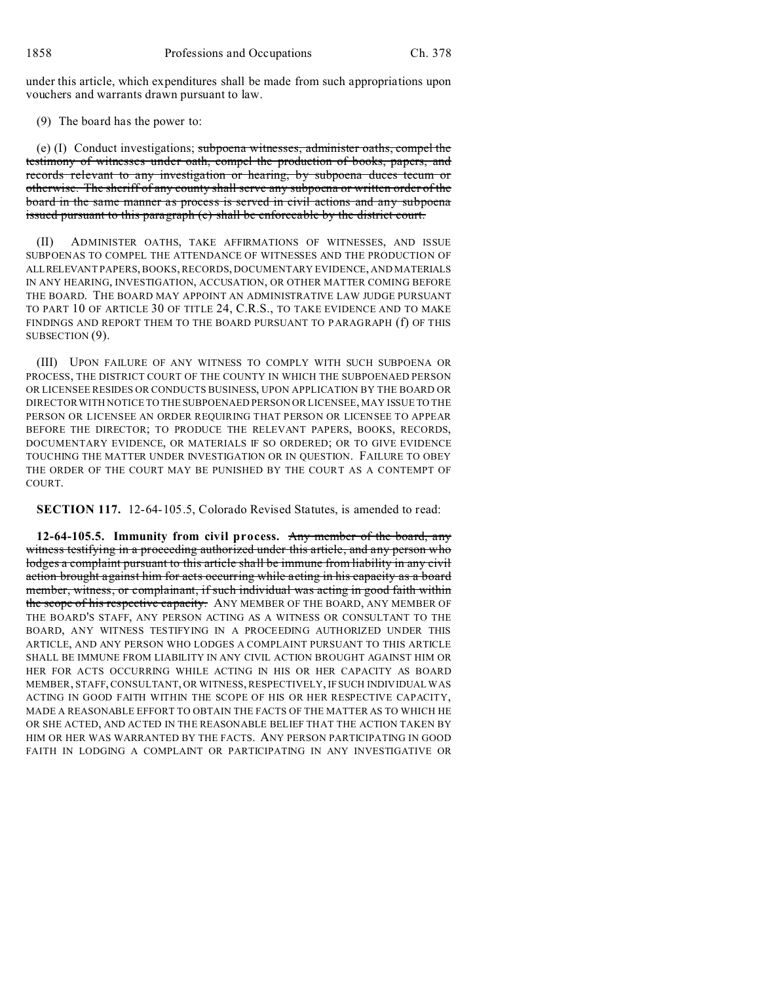under this article, which expenditures shall be made from such appropriations upon vouchers and warrants drawn pursuant to law.

(9) The board has the power to:

(e) (I) Conduct investigations; subpoena witnesses, administer oaths, compel the testimony of witnesses under oath, compel the production of books, papers, and records relevant to any investigation or hearing, by subpoena duces tecum or otherwise. The sheriff of any county shall serve any subpoena or written order of the board in the same manner as process is served in civil actions and any subpoena issued pursuant to this paragraph (e) shall be enforceable by the district court.

(II) ADMINISTER OATHS, TAKE AFFIRMATIONS OF WITNESSES, AND ISSUE SUBPOENAS TO COMPEL THE ATTENDANCE OF WITNESSES AND THE PRODUCTION OF ALLRELEVANT PAPERS, BOOKS, RECORDS, DOCUMENTARY EVIDENCE, AND MATERIALS IN ANY HEARING, INVESTIGATION, ACCUSATION, OR OTHER MATTER COMING BEFORE THE BOARD. THE BOARD MAY APPOINT AN ADMINISTRATIVE LAW JUDGE PURSUANT TO PART 10 OF ARTICLE 30 OF TITLE 24, C.R.S., TO TAKE EVIDENCE AND TO MAKE FINDINGS AND REPORT THEM TO THE BOARD PURSUANT TO PARAGRAPH (f) OF THIS SUBSECTION  $(9)$ .

(III) UPON FAILURE OF ANY WITNESS TO COMPLY WITH SUCH SUBPOENA OR PROCESS, THE DISTRICT COURT OF THE COUNTY IN WHICH THE SUBPOENAED PERSON OR LICENSEE RESIDES OR CONDUCTS BUSINESS, UPON APPLICATION BY THE BOARD OR DIRECTOR WITH NOTICE TO THE SUBPOENAED PERSON OR LICENSEE, MAY ISSUE TO THE PERSON OR LICENSEE AN ORDER REQUIRING THAT PERSON OR LICENSEE TO APPEAR BEFORE THE DIRECTOR; TO PRODUCE THE RELEVANT PAPERS, BOOKS, RECORDS, DOCUMENTARY EVIDENCE, OR MATERIALS IF SO ORDERED; OR TO GIVE EVIDENCE TOUCHING THE MATTER UNDER INVESTIGATION OR IN QUESTION. FAILURE TO OBEY THE ORDER OF THE COURT MAY BE PUNISHED BY THE COURT AS A CONTEMPT OF COURT.

**SECTION 117.** 12-64-105.5, Colorado Revised Statutes, is amended to read:

**12-64-105.5. Immunity from civil process.** Any member of the board, any witness testifying in a proceeding authorized under this article, and any person who lodges a complaint pursuant to this article shall be immune from liability in any civil action brought against him for acts occurring while acting in his capacity as a board member, witness, or complainant, if such individual was acting in good faith within the scope of his respective capacity. ANY MEMBER OF THE BOARD, ANY MEMBER OF THE BOARD'S STAFF, ANY PERSON ACTING AS A WITNESS OR CONSULTANT TO THE BOARD, ANY WITNESS TESTIFYING IN A PROCEEDING AUTHORIZED UNDER THIS ARTICLE, AND ANY PERSON WHO LODGES A COMPLAINT PURSUANT TO THIS ARTICLE SHALL BE IMMUNE FROM LIABILITY IN ANY CIVIL ACTION BROUGHT AGAINST HIM OR HER FOR ACTS OCCURRING WHILE ACTING IN HIS OR HER CAPACITY AS BOARD MEMBER, STAFF, CONSULTANT, OR WITNESS, RESPECTIVELY, IF SUCH INDIVIDUAL WAS ACTING IN GOOD FAITH WITHIN THE SCOPE OF HIS OR HER RESPECTIVE CAPACITY, MADE A REASONABLE EFFORT TO OBTAIN THE FACTS OF THE MATTER AS TO WHICH HE OR SHE ACTED, AND ACTED IN THE REASONABLE BELIEF THAT THE ACTION TAKEN BY HIM OR HER WAS WARRANTED BY THE FACTS. ANY PERSON PARTICIPATING IN GOOD FAITH IN LODGING A COMPLAINT OR PARTICIPATING IN ANY INVESTIGATIVE OR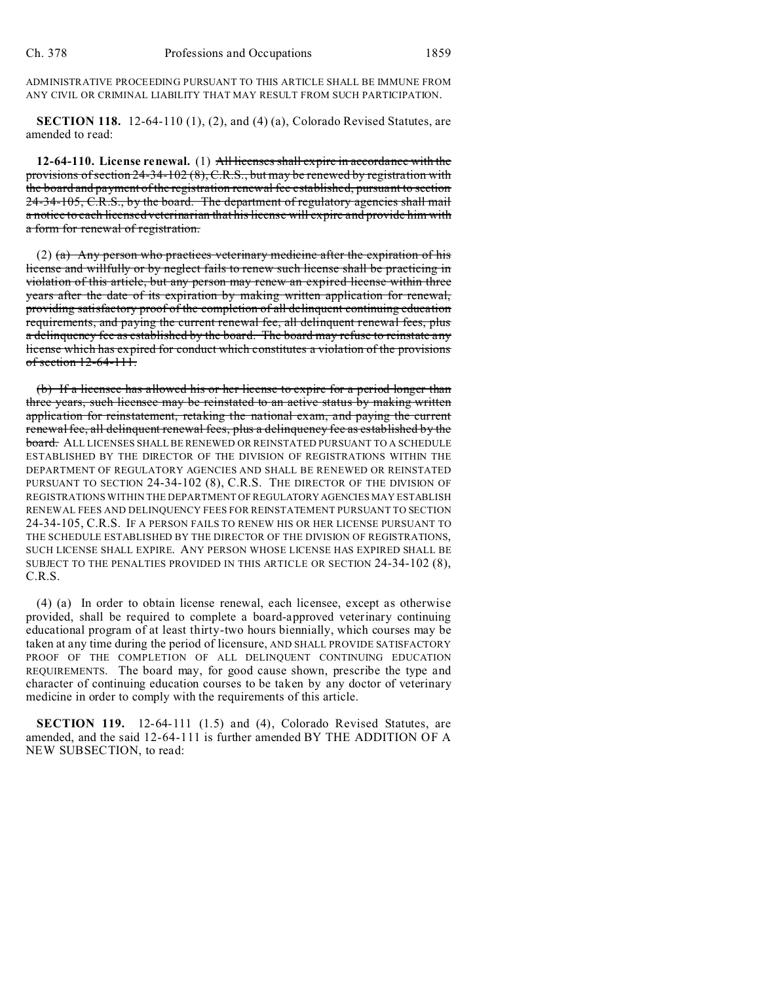ADMINISTRATIVE PROCEEDING PURSUANT TO THIS ARTICLE SHALL BE IMMUNE FROM ANY CIVIL OR CRIMINAL LIABILITY THAT MAY RESULT FROM SUCH PARTICIPATION.

**SECTION 118.** 12-64-110 (1), (2), and (4) (a), Colorado Revised Statutes, are amended to read:

**12-64-110. License renewal.** (1) All licenses shall expire in accordance with the provisions of section 24-34-102 (8), C.R.S., but may be renewed by registration with the board and payment of the registration renewal fee established, pursuant to section 24-34-105, C.R.S., by the board. The department of regulatory agencies shall mail a notice to each licensed veterinarian that his license will expire and provide him with a form for renewal of registration.

(2) (a) Any person who practices veterinary medicine after the expiration of his license and willfully or by neglect fails to renew such license shall be practicing in violation of this article, but any person may renew an expired license within three years after the date of its expiration by making written application for renewal, providing satisfactory proof of the completion of all delinquent continuing education requirements, and paying the current renewal fee, all delinquent renewal fees, plus a delinquency fee as established by the board. The board may refuse to reinstate any license which has expired for conduct which constitutes a violation of the provisions of section 12-64-111.

(b) If a licensee has allowed his or her license to expire for a period longer than three years, such licensee may be reinstated to an active status by making written application for reinstatement, retaking the national exam, and paying the current renewal fee, all delinquent renewal fees, plus a delinquency fee as established by the board. ALL LICENSES SHALL BE RENEWED OR REINSTATED PURSUANT TO A SCHEDULE ESTABLISHED BY THE DIRECTOR OF THE DIVISION OF REGISTRATIONS WITHIN THE DEPARTMENT OF REGULATORY AGENCIES AND SHALL BE RENEWED OR REINSTATED PURSUANT TO SECTION 24-34-102 (8), C.R.S. THE DIRECTOR OF THE DIVISION OF REGISTRATIONS WITHIN THE DEPARTMENT OF REGULATORYAGENCIES MAY ESTABLISH RENEWAL FEES AND DELINQUENCY FEES FOR REINSTATEMENT PURSUANT TO SECTION 24-34-105, C.R.S. IF A PERSON FAILS TO RENEW HIS OR HER LICENSE PURSUANT TO THE SCHEDULE ESTABLISHED BY THE DIRECTOR OF THE DIVISION OF REGISTRATIONS, SUCH LICENSE SHALL EXPIRE. ANY PERSON WHOSE LICENSE HAS EXPIRED SHALL BE SUBJECT TO THE PENALTIES PROVIDED IN THIS ARTICLE OR SECTION 24-34-102 (8), C.R.S.

(4) (a) In order to obtain license renewal, each licensee, except as otherwise provided, shall be required to complete a board-approved veterinary continuing educational program of at least thirty-two hours biennially, which courses may be taken at any time during the period of licensure, AND SHALL PROVIDE SATISFACTORY PROOF OF THE COMPLETION OF ALL DELINQUENT CONTINUING EDUCATION REQUIREMENTS. The board may, for good cause shown, prescribe the type and character of continuing education courses to be taken by any doctor of veterinary medicine in order to comply with the requirements of this article.

**SECTION 119.** 12-64-111 (1.5) and (4), Colorado Revised Statutes, are amended, and the said 12-64-111 is further amended BY THE ADDITION OF A NEW SUBSECTION, to read: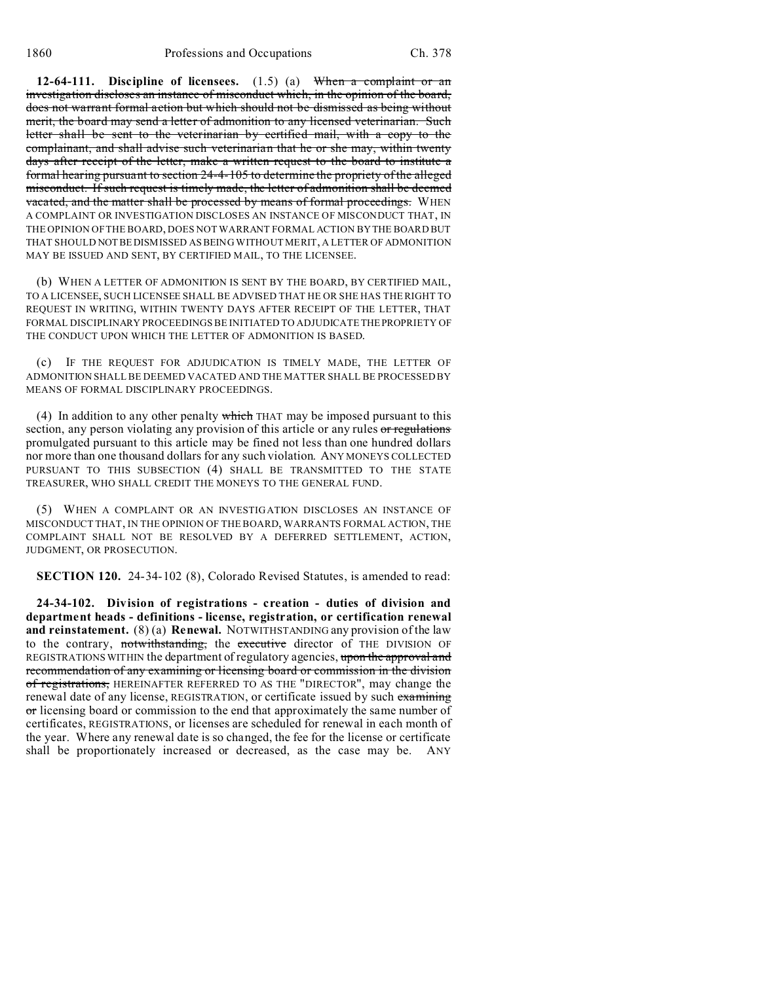**12-64-111. Discipline of licensees.** (1.5) (a) When a complaint or an investigation discloses an instance of misconduct which, in the opinion of the board, does not warrant formal action but which should not be dismissed as being without merit, the board may send a letter of admonition to any licensed veterinarian. Such letter shall be sent to the veterinarian by certified mail, with a copy to the complainant, and shall advise such veterinarian that he or she may, within twenty days after receipt of the letter, make a written request to the board to institute a formal hearing pursuant to section 24-4-105 to determine the propriety of the alleged misconduct. If such request is timely made, the letter of admonition shall be deemed vacated, and the matter shall be processed by means of formal proceedings. WHEN A COMPLAINT OR INVESTIGATION DISCLOSES AN INSTANCE OF MISCONDUCT THAT, IN THE OPINION OF THE BOARD, DOES NOT WARRANT FORMAL ACTION BY THE BOARD BUT THAT SHOULD NOTBE DISMISSED AS BEING WITHOUT MERIT, A LETTER OF ADMONITION MAY BE ISSUED AND SENT, BY CERTIFIED MAIL, TO THE LICENSEE.

(b) WHEN A LETTER OF ADMONITION IS SENT BY THE BOARD, BY CERTIFIED MAIL, TO A LICENSEE, SUCH LICENSEE SHALL BE ADVISED THAT HE OR SHE HAS THE RIGHT TO REQUEST IN WRITING, WITHIN TWENTY DAYS AFTER RECEIPT OF THE LETTER, THAT FORMAL DISCIPLINARY PROCEEDINGS BE INITIATED TO ADJUDICATE THEPROPRIETY OF THE CONDUCT UPON WHICH THE LETTER OF ADMONITION IS BASED.

IF THE REQUEST FOR ADJUDICATION IS TIMELY MADE, THE LETTER OF ADMONITION SHALL BE DEEMED VACATED AND THE MATTER SHALL BE PROCESSED BY MEANS OF FORMAL DISCIPLINARY PROCEEDINGS.

(4) In addition to any other penalty which THAT may be imposed pursuant to this section, any person violating any provision of this article or any rules or regulations promulgated pursuant to this article may be fined not less than one hundred dollars nor more than one thousand dollars for any such violation. ANY MONEYS COLLECTED PURSUANT TO THIS SUBSECTION (4) SHALL BE TRANSMITTED TO THE STATE TREASURER, WHO SHALL CREDIT THE MONEYS TO THE GENERAL FUND.

(5) WHEN A COMPLAINT OR AN INVESTIGATION DISCLOSES AN INSTANCE OF MISCONDUCT THAT, IN THE OPINION OF THE BOARD, WARRANTS FORMAL ACTION, THE COMPLAINT SHALL NOT BE RESOLVED BY A DEFERRED SETTLEMENT, ACTION, JUDGMENT, OR PROSECUTION.

**SECTION 120.** 24-34-102 (8), Colorado Revised Statutes, is amended to read:

**24-34-102. Division of registrations - creation - duties of division and department heads - definitions - license, registration, or certification renewal and reinstatement.** (8) (a) **Renewal.** NOTWITHSTANDING any provision of the law to the contrary, notwithstanding, the executive director of THE DIVISION OF REGISTRATIONS WITHIN the department of regulatory agencies, upon the approval and recommendation of any examining or licensing board or commission in the division of registrations, HEREINAFTER REFERRED TO AS THE "DIRECTOR", may change the renewal date of any license, REGISTRATION, or certificate issued by such examining or licensing board or commission to the end that approximately the same number of certificates, REGISTRATIONS, or licenses are scheduled for renewal in each month of the year. Where any renewal date is so changed, the fee for the license or certificate shall be proportionately increased or decreased, as the case may be. ANY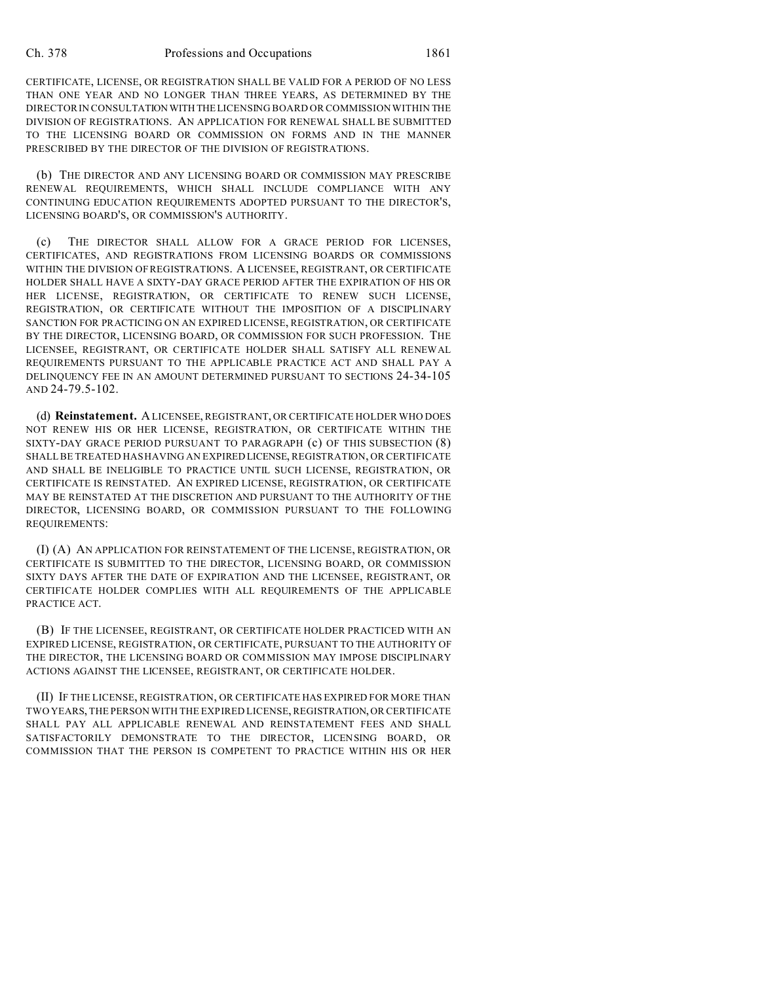CERTIFICATE, LICENSE, OR REGISTRATION SHALL BE VALID FOR A PERIOD OF NO LESS THAN ONE YEAR AND NO LONGER THAN THREE YEARS, AS DETERMINED BY THE DIRECTOR IN CONSULTATIONWITH THELICENSING BOARD OR COMMISSION WITHIN THE DIVISION OF REGISTRATIONS. AN APPLICATION FOR RENEWAL SHALL BE SUBMITTED TO THE LICENSING BOARD OR COMMISSION ON FORMS AND IN THE MANNER PRESCRIBED BY THE DIRECTOR OF THE DIVISION OF REGISTRATIONS.

(b) THE DIRECTOR AND ANY LICENSING BOARD OR COMMISSION MAY PRESCRIBE RENEWAL REQUIREMENTS, WHICH SHALL INCLUDE COMPLIANCE WITH ANY CONTINUING EDUCATION REQUIREMENTS ADOPTED PURSUANT TO THE DIRECTOR'S, LICENSING BOARD'S, OR COMMISSION'S AUTHORITY.

(c) THE DIRECTOR SHALL ALLOW FOR A GRACE PERIOD FOR LICENSES, CERTIFICATES, AND REGISTRATIONS FROM LICENSING BOARDS OR COMMISSIONS WITHIN THE DIVISION OF REGISTRATIONS. A LICENSEE, REGISTRANT, OR CERTIFICATE HOLDER SHALL HAVE A SIXTY-DAY GRACE PERIOD AFTER THE EXPIRATION OF HIS OR HER LICENSE, REGISTRATION, OR CERTIFICATE TO RENEW SUCH LICENSE, REGISTRATION, OR CERTIFICATE WITHOUT THE IMPOSITION OF A DISCIPLINARY SANCTION FOR PRACTICING ON AN EXPIRED LICENSE, REGISTRATION, OR CERTIFICATE BY THE DIRECTOR, LICENSING BOARD, OR COMMISSION FOR SUCH PROFESSION. THE LICENSEE, REGISTRANT, OR CERTIFICATE HOLDER SHALL SATISFY ALL RENEWAL REQUIREMENTS PURSUANT TO THE APPLICABLE PRACTICE ACT AND SHALL PAY A DELINQUENCY FEE IN AN AMOUNT DETERMINED PURSUANT TO SECTIONS 24-34-105 AND 24-79.5-102.

(d) **Reinstatement.** A LICENSEE, REGISTRANT, OR CERTIFICATE HOLDER WHO DOES NOT RENEW HIS OR HER LICENSE, REGISTRATION, OR CERTIFICATE WITHIN THE SIXTY-DAY GRACE PERIOD PURSUANT TO PARAGRAPH (c) OF THIS SUBSECTION (8) SHALL BE TREATED HAS HAVING AN EXPIRED LICENSE, REGISTRATION, OR CERTIFICATE AND SHALL BE INELIGIBLE TO PRACTICE UNTIL SUCH LICENSE, REGISTRATION, OR CERTIFICATE IS REINSTATED. AN EXPIRED LICENSE, REGISTRATION, OR CERTIFICATE MAY BE REINSTATED AT THE DISCRETION AND PURSUANT TO THE AUTHORITY OF THE DIRECTOR, LICENSING BOARD, OR COMMISSION PURSUANT TO THE FOLLOWING REQUIREMENTS:

(I) (A) AN APPLICATION FOR REINSTATEMENT OF THE LICENSE, REGISTRATION, OR CERTIFICATE IS SUBMITTED TO THE DIRECTOR, LICENSING BOARD, OR COMMISSION SIXTY DAYS AFTER THE DATE OF EXPIRATION AND THE LICENSEE, REGISTRANT, OR CERTIFICATE HOLDER COMPLIES WITH ALL REQUIREMENTS OF THE APPLICABLE PRACTICE ACT.

(B) IF THE LICENSEE, REGISTRANT, OR CERTIFICATE HOLDER PRACTICED WITH AN EXPIRED LICENSE, REGISTRATION, OR CERTIFICATE, PURSUANT TO THE AUTHORITY OF THE DIRECTOR, THE LICENSING BOARD OR COMMISSION MAY IMPOSE DISCIPLINARY ACTIONS AGAINST THE LICENSEE, REGISTRANT, OR CERTIFICATE HOLDER.

(II) IF THE LICENSE, REGISTRATION, OR CERTIFICATE HAS EXPIRED FOR MORE THAN TWO YEARS, THE PERSON WITH THE EXPIRED LICENSE, REGISTRATION, OR CERTIFICATE SHALL PAY ALL APPLICABLE RENEWAL AND REINSTATEMENT FEES AND SHALL SATISFACTORILY DEMONSTRATE TO THE DIRECTOR, LICENSING BOARD, OR COMMISSION THAT THE PERSON IS COMPETENT TO PRACTICE WITHIN HIS OR HER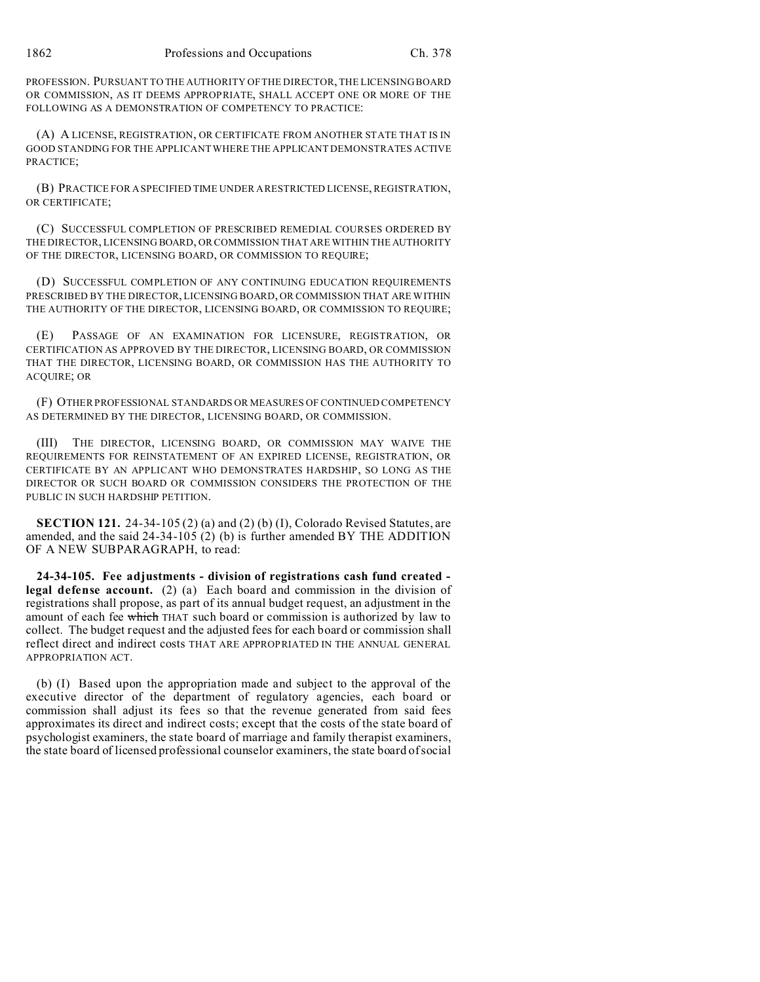PROFESSION. PURSUANT TO THE AUTHORITY OF THE DIRECTOR, THE LICENSING BOARD OR COMMISSION, AS IT DEEMS APPROPRIATE, SHALL ACCEPT ONE OR MORE OF THE FOLLOWING AS A DEMONSTRATION OF COMPETENCY TO PRACTICE:

(A) A LICENSE, REGISTRATION, OR CERTIFICATE FROM ANOTHER STATE THAT IS IN GOOD STANDING FOR THE APPLICANT WHERE THE APPLICANT DEMONSTRATES ACTIVE PRACTICE;

(B) PRACTICE FOR A SPECIFIED TIME UNDER A RESTRICTED LICENSE, REGISTRATION, OR CERTIFICATE;

(C) SUCCESSFUL COMPLETION OF PRESCRIBED REMEDIAL COURSES ORDERED BY THE DIRECTOR, LICENSING BOARD, OR COMMISSION THAT ARE WITHIN THE AUTHORITY OF THE DIRECTOR, LICENSING BOARD, OR COMMISSION TO REQUIRE;

(D) SUCCESSFUL COMPLETION OF ANY CONTINUING EDUCATION REQUIREMENTS PRESCRIBED BY THE DIRECTOR, LICENSING BOARD, OR COMMISSION THAT ARE WITHIN THE AUTHORITY OF THE DIRECTOR, LICENSING BOARD, OR COMMISSION TO REQUIRE;

(E) PASSAGE OF AN EXAMINATION FOR LICENSURE, REGISTRATION, OR CERTIFICATION AS APPROVED BY THE DIRECTOR, LICENSING BOARD, OR COMMISSION THAT THE DIRECTOR, LICENSING BOARD, OR COMMISSION HAS THE AUTHORITY TO ACQUIRE; OR

(F) OTHER PROFESSIONAL STANDARDS OR MEASURES OF CONTINUED COMPETENCY AS DETERMINED BY THE DIRECTOR, LICENSING BOARD, OR COMMISSION.

(III) THE DIRECTOR, LICENSING BOARD, OR COMMISSION MAY WAIVE THE REQUIREMENTS FOR REINSTATEMENT OF AN EXPIRED LICENSE, REGISTRATION, OR CERTIFICATE BY AN APPLICANT WHO DEMONSTRATES HARDSHIP, SO LONG AS THE DIRECTOR OR SUCH BOARD OR COMMISSION CONSIDERS THE PROTECTION OF THE PUBLIC IN SUCH HARDSHIP PETITION.

**SECTION 121.** 24-34-105 (2) (a) and (2) (b) (I), Colorado Revised Statutes, are amended, and the said 24-34-105 (2) (b) is further amended BY THE ADDITION OF A NEW SUBPARAGRAPH, to read:

**24-34-105. Fee adjustments - division of registrations cash fund created legal defense account.** (2) (a) Each board and commission in the division of registrations shall propose, as part of its annual budget request, an adjustment in the amount of each fee which THAT such board or commission is authorized by law to collect. The budget request and the adjusted fees for each board or commission shall reflect direct and indirect costs THAT ARE APPROPRIATED IN THE ANNUAL GENERAL APPROPRIATION ACT.

(b) (I) Based upon the appropriation made and subject to the approval of the executive director of the department of regulatory agencies, each board or commission shall adjust its fees so that the revenue generated from said fees approximates its direct and indirect costs; except that the costs of the state board of psychologist examiners, the state board of marriage and family therapist examiners, the state board of licensed professional counselor examiners, the state board of social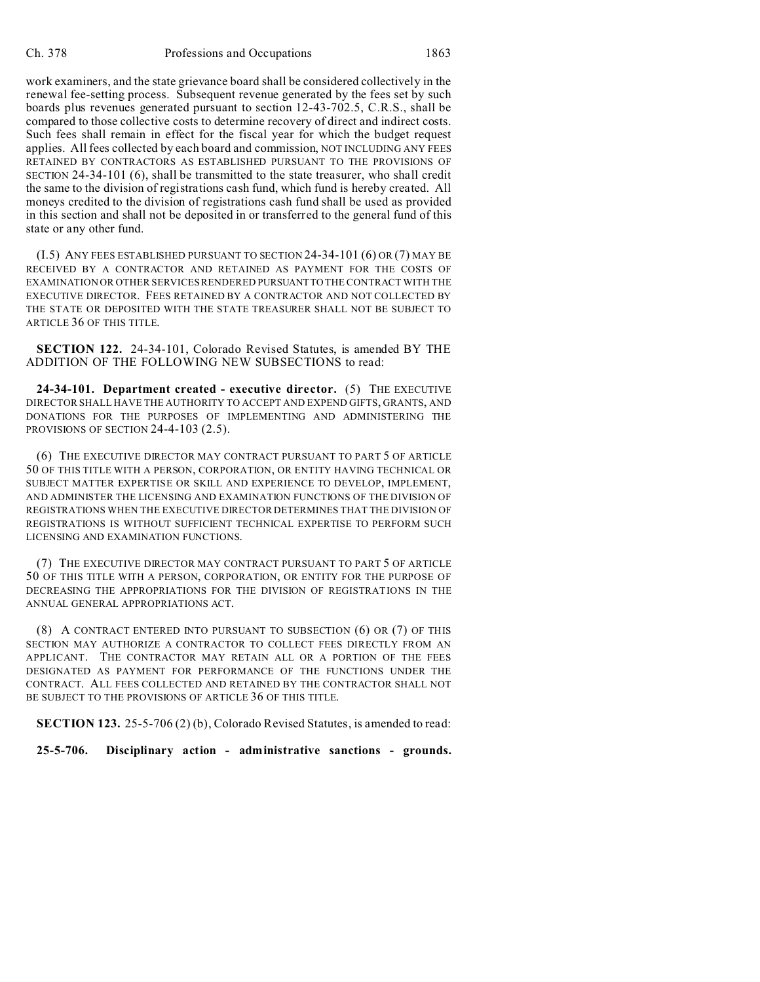work examiners, and the state grievance board shall be considered collectively in the renewal fee-setting process. Subsequent revenue generated by the fees set by such boards plus revenues generated pursuant to section 12-43-702.5, C.R.S., shall be compared to those collective costs to determine recovery of direct and indirect costs. Such fees shall remain in effect for the fiscal year for which the budget request applies. All fees collected by each board and commission, NOT INCLUDING ANY FEES RETAINED BY CONTRACTORS AS ESTABLISHED PURSUANT TO THE PROVISIONS OF SECTION 24-34-101 (6), shall be transmitted to the state treasurer, who shall credit the same to the division of registrations cash fund, which fund is hereby created. All moneys credited to the division of registrations cash fund shall be used as provided in this section and shall not be deposited in or transferred to the general fund of this state or any other fund.

(I.5) ANY FEES ESTABLISHED PURSUANT TO SECTION 24-34-101 (6) OR (7) MAY BE RECEIVED BY A CONTRACTOR AND RETAINED AS PAYMENT FOR THE COSTS OF EXAMINATION OR OTHER SERVICES RENDERED PURSUANTTO THE CONTRACT WITH THE EXECUTIVE DIRECTOR. FEES RETAINED BY A CONTRACTOR AND NOT COLLECTED BY THE STATE OR DEPOSITED WITH THE STATE TREASURER SHALL NOT BE SUBJECT TO ARTICLE 36 OF THIS TITLE.

**SECTION 122.** 24-34-101, Colorado Revised Statutes, is amended BY THE ADDITION OF THE FOLLOWING NEW SUBSECTIONS to read:

**24-34-101. Department created - executive director.** (5) THE EXECUTIVE DIRECTOR SHALL HAVE THE AUTHORITY TO ACCEPT AND EXPEND GIFTS, GRANTS, AND DONATIONS FOR THE PURPOSES OF IMPLEMENTING AND ADMINISTERING THE PROVISIONS OF SECTION 24-4-103 (2.5).

(6) THE EXECUTIVE DIRECTOR MAY CONTRACT PURSUANT TO PART 5 OF ARTICLE 50 OF THIS TITLE WITH A PERSON, CORPORATION, OR ENTITY HAVING TECHNICAL OR SUBJECT MATTER EXPERTISE OR SKILL AND EXPERIENCE TO DEVELOP, IMPLEMENT, AND ADMINISTER THE LICENSING AND EXAMINATION FUNCTIONS OF THE DIVISION OF REGISTRATIONS WHEN THE EXECUTIVE DIRECTOR DETERMINES THAT THE DIVISION OF REGISTRATIONS IS WITHOUT SUFFICIENT TECHNICAL EXPERTISE TO PERFORM SUCH LICENSING AND EXAMINATION FUNCTIONS.

(7) THE EXECUTIVE DIRECTOR MAY CONTRACT PURSUANT TO PART 5 OF ARTICLE 50 OF THIS TITLE WITH A PERSON, CORPORATION, OR ENTITY FOR THE PURPOSE OF DECREASING THE APPROPRIATIONS FOR THE DIVISION OF REGISTRATIONS IN THE ANNUAL GENERAL APPROPRIATIONS ACT.

(8) A CONTRACT ENTERED INTO PURSUANT TO SUBSECTION (6) OR (7) OF THIS SECTION MAY AUTHORIZE A CONTRACTOR TO COLLECT FEES DIRECTLY FROM AN APPLICANT. THE CONTRACTOR MAY RETAIN ALL OR A PORTION OF THE FEES DESIGNATED AS PAYMENT FOR PERFORMANCE OF THE FUNCTIONS UNDER THE CONTRACT. ALL FEES COLLECTED AND RETAINED BY THE CONTRACTOR SHALL NOT BE SUBJECT TO THE PROVISIONS OF ARTICLE 36 OF THIS TITLE.

**SECTION 123.** 25-5-706 (2) (b), Colorado Revised Statutes, is amended to read:

**25-5-706. Disciplinary action - administrative sanctions - grounds.**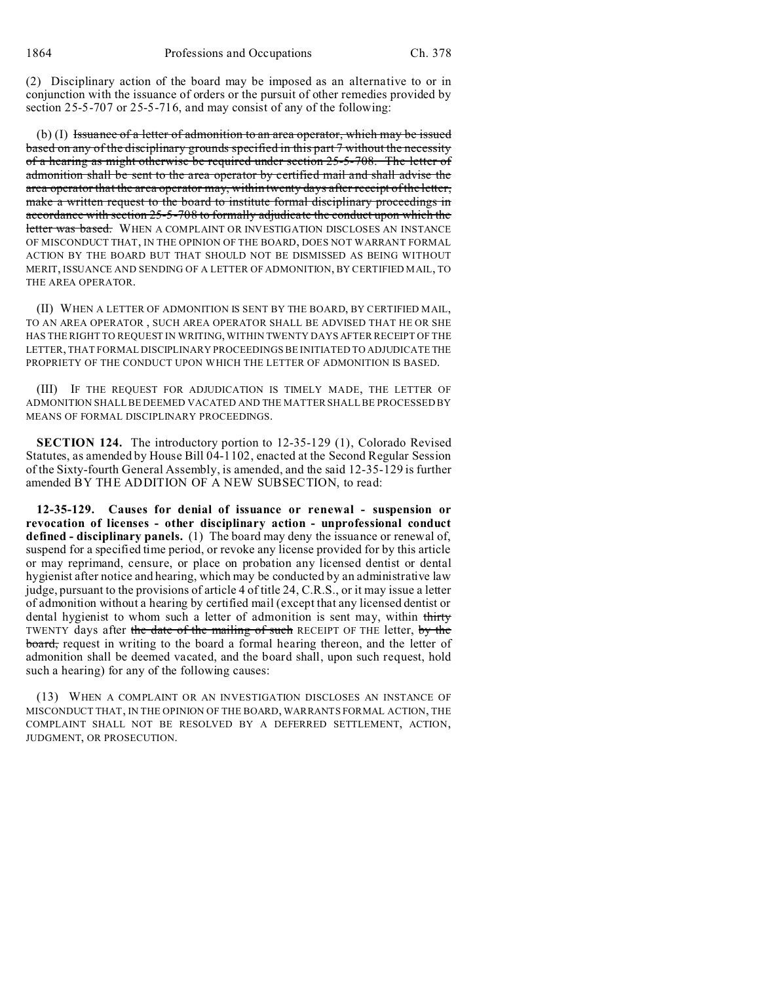(2) Disciplinary action of the board may be imposed as an alternative to or in conjunction with the issuance of orders or the pursuit of other remedies provided by section 25-5-707 or 25-5-716, and may consist of any of the following:

(b) (I) Issuance of a letter of admonition to an area operator, which may be issued based on any of the disciplinary grounds specified in this part 7 without the necessity of a hearing as might otherwise be required under section 25-5-708. The letter of admonition shall be sent to the area operator by certified mail and shall advise the area operator that the area operator may, within twenty days after receipt of the letter, make a written request to the board to institute formal disciplinary proceedings in accordance with section 25-5-708 to formally adjudicate the conduct upon which the letter was based. WHEN A COMPLAINT OR INVESTIGATION DISCLOSES AN INSTANCE OF MISCONDUCT THAT, IN THE OPINION OF THE BOARD, DOES NOT WARRANT FORMAL ACTION BY THE BOARD BUT THAT SHOULD NOT BE DISMISSED AS BEING WITHOUT MERIT, ISSUANCE AND SENDING OF A LETTER OF ADMONITION, BY CERTIFIED MAIL, TO THE AREA OPERATOR.

(II) WHEN A LETTER OF ADMONITION IS SENT BY THE BOARD, BY CERTIFIED MAIL, TO AN AREA OPERATOR , SUCH AREA OPERATOR SHALL BE ADVISED THAT HE OR SHE HAS THE RIGHT TO REQUEST IN WRITING, WITHIN TWENTY DAYS AFTER RECEIPT OF THE LETTER, THAT FORMAL DISCIPLINARY PROCEEDINGS BE INITIATED TO ADJUDICATE THE PROPRIETY OF THE CONDUCT UPON WHICH THE LETTER OF ADMONITION IS BASED.

(III) IF THE REQUEST FOR ADJUDICATION IS TIMELY MADE, THE LETTER OF ADMONITION SHALL BE DEEMED VACATED AND THE MATTER SHALL BE PROCESSED BY MEANS OF FORMAL DISCIPLINARY PROCEEDINGS.

**SECTION 124.** The introductory portion to 12-35-129 (1), Colorado Revised Statutes, as amended by House Bill 04-1102, enacted at the Second Regular Session of the Sixty-fourth General Assembly, is amended, and the said 12-35-129 is further amended BY THE ADDITION OF A NEW SUBSECTION, to read:

**12-35-129. Causes for denial of issuance or renewal - suspension or revocation of licenses - other disciplinary action - unprofessional conduct defined - disciplinary panels.** (1) The board may deny the issuance or renewal of, suspend for a specified time period, or revoke any license provided for by this article or may reprimand, censure, or place on probation any licensed dentist or dental hygienist after notice and hearing, which may be conducted by an administrative law judge, pursuant to the provisions of article 4 of title 24, C.R.S., or it may issue a letter of admonition without a hearing by certified mail (except that any licensed dentist or dental hygienist to whom such a letter of admonition is sent may, within thirty TWENTY days after the date of the mailing of such RECEIPT OF THE letter, by the board, request in writing to the board a formal hearing thereon, and the letter of admonition shall be deemed vacated, and the board shall, upon such request, hold such a hearing) for any of the following causes:

(13) WHEN A COMPLAINT OR AN INVESTIGATION DISCLOSES AN INSTANCE OF MISCONDUCT THAT, IN THE OPINION OF THE BOARD, WARRANTS FORMAL ACTION, THE COMPLAINT SHALL NOT BE RESOLVED BY A DEFERRED SETTLEMENT, ACTION, JUDGMENT, OR PROSECUTION.